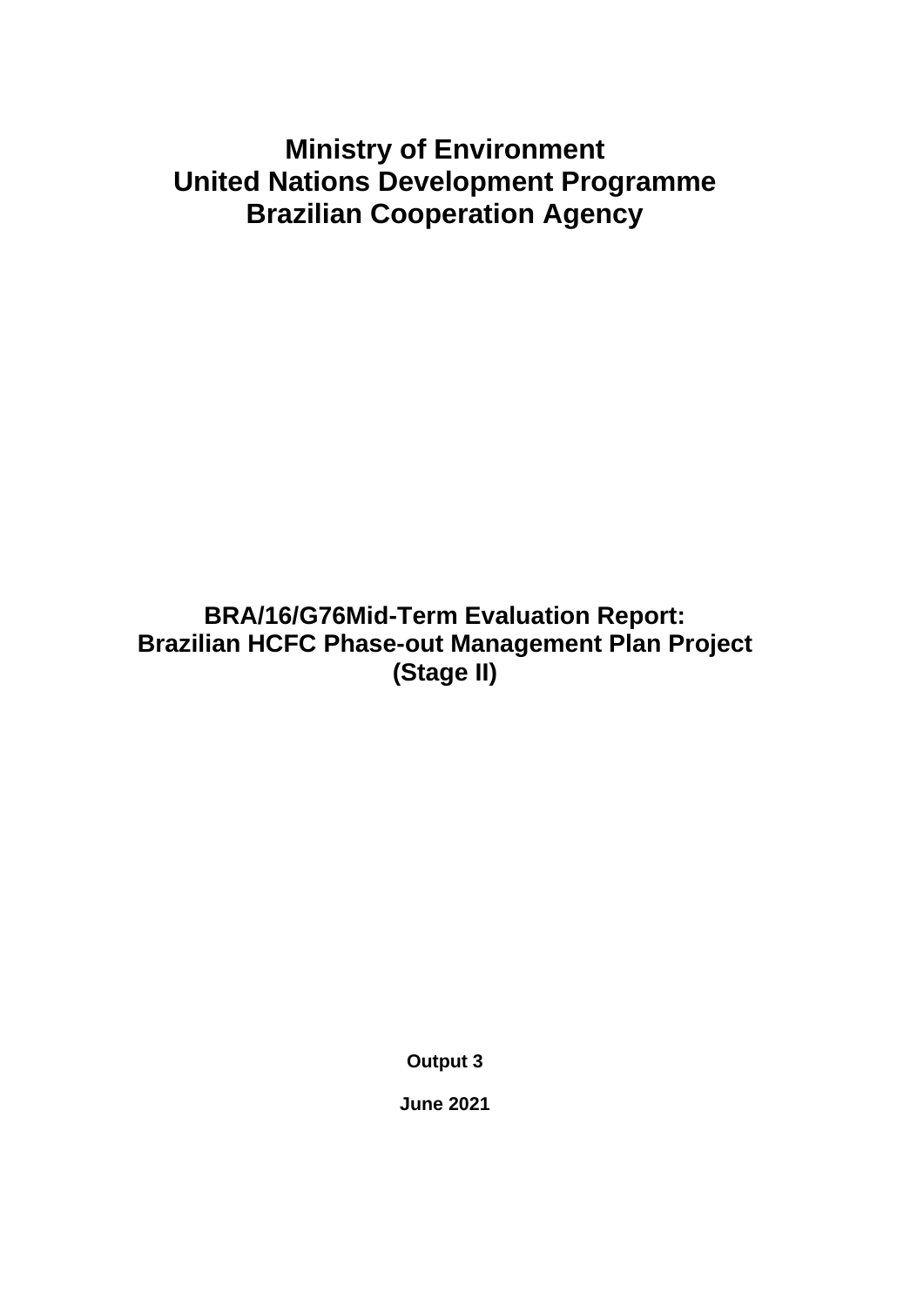# **Ministry of Environment United Nations Development Programme Brazilian Cooperation Agency**

**BRA/16/G76Mid-Term Evaluation Report: Brazilian HCFC Phase-out Management Plan Project (Stage II)**

**Output 3**

**June 2021**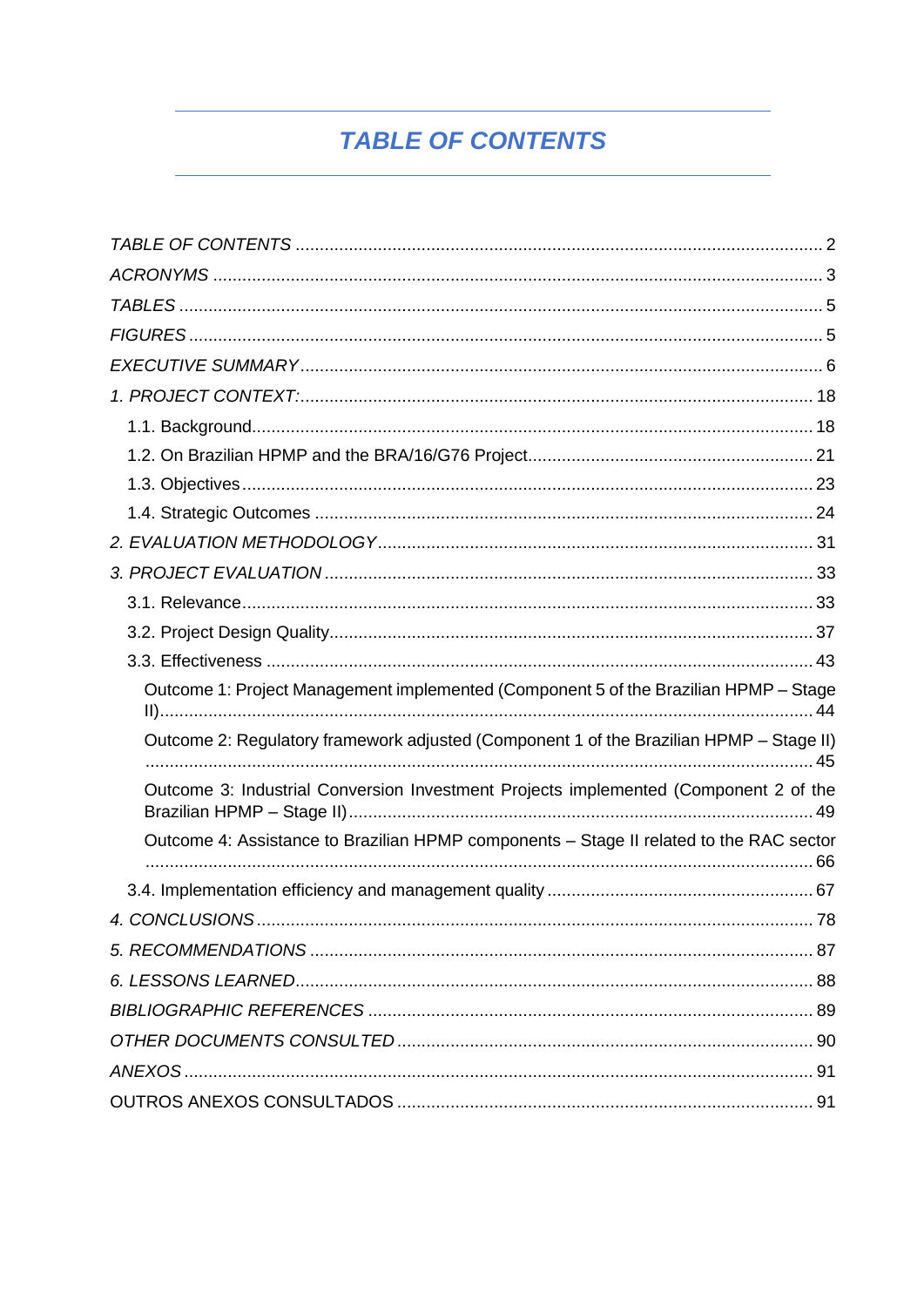# **TABLE OF CONTENTS**

<span id="page-1-0"></span>

| Outcome 1: Project Management implemented (Component 5 of the Brazilian HPMP - Stage    |  |
|-----------------------------------------------------------------------------------------|--|
| Outcome 2: Regulatory framework adjusted (Component 1 of the Brazilian HPMP - Stage II) |  |
| Outcome 3: Industrial Conversion Investment Projects implemented (Component 2 of the    |  |
| Outcome 4: Assistance to Brazilian HPMP components - Stage II related to the RAC sector |  |
|                                                                                         |  |
|                                                                                         |  |
|                                                                                         |  |
|                                                                                         |  |
|                                                                                         |  |
|                                                                                         |  |
|                                                                                         |  |
|                                                                                         |  |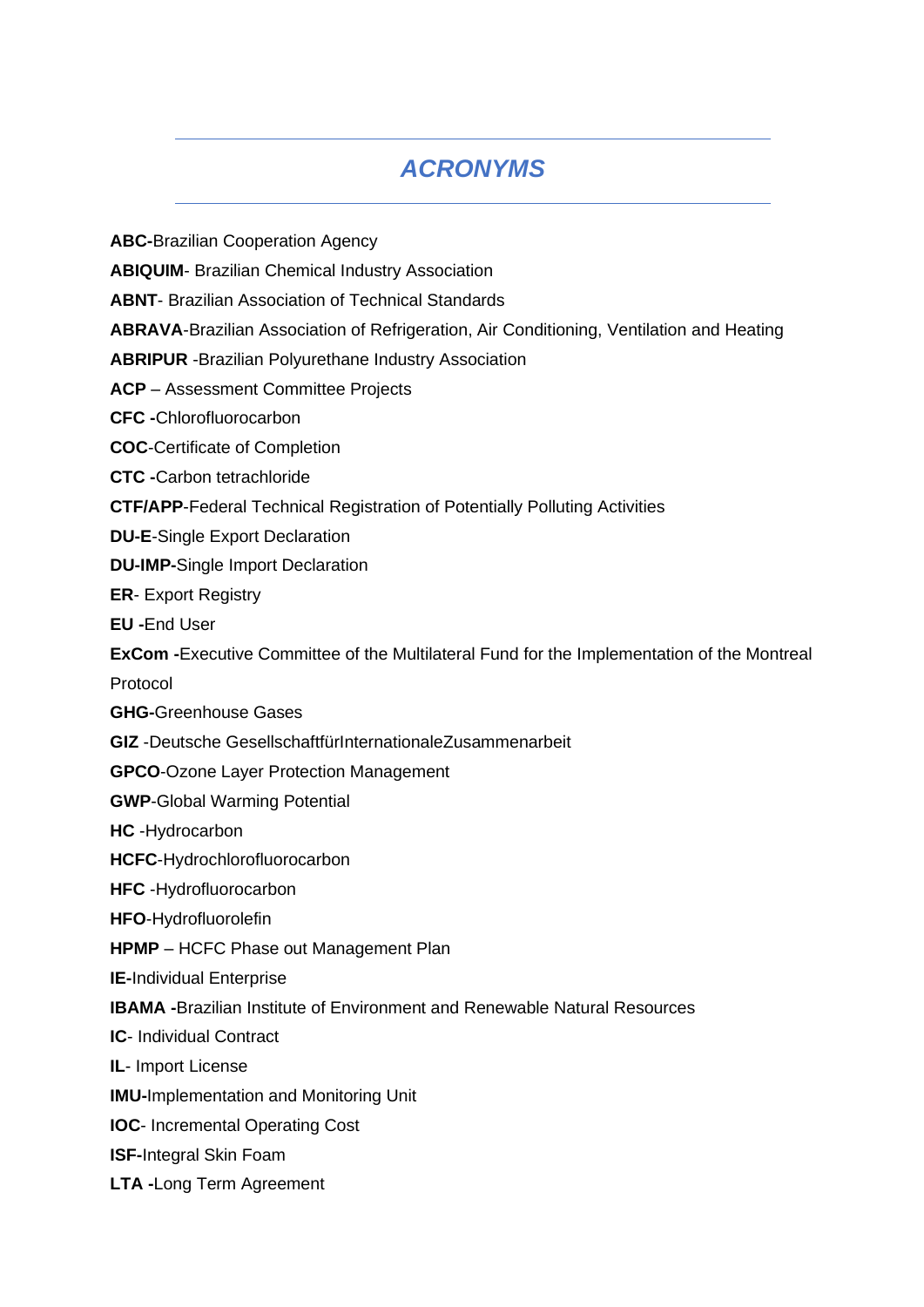# *ACRONYMS*

<span id="page-2-0"></span>**ABC-**Brazilian Cooperation Agency

**ABIQUIM**- Brazilian Chemical Industry Association

**ABNT**- Brazilian Association of Technical Standards

**ABRAVA**-Brazilian Association of Refrigeration, Air Conditioning, Ventilation and Heating

**ABRIPUR** -Brazilian Polyurethane Industry Association

**ACP** – Assessment Committee Projects

**CFC -**Chlorofluorocarbon

**COC**-Certificate of Completion

**CTC -**Carbon tetrachloride

**CTF/APP**-Federal Technical Registration of Potentially Polluting Activities

**DU-E**-Single Export Declaration

**DU-IMP-**Single Import Declaration

**ER**- Export Registry

**EU -**End User

**ExCom -**Executive Committee of the Multilateral Fund for the Implementation of the Montreal Protocol

**GHG-**Greenhouse Gases

**GIZ** -Deutsche GesellschaftfürInternationaleZusammenarbeit

**GPCO**-Ozone Layer Protection Management

**GWP**-Global Warming Potential

**HC** -Hydrocarbon

**HCFC**-Hydrochlorofluorocarbon

**HFC** -Hydrofluorocarbon

**HFO**-Hydrofluorolefin

**HPMP** – HCFC Phase out Management Plan

**IE-**Individual Enterprise

**IBAMA -**Brazilian Institute of Environment and Renewable Natural Resources

**IC**- Individual Contract

**IL**- Import License

**IMU-**Implementation and Monitoring Unit

**IOC**- Incremental Operating Cost

**ISF-**Integral Skin Foam

**LTA -**Long Term Agreement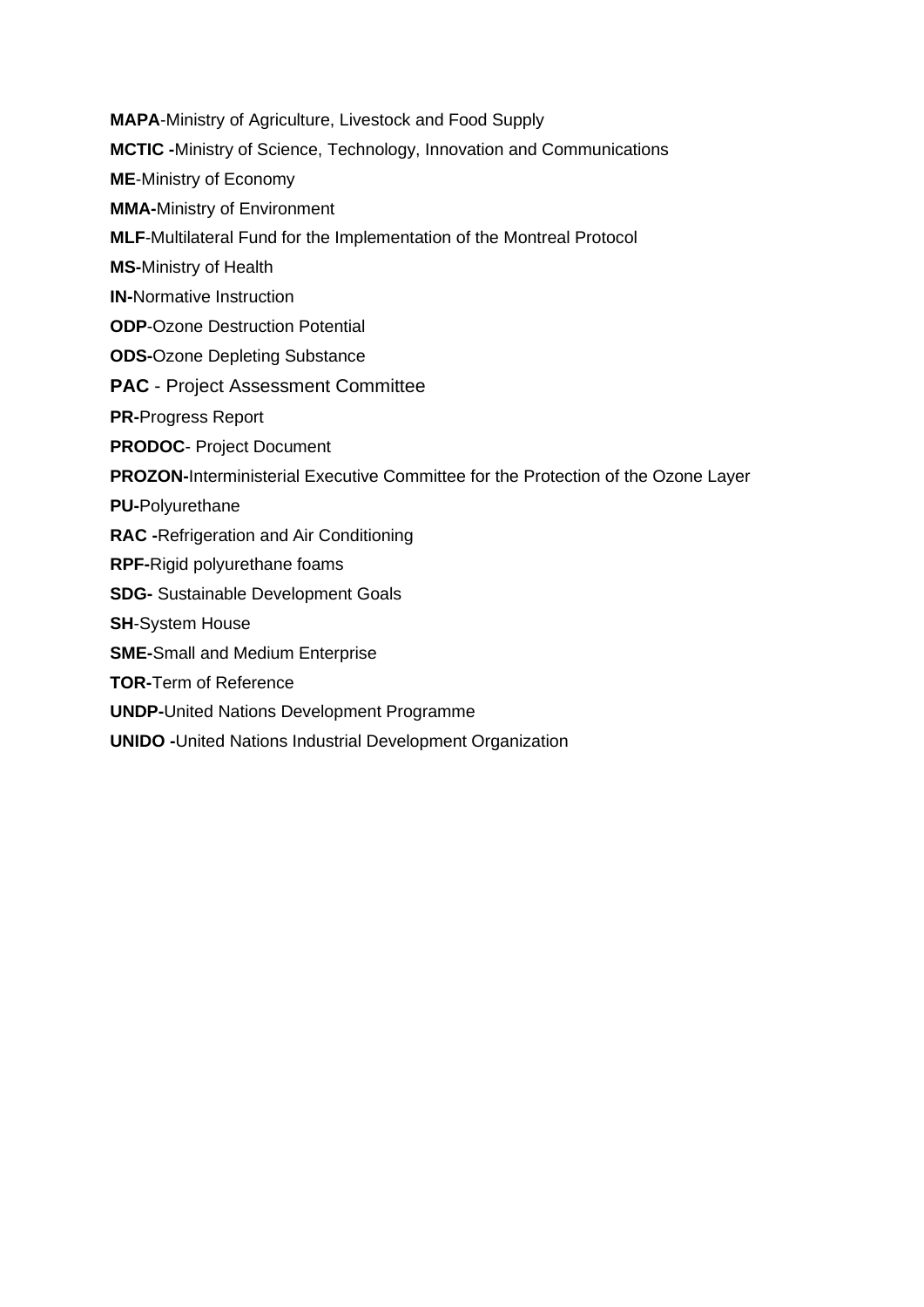**MAPA**-Ministry of Agriculture, Livestock and Food Supply

**MCTIC -**Ministry of Science, Technology, Innovation and Communications

**ME**-Ministry of Economy

**MMA-**Ministry of Environment

**MLF**-Multilateral Fund for the Implementation of the Montreal Protocol

**MS-**Ministry of Health

**IN-**Normative Instruction

**ODP**-Ozone Destruction Potential

**ODS-**Ozone Depleting Substance

**PAC** - Project Assessment Committee

**PR-**Progress Report

**PRODOC**- Project Document

**PROZON-**Interministerial Executive Committee for the Protection of the Ozone Layer

**PU-**Polyurethane

**RAC -**Refrigeration and Air Conditioning

**RPF-**Rigid polyurethane foams

**SDG-** Sustainable Development Goals

**SH**-System House

**SME-**Small and Medium Enterprise

**TOR-**Term of Reference

**UNDP-**United Nations Development Programme

**UNIDO -**United Nations Industrial Development Organization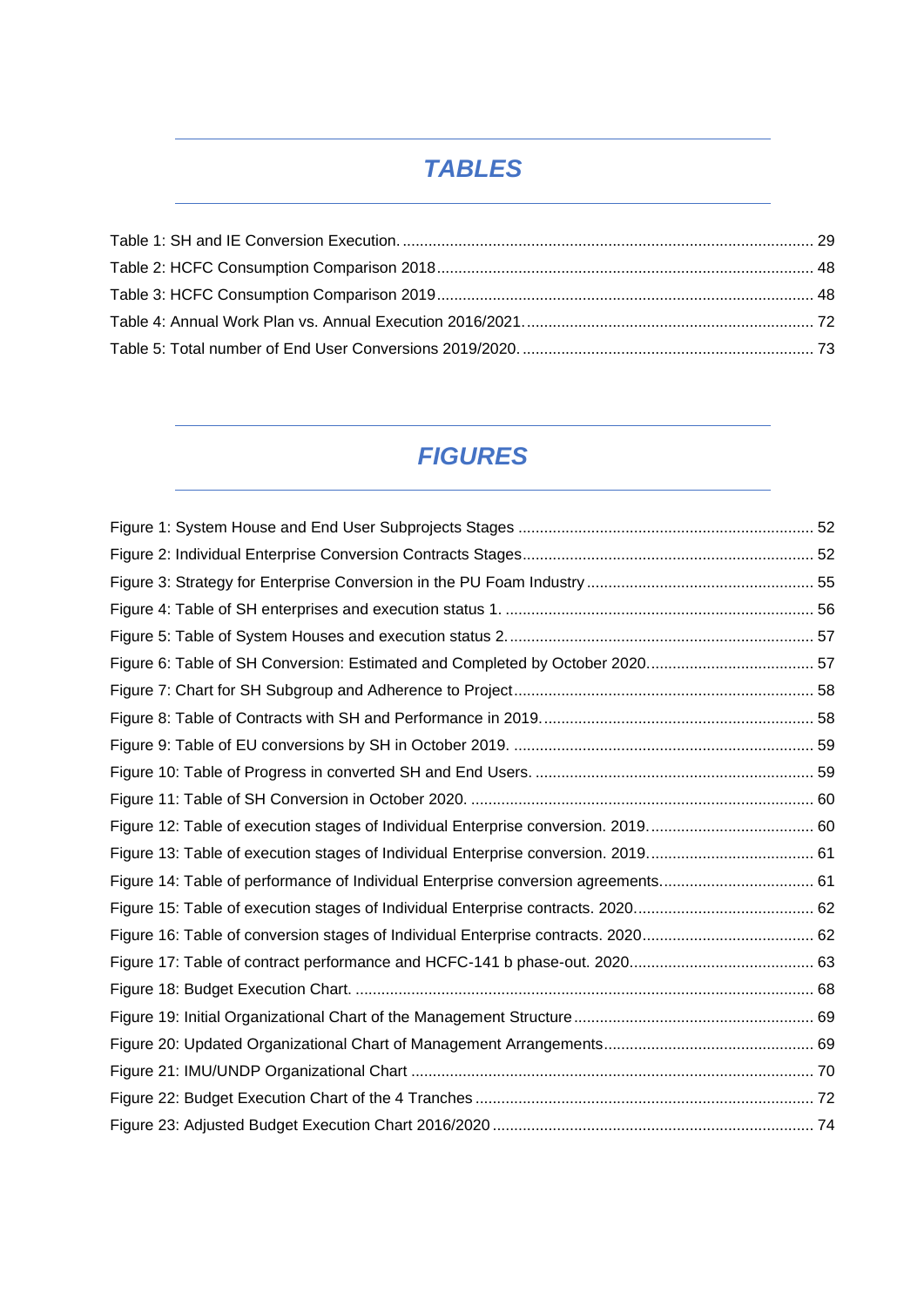# *TABLES*

<span id="page-4-0"></span>

# *FIGURES*

<span id="page-4-1"></span>

| Figure 14: Table of performance of Individual Enterprise conversion agreements 61 |  |
|-----------------------------------------------------------------------------------|--|
|                                                                                   |  |
|                                                                                   |  |
|                                                                                   |  |
|                                                                                   |  |
|                                                                                   |  |
|                                                                                   |  |
|                                                                                   |  |
|                                                                                   |  |
|                                                                                   |  |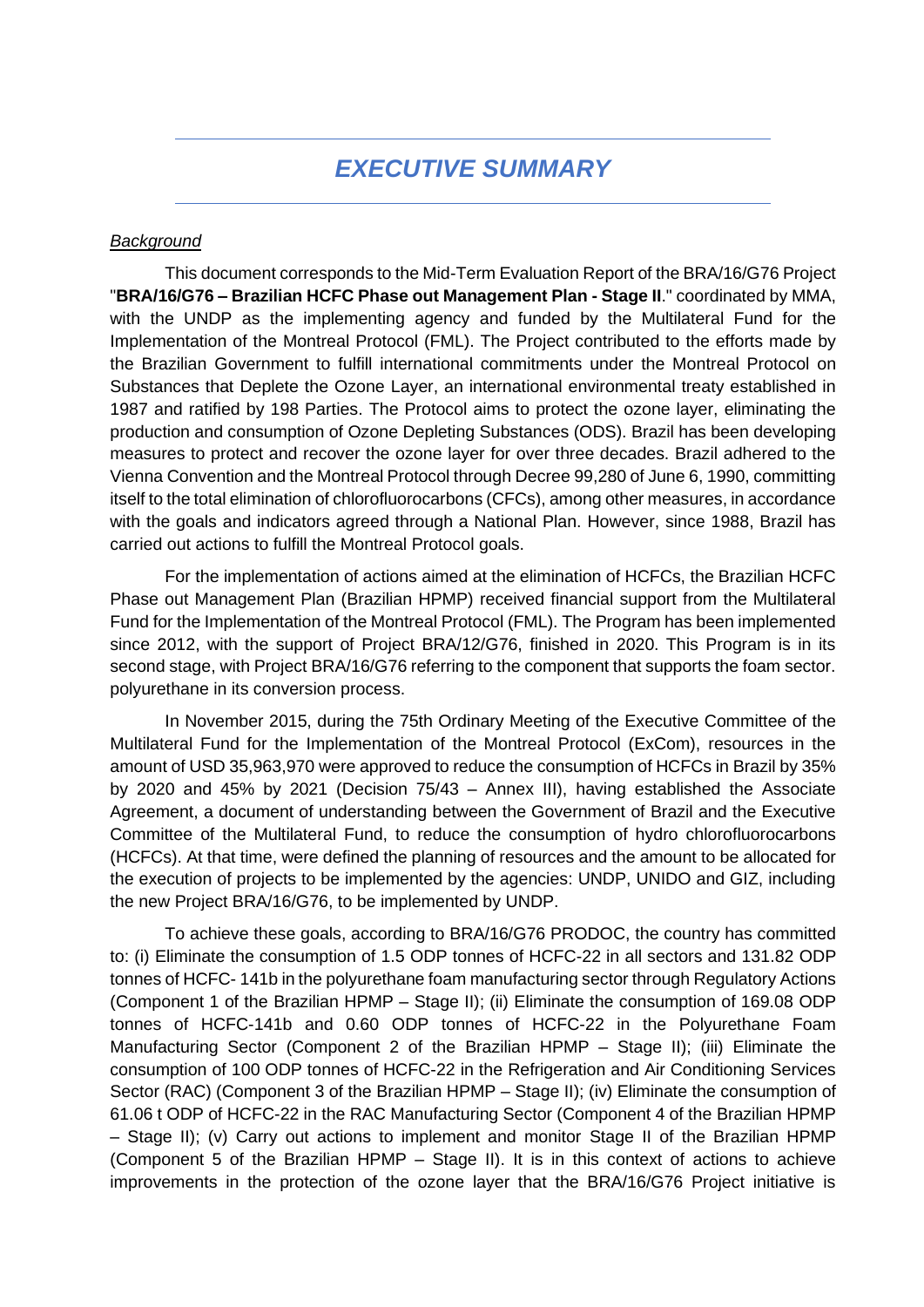### *EXECUTIVE SUMMARY*

#### <span id="page-5-0"></span>*Background*

This document corresponds to the Mid-Term Evaluation Report of the BRA/16/G76 Project "**BRA/16/G76 – Brazilian HCFC Phase out Management Plan - Stage II**." coordinated by MMA, with the UNDP as the implementing agency and funded by the Multilateral Fund for the Implementation of the Montreal Protocol (FML). The Project contributed to the efforts made by the Brazilian Government to fulfill international commitments under the Montreal Protocol on Substances that Deplete the Ozone Layer, an international environmental treaty established in 1987 and ratified by 198 Parties. The Protocol aims to protect the ozone layer, eliminating the production and consumption of Ozone Depleting Substances (ODS). Brazil has been developing measures to protect and recover the ozone layer for over three decades. Brazil adhered to the Vienna Convention and the Montreal Protocol through Decree 99,280 of June 6, 1990, committing itself to the total elimination of chlorofluorocarbons (CFCs), among other measures, in accordance with the goals and indicators agreed through a National Plan. However, since 1988, Brazil has carried out actions to fulfill the Montreal Protocol goals.

For the implementation of actions aimed at the elimination of HCFCs, the Brazilian HCFC Phase out Management Plan (Brazilian HPMP) received financial support from the Multilateral Fund for the Implementation of the Montreal Protocol (FML). The Program has been implemented since 2012, with the support of Project BRA/12/G76, finished in 2020. This Program is in its second stage, with Project BRA/16/G76 referring to the component that supports the foam sector. polyurethane in its conversion process.

In November 2015, during the 75th Ordinary Meeting of the Executive Committee of the Multilateral Fund for the Implementation of the Montreal Protocol (ExCom), resources in the amount of USD 35,963,970 were approved to reduce the consumption of HCFCs in Brazil by 35% by 2020 and 45% by 2021 (Decision 75/43 – Annex III), having established the Associate Agreement, a document of understanding between the Government of Brazil and the Executive Committee of the Multilateral Fund, to reduce the consumption of hydro chlorofluorocarbons (HCFCs). At that time, were defined the planning of resources and the amount to be allocated for the execution of projects to be implemented by the agencies: UNDP, UNIDO and GIZ, including the new Project BRA/16/G76, to be implemented by UNDP.

To achieve these goals, according to BRA/16/G76 PRODOC, the country has committed to: (i) Eliminate the consumption of 1.5 ODP tonnes of HCFC-22 in all sectors and 131.82 ODP tonnes of HCFC- 141b in the polyurethane foam manufacturing sector through Regulatory Actions (Component 1 of the Brazilian HPMP – Stage II); (ii) Eliminate the consumption of 169.08 ODP tonnes of HCFC-141b and 0.60 ODP tonnes of HCFC-22 in the Polyurethane Foam Manufacturing Sector (Component 2 of the Brazilian HPMP – Stage II); (iii) Eliminate the consumption of 100 ODP tonnes of HCFC-22 in the Refrigeration and Air Conditioning Services Sector (RAC) (Component 3 of the Brazilian HPMP – Stage II); (iv) Eliminate the consumption of 61.06 t ODP of HCFC-22 in the RAC Manufacturing Sector (Component 4 of the Brazilian HPMP – Stage II); (v) Carry out actions to implement and monitor Stage II of the Brazilian HPMP (Component 5 of the Brazilian HPMP – Stage II). It is in this context of actions to achieve improvements in the protection of the ozone layer that the BRA/16/G76 Project initiative is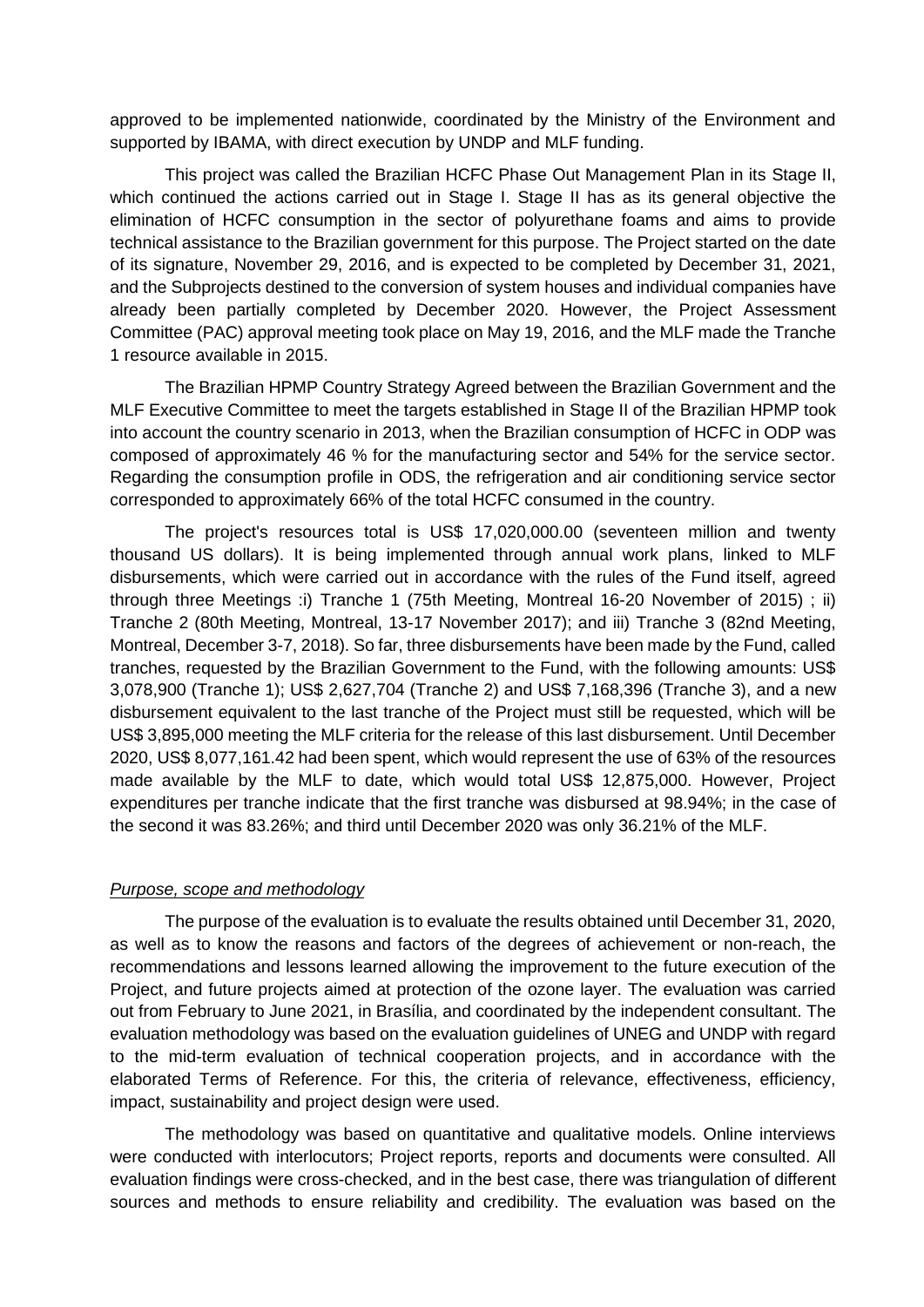approved to be implemented nationwide, coordinated by the Ministry of the Environment and supported by IBAMA, with direct execution by UNDP and MLF funding.

This project was called the Brazilian HCFC Phase Out Management Plan in its Stage II, which continued the actions carried out in Stage I. Stage II has as its general objective the elimination of HCFC consumption in the sector of polyurethane foams and aims to provide technical assistance to the Brazilian government for this purpose. The Project started on the date of its signature, November 29, 2016, and is expected to be completed by December 31, 2021, and the Subprojects destined to the conversion of system houses and individual companies have already been partially completed by December 2020. However, the Project Assessment Committee (PAC) approval meeting took place on May 19, 2016, and the MLF made the Tranche 1 resource available in 2015.

The Brazilian HPMP Country Strategy Agreed between the Brazilian Government and the MLF Executive Committee to meet the targets established in Stage II of the Brazilian HPMP took into account the country scenario in 2013, when the Brazilian consumption of HCFC in ODP was composed of approximately 46 % for the manufacturing sector and 54% for the service sector. Regarding the consumption profile in ODS, the refrigeration and air conditioning service sector corresponded to approximately 66% of the total HCFC consumed in the country.

The project's resources total is US\$ 17,020,000.00 (seventeen million and twenty thousand US dollars). It is being implemented through annual work plans, linked to MLF disbursements, which were carried out in accordance with the rules of the Fund itself, agreed through three Meetings :i) Tranche 1 (75th Meeting, Montreal 16-20 November of 2015) ; ii) Tranche 2 (80th Meeting, Montreal, 13-17 November 2017); and iii) Tranche 3 (82nd Meeting, Montreal, December 3-7, 2018). So far, three disbursements have been made by the Fund, called tranches, requested by the Brazilian Government to the Fund, with the following amounts: US\$ 3,078,900 (Tranche 1); US\$ 2,627,704 (Tranche 2) and US\$ 7,168,396 (Tranche 3), and a new disbursement equivalent to the last tranche of the Project must still be requested, which will be US\$ 3,895,000 meeting the MLF criteria for the release of this last disbursement. Until December 2020, US\$ 8,077,161.42 had been spent, which would represent the use of 63% of the resources made available by the MLF to date, which would total US\$ 12,875,000. However, Project expenditures per tranche indicate that the first tranche was disbursed at 98.94%; in the case of the second it was 83.26%; and third until December 2020 was only 36.21% of the MLF.

#### *Purpose, scope and methodology*

The purpose of the evaluation is to evaluate the results obtained until December 31, 2020, as well as to know the reasons and factors of the degrees of achievement or non-reach, the recommendations and lessons learned allowing the improvement to the future execution of the Project, and future projects aimed at protection of the ozone layer. The evaluation was carried out from February to June 2021, in Brasília, and coordinated by the independent consultant. The evaluation methodology was based on the evaluation guidelines of UNEG and UNDP with regard to the mid-term evaluation of technical cooperation projects, and in accordance with the elaborated Terms of Reference. For this, the criteria of relevance, effectiveness, efficiency, impact, sustainability and project design were used.

The methodology was based on quantitative and qualitative models. Online interviews were conducted with interlocutors; Project reports, reports and documents were consulted. All evaluation findings were cross-checked, and in the best case, there was triangulation of different sources and methods to ensure reliability and credibility. The evaluation was based on the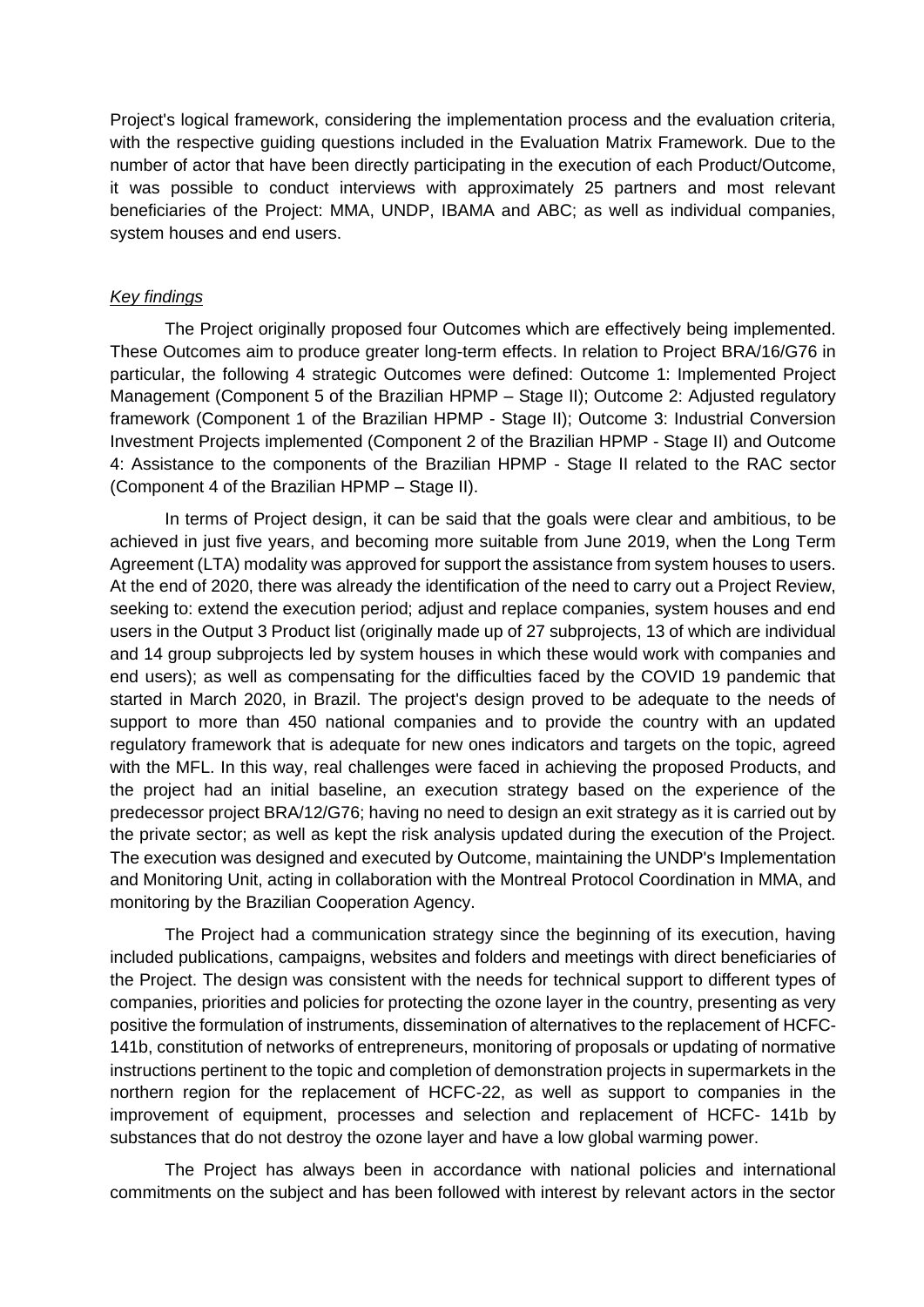Project's logical framework, considering the implementation process and the evaluation criteria, with the respective guiding questions included in the Evaluation Matrix Framework. Due to the number of actor that have been directly participating in the execution of each Product/Outcome, it was possible to conduct interviews with approximately 25 partners and most relevant beneficiaries of the Project: MMA, UNDP, IBAMA and ABC; as well as individual companies, system houses and end users.

#### *Key findings*

The Project originally proposed four Outcomes which are effectively being implemented. These Outcomes aim to produce greater long-term effects. In relation to Project BRA/16/G76 in particular, the following 4 strategic Outcomes were defined: Outcome 1: Implemented Project Management (Component 5 of the Brazilian HPMP – Stage II); Outcome 2: Adjusted regulatory framework (Component 1 of the Brazilian HPMP - Stage II); Outcome 3: Industrial Conversion Investment Projects implemented (Component 2 of the Brazilian HPMP - Stage II) and Outcome 4: Assistance to the components of the Brazilian HPMP - Stage II related to the RAC sector (Component 4 of the Brazilian HPMP – Stage II).

In terms of Project design, it can be said that the goals were clear and ambitious, to be achieved in just five years, and becoming more suitable from June 2019, when the Long Term Agreement (LTA) modality was approved for support the assistance from system houses to users. At the end of 2020, there was already the identification of the need to carry out a Project Review, seeking to: extend the execution period; adjust and replace companies, system houses and end users in the Output 3 Product list (originally made up of 27 subprojects, 13 of which are individual and 14 group subprojects led by system houses in which these would work with companies and end users); as well as compensating for the difficulties faced by the COVID 19 pandemic that started in March 2020, in Brazil. The project's design proved to be adequate to the needs of support to more than 450 national companies and to provide the country with an updated regulatory framework that is adequate for new ones indicators and targets on the topic, agreed with the MFL. In this way, real challenges were faced in achieving the proposed Products, and the project had an initial baseline, an execution strategy based on the experience of the predecessor project BRA/12/G76; having no need to design an exit strategy as it is carried out by the private sector; as well as kept the risk analysis updated during the execution of the Project. The execution was designed and executed by Outcome, maintaining the UNDP's Implementation and Monitoring Unit, acting in collaboration with the Montreal Protocol Coordination in MMA, and monitoring by the Brazilian Cooperation Agency.

The Project had a communication strategy since the beginning of its execution, having included publications, campaigns, websites and folders and meetings with direct beneficiaries of the Project. The design was consistent with the needs for technical support to different types of companies, priorities and policies for protecting the ozone layer in the country, presenting as very positive the formulation of instruments, dissemination of alternatives to the replacement of HCFC-141b, constitution of networks of entrepreneurs, monitoring of proposals or updating of normative instructions pertinent to the topic and completion of demonstration projects in supermarkets in the northern region for the replacement of HCFC-22, as well as support to companies in the improvement of equipment, processes and selection and replacement of HCFC- 141b by substances that do not destroy the ozone layer and have a low global warming power.

The Project has always been in accordance with national policies and international commitments on the subject and has been followed with interest by relevant actors in the sector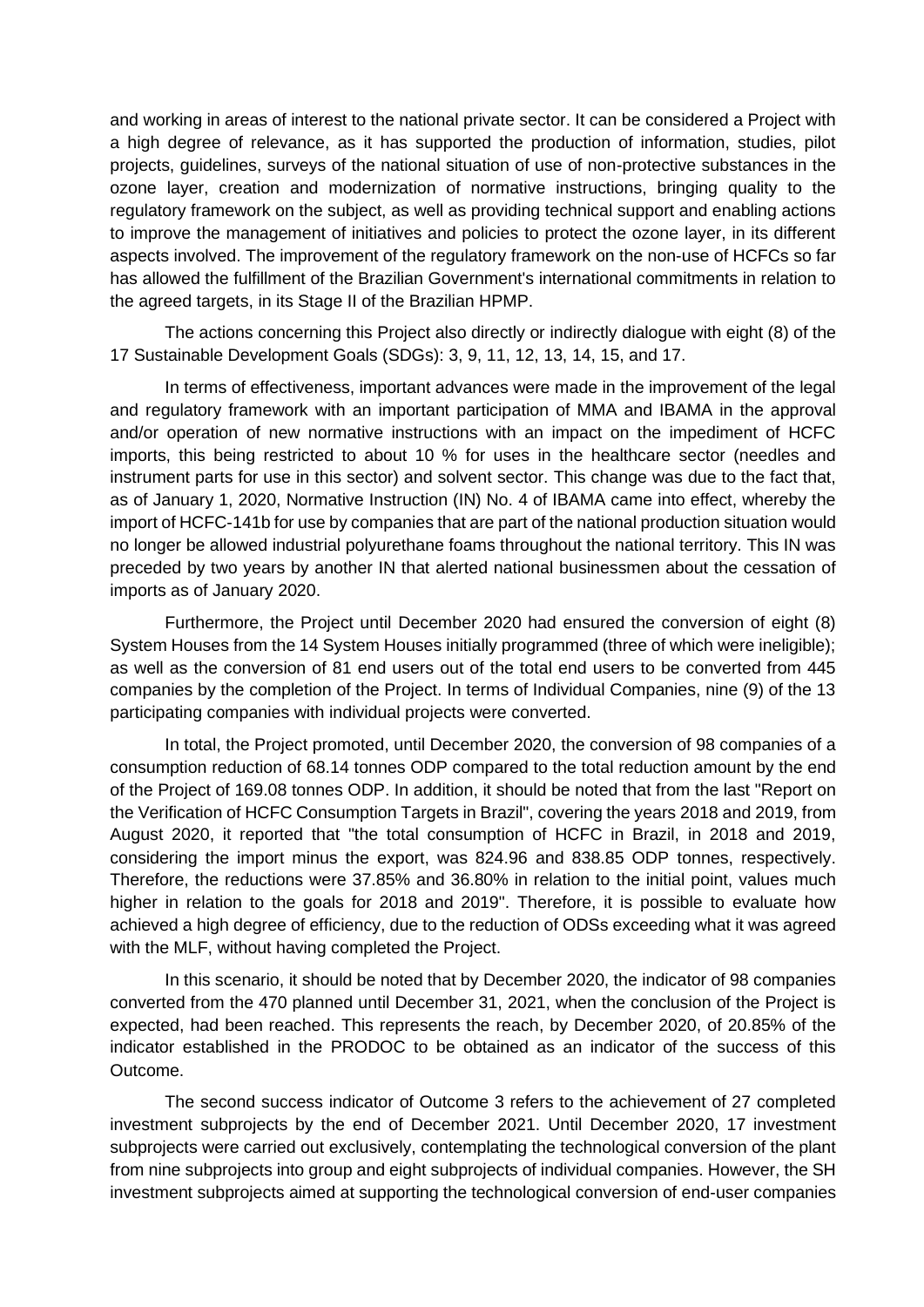and working in areas of interest to the national private sector. It can be considered a Project with a high degree of relevance, as it has supported the production of information, studies, pilot projects, guidelines, surveys of the national situation of use of non-protective substances in the ozone layer, creation and modernization of normative instructions, bringing quality to the regulatory framework on the subject, as well as providing technical support and enabling actions to improve the management of initiatives and policies to protect the ozone layer, in its different aspects involved. The improvement of the regulatory framework on the non-use of HCFCs so far has allowed the fulfillment of the Brazilian Government's international commitments in relation to the agreed targets, in its Stage II of the Brazilian HPMP.

The actions concerning this Project also directly or indirectly dialogue with eight (8) of the 17 Sustainable Development Goals (SDGs): 3, 9, 11, 12, 13, 14, 15, and 17.

In terms of effectiveness, important advances were made in the improvement of the legal and regulatory framework with an important participation of MMA and IBAMA in the approval and/or operation of new normative instructions with an impact on the impediment of HCFC imports, this being restricted to about 10 % for uses in the healthcare sector (needles and instrument parts for use in this sector) and solvent sector. This change was due to the fact that, as of January 1, 2020, Normative Instruction (IN) No. 4 of IBAMA came into effect, whereby the import of HCFC-141b for use by companies that are part of the national production situation would no longer be allowed industrial polyurethane foams throughout the national territory. This IN was preceded by two years by another IN that alerted national businessmen about the cessation of imports as of January 2020.

Furthermore, the Project until December 2020 had ensured the conversion of eight (8) System Houses from the 14 System Houses initially programmed (three of which were ineligible); as well as the conversion of 81 end users out of the total end users to be converted from 445 companies by the completion of the Project. In terms of Individual Companies, nine (9) of the 13 participating companies with individual projects were converted.

In total, the Project promoted, until December 2020, the conversion of 98 companies of a consumption reduction of 68.14 tonnes ODP compared to the total reduction amount by the end of the Project of 169.08 tonnes ODP. In addition, it should be noted that from the last "Report on the Verification of HCFC Consumption Targets in Brazil", covering the years 2018 and 2019, from August 2020, it reported that "the total consumption of HCFC in Brazil, in 2018 and 2019, considering the import minus the export, was 824.96 and 838.85 ODP tonnes, respectively. Therefore, the reductions were 37.85% and 36.80% in relation to the initial point, values much higher in relation to the goals for 2018 and 2019". Therefore, it is possible to evaluate how achieved a high degree of efficiency, due to the reduction of ODSs exceeding what it was agreed with the MLF, without having completed the Project.

In this scenario, it should be noted that by December 2020, the indicator of 98 companies converted from the 470 planned until December 31, 2021, when the conclusion of the Project is expected, had been reached. This represents the reach, by December 2020, of 20.85% of the indicator established in the PRODOC to be obtained as an indicator of the success of this Outcome.

The second success indicator of Outcome 3 refers to the achievement of 27 completed investment subprojects by the end of December 2021. Until December 2020, 17 investment subprojects were carried out exclusively, contemplating the technological conversion of the plant from nine subprojects into group and eight subprojects of individual companies. However, the SH investment subprojects aimed at supporting the technological conversion of end-user companies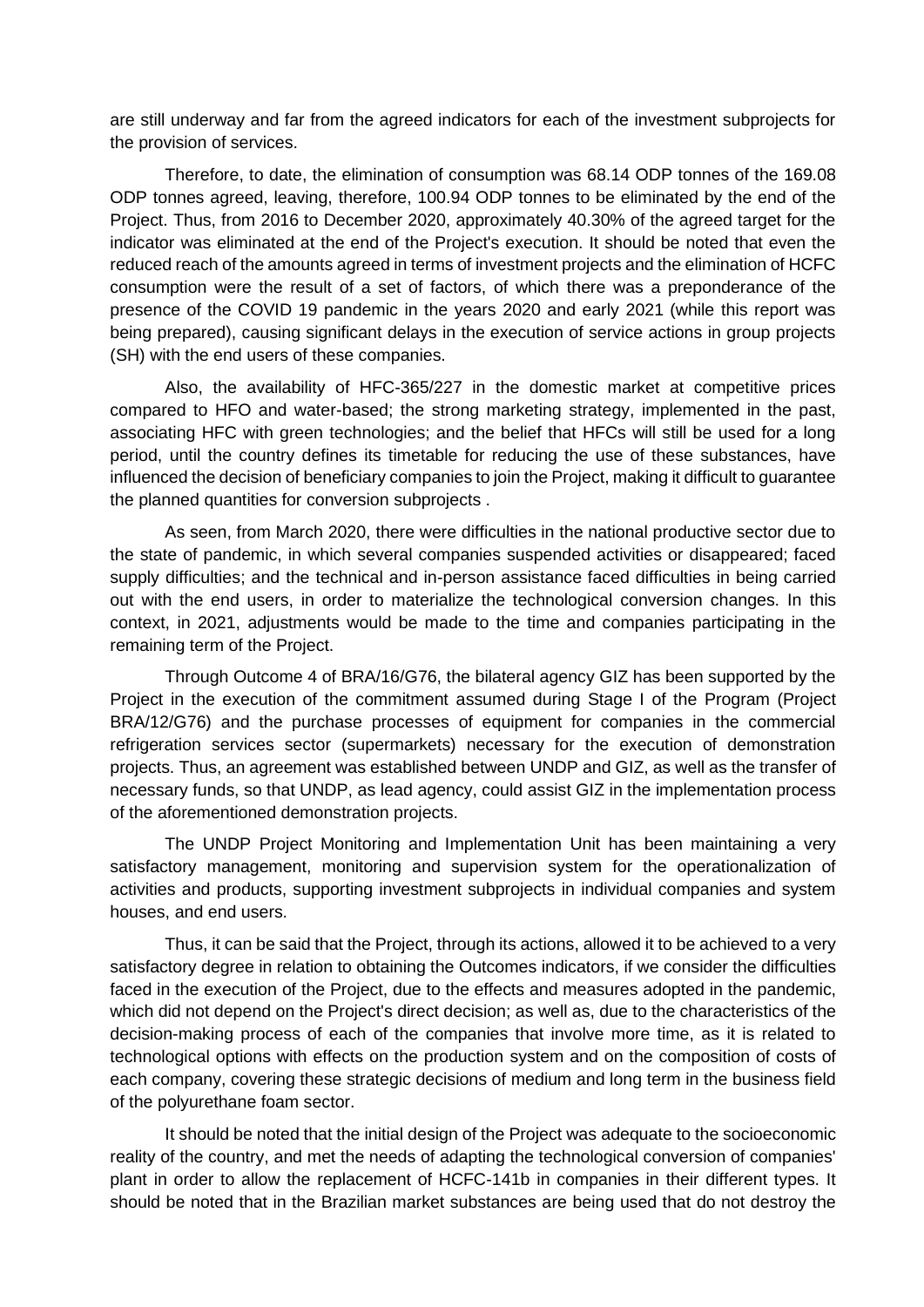are still underway and far from the agreed indicators for each of the investment subprojects for the provision of services.

Therefore, to date, the elimination of consumption was 68.14 ODP tonnes of the 169.08 ODP tonnes agreed, leaving, therefore, 100.94 ODP tonnes to be eliminated by the end of the Project. Thus, from 2016 to December 2020, approximately 40.30% of the agreed target for the indicator was eliminated at the end of the Project's execution. It should be noted that even the reduced reach of the amounts agreed in terms of investment projects and the elimination of HCFC consumption were the result of a set of factors, of which there was a preponderance of the presence of the COVID 19 pandemic in the years 2020 and early 2021 (while this report was being prepared), causing significant delays in the execution of service actions in group projects (SH) with the end users of these companies.

Also, the availability of HFC-365/227 in the domestic market at competitive prices compared to HFO and water-based; the strong marketing strategy, implemented in the past, associating HFC with green technologies; and the belief that HFCs will still be used for a long period, until the country defines its timetable for reducing the use of these substances, have influenced the decision of beneficiary companies to join the Project, making it difficult to guarantee the planned quantities for conversion subprojects .

As seen, from March 2020, there were difficulties in the national productive sector due to the state of pandemic, in which several companies suspended activities or disappeared; faced supply difficulties; and the technical and in-person assistance faced difficulties in being carried out with the end users, in order to materialize the technological conversion changes. In this context, in 2021, adjustments would be made to the time and companies participating in the remaining term of the Project.

Through Outcome 4 of BRA/16/G76, the bilateral agency GIZ has been supported by the Project in the execution of the commitment assumed during Stage I of the Program (Project BRA/12/G76) and the purchase processes of equipment for companies in the commercial refrigeration services sector (supermarkets) necessary for the execution of demonstration projects. Thus, an agreement was established between UNDP and GIZ, as well as the transfer of necessary funds, so that UNDP, as lead agency, could assist GIZ in the implementation process of the aforementioned demonstration projects.

The UNDP Project Monitoring and Implementation Unit has been maintaining a very satisfactory management, monitoring and supervision system for the operationalization of activities and products, supporting investment subprojects in individual companies and system houses, and end users.

Thus, it can be said that the Project, through its actions, allowed it to be achieved to a very satisfactory degree in relation to obtaining the Outcomes indicators, if we consider the difficulties faced in the execution of the Project, due to the effects and measures adopted in the pandemic, which did not depend on the Project's direct decision; as well as, due to the characteristics of the decision-making process of each of the companies that involve more time, as it is related to technological options with effects on the production system and on the composition of costs of each company, covering these strategic decisions of medium and long term in the business field of the polyurethane foam sector.

It should be noted that the initial design of the Project was adequate to the socioeconomic reality of the country, and met the needs of adapting the technological conversion of companies' plant in order to allow the replacement of HCFC-141b in companies in their different types. It should be noted that in the Brazilian market substances are being used that do not destroy the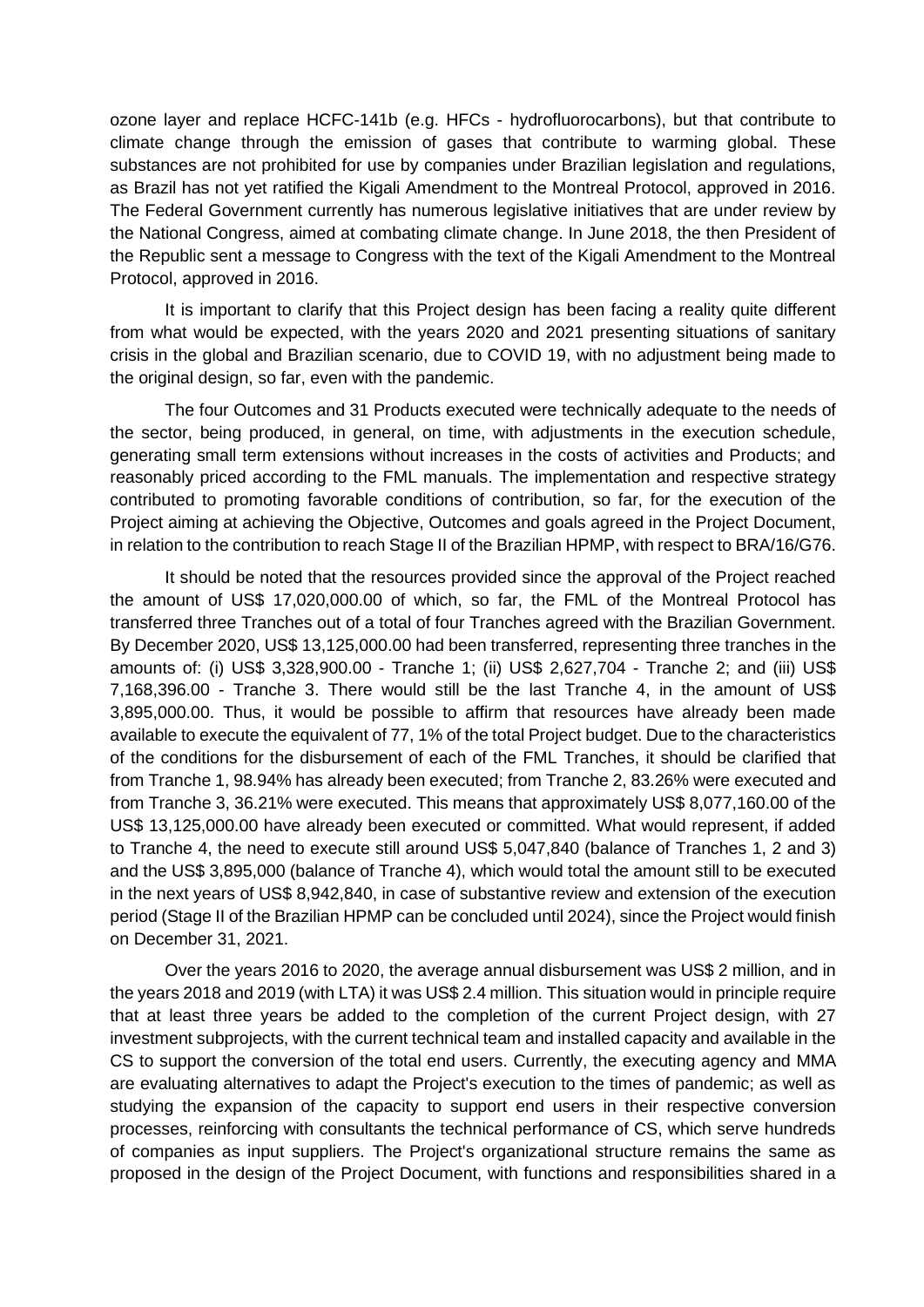ozone layer and replace HCFC-141b (e.g. HFCs - hydrofluorocarbons), but that contribute to climate change through the emission of gases that contribute to warming global. These substances are not prohibited for use by companies under Brazilian legislation and regulations, as Brazil has not yet ratified the Kigali Amendment to the Montreal Protocol, approved in 2016. The Federal Government currently has numerous legislative initiatives that are under review by the National Congress, aimed at combating climate change. In June 2018, the then President of the Republic sent a message to Congress with the text of the Kigali Amendment to the Montreal Protocol, approved in 2016.

It is important to clarify that this Project design has been facing a reality quite different from what would be expected, with the years 2020 and 2021 presenting situations of sanitary crisis in the global and Brazilian scenario, due to COVID 19, with no adjustment being made to the original design, so far, even with the pandemic.

The four Outcomes and 31 Products executed were technically adequate to the needs of the sector, being produced, in general, on time, with adjustments in the execution schedule, generating small term extensions without increases in the costs of activities and Products; and reasonably priced according to the FML manuals. The implementation and respective strategy contributed to promoting favorable conditions of contribution, so far, for the execution of the Project aiming at achieving the Objective, Outcomes and goals agreed in the Project Document, in relation to the contribution to reach Stage II of the Brazilian HPMP, with respect to BRA/16/G76.

It should be noted that the resources provided since the approval of the Project reached the amount of US\$ 17,020,000.00 of which, so far, the FML of the Montreal Protocol has transferred three Tranches out of a total of four Tranches agreed with the Brazilian Government. By December 2020, US\$ 13,125,000.00 had been transferred, representing three tranches in the amounts of: (i) US\$ 3,328,900.00 - Tranche 1; (ii) US\$ 2,627,704 - Tranche 2; and (iii) US\$ 7,168,396.00 - Tranche 3. There would still be the last Tranche 4, in the amount of US\$ 3,895,000.00. Thus, it would be possible to affirm that resources have already been made available to execute the equivalent of 77, 1% of the total Project budget. Due to the characteristics of the conditions for the disbursement of each of the FML Tranches, it should be clarified that from Tranche 1, 98.94% has already been executed; from Tranche 2, 83.26% were executed and from Tranche 3, 36.21% were executed. This means that approximately US\$ 8,077,160.00 of the US\$ 13,125,000.00 have already been executed or committed. What would represent, if added to Tranche 4, the need to execute still around US\$ 5,047,840 (balance of Tranches 1, 2 and 3) and the US\$ 3,895,000 (balance of Tranche 4), which would total the amount still to be executed in the next years of US\$ 8,942,840, in case of substantive review and extension of the execution period (Stage II of the Brazilian HPMP can be concluded until 2024), since the Project would finish on December 31, 2021.

Over the years 2016 to 2020, the average annual disbursement was US\$ 2 million, and in the years 2018 and 2019 (with LTA) it was US\$ 2.4 million. This situation would in principle require that at least three years be added to the completion of the current Project design, with 27 investment subprojects, with the current technical team and installed capacity and available in the CS to support the conversion of the total end users. Currently, the executing agency and MMA are evaluating alternatives to adapt the Project's execution to the times of pandemic; as well as studying the expansion of the capacity to support end users in their respective conversion processes, reinforcing with consultants the technical performance of CS, which serve hundreds of companies as input suppliers. The Project's organizational structure remains the same as proposed in the design of the Project Document, with functions and responsibilities shared in a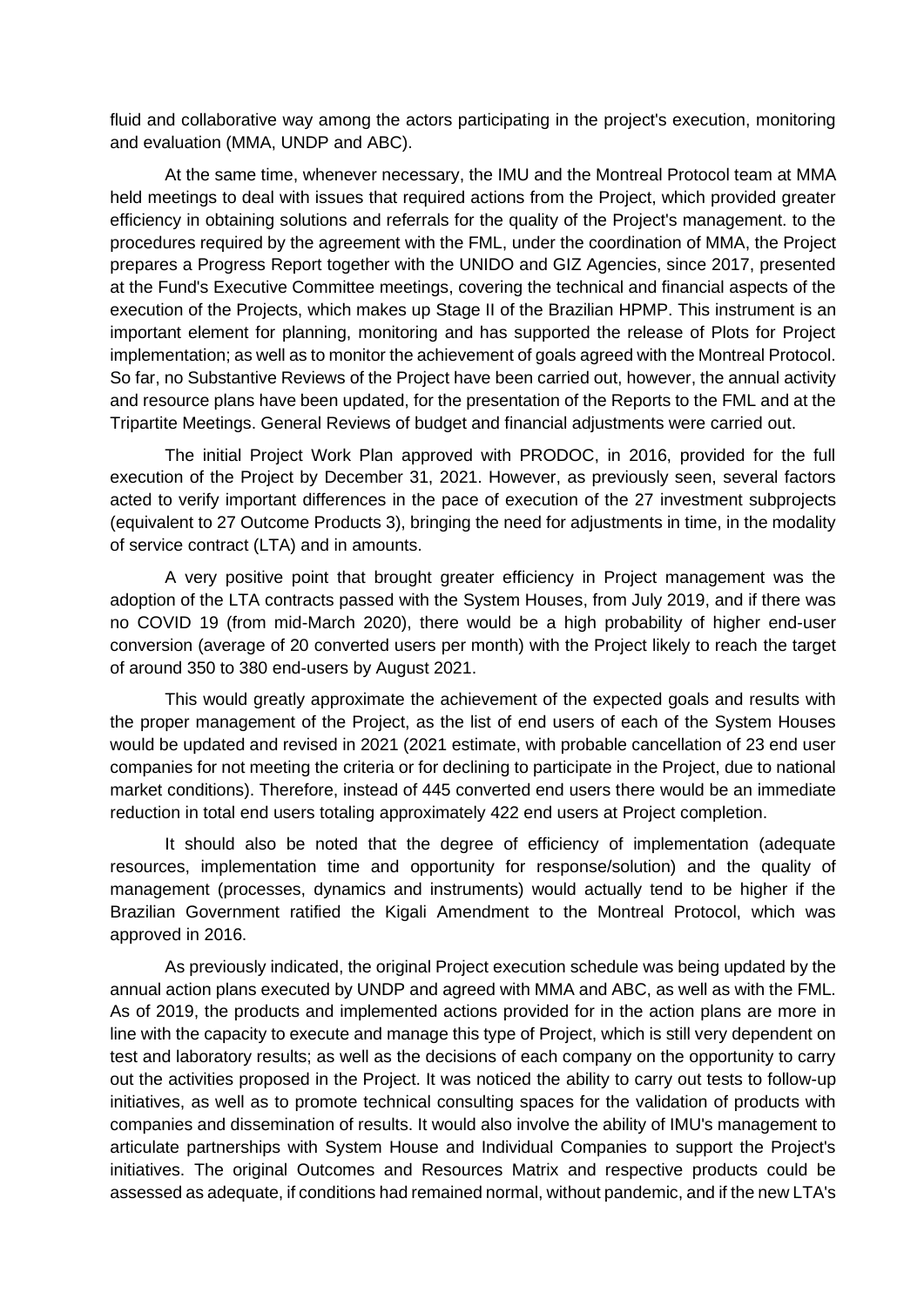fluid and collaborative way among the actors participating in the project's execution, monitoring and evaluation (MMA, UNDP and ABC).

At the same time, whenever necessary, the IMU and the Montreal Protocol team at MMA held meetings to deal with issues that required actions from the Project, which provided greater efficiency in obtaining solutions and referrals for the quality of the Project's management. to the procedures required by the agreement with the FML, under the coordination of MMA, the Project prepares a Progress Report together with the UNIDO and GIZ Agencies, since 2017, presented at the Fund's Executive Committee meetings, covering the technical and financial aspects of the execution of the Projects, which makes up Stage II of the Brazilian HPMP. This instrument is an important element for planning, monitoring and has supported the release of Plots for Project implementation; as well as to monitor the achievement of goals agreed with the Montreal Protocol. So far, no Substantive Reviews of the Project have been carried out, however, the annual activity and resource plans have been updated, for the presentation of the Reports to the FML and at the Tripartite Meetings. General Reviews of budget and financial adjustments were carried out.

The initial Project Work Plan approved with PRODOC, in 2016, provided for the full execution of the Project by December 31, 2021. However, as previously seen, several factors acted to verify important differences in the pace of execution of the 27 investment subprojects (equivalent to 27 Outcome Products 3), bringing the need for adjustments in time, in the modality of service contract (LTA) and in amounts.

A very positive point that brought greater efficiency in Project management was the adoption of the LTA contracts passed with the System Houses, from July 2019, and if there was no COVID 19 (from mid-March 2020), there would be a high probability of higher end-user conversion (average of 20 converted users per month) with the Project likely to reach the target of around 350 to 380 end-users by August 2021.

This would greatly approximate the achievement of the expected goals and results with the proper management of the Project, as the list of end users of each of the System Houses would be updated and revised in 2021 (2021 estimate, with probable cancellation of 23 end user companies for not meeting the criteria or for declining to participate in the Project, due to national market conditions). Therefore, instead of 445 converted end users there would be an immediate reduction in total end users totaling approximately 422 end users at Project completion.

It should also be noted that the degree of efficiency of implementation (adequate resources, implementation time and opportunity for response/solution) and the quality of management (processes, dynamics and instruments) would actually tend to be higher if the Brazilian Government ratified the Kigali Amendment to the Montreal Protocol, which was approved in 2016.

As previously indicated, the original Project execution schedule was being updated by the annual action plans executed by UNDP and agreed with MMA and ABC, as well as with the FML. As of 2019, the products and implemented actions provided for in the action plans are more in line with the capacity to execute and manage this type of Project, which is still very dependent on test and laboratory results; as well as the decisions of each company on the opportunity to carry out the activities proposed in the Project. It was noticed the ability to carry out tests to follow-up initiatives, as well as to promote technical consulting spaces for the validation of products with companies and dissemination of results. It would also involve the ability of IMU's management to articulate partnerships with System House and Individual Companies to support the Project's initiatives. The original Outcomes and Resources Matrix and respective products could be assessed as adequate, if conditions had remained normal, without pandemic, and if the new LTA's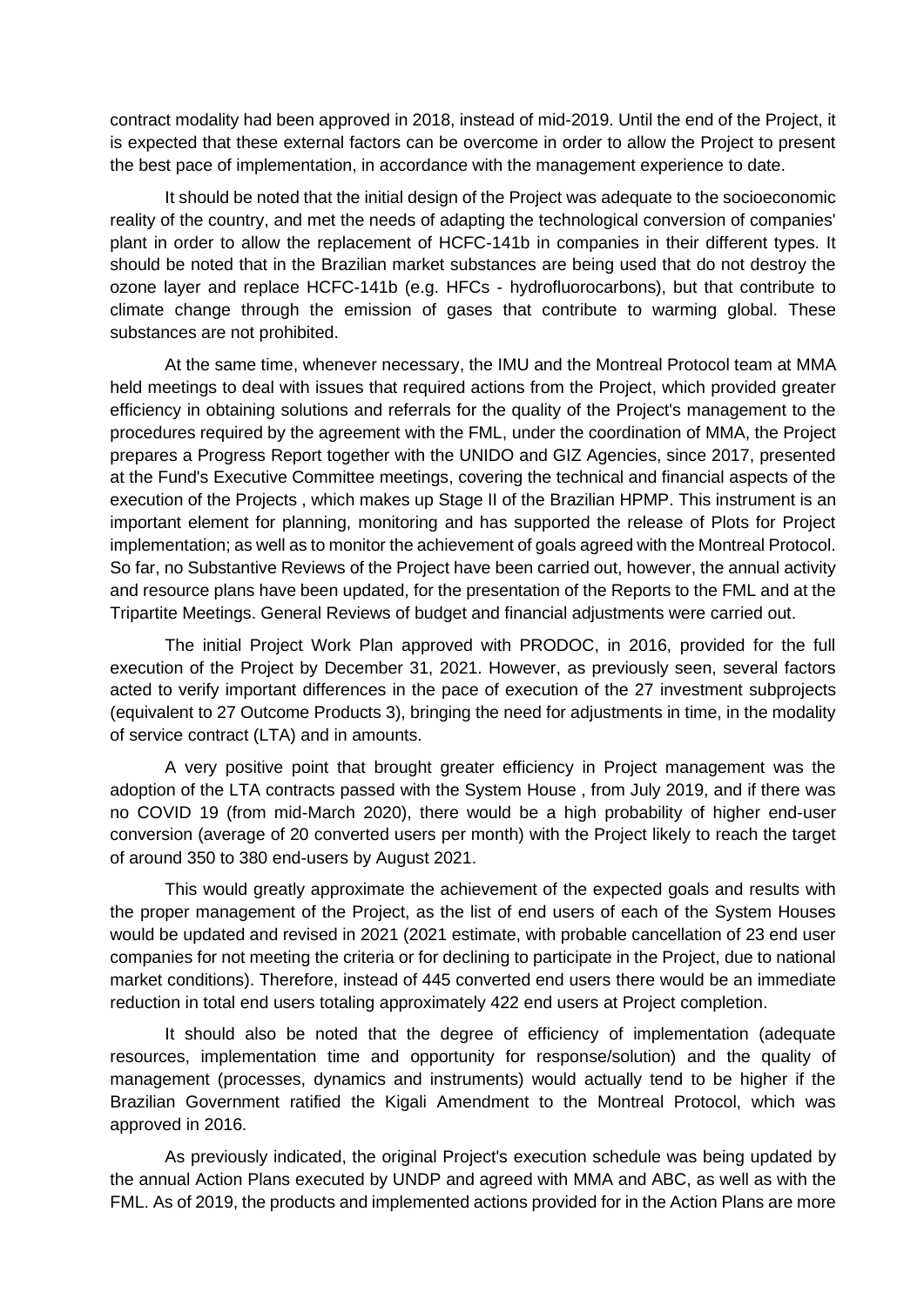contract modality had been approved in 2018, instead of mid-2019. Until the end of the Project, it is expected that these external factors can be overcome in order to allow the Project to present the best pace of implementation, in accordance with the management experience to date.

It should be noted that the initial design of the Project was adequate to the socioeconomic reality of the country, and met the needs of adapting the technological conversion of companies' plant in order to allow the replacement of HCFC-141b in companies in their different types. It should be noted that in the Brazilian market substances are being used that do not destroy the ozone layer and replace HCFC-141b (e.g. HFCs - hydrofluorocarbons), but that contribute to climate change through the emission of gases that contribute to warming global. These substances are not prohibited.

At the same time, whenever necessary, the IMU and the Montreal Protocol team at MMA held meetings to deal with issues that required actions from the Project, which provided greater efficiency in obtaining solutions and referrals for the quality of the Project's management to the procedures required by the agreement with the FML, under the coordination of MMA, the Project prepares a Progress Report together with the UNIDO and GIZ Agencies, since 2017, presented at the Fund's Executive Committee meetings, covering the technical and financial aspects of the execution of the Projects , which makes up Stage II of the Brazilian HPMP. This instrument is an important element for planning, monitoring and has supported the release of Plots for Project implementation; as well as to monitor the achievement of goals agreed with the Montreal Protocol. So far, no Substantive Reviews of the Project have been carried out, however, the annual activity and resource plans have been updated, for the presentation of the Reports to the FML and at the Tripartite Meetings. General Reviews of budget and financial adjustments were carried out.

The initial Project Work Plan approved with PRODOC, in 2016, provided for the full execution of the Project by December 31, 2021. However, as previously seen, several factors acted to verify important differences in the pace of execution of the 27 investment subprojects (equivalent to 27 Outcome Products 3), bringing the need for adjustments in time, in the modality of service contract (LTA) and in amounts.

A very positive point that brought greater efficiency in Project management was the adoption of the LTA contracts passed with the System House , from July 2019, and if there was no COVID 19 (from mid-March 2020), there would be a high probability of higher end-user conversion (average of 20 converted users per month) with the Project likely to reach the target of around 350 to 380 end-users by August 2021.

This would greatly approximate the achievement of the expected goals and results with the proper management of the Project, as the list of end users of each of the System Houses would be updated and revised in 2021 (2021 estimate, with probable cancellation of 23 end user companies for not meeting the criteria or for declining to participate in the Project, due to national market conditions). Therefore, instead of 445 converted end users there would be an immediate reduction in total end users totaling approximately 422 end users at Project completion.

It should also be noted that the degree of efficiency of implementation (adequate resources, implementation time and opportunity for response/solution) and the quality of management (processes, dynamics and instruments) would actually tend to be higher if the Brazilian Government ratified the Kigali Amendment to the Montreal Protocol, which was approved in 2016.

As previously indicated, the original Project's execution schedule was being updated by the annual Action Plans executed by UNDP and agreed with MMA and ABC, as well as with the FML. As of 2019, the products and implemented actions provided for in the Action Plans are more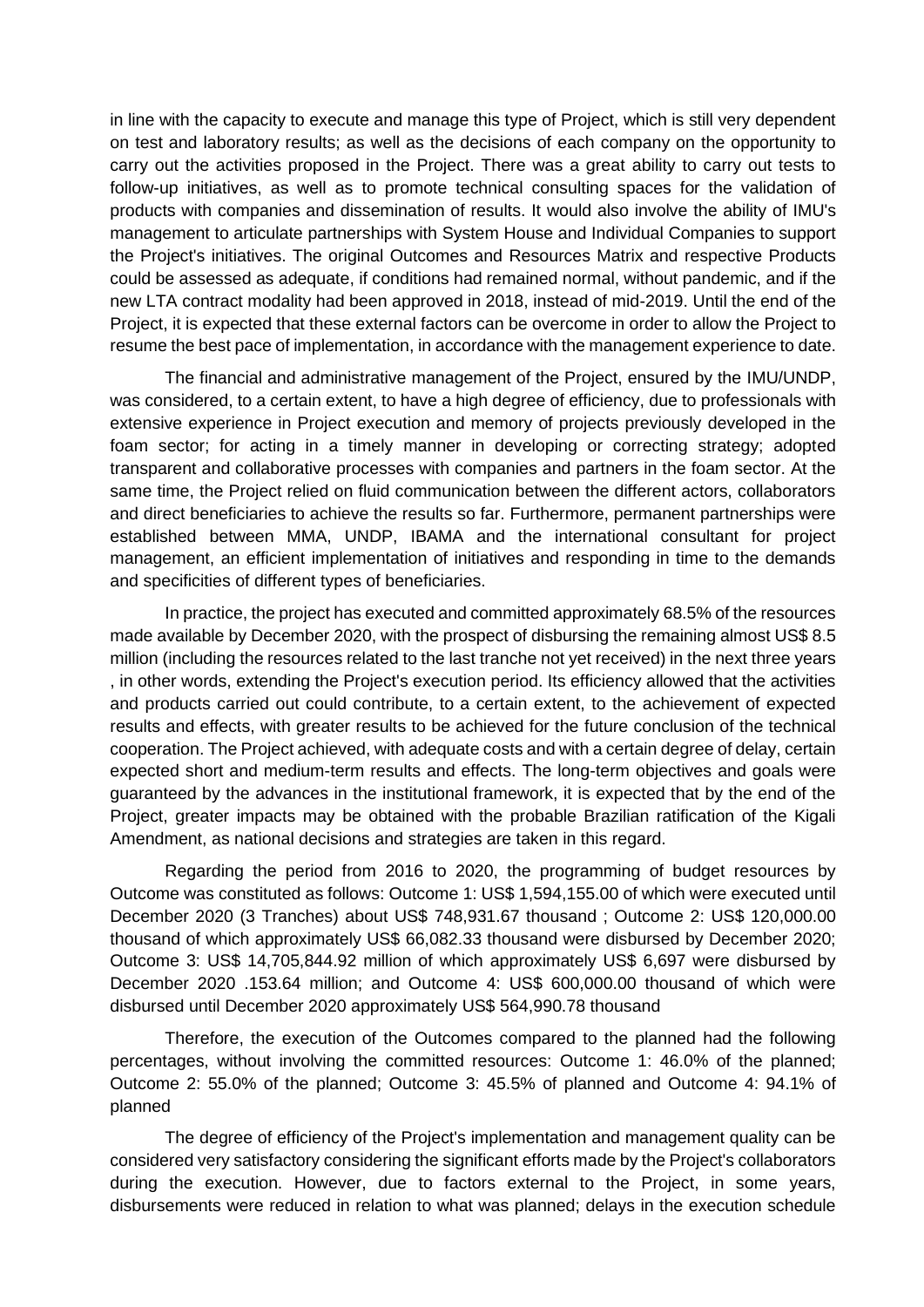in line with the capacity to execute and manage this type of Project, which is still very dependent on test and laboratory results; as well as the decisions of each company on the opportunity to carry out the activities proposed in the Project. There was a great ability to carry out tests to follow-up initiatives, as well as to promote technical consulting spaces for the validation of products with companies and dissemination of results. It would also involve the ability of IMU's management to articulate partnerships with System House and Individual Companies to support the Project's initiatives. The original Outcomes and Resources Matrix and respective Products could be assessed as adequate, if conditions had remained normal, without pandemic, and if the new LTA contract modality had been approved in 2018, instead of mid-2019. Until the end of the Project, it is expected that these external factors can be overcome in order to allow the Project to resume the best pace of implementation, in accordance with the management experience to date.

The financial and administrative management of the Project, ensured by the IMU/UNDP, was considered, to a certain extent, to have a high degree of efficiency, due to professionals with extensive experience in Project execution and memory of projects previously developed in the foam sector; for acting in a timely manner in developing or correcting strategy; adopted transparent and collaborative processes with companies and partners in the foam sector. At the same time, the Project relied on fluid communication between the different actors, collaborators and direct beneficiaries to achieve the results so far. Furthermore, permanent partnerships were established between MMA, UNDP, IBAMA and the international consultant for project management, an efficient implementation of initiatives and responding in time to the demands and specificities of different types of beneficiaries.

In practice, the project has executed and committed approximately 68.5% of the resources made available by December 2020, with the prospect of disbursing the remaining almost US\$ 8.5 million (including the resources related to the last tranche not yet received) in the next three years , in other words, extending the Project's execution period. Its efficiency allowed that the activities and products carried out could contribute, to a certain extent, to the achievement of expected results and effects, with greater results to be achieved for the future conclusion of the technical cooperation. The Project achieved, with adequate costs and with a certain degree of delay, certain expected short and medium-term results and effects. The long-term objectives and goals were guaranteed by the advances in the institutional framework, it is expected that by the end of the Project, greater impacts may be obtained with the probable Brazilian ratification of the Kigali Amendment, as national decisions and strategies are taken in this regard.

Regarding the period from 2016 to 2020, the programming of budget resources by Outcome was constituted as follows: Outcome 1: US\$ 1,594,155.00 of which were executed until December 2020 (3 Tranches) about US\$ 748,931.67 thousand ; Outcome 2: US\$ 120,000.00 thousand of which approximately US\$ 66,082.33 thousand were disbursed by December 2020; Outcome 3: US\$ 14,705,844.92 million of which approximately US\$ 6,697 were disbursed by December 2020 .153.64 million; and Outcome 4: US\$ 600,000.00 thousand of which were disbursed until December 2020 approximately US\$ 564,990.78 thousand

Therefore, the execution of the Outcomes compared to the planned had the following percentages, without involving the committed resources: Outcome 1: 46.0% of the planned; Outcome 2: 55.0% of the planned; Outcome 3: 45.5% of planned and Outcome 4: 94.1% of planned

The degree of efficiency of the Project's implementation and management quality can be considered very satisfactory considering the significant efforts made by the Project's collaborators during the execution. However, due to factors external to the Project, in some years, disbursements were reduced in relation to what was planned; delays in the execution schedule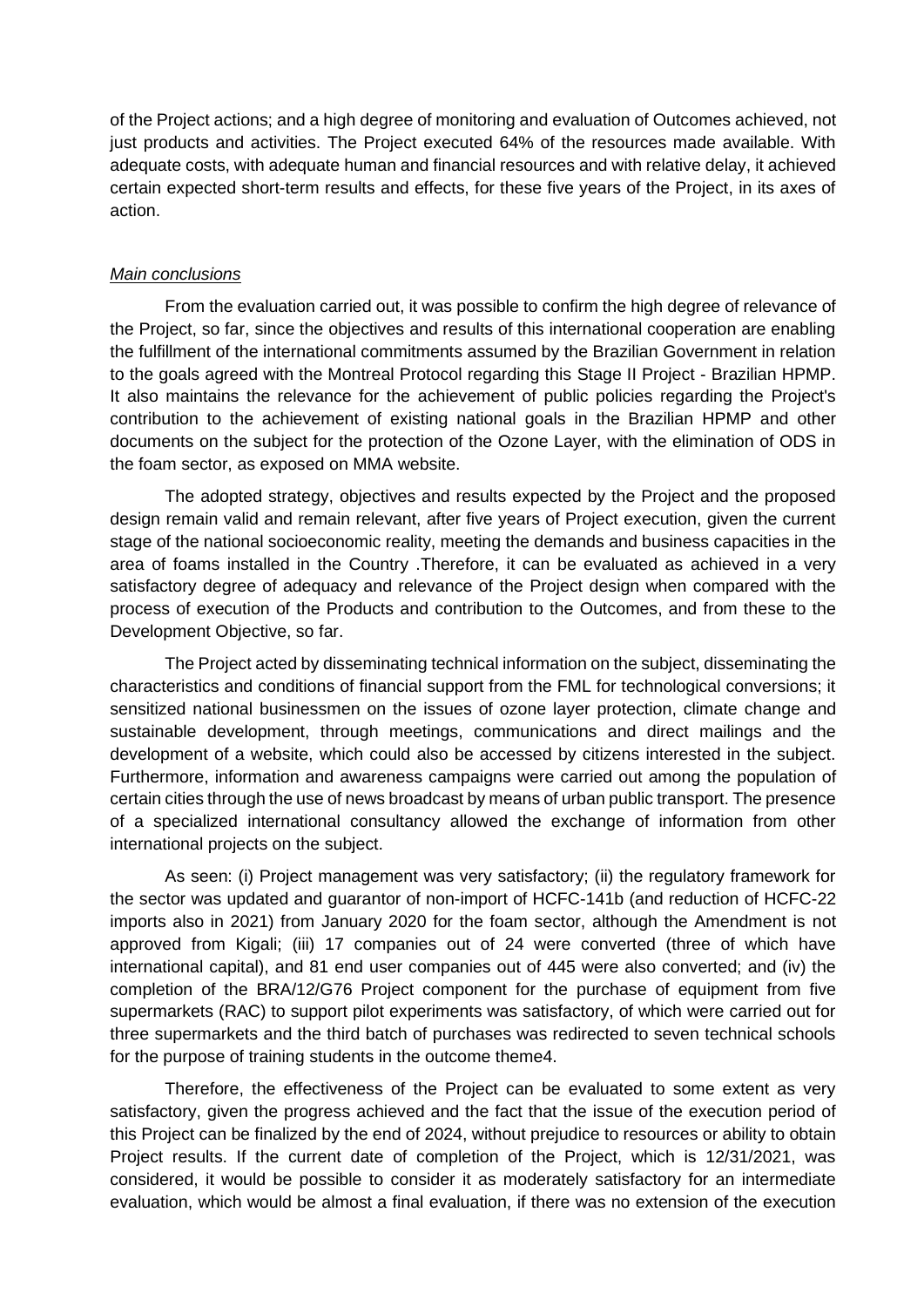of the Project actions; and a high degree of monitoring and evaluation of Outcomes achieved, not just products and activities. The Project executed 64% of the resources made available. With adequate costs, with adequate human and financial resources and with relative delay, it achieved certain expected short-term results and effects, for these five years of the Project, in its axes of action.

#### *Main conclusions*

From the evaluation carried out, it was possible to confirm the high degree of relevance of the Project, so far, since the objectives and results of this international cooperation are enabling the fulfillment of the international commitments assumed by the Brazilian Government in relation to the goals agreed with the Montreal Protocol regarding this Stage II Project - Brazilian HPMP. It also maintains the relevance for the achievement of public policies regarding the Project's contribution to the achievement of existing national goals in the Brazilian HPMP and other documents on the subject for the protection of the Ozone Layer, with the elimination of ODS in the foam sector, as exposed on MMA website.

The adopted strategy, objectives and results expected by the Project and the proposed design remain valid and remain relevant, after five years of Project execution, given the current stage of the national socioeconomic reality, meeting the demands and business capacities in the area of foams installed in the Country .Therefore, it can be evaluated as achieved in a very satisfactory degree of adequacy and relevance of the Project design when compared with the process of execution of the Products and contribution to the Outcomes, and from these to the Development Objective, so far.

The Project acted by disseminating technical information on the subject, disseminating the characteristics and conditions of financial support from the FML for technological conversions; it sensitized national businessmen on the issues of ozone layer protection, climate change and sustainable development, through meetings, communications and direct mailings and the development of a website, which could also be accessed by citizens interested in the subject. Furthermore, information and awareness campaigns were carried out among the population of certain cities through the use of news broadcast by means of urban public transport. The presence of a specialized international consultancy allowed the exchange of information from other international projects on the subject.

As seen: (i) Project management was very satisfactory; (ii) the regulatory framework for the sector was updated and guarantor of non-import of HCFC-141b (and reduction of HCFC-22 imports also in 2021) from January 2020 for the foam sector, although the Amendment is not approved from Kigali; (iii) 17 companies out of 24 were converted (three of which have international capital), and 81 end user companies out of 445 were also converted; and (iv) the completion of the BRA/12/G76 Project component for the purchase of equipment from five supermarkets (RAC) to support pilot experiments was satisfactory, of which were carried out for three supermarkets and the third batch of purchases was redirected to seven technical schools for the purpose of training students in the outcome theme4.

Therefore, the effectiveness of the Project can be evaluated to some extent as very satisfactory, given the progress achieved and the fact that the issue of the execution period of this Project can be finalized by the end of 2024, without prejudice to resources or ability to obtain Project results. If the current date of completion of the Project, which is 12/31/2021, was considered, it would be possible to consider it as moderately satisfactory for an intermediate evaluation, which would be almost a final evaluation, if there was no extension of the execution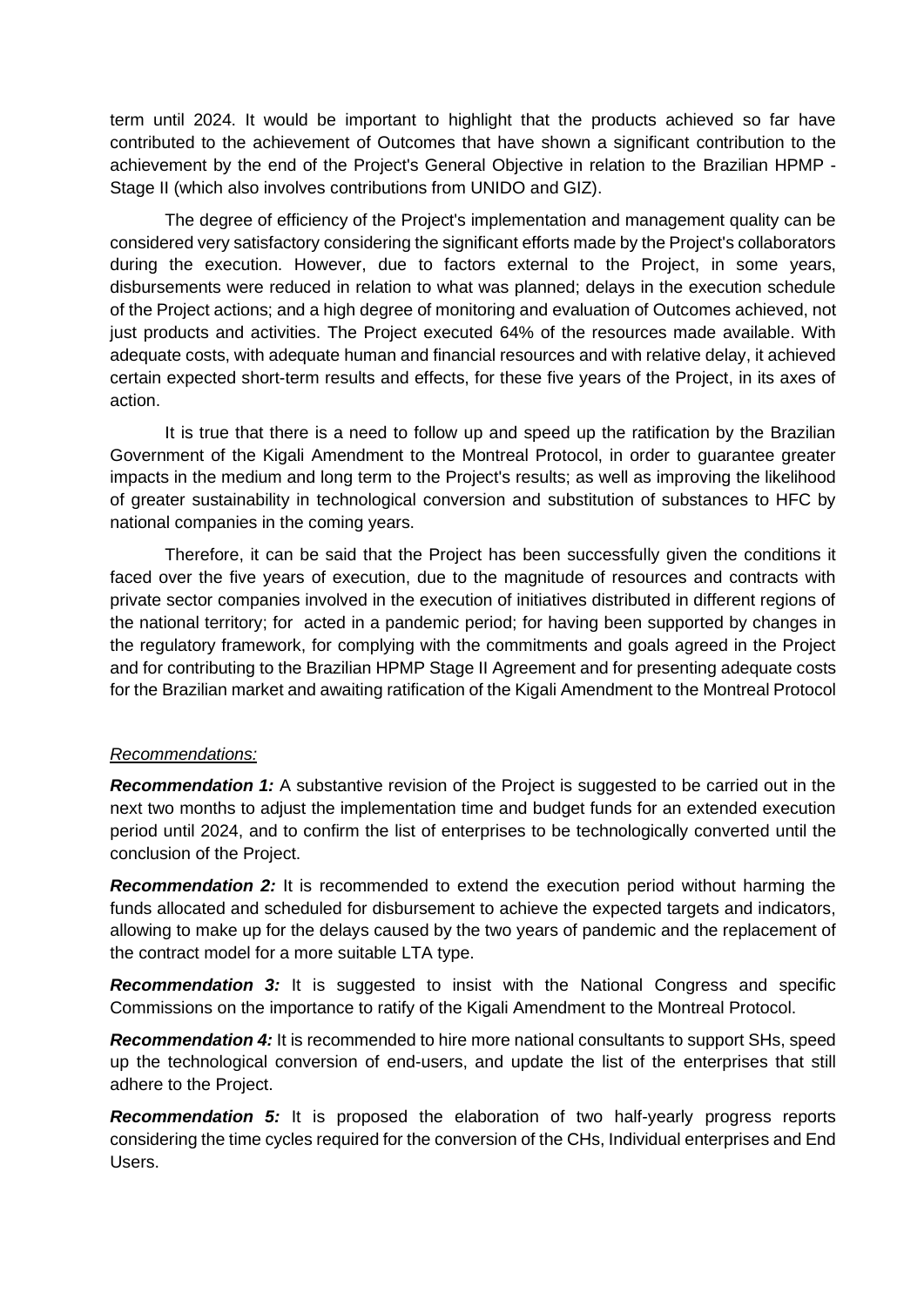term until 2024. It would be important to highlight that the products achieved so far have contributed to the achievement of Outcomes that have shown a significant contribution to the achievement by the end of the Project's General Objective in relation to the Brazilian HPMP - Stage II (which also involves contributions from UNIDO and GIZ).

The degree of efficiency of the Project's implementation and management quality can be considered very satisfactory considering the significant efforts made by the Project's collaborators during the execution. However, due to factors external to the Project, in some years, disbursements were reduced in relation to what was planned; delays in the execution schedule of the Project actions; and a high degree of monitoring and evaluation of Outcomes achieved, not just products and activities. The Project executed 64% of the resources made available. With adequate costs, with adequate human and financial resources and with relative delay, it achieved certain expected short-term results and effects, for these five years of the Project, in its axes of action.

It is true that there is a need to follow up and speed up the ratification by the Brazilian Government of the Kigali Amendment to the Montreal Protocol, in order to guarantee greater impacts in the medium and long term to the Project's results; as well as improving the likelihood of greater sustainability in technological conversion and substitution of substances to HFC by national companies in the coming years.

Therefore, it can be said that the Project has been successfully given the conditions it faced over the five years of execution, due to the magnitude of resources and contracts with private sector companies involved in the execution of initiatives distributed in different regions of the national territory; for acted in a pandemic period; for having been supported by changes in the regulatory framework, for complying with the commitments and goals agreed in the Project and for contributing to the Brazilian HPMP Stage II Agreement and for presenting adequate costs for the Brazilian market and awaiting ratification of the Kigali Amendment to the Montreal Protocol

#### *Recommendations:*

**Recommendation 1:** A substantive revision of the Project is suggested to be carried out in the next two months to adjust the implementation time and budget funds for an extended execution period until 2024, and to confirm the list of enterprises to be technologically converted until the conclusion of the Project.

**Recommendation 2:** It is recommended to extend the execution period without harming the funds allocated and scheduled for disbursement to achieve the expected targets and indicators, allowing to make up for the delays caused by the two years of pandemic and the replacement of the contract model for a more suitable LTA type.

**Recommendation 3:** It is suggested to insist with the National Congress and specific Commissions on the importance to ratify of the Kigali Amendment to the Montreal Protocol.

*Recommendation 4:* It is recommended to hire more national consultants to support SHs, speed up the technological conversion of end-users, and update the list of the enterprises that still adhere to the Project.

*Recommendation 5:* It is proposed the elaboration of two half-yearly progress reports considering the time cycles required for the conversion of the CHs, Individual enterprises and End Users.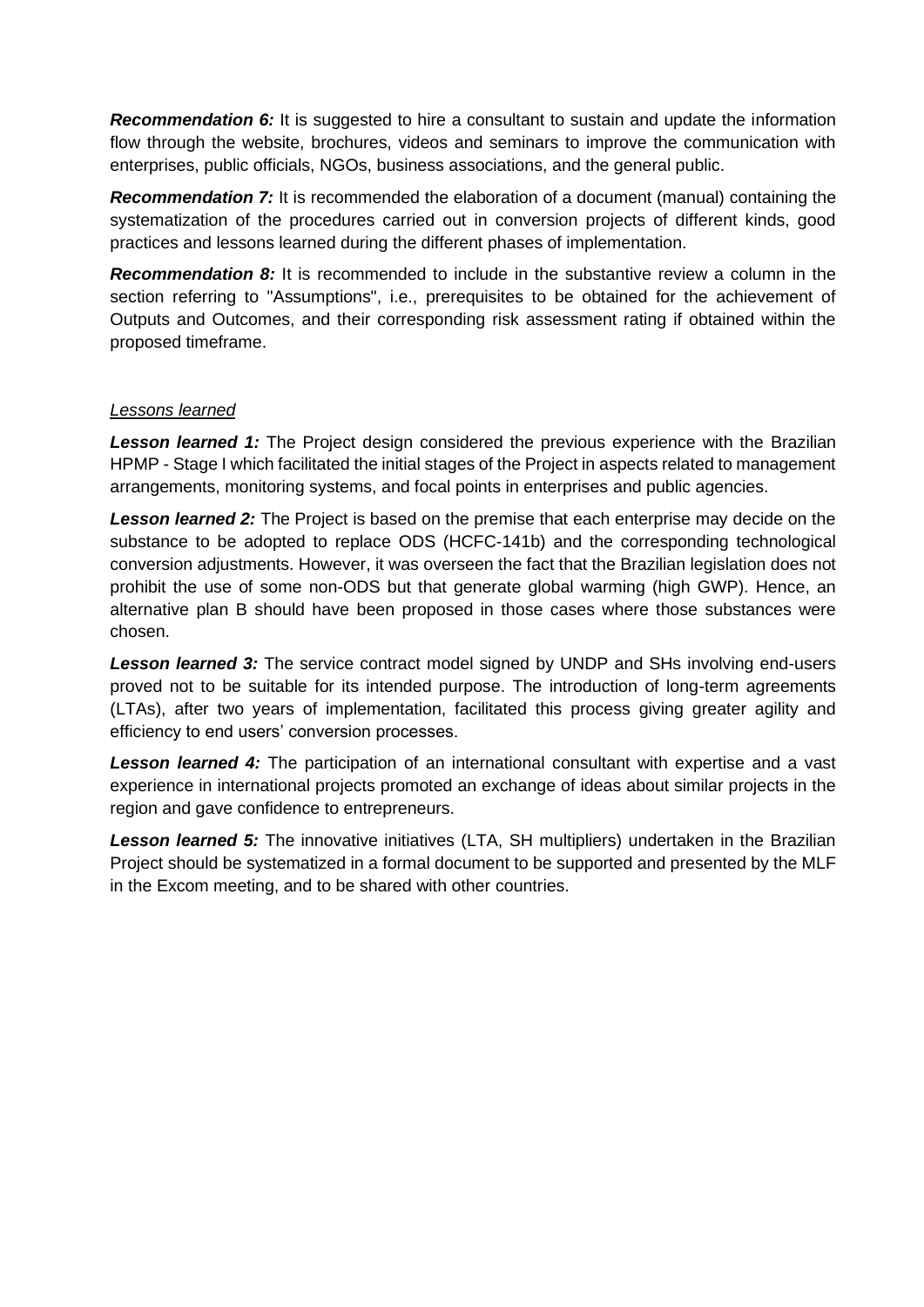**Recommendation 6:** It is suggested to hire a consultant to sustain and update the information flow through the website, brochures, videos and seminars to improve the communication with enterprises, public officials, NGOs, business associations, and the general public.

*Recommendation 7:* It is recommended the elaboration of a document (manual) containing the systematization of the procedures carried out in conversion projects of different kinds, good practices and lessons learned during the different phases of implementation.

*Recommendation 8:* It is recommended to include in the substantive review a column in the section referring to "Assumptions", i.e., prerequisites to be obtained for the achievement of Outputs and Outcomes, and their corresponding risk assessment rating if obtained within the proposed timeframe.

### *Lessons learned*

**Lesson learned 1:** The Project design considered the previous experience with the Brazilian HPMP - Stage I which facilitated the initial stages of the Project in aspects related to management arrangements, monitoring systems, and focal points in enterprises and public agencies.

*Lesson learned 2:* The Project is based on the premise that each enterprise may decide on the substance to be adopted to replace ODS (HCFC-141b) and the corresponding technological conversion adjustments. However, it was overseen the fact that the Brazilian legislation does not prohibit the use of some non-ODS but that generate global warming (high GWP). Hence, an alternative plan B should have been proposed in those cases where those substances were chosen.

**Lesson learned 3:** The service contract model signed by UNDP and SHs involving end-users proved not to be suitable for its intended purpose. The introduction of long-term agreements (LTAs), after two years of implementation, facilitated this process giving greater agility and efficiency to end users' conversion processes.

**Lesson learned 4:** The participation of an international consultant with expertise and a vast experience in international projects promoted an exchange of ideas about similar projects in the region and gave confidence to entrepreneurs.

**Lesson learned 5:** The innovative initiatives (LTA, SH multipliers) undertaken in the Brazilian Project should be systematized in a formal document to be supported and presented by the MLF in the Excom meeting, and to be shared with other countries.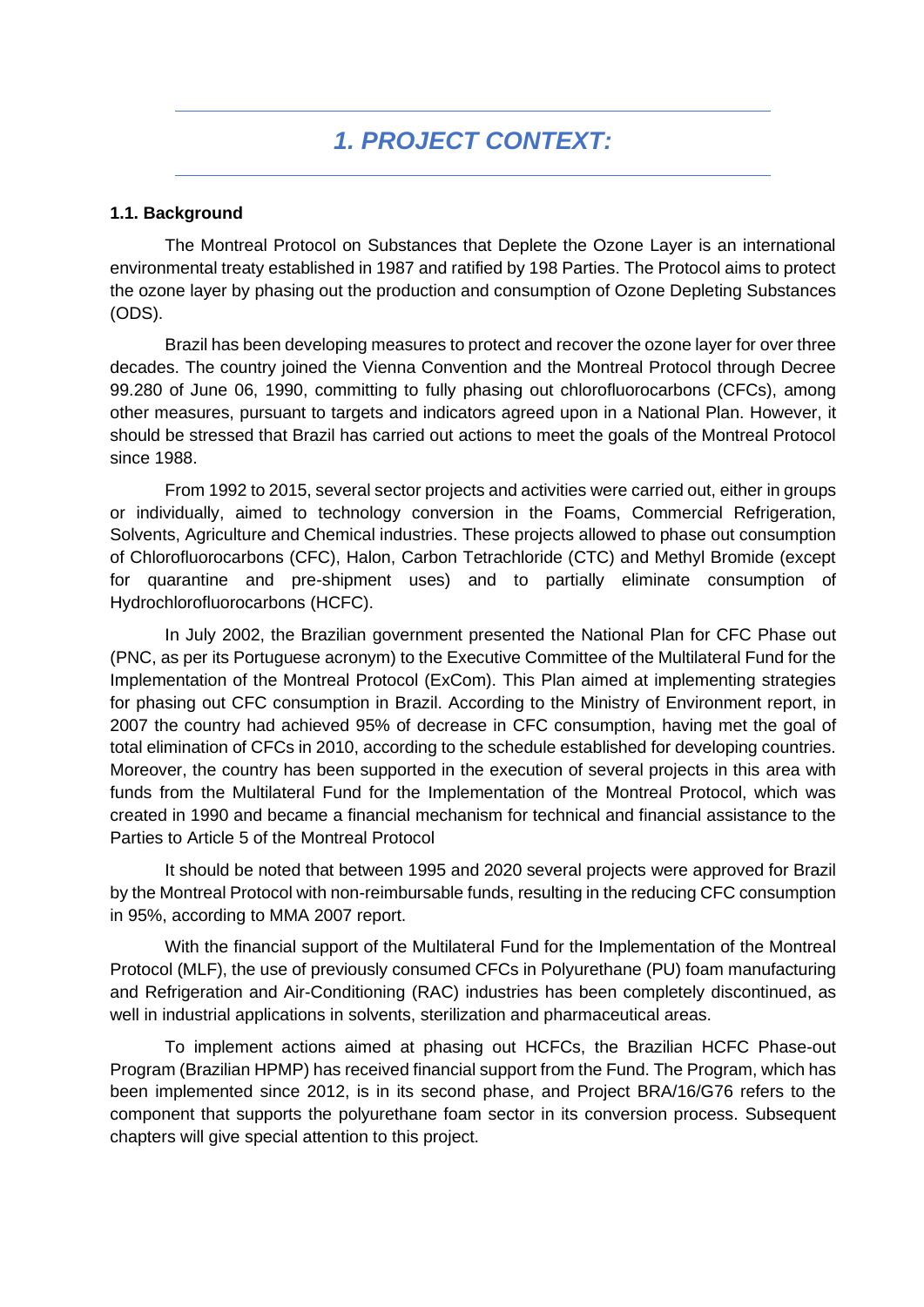#### <span id="page-17-1"></span><span id="page-17-0"></span>**1.1. Background**

The Montreal Protocol on Substances that Deplete the Ozone Layer is an international environmental treaty established in 1987 and ratified by 198 Parties. The Protocol aims to protect the ozone layer by phasing out the production and consumption of Ozone Depleting Substances (ODS).

Brazil has been developing measures to protect and recover the ozone layer for over three decades. The country joined the Vienna Convention and the Montreal Protocol through Decree 99.280 of June 06, 1990, committing to fully phasing out chlorofluorocarbons (CFCs), among other measures, pursuant to targets and indicators agreed upon in a National Plan. However, it should be stressed that Brazil has carried out actions to meet the goals of the Montreal Protocol since 1988.

From 1992 to 2015, several sector projects and activities were carried out, either in groups or individually, aimed to technology conversion in the Foams, Commercial Refrigeration, Solvents, Agriculture and Chemical industries. These projects allowed to phase out consumption of Chlorofluorocarbons (CFC), Halon, Carbon Tetrachloride (CTC) and Methyl Bromide (except for quarantine and pre-shipment uses) and to partially eliminate consumption of Hydrochlorofluorocarbons (HCFC).

In July 2002, the Brazilian government presented the National Plan for CFC Phase out (PNC, as per its Portuguese acronym) to the Executive Committee of the Multilateral Fund for the Implementation of the Montreal Protocol (ExCom). This Plan aimed at implementing strategies for phasing out CFC consumption in Brazil. According to the Ministry of Environment report, in 2007 the country had achieved 95% of decrease in CFC consumption, having met the goal of total elimination of CFCs in 2010, according to the schedule established for developing countries. Moreover, the country has been supported in the execution of several projects in this area with funds from the Multilateral Fund for the Implementation of the Montreal Protocol, which was created in 1990 and became a financial mechanism for technical and financial assistance to the Parties to Article 5 of the Montreal Protocol

It should be noted that between 1995 and 2020 several projects were approved for Brazil by the Montreal Protocol with non-reimbursable funds, resulting in the reducing CFC consumption in 95%, according to MMA 2007 report.

With the financial support of the Multilateral Fund for the Implementation of the Montreal Protocol (MLF), the use of previously consumed CFCs in Polyurethane (PU) foam manufacturing and Refrigeration and Air-Conditioning (RAC) industries has been completely discontinued, as well in industrial applications in solvents, sterilization and pharmaceutical areas.

To implement actions aimed at phasing out HCFCs, the Brazilian HCFC Phase-out Program (Brazilian HPMP) has received financial support from the Fund. The Program, which has been implemented since 2012, is in its second phase, and Project BRA/16/G76 refers to the component that supports the polyurethane foam sector in its conversion process. Subsequent chapters will give special attention to this project.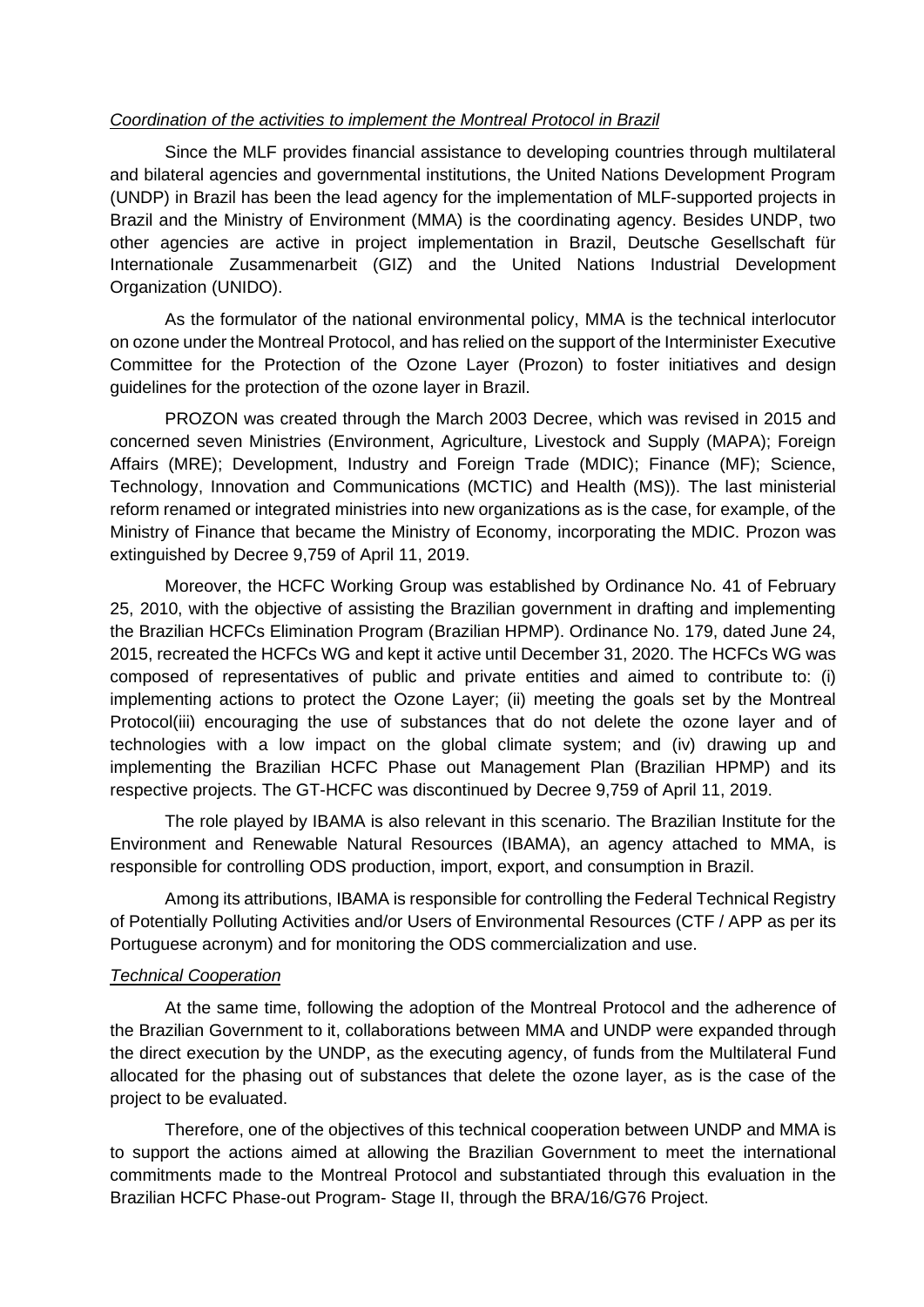#### *Coordination of the activities to implement the Montreal Protocol in Brazil*

Since the MLF provides financial assistance to developing countries through multilateral and bilateral agencies and governmental institutions, the United Nations Development Program (UNDP) in Brazil has been the lead agency for the implementation of MLF-supported projects in Brazil and the Ministry of Environment (MMA) is the coordinating agency. Besides UNDP, two other agencies are active in project implementation in Brazil, Deutsche Gesellschaft für Internationale Zusammenarbeit (GIZ) and the United Nations Industrial Development Organization (UNIDO).

As the formulator of the national environmental policy, MMA is the technical interlocutor on ozone under the Montreal Protocol, and has relied on the support of the Interminister Executive Committee for the Protection of the Ozone Layer (Prozon) to foster initiatives and design guidelines for the protection of the ozone layer in Brazil.

PROZON was created through the March 2003 Decree, which was revised in 2015 and concerned seven Ministries (Environment, Agriculture, Livestock and Supply (MAPA); Foreign Affairs (MRE); Development, Industry and Foreign Trade (MDIC); Finance (MF); Science, Technology, Innovation and Communications (MCTIC) and Health (MS)). The last ministerial reform renamed or integrated ministries into new organizations as is the case, for example, of the Ministry of Finance that became the Ministry of Economy, incorporating the MDIC. Prozon was extinguished by Decree 9,759 of April 11, 2019.

Moreover, the HCFC Working Group was established by Ordinance No. 41 of February 25, 2010, with the objective of assisting the Brazilian government in drafting and implementing the Brazilian HCFCs Elimination Program (Brazilian HPMP). Ordinance No. 179, dated June 24, 2015, recreated the HCFCs WG and kept it active until December 31, 2020. The HCFCs WG was composed of representatives of public and private entities and aimed to contribute to: (i) implementing actions to protect the Ozone Layer; (ii) meeting the goals set by the Montreal Protocol(iii) encouraging the use of substances that do not delete the ozone layer and of technologies with a low impact on the global climate system; and (iv) drawing up and implementing the Brazilian HCFC Phase out Management Plan (Brazilian HPMP) and its respective projects. The GT-HCFC was discontinued by Decree 9,759 of April 11, 2019.

The role played by IBAMA is also relevant in this scenario. The Brazilian Institute for the Environment and Renewable Natural Resources (IBAMA), an agency attached to MMA, is responsible for controlling ODS production, import, export, and consumption in Brazil.

Among its attributions, IBAMA is responsible for controlling the Federal Technical Registry of Potentially Polluting Activities and/or Users of Environmental Resources (CTF / APP as per its Portuguese acronym) and for monitoring the ODS commercialization and use.

#### *Technical Cooperation*

At the same time, following the adoption of the Montreal Protocol and the adherence of the Brazilian Government to it, collaborations between MMA and UNDP were expanded through the direct execution by the UNDP, as the executing agency, of funds from the Multilateral Fund allocated for the phasing out of substances that delete the ozone layer, as is the case of the project to be evaluated.

Therefore, one of the objectives of this technical cooperation between UNDP and MMA is to support the actions aimed at allowing the Brazilian Government to meet the international commitments made to the Montreal Protocol and substantiated through this evaluation in the Brazilian HCFC Phase-out Program- Stage II, through the BRA/16/G76 Project.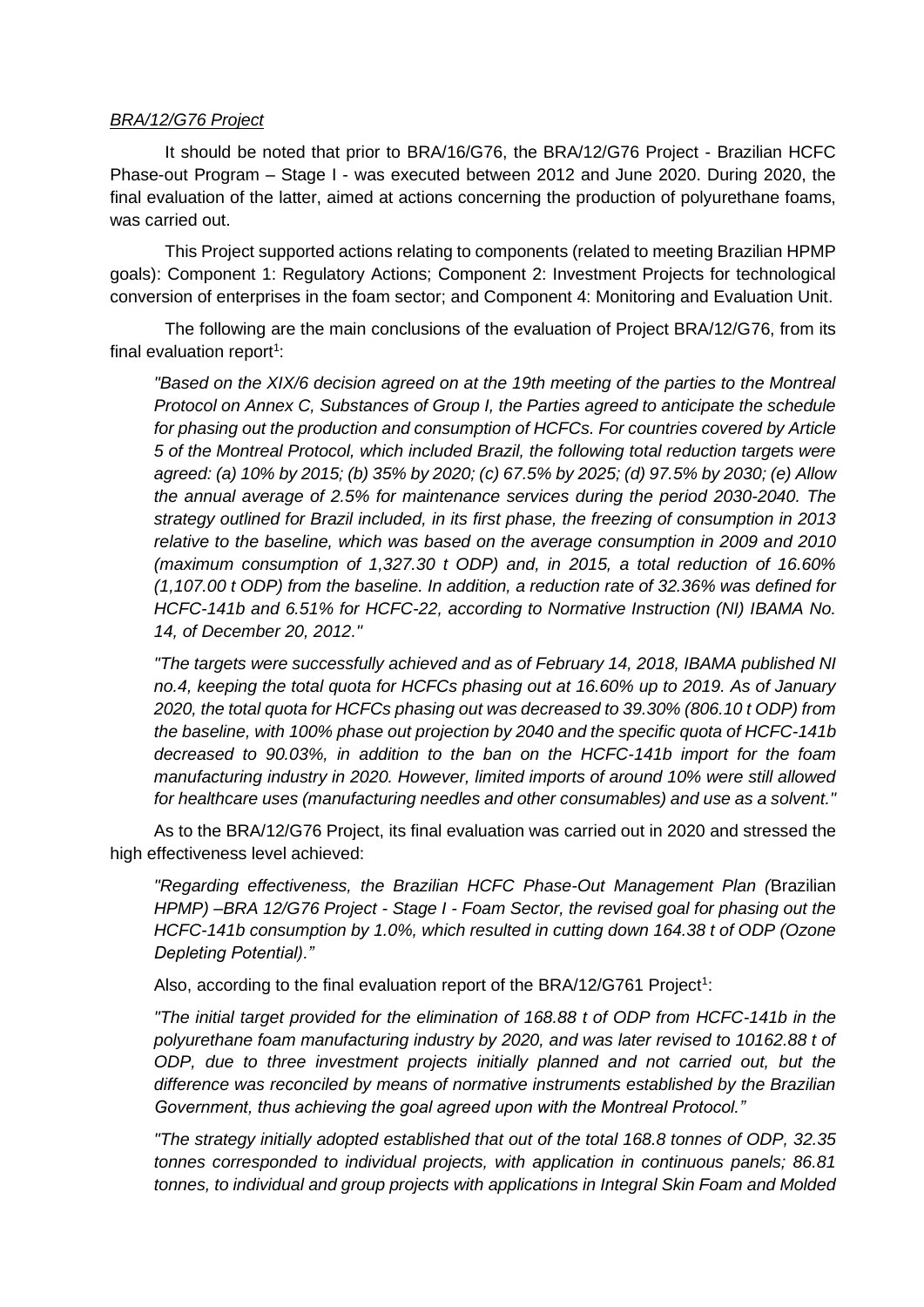#### *BRA/12/G76 Project*

It should be noted that prior to BRA/16/G76, the BRA/12/G76 Project - Brazilian HCFC Phase-out Program – Stage I - was executed between 2012 and June 2020. During 2020, the final evaluation of the latter, aimed at actions concerning the production of polyurethane foams, was carried out.

This Project supported actions relating to components (related to meeting Brazilian HPMP goals): Component 1: Regulatory Actions; Component 2: Investment Projects for technological conversion of enterprises in the foam sector; and Component 4: Monitoring and Evaluation Unit.

The following are the main conclusions of the evaluation of Project BRA/12/G76, from its final evaluation report<sup>1</sup>:

*"Based on the XIX/6 decision agreed on at the 19th meeting of the parties to the Montreal Protocol on Annex C, Substances of Group I, the Parties agreed to anticipate the schedule for phasing out the production and consumption of HCFCs. For countries covered by Article 5 of the Montreal Protocol, which included Brazil, the following total reduction targets were agreed: (a) 10% by 2015; (b) 35% by 2020; (c) 67.5% by 2025; (d) 97.5% by 2030; (e) Allow the annual average of 2.5% for maintenance services during the period 2030-2040. The strategy outlined for Brazil included, in its first phase, the freezing of consumption in 2013 relative to the baseline, which was based on the average consumption in 2009 and 2010 (maximum consumption of 1,327.30 t ODP) and, in 2015, a total reduction of 16.60% (1,107.00 t ODP) from the baseline. In addition, a reduction rate of 32.36% was defined for HCFC-141b and 6.51% for HCFC-22, according to Normative Instruction (NI) IBAMA No. 14, of December 20, 2012."*

*"The targets were successfully achieved and as of February 14, 2018, IBAMA published NI no.4, keeping the total quota for HCFCs phasing out at 16.60% up to 2019. As of January 2020, the total quota for HCFCs phasing out was decreased to 39.30% (806.10 t ODP) from the baseline, with 100% phase out projection by 2040 and the specific quota of HCFC-141b decreased to 90.03%, in addition to the ban on the HCFC-141b import for the foam manufacturing industry in 2020. However, limited imports of around 10% were still allowed for healthcare uses (manufacturing needles and other consumables) and use as a solvent."*

As to the BRA/12/G76 Project, its final evaluation was carried out in 2020 and stressed the high effectiveness level achieved:

*"Regarding effectiveness, the Brazilian HCFC Phase-Out Management Plan (*Brazilian *HPMP) –BRA 12/G76 Project - Stage I - Foam Sector, the revised goal for phasing out the HCFC-141b consumption by 1.0%, which resulted in cutting down 164.38 t of ODP (Ozone Depleting Potential)."*

Also, according to the final evaluation report of the BRA/12/G761 Project<sup>1</sup>:

*"The initial target provided for the elimination of 168.88 t of ODP from HCFC-141b in the polyurethane foam manufacturing industry by 2020, and was later revised to 10162.88 t of ODP, due to three investment projects initially planned and not carried out, but the difference was reconciled by means of normative instruments established by the Brazilian Government, thus achieving the goal agreed upon with the Montreal Protocol."*

*"The strategy initially adopted established that out of the total 168.8 tonnes of ODP, 32.35 tonnes corresponded to individual projects, with application in continuous panels; 86.81 tonnes, to individual and group projects with applications in Integral Skin Foam and Molded*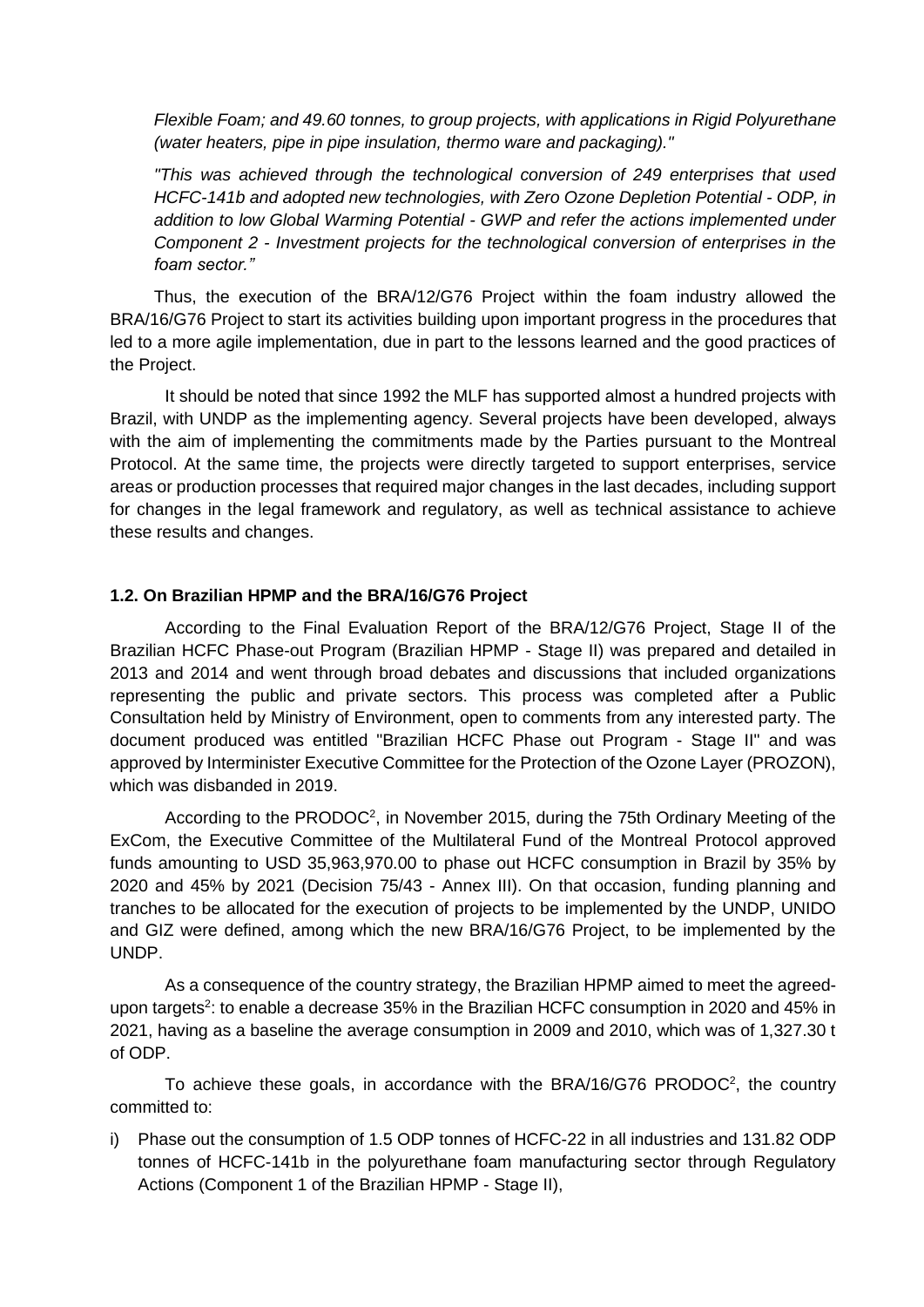*Flexible Foam; and 49.60 tonnes, to group projects, with applications in Rigid Polyurethane (water heaters, pipe in pipe insulation, thermo ware and packaging)."*

*"This was achieved through the technological conversion of 249 enterprises that used HCFC-141b and adopted new technologies, with Zero Ozone Depletion Potential - ODP, in addition to low Global Warming Potential - GWP and refer the actions implemented under Component 2 - Investment projects for the technological conversion of enterprises in the foam sector."*

Thus, the execution of the BRA/12/G76 Project within the foam industry allowed the BRA/16/G76 Project to start its activities building upon important progress in the procedures that led to a more agile implementation, due in part to the lessons learned and the good practices of the Project.

It should be noted that since 1992 the MLF has supported almost a hundred projects with Brazil, with UNDP as the implementing agency. Several projects have been developed, always with the aim of implementing the commitments made by the Parties pursuant to the Montreal Protocol. At the same time, the projects were directly targeted to support enterprises, service areas or production processes that required major changes in the last decades, including support for changes in the legal framework and regulatory, as well as technical assistance to achieve these results and changes.

#### <span id="page-20-0"></span>**1.2. On Brazilian HPMP and the BRA/16/G76 Project**

According to the Final Evaluation Report of the BRA/12/G76 Project, Stage II of the Brazilian HCFC Phase-out Program (Brazilian HPMP - Stage II) was prepared and detailed in 2013 and 2014 and went through broad debates and discussions that included organizations representing the public and private sectors. This process was completed after a Public Consultation held by Ministry of Environment, open to comments from any interested party. The document produced was entitled "Brazilian HCFC Phase out Program - Stage II" and was approved by Interminister Executive Committee for the Protection of the Ozone Layer (PROZON), which was disbanded in 2019.

According to the PRODOC<sup>2</sup>, in November 2015, during the 75th Ordinary Meeting of the ExCom, the Executive Committee of the Multilateral Fund of the Montreal Protocol approved funds amounting to USD 35,963,970.00 to phase out HCFC consumption in Brazil by 35% by 2020 and 45% by 2021 (Decision 75/43 - Annex III). On that occasion, funding planning and tranches to be allocated for the execution of projects to be implemented by the UNDP, UNIDO and GIZ were defined, among which the new BRA/16/G76 Project, to be implemented by the UNDP.

As a consequence of the country strategy, the Brazilian HPMP aimed to meet the agreedupon targets<sup>2</sup>: to enable a decrease 35% in the Brazilian HCFC consumption in 2020 and 45% in 2021, having as a baseline the average consumption in 2009 and 2010, which was of 1,327.30 t of ODP.

To achieve these goals, in accordance with the BRA/16/G76 PRODOC<sup>2</sup>, the country committed to:

i) Phase out the consumption of 1.5 ODP tonnes of HCFC-22 in all industries and 131.82 ODP tonnes of HCFC-141b in the polyurethane foam manufacturing sector through Regulatory Actions (Component 1 of the Brazilian HPMP - Stage II),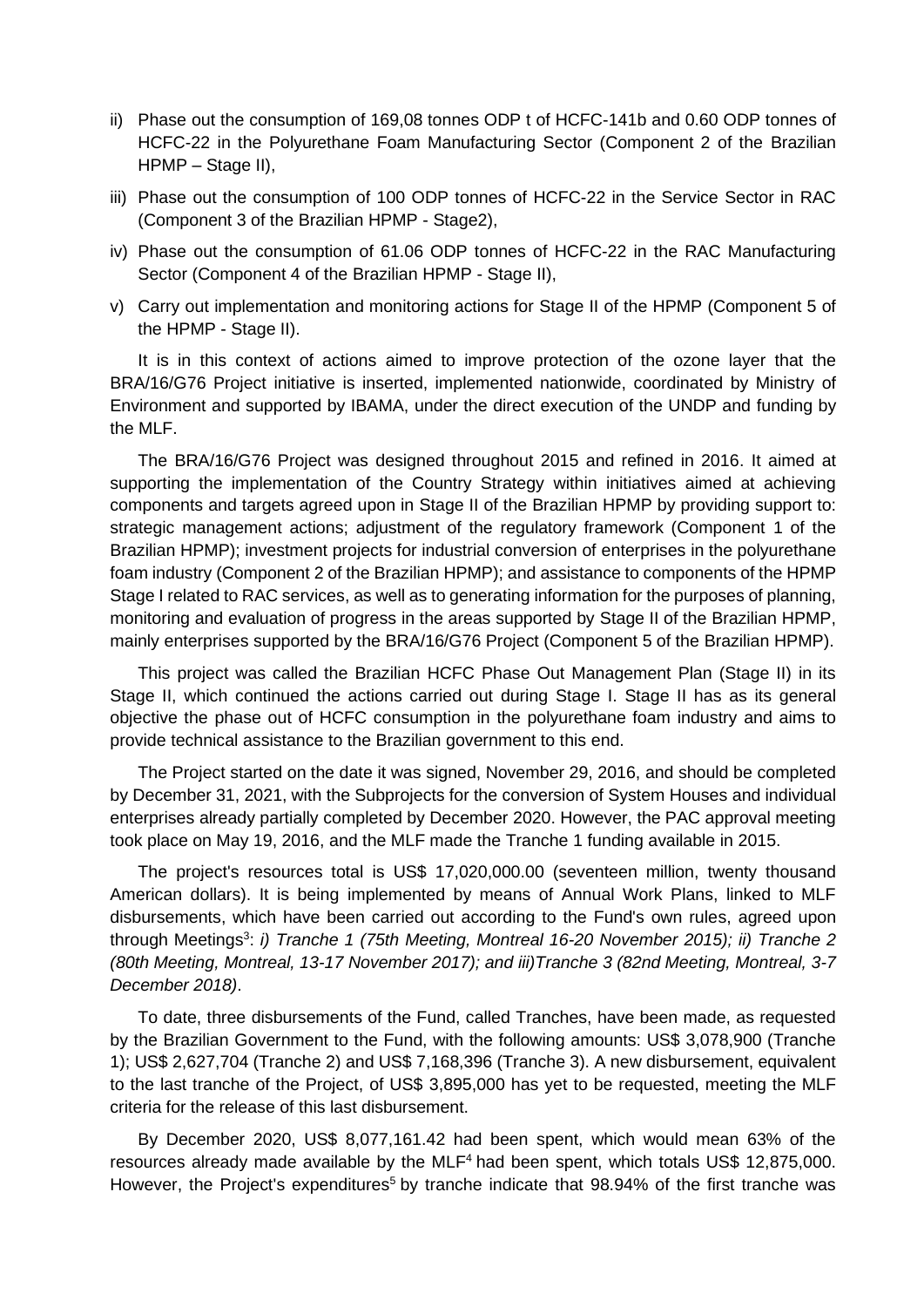- ii) Phase out the consumption of 169,08 tonnes ODP t of HCFC-141b and 0.60 ODP tonnes of HCFC-22 in the Polyurethane Foam Manufacturing Sector (Component 2 of the Brazilian HPMP – Stage II),
- iii) Phase out the consumption of 100 ODP tonnes of HCFC-22 in the Service Sector in RAC (Component 3 of the Brazilian HPMP - Stage2),
- iv) Phase out the consumption of 61.06 ODP tonnes of HCFC-22 in the RAC Manufacturing Sector (Component 4 of the Brazilian HPMP - Stage II),
- v) Carry out implementation and monitoring actions for Stage II of the HPMP (Component 5 of the HPMP - Stage II).

It is in this context of actions aimed to improve protection of the ozone layer that the BRA/16/G76 Project initiative is inserted, implemented nationwide, coordinated by Ministry of Environment and supported by IBAMA, under the direct execution of the UNDP and funding by the MLF.

The BRA/16/G76 Project was designed throughout 2015 and refined in 2016. It aimed at supporting the implementation of the Country Strategy within initiatives aimed at achieving components and targets agreed upon in Stage II of the Brazilian HPMP by providing support to: strategic management actions; adjustment of the regulatory framework (Component 1 of the Brazilian HPMP); investment projects for industrial conversion of enterprises in the polyurethane foam industry (Component 2 of the Brazilian HPMP); and assistance to components of the HPMP Stage I related to RAC services, as well as to generating information for the purposes of planning, monitoring and evaluation of progress in the areas supported by Stage II of the Brazilian HPMP, mainly enterprises supported by the BRA/16/G76 Project (Component 5 of the Brazilian HPMP).

This project was called the Brazilian HCFC Phase Out Management Plan (Stage II) in its Stage II, which continued the actions carried out during Stage I. Stage II has as its general objective the phase out of HCFC consumption in the polyurethane foam industry and aims to provide technical assistance to the Brazilian government to this end.

The Project started on the date it was signed, November 29, 2016, and should be completed by December 31, 2021, with the Subprojects for the conversion of System Houses and individual enterprises already partially completed by December 2020. However, the PAC approval meeting took place on May 19, 2016, and the MLF made the Tranche 1 funding available in 2015.

The project's resources total is US\$ 17,020,000.00 (seventeen million, twenty thousand American dollars). It is being implemented by means of Annual Work Plans, linked to MLF disbursements, which have been carried out according to the Fund's own rules, agreed upon through Meetings<sup>3</sup>: *i) Tranche 1 (75th Meeting, Montreal 16-20 November 2015); ii) Tranche 2 (80th Meeting, Montreal, 13-17 November 2017); and iii)Tranche 3 (82nd Meeting, Montreal, 3-7 December 2018)*.

To date, three disbursements of the Fund, called Tranches, have been made, as requested by the Brazilian Government to the Fund, with the following amounts: US\$ 3,078,900 (Tranche 1); US\$ 2,627,704 (Tranche 2) and US\$ 7,168,396 (Tranche 3). A new disbursement, equivalent to the last tranche of the Project, of US\$ 3,895,000 has yet to be requested, meeting the MLF criteria for the release of this last disbursement.

By December 2020, US\$ 8,077,161.42 had been spent, which would mean 63% of the resources already made available by the MLF<sup>4</sup> had been spent, which totals US\$ 12,875,000. However, the Project's expenditures<sup>5</sup> by tranche indicate that 98.94% of the first tranche was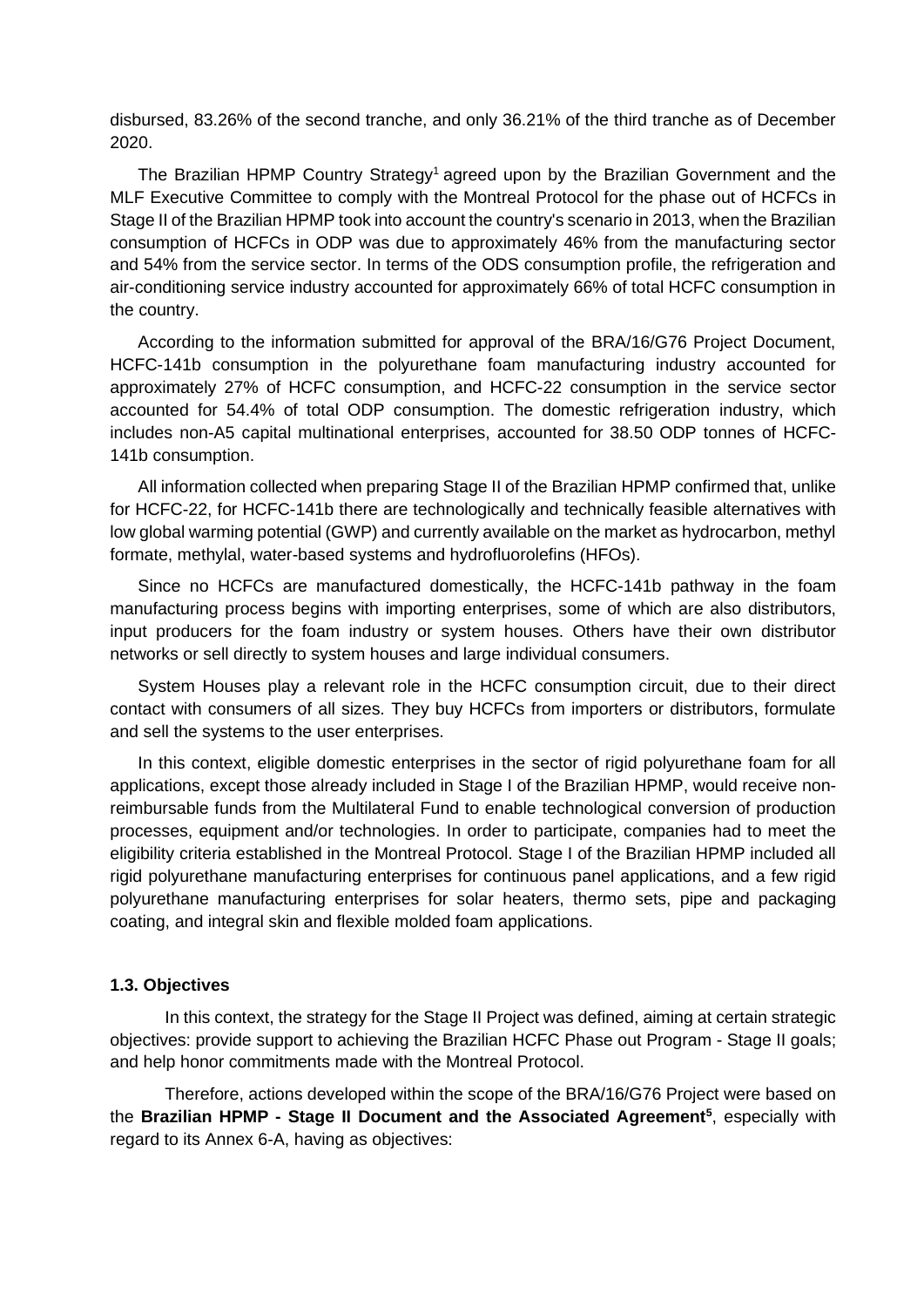disbursed, 83.26% of the second tranche, and only 36.21% of the third tranche as of December 2020.

The Brazilian HPMP Country Strategy<sup>1</sup> agreed upon by the Brazilian Government and the MLF Executive Committee to comply with the Montreal Protocol for the phase out of HCFCs in Stage II of the Brazilian HPMP took into account the country's scenario in 2013, when the Brazilian consumption of HCFCs in ODP was due to approximately 46% from the manufacturing sector and 54% from the service sector. In terms of the ODS consumption profile, the refrigeration and air-conditioning service industry accounted for approximately 66% of total HCFC consumption in the country.

According to the information submitted for approval of the BRA/16/G76 Project Document, HCFC-141b consumption in the polyurethane foam manufacturing industry accounted for approximately 27% of HCFC consumption, and HCFC-22 consumption in the service sector accounted for 54.4% of total ODP consumption. The domestic refrigeration industry, which includes non-A5 capital multinational enterprises, accounted for 38.50 ODP tonnes of HCFC-141b consumption.

All information collected when preparing Stage II of the Brazilian HPMP confirmed that, unlike for HCFC-22, for HCFC-141b there are technologically and technically feasible alternatives with low global warming potential (GWP) and currently available on the market as hydrocarbon, methyl formate, methylal, water-based systems and hydrofluorolefins (HFOs).

Since no HCFCs are manufactured domestically, the HCFC-141b pathway in the foam manufacturing process begins with importing enterprises, some of which are also distributors, input producers for the foam industry or system houses. Others have their own distributor networks or sell directly to system houses and large individual consumers.

System Houses play a relevant role in the HCFC consumption circuit, due to their direct contact with consumers of all sizes. They buy HCFCs from importers or distributors, formulate and sell the systems to the user enterprises.

In this context, eligible domestic enterprises in the sector of rigid polyurethane foam for all applications, except those already included in Stage I of the Brazilian HPMP, would receive nonreimbursable funds from the Multilateral Fund to enable technological conversion of production processes, equipment and/or technologies. In order to participate, companies had to meet the eligibility criteria established in the Montreal Protocol. Stage I of the Brazilian HPMP included all rigid polyurethane manufacturing enterprises for continuous panel applications, and a few rigid polyurethane manufacturing enterprises for solar heaters, thermo sets, pipe and packaging coating, and integral skin and flexible molded foam applications.

#### <span id="page-22-0"></span>**1.3. Objectives**

In this context, the strategy for the Stage II Project was defined, aiming at certain strategic objectives: provide support to achieving the Brazilian HCFC Phase out Program - Stage II goals; and help honor commitments made with the Montreal Protocol.

Therefore, actions developed within the scope of the BRA/16/G76 Project were based on the **Brazilian HPMP - Stage II Document and the Associated Agreement<sup>5</sup>** , especially with regard to its Annex 6-A, having as objectives: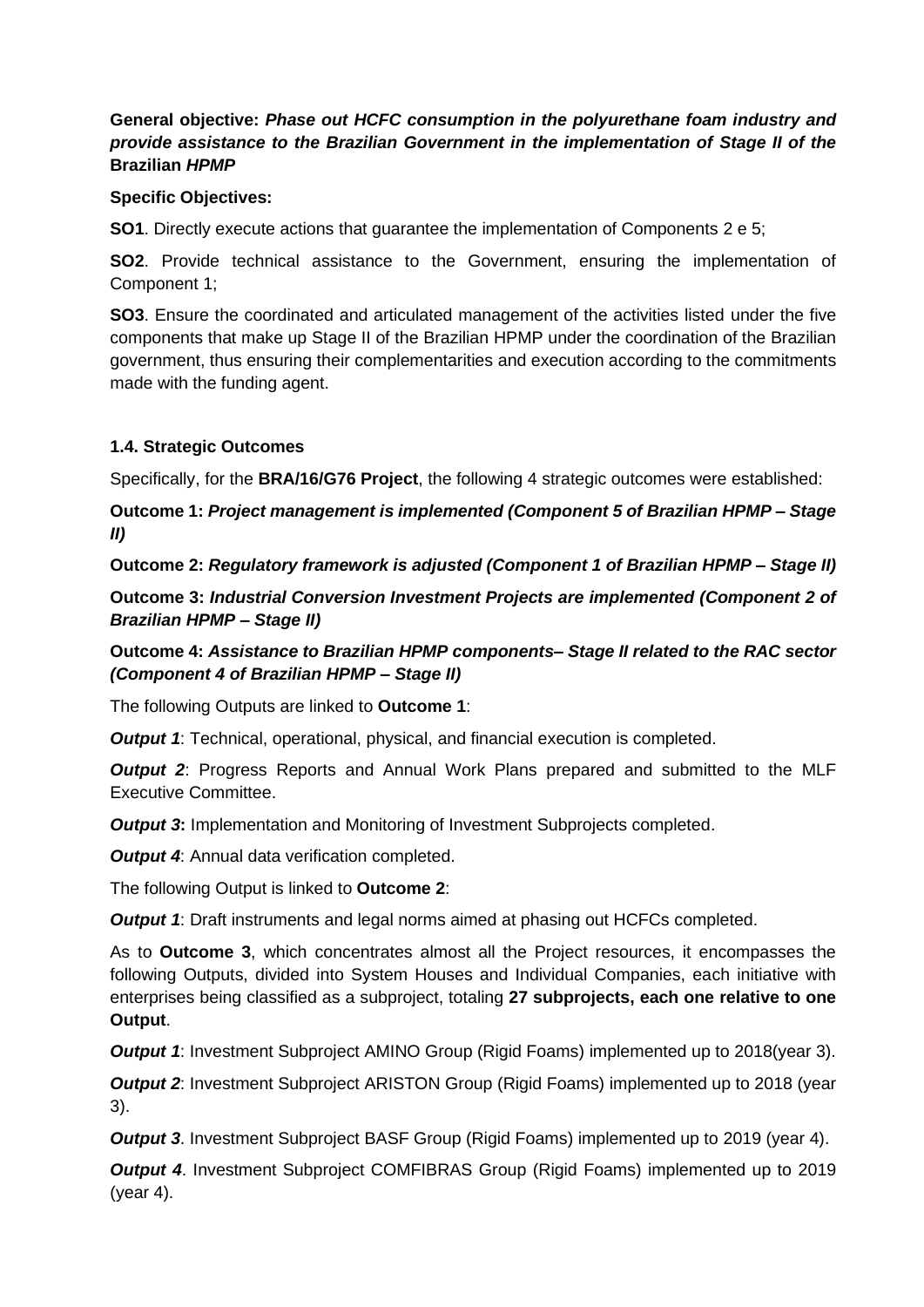### **General objective:** *Phase out HCFC consumption in the polyurethane foam industry and provide assistance to the Brazilian Government in the implementation of Stage II of the* **Brazilian** *HPMP*

### **Specific Objectives:**

**SO1**. Directly execute actions that guarantee the implementation of Components 2 e 5;

**SO2**. Provide technical assistance to the Government, ensuring the implementation of Component 1;

**SO3**. Ensure the coordinated and articulated management of the activities listed under the five components that make up Stage II of the Brazilian HPMP under the coordination of the Brazilian government, thus ensuring their complementarities and execution according to the commitments made with the funding agent.

### <span id="page-23-0"></span>**1.4. Strategic Outcomes**

Specifically, for the **BRA/16/G76 Project**, the following 4 strategic outcomes were established:

**Outcome 1:** *Project management is implemented (Component 5 of Brazilian HPMP – Stage II)*

**Outcome 2:** *Regulatory framework is adjusted (Component 1 of Brazilian HPMP – Stage II)*

**Outcome 3:** *Industrial Conversion Investment Projects are implemented (Component 2 of Brazilian HPMP – Stage II)*

**Outcome 4:** *Assistance to Brazilian HPMP components– Stage II related to the RAC sector (Component 4 of Brazilian HPMP – Stage II)*

The following Outputs are linked to **Outcome 1**:

*Output 1*: Technical, operational, physical, and financial execution is completed.

*Output* 2: Progress Reports and Annual Work Plans prepared and submitted to the MLF Executive Committee.

*Output 3*: Implementation and Monitoring of Investment Subprojects completed.

**Output 4:** Annual data verification completed.

The following Output is linked to **Outcome 2**:

*Output 1*: Draft instruments and legal norms aimed at phasing out HCFCs completed.

As to **Outcome 3**, which concentrates almost all the Project resources, it encompasses the following Outputs, divided into System Houses and Individual Companies, each initiative with enterprises being classified as a subproject, totaling **27 subprojects, each one relative to one Output**.

*Output 1*: Investment Subproject AMINO Group (Rigid Foams) implemented up to 2018(year 3).

*Output 2*: Investment Subproject ARISTON Group (Rigid Foams) implemented up to 2018 (year 3).

*Output* 3. Investment Subproject BASF Group (Rigid Foams) implemented up to 2019 (year 4).

*Output 4*. Investment Subproject COMFIBRAS Group (Rigid Foams) implemented up to 2019 (year 4).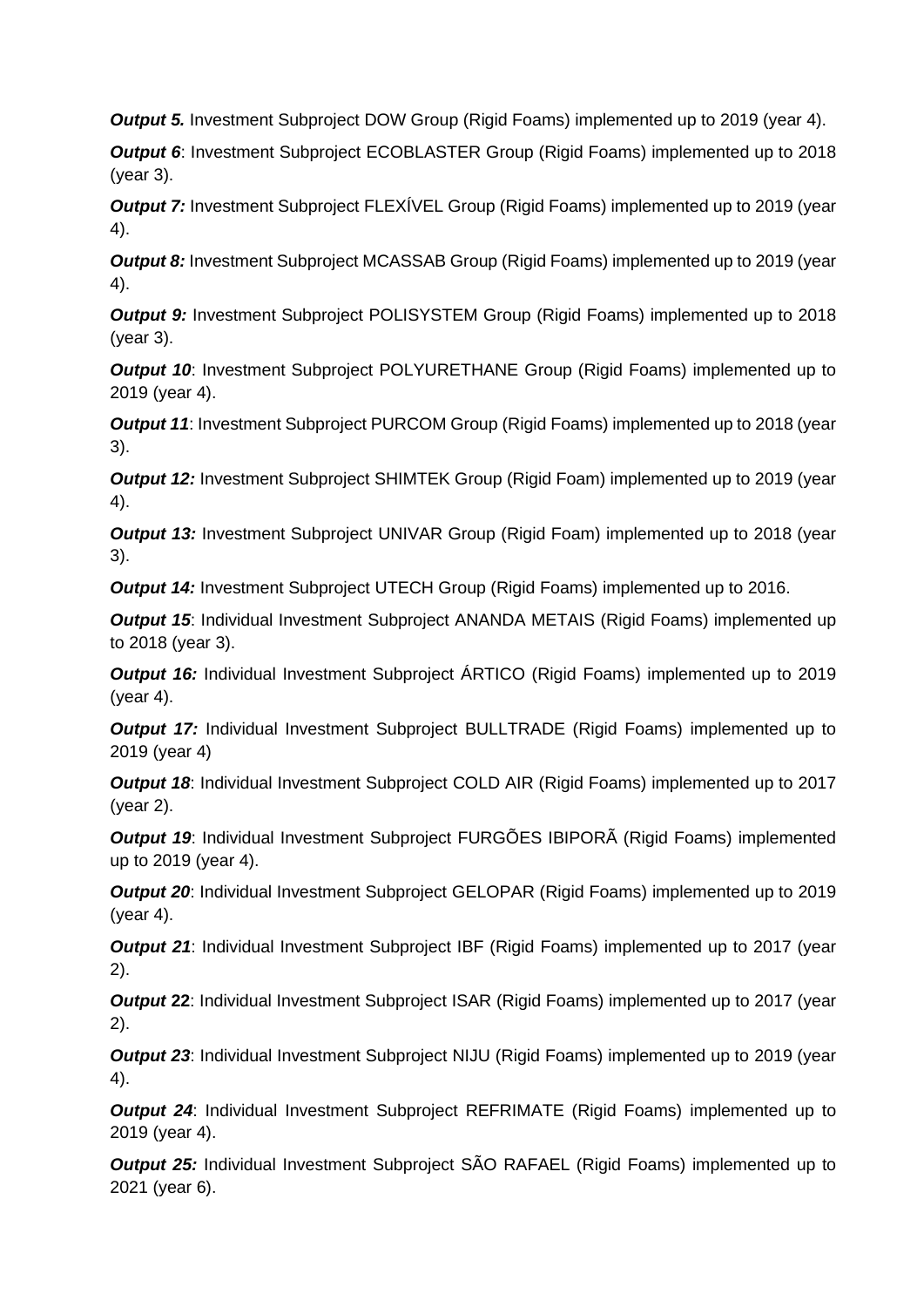**Output 5.** Investment Subproject DOW Group (Rigid Foams) implemented up to 2019 (year 4).

*Output 6*: Investment Subproject ECOBLASTER Group (Rigid Foams) implemented up to 2018 (year 3).

*Output 7:* Investment Subproject FLEXIVEL Group (Rigid Foams) implemented up to 2019 (year 4).

*Output 8:* Investment Subproject MCASSAB Group (Rigid Foams) implemented up to 2019 (year 4).

**Output 9:** Investment Subproject POLISYSTEM Group (Rigid Foams) implemented up to 2018 (year 3).

*Output 10*: Investment Subproject POLYURETHANE Group (Rigid Foams) implemented up to 2019 (year 4).

**Output 11:** Investment Subproject PURCOM Group (Rigid Foams) implemented up to 2018 (year 3).

*Output 12:* Investment Subproject SHIMTEK Group (Rigid Foam) implemented up to 2019 (year 4).

**Output 13:** Investment Subproject UNIVAR Group (Rigid Foam) implemented up to 2018 (year 3).

*Output* 14: Investment Subproject UTECH Group (Rigid Foams) implemented up to 2016.

*Output* 15: Individual Investment Subproject ANANDA METAIS (Rigid Foams) implemented up to 2018 (year 3).

*Output 16:* Individual Investment Subproject ÁRTICO (Rigid Foams) implemented up to 2019 (year 4).

*Output 17:* Individual Investment Subproject BULLTRADE (Rigid Foams) implemented up to 2019 (year 4)

*Output 18*: Individual Investment Subproject COLD AIR (Rigid Foams) implemented up to 2017 (year 2).

*Output 19*: Individual Investment Subproject FURGÕES IBIPORÃ (Rigid Foams) implemented up to 2019 (year 4).

*Output 20*: Individual Investment Subproject GELOPAR (Rigid Foams) implemented up to 2019 (year 4).

**Output 21:** Individual Investment Subproject IBF (Rigid Foams) implemented up to 2017 (year 2).

*Output* **22:** Individual Investment Subproject ISAR (Rigid Foams) implemented up to 2017 (year 2).

**Output 23:** Individual Investment Subproject NIJU (Rigid Foams) implemented up to 2019 (year 4).

*Output 24*: Individual Investment Subproject REFRIMATE (Rigid Foams) implemented up to 2019 (year 4).

*Output 25:* Individual Investment Subproject SÃO RAFAEL (Rigid Foams) implemented up to 2021 (year 6).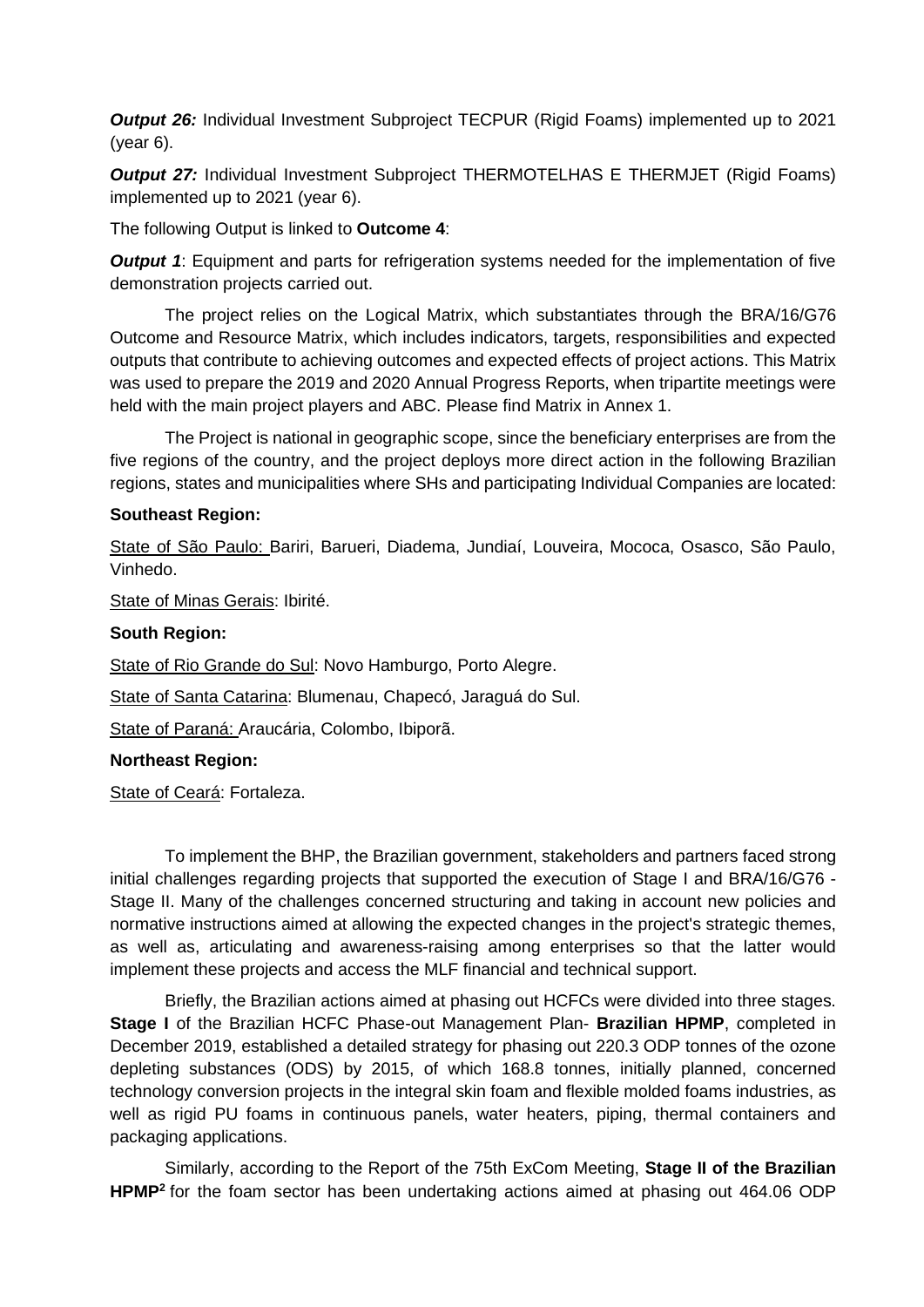*Output 26:* Individual Investment Subproject TECPUR (Rigid Foams) implemented up to 2021 (year 6).

*Output 27:* Individual Investment Subproject THERMOTELHAS E THERMJET (Rigid Foams) implemented up to 2021 (year 6).

The following Output is linked to **Outcome 4**:

*Output 1*: Equipment and parts for refrigeration systems needed for the implementation of five demonstration projects carried out.

The project relies on the Logical Matrix, which substantiates through the BRA/16/G76 Outcome and Resource Matrix, which includes indicators, targets, responsibilities and expected outputs that contribute to achieving outcomes and expected effects of project actions. This Matrix was used to prepare the 2019 and 2020 Annual Progress Reports, when tripartite meetings were held with the main project players and ABC. Please find Matrix in Annex 1.

The Project is national in geographic scope, since the beneficiary enterprises are from the five regions of the country, and the project deploys more direct action in the following Brazilian regions, states and municipalities where SHs and participating Individual Companies are located:

### **Southeast Region:**

State of São Paulo: Bariri, Barueri, Diadema, Jundiaí, Louveira, Mococa, Osasco, São Paulo, Vinhedo.

State of Minas Gerais: Ibirité.

### **South Region:**

State of Rio Grande do Sul: Novo Hamburgo, Porto Alegre.

State of Santa Catarina: Blumenau, Chapecó, Jaraguá do Sul.

State of Paraná: Araucária, Colombo, Ibiporã.

#### **Northeast Region:**

State of Ceará: Fortaleza.

To implement the BHP, the Brazilian government, stakeholders and partners faced strong initial challenges regarding projects that supported the execution of Stage I and BRA/16/G76 - Stage II. Many of the challenges concerned structuring and taking in account new policies and normative instructions aimed at allowing the expected changes in the project's strategic themes, as well as, articulating and awareness-raising among enterprises so that the latter would implement these projects and access the MLF financial and technical support.

Briefly, the Brazilian actions aimed at phasing out HCFCs were divided into three stages. **Stage I** of the Brazilian HCFC Phase-out Management Plan- **Brazilian HPMP**, completed in December 2019, established a detailed strategy for phasing out 220.3 ODP tonnes of the ozone depleting substances (ODS) by 2015, of which 168.8 tonnes, initially planned, concerned technology conversion projects in the integral skin foam and flexible molded foams industries, as well as rigid PU foams in continuous panels, water heaters, piping, thermal containers and packaging applications.

Similarly, according to the Report of the 75th ExCom Meeting, **Stage II of the Brazilian HPMP<sup>2</sup>** for the foam sector has been undertaking actions aimed at phasing out 464.06 ODP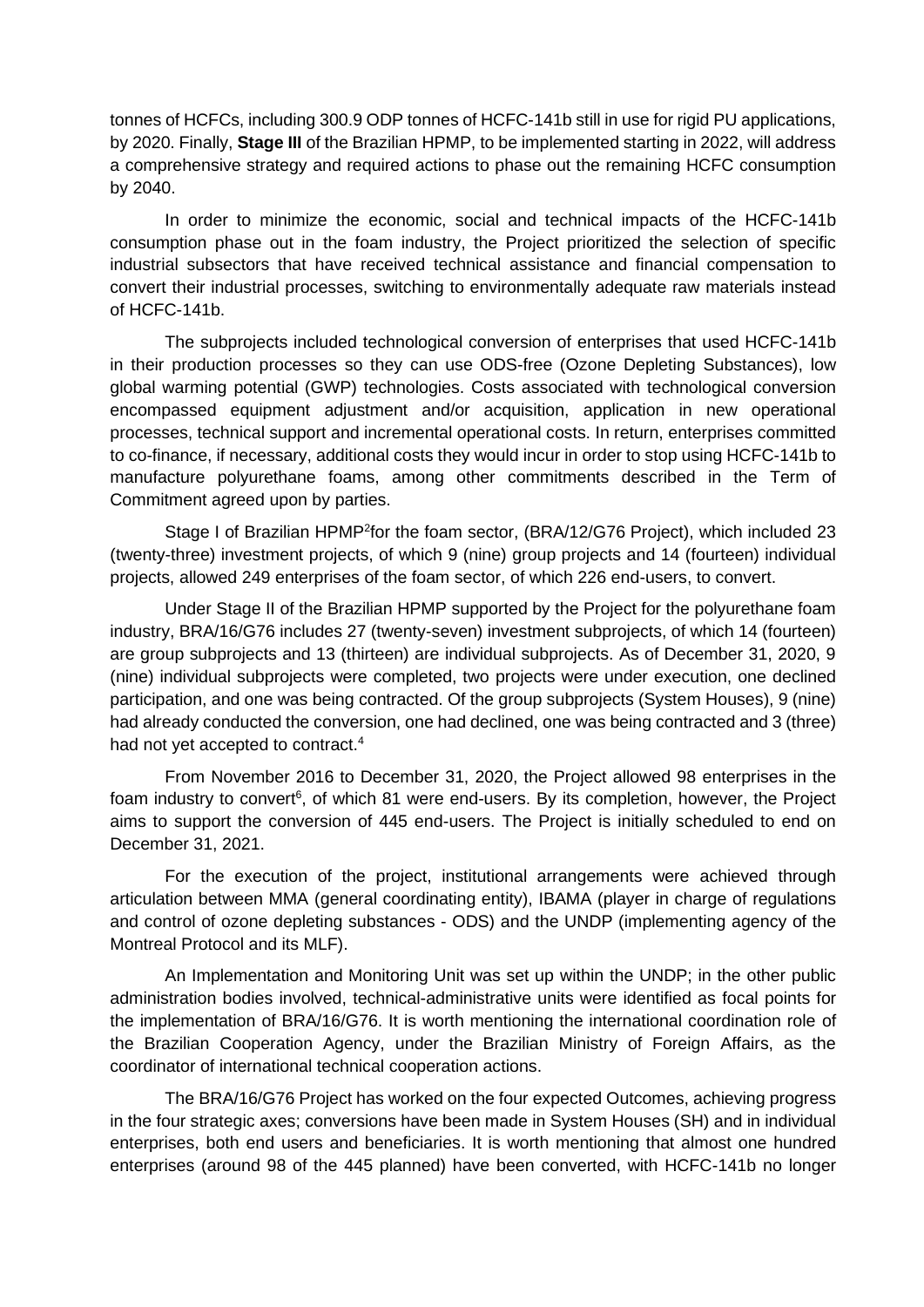tonnes of HCFCs, including 300.9 ODP tonnes of HCFC-141b still in use for rigid PU applications, by 2020. Finally, **Stage III** of the Brazilian HPMP, to be implemented starting in 2022, will address a comprehensive strategy and required actions to phase out the remaining HCFC consumption by 2040.

In order to minimize the economic, social and technical impacts of the HCFC-141b consumption phase out in the foam industry, the Project prioritized the selection of specific industrial subsectors that have received technical assistance and financial compensation to convert their industrial processes, switching to environmentally adequate raw materials instead of HCFC-141b.

The subprojects included technological conversion of enterprises that used HCFC-141b in their production processes so they can use ODS-free (Ozone Depleting Substances), low global warming potential (GWP) technologies. Costs associated with technological conversion encompassed equipment adjustment and/or acquisition, application in new operational processes, technical support and incremental operational costs. In return, enterprises committed to co-finance, if necessary, additional costs they would incur in order to stop using HCFC-141b to manufacture polyurethane foams, among other commitments described in the Term of Commitment agreed upon by parties.

Stage I of Brazilian HPMP<sup>2</sup>for the foam sector, (BRA/12/G76 Project), which included 23 (twenty-three) investment projects, of which 9 (nine) group projects and 14 (fourteen) individual projects, allowed 249 enterprises of the foam sector, of which 226 end-users, to convert.

Under Stage II of the Brazilian HPMP supported by the Project for the polyurethane foam industry, BRA/16/G76 includes 27 (twenty-seven) investment subprojects, of which 14 (fourteen) are group subprojects and 13 (thirteen) are individual subprojects. As of December 31, 2020, 9 (nine) individual subprojects were completed, two projects were under execution, one declined participation, and one was being contracted. Of the group subprojects (System Houses), 9 (nine) had already conducted the conversion, one had declined, one was being contracted and 3 (three) had not yet accepted to contract.<sup>4</sup>

From November 2016 to December 31, 2020, the Project allowed 98 enterprises in the foam industry to convert<sup>6</sup>, of which 81 were end-users. By its completion, however, the Project aims to support the conversion of 445 end-users. The Project is initially scheduled to end on December 31, 2021.

For the execution of the project, institutional arrangements were achieved through articulation between MMA (general coordinating entity), IBAMA (player in charge of regulations and control of ozone depleting substances - ODS) and the UNDP (implementing agency of the Montreal Protocol and its MLF).

An Implementation and Monitoring Unit was set up within the UNDP; in the other public administration bodies involved, technical-administrative units were identified as focal points for the implementation of BRA/16/G76. It is worth mentioning the international coordination role of the Brazilian Cooperation Agency, under the Brazilian Ministry of Foreign Affairs, as the coordinator of international technical cooperation actions.

The BRA/16/G76 Project has worked on the four expected Outcomes, achieving progress in the four strategic axes; conversions have been made in System Houses (SH) and in individual enterprises, both end users and beneficiaries. It is worth mentioning that almost one hundred enterprises (around 98 of the 445 planned) have been converted, with HCFC-141b no longer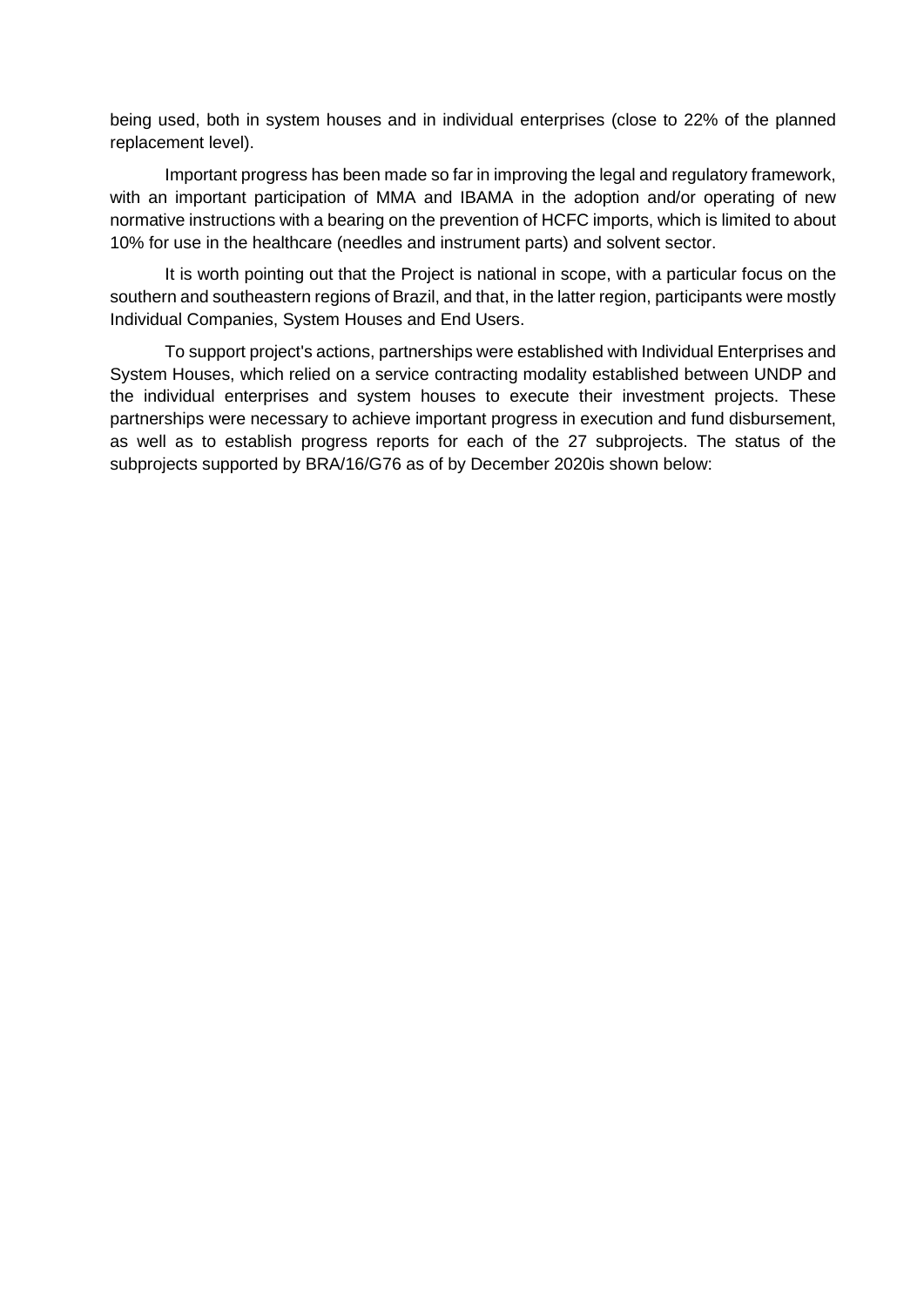being used, both in system houses and in individual enterprises (close to 22% of the planned replacement level).

Important progress has been made so far in improving the legal and regulatory framework, with an important participation of MMA and IBAMA in the adoption and/or operating of new normative instructions with a bearing on the prevention of HCFC imports, which is limited to about 10% for use in the healthcare (needles and instrument parts) and solvent sector.

It is worth pointing out that the Project is national in scope, with a particular focus on the southern and southeastern regions of Brazil, and that, in the latter region, participants were mostly Individual Companies, System Houses and End Users.

To support project's actions, partnerships were established with Individual Enterprises and System Houses, which relied on a service contracting modality established between UNDP and the individual enterprises and system houses to execute their investment projects. These partnerships were necessary to achieve important progress in execution and fund disbursement, as well as to establish progress reports for each of the 27 subprojects. The status of the subprojects supported by BRA/16/G76 as of by December 2020is shown below: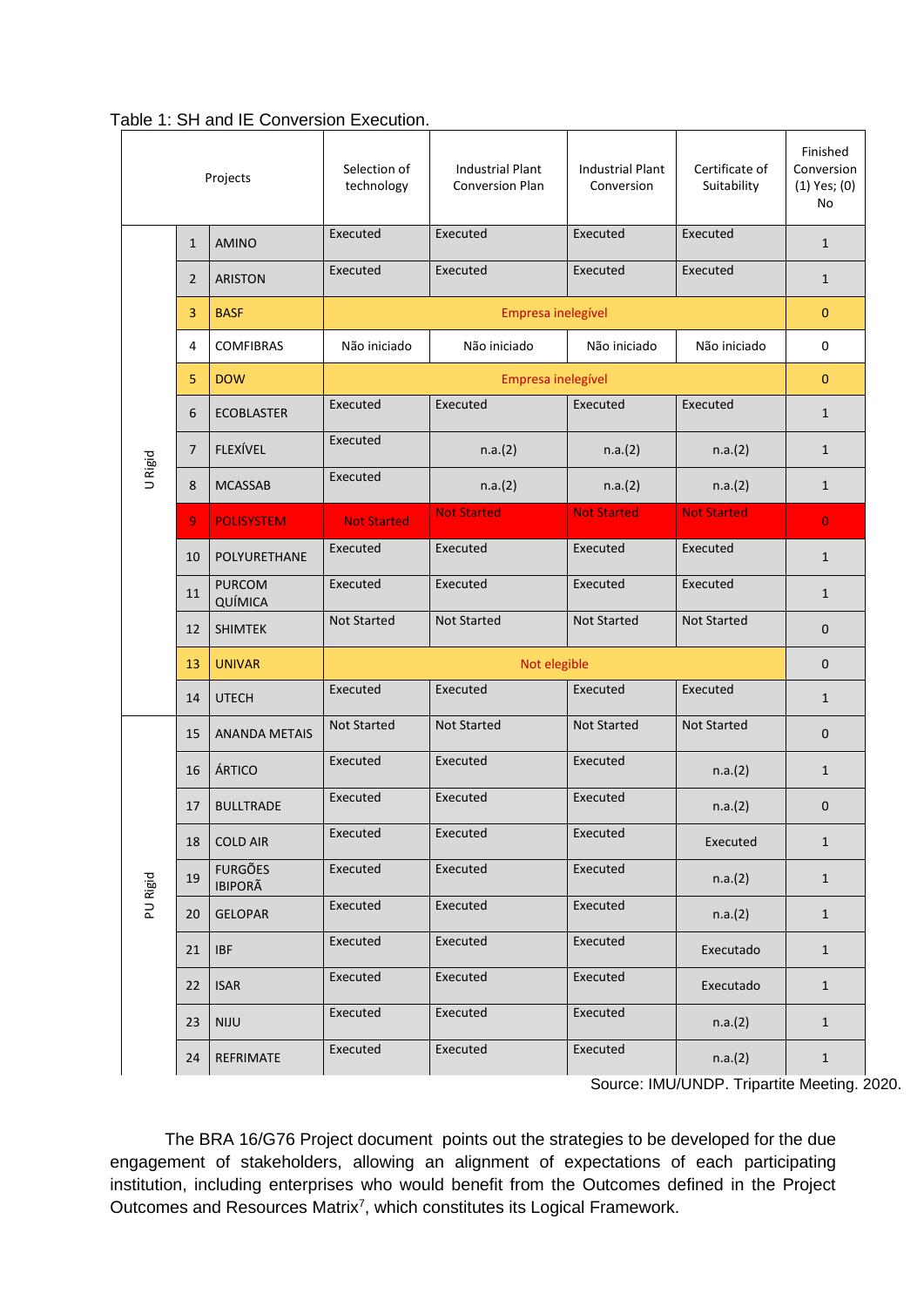| Projects |                | Selection of<br>technology       | <b>Industrial Plant</b><br><b>Conversion Plan</b> | <b>Industrial Plant</b><br>Conversion | Certificate of<br>Suitability | Finished<br>Conversion<br>$(1)$ Yes; $(0)$<br>No |                |
|----------|----------------|----------------------------------|---------------------------------------------------|---------------------------------------|-------------------------------|--------------------------------------------------|----------------|
|          | $\mathbf{1}$   | <b>AMINO</b>                     | Executed                                          | Executed                              | Executed                      | Executed                                         | $\mathbf{1}$   |
|          | $\overline{2}$ | <b>ARISTON</b>                   | Executed                                          | Executed                              | Executed                      | Executed                                         | $\mathbf{1}$   |
|          | 3              | <b>BASF</b>                      | Empresa inelegível                                |                                       |                               | $\mathbf{0}$                                     |                |
|          | 4              | <b>COMFIBRAS</b>                 | Não iniciado                                      | Não iniciado                          | Não iniciado                  | Não iniciado                                     | 0              |
|          | 5              | <b>DOW</b>                       | Empresa inelegível                                |                                       |                               |                                                  | $\mathbf{0}$   |
|          | 6              | <b>ECOBLASTER</b>                | Executed                                          | Executed                              | Executed                      | Executed                                         | $\mathbf{1}$   |
|          | 7              | <b>FLEXÍVEL</b>                  | Executed                                          | n.a.(2)                               | n.a.(2)                       | n.a.(2)                                          | $\mathbf{1}$   |
| U Rigid  | 8              | <b>MCASSAB</b>                   | Executed                                          | n.a.(2)                               | n.a.(2)                       | n.a.(2)                                          | $\mathbf{1}$   |
|          | 9              | <b>POLISYSTEM</b>                | <b>Not Started</b>                                | <b>Not Started</b>                    | <b>Not Started</b>            | <b>Not Started</b>                               | $\overline{0}$ |
|          | 10             | <b>POLYURETHANE</b>              | Executed                                          | Executed                              | Executed                      | Executed                                         | $\mathbf{1}$   |
|          | 11             | <b>PURCOM</b><br>QUÍMICA         | Executed                                          | Executed                              | Executed                      | Executed                                         | $\mathbf{1}$   |
|          | 12             | <b>SHIMTEK</b>                   | <b>Not Started</b>                                | <b>Not Started</b>                    | <b>Not Started</b>            | <b>Not Started</b>                               | 0              |
|          | 13             | <b>UNIVAR</b>                    | Not elegible                                      |                                       |                               |                                                  | $\mathbf{0}$   |
|          | 14             | <b>UTECH</b>                     | Executed                                          | Executed                              | Executed                      | Executed                                         | $\mathbf{1}$   |
| PU Rigid | 15             | <b>ANANDA METAIS</b>             | <b>Not Started</b>                                | <b>Not Started</b>                    | <b>Not Started</b>            | <b>Not Started</b>                               | $\mathbf{0}$   |
|          | 16             | ÁRTICO                           | Executed                                          | Executed                              | Executed                      | n.a.(2)                                          | $\mathbf{1}$   |
|          | 17             | <b>BULLTRADE</b>                 | Executed                                          | Executed                              | Executed                      | n.a.(2)                                          | 0              |
|          | 18             | <b>COLD AIR</b>                  | Executed                                          | Executed                              | Executed                      | Executed                                         | $\mathbf{1}$   |
|          | 19             | <b>FURGÕES</b><br><b>IBIPORÃ</b> | Executed                                          | Executed                              | Executed                      | n.a.(2)                                          | $\mathbf{1}$   |
|          | 20             | <b>GELOPAR</b>                   | Executed                                          | Executed                              | Executed                      | n.a.(2)                                          | $\mathbf{1}$   |
|          | 21             | <b>IBF</b>                       | Executed                                          | Executed                              | Executed                      | Executado                                        | $\mathbf{1}$   |
|          | 22             | <b>ISAR</b>                      | Executed                                          | Executed                              | Executed                      | Executado                                        | $\mathbf{1}$   |
|          | 23             | <b>NIJU</b>                      | Executed                                          | Executed                              | Executed                      | n.a.(2)                                          | $\mathbf{1}$   |
|          | 24             | REFRIMATE                        | Executed                                          | Executed                              | Executed                      | n.a.(2)                                          | $\mathbf{1}$   |

<span id="page-28-0"></span>Table 1: SH and IE Conversion Execution.

Source: IMU/UNDP. Tripartite Meeting. 2020.

The BRA 16/G76 Project document points out the strategies to be developed for the due engagement of stakeholders, allowing an alignment of expectations of each participating institution, including enterprises who would benefit from the Outcomes defined in the Project Outcomes and Resources Matrix<sup>7</sup>, which constitutes its Logical Framework.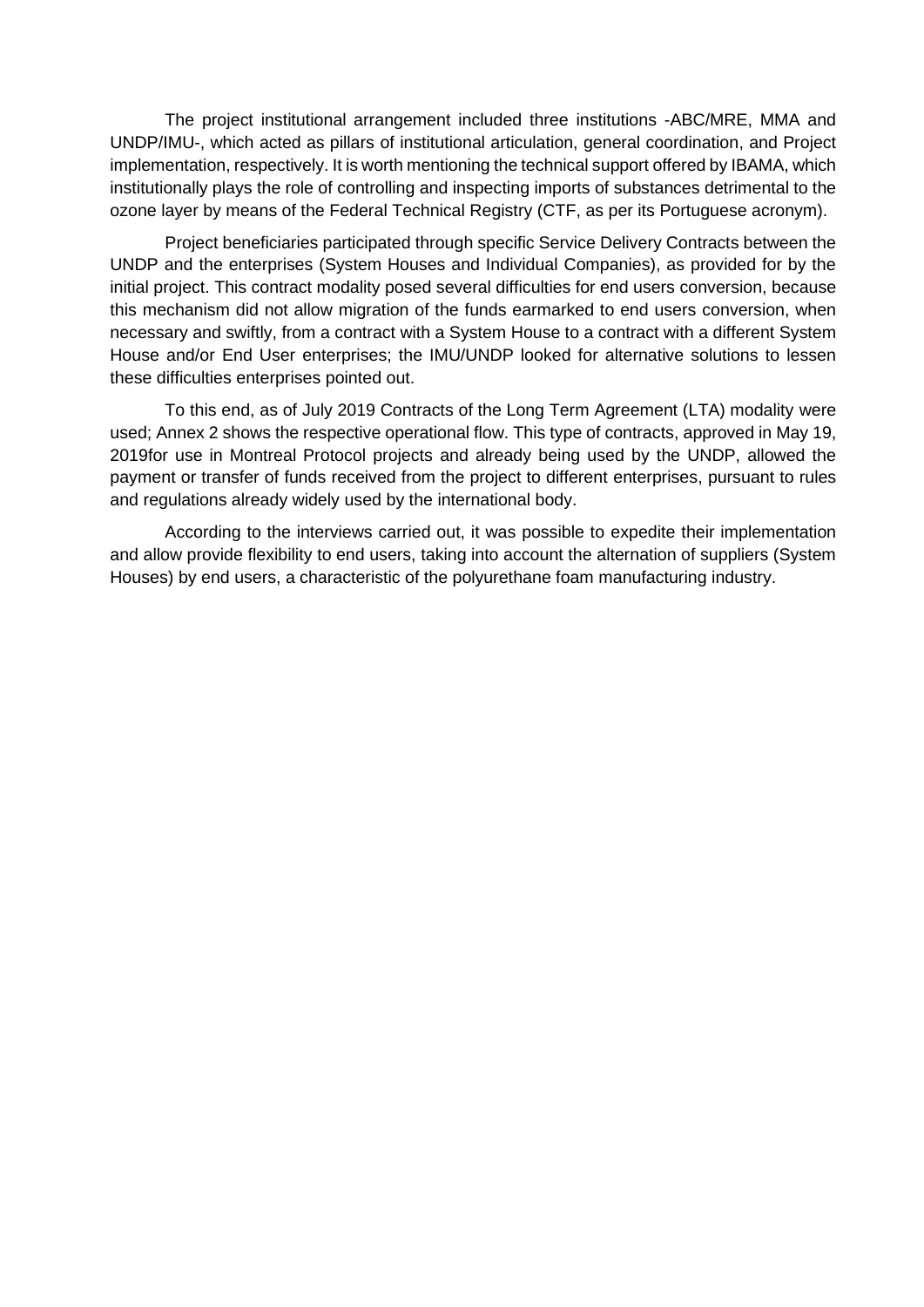The project institutional arrangement included three institutions -ABC/MRE, MMA and UNDP/IMU-, which acted as pillars of institutional articulation, general coordination, and Project implementation, respectively. It is worth mentioning the technical support offered by IBAMA, which institutionally plays the role of controlling and inspecting imports of substances detrimental to the ozone layer by means of the Federal Technical Registry (CTF, as per its Portuguese acronym).

Project beneficiaries participated through specific Service Delivery Contracts between the UNDP and the enterprises (System Houses and Individual Companies), as provided for by the initial project. This contract modality posed several difficulties for end users conversion, because this mechanism did not allow migration of the funds earmarked to end users conversion, when necessary and swiftly, from a contract with a System House to a contract with a different System House and/or End User enterprises; the IMU/UNDP looked for alternative solutions to lessen these difficulties enterprises pointed out.

To this end, as of July 2019 Contracts of the Long Term Agreement (LTA) modality were used; Annex 2 shows the respective operational flow. This type of contracts, approved in May 19, 2019for use in Montreal Protocol projects and already being used by the UNDP, allowed the payment or transfer of funds received from the project to different enterprises, pursuant to rules and regulations already widely used by the international body.

According to the interviews carried out, it was possible to expedite their implementation and allow provide flexibility to end users, taking into account the alternation of suppliers (System Houses) by end users, a characteristic of the polyurethane foam manufacturing industry.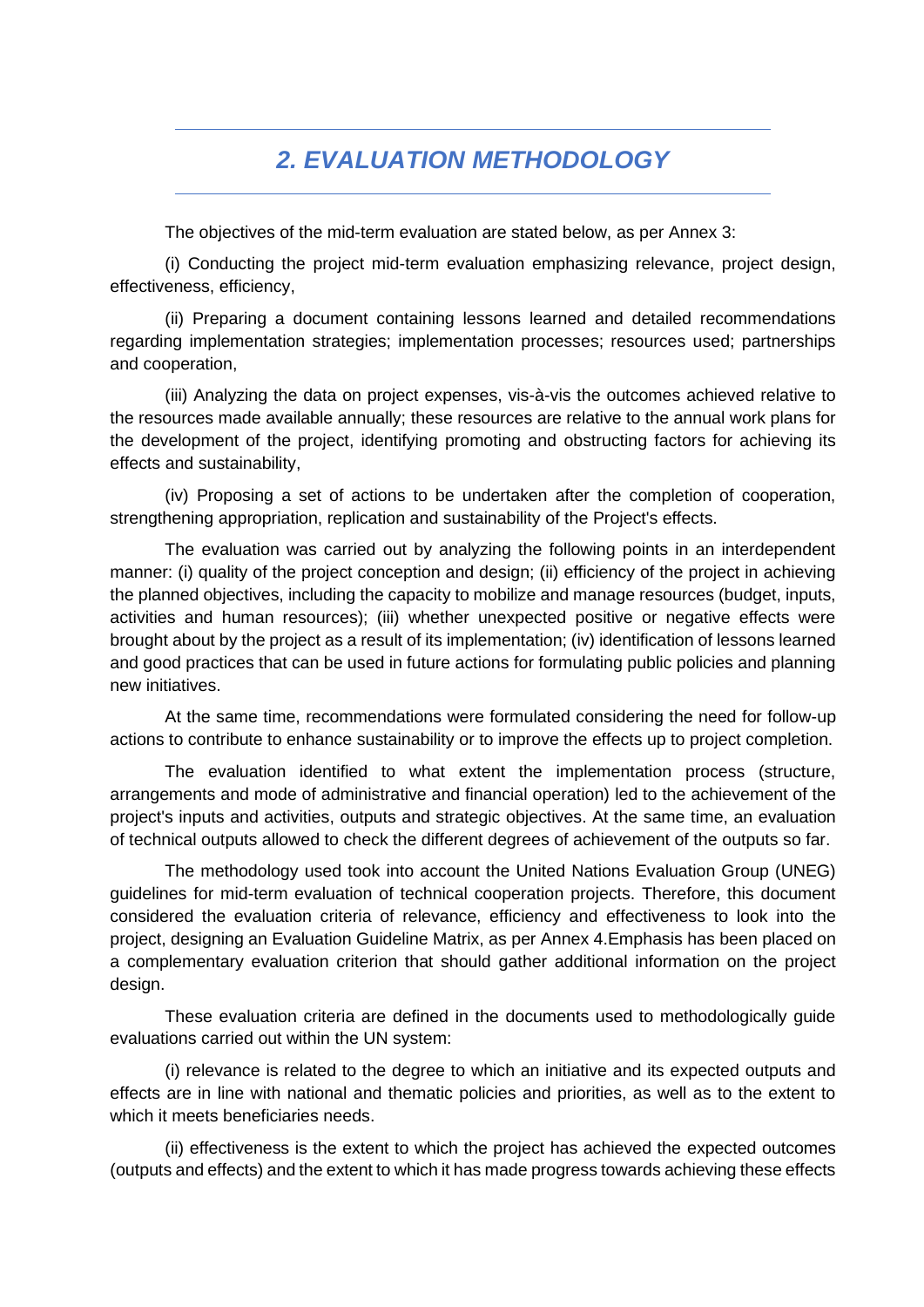## *2. EVALUATION METHODOLOGY*

<span id="page-30-0"></span>The objectives of the mid-term evaluation are stated below, as per Annex 3:

(i) Conducting the project mid-term evaluation emphasizing relevance, project design, effectiveness, efficiency,

(ii) Preparing a document containing lessons learned and detailed recommendations regarding implementation strategies; implementation processes; resources used; partnerships and cooperation,

(iii) Analyzing the data on project expenses, vis-à-vis the outcomes achieved relative to the resources made available annually; these resources are relative to the annual work plans for the development of the project, identifying promoting and obstructing factors for achieving its effects and sustainability,

(iv) Proposing a set of actions to be undertaken after the completion of cooperation, strengthening appropriation, replication and sustainability of the Project's effects.

The evaluation was carried out by analyzing the following points in an interdependent manner: (i) quality of the project conception and design; (ii) efficiency of the project in achieving the planned objectives, including the capacity to mobilize and manage resources (budget, inputs, activities and human resources); (iii) whether unexpected positive or negative effects were brought about by the project as a result of its implementation; (iv) identification of lessons learned and good practices that can be used in future actions for formulating public policies and planning new initiatives.

At the same time, recommendations were formulated considering the need for follow-up actions to contribute to enhance sustainability or to improve the effects up to project completion.

The evaluation identified to what extent the implementation process (structure, arrangements and mode of administrative and financial operation) led to the achievement of the project's inputs and activities, outputs and strategic objectives. At the same time, an evaluation of technical outputs allowed to check the different degrees of achievement of the outputs so far.

The methodology used took into account the United Nations Evaluation Group (UNEG) guidelines for mid-term evaluation of technical cooperation projects. Therefore, this document considered the evaluation criteria of relevance, efficiency and effectiveness to look into the project, designing an Evaluation Guideline Matrix, as per Annex 4.Emphasis has been placed on a complementary evaluation criterion that should gather additional information on the project design.

These evaluation criteria are defined in the documents used to methodologically guide evaluations carried out within the UN system:

(i) relevance is related to the degree to which an initiative and its expected outputs and effects are in line with national and thematic policies and priorities, as well as to the extent to which it meets beneficiaries needs.

(ii) effectiveness is the extent to which the project has achieved the expected outcomes (outputs and effects) and the extent to which it has made progress towards achieving these effects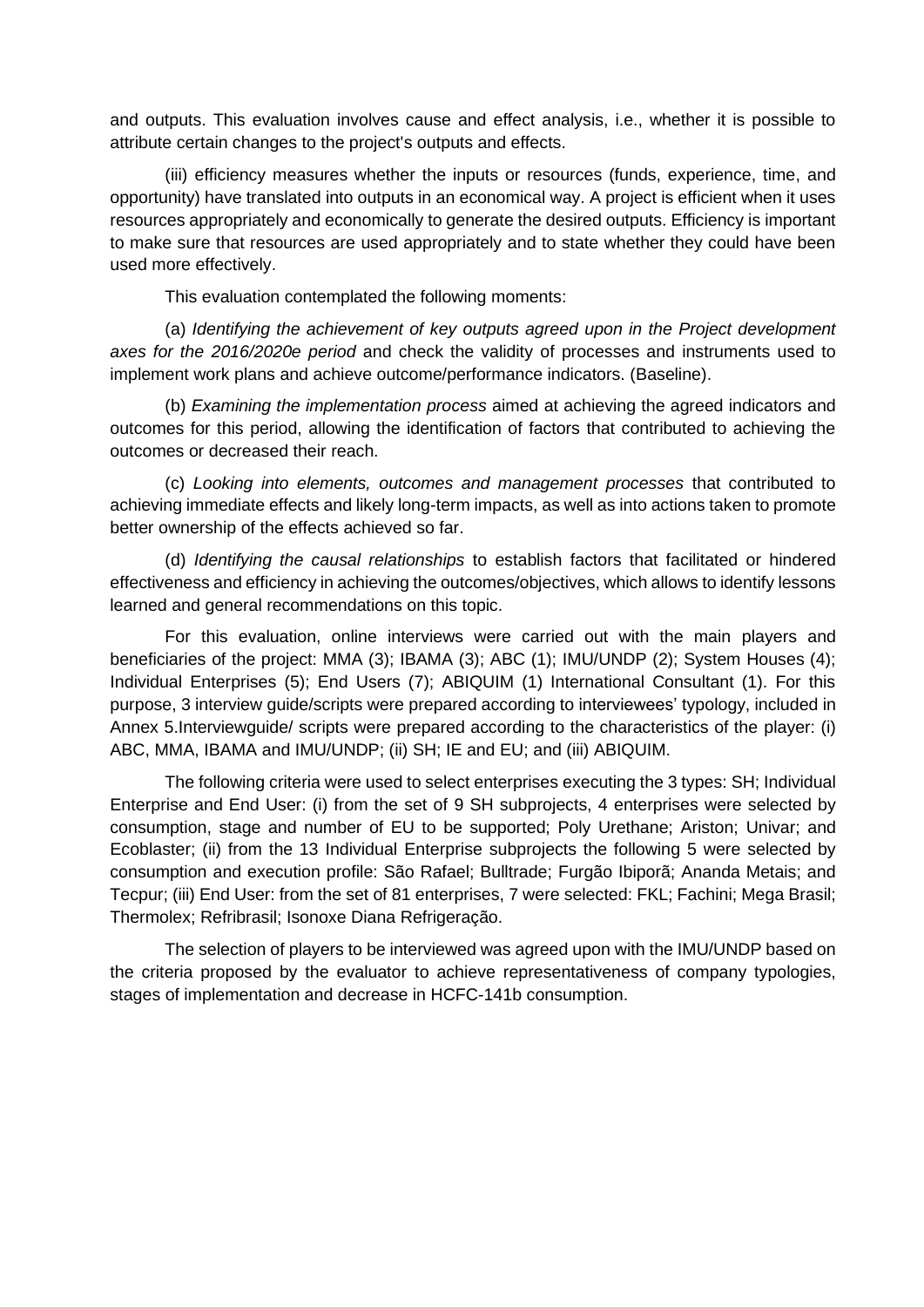and outputs. This evaluation involves cause and effect analysis, i.e., whether it is possible to attribute certain changes to the project's outputs and effects.

(iii) efficiency measures whether the inputs or resources (funds, experience, time, and opportunity) have translated into outputs in an economical way. A project is efficient when it uses resources appropriately and economically to generate the desired outputs. Efficiency is important to make sure that resources are used appropriately and to state whether they could have been used more effectively.

This evaluation contemplated the following moments:

(a) *Identifying the achievement of key outputs agreed upon in the Project development axes for the 2016/2020e period* and check the validity of processes and instruments used to implement work plans and achieve outcome/performance indicators. (Baseline).

(b) *Examining the implementation process* aimed at achieving the agreed indicators and outcomes for this period, allowing the identification of factors that contributed to achieving the outcomes or decreased their reach.

(c) *Looking into elements, outcomes and management processes* that contributed to achieving immediate effects and likely long-term impacts, as well as into actions taken to promote better ownership of the effects achieved so far.

(d) *Identifying the causal relationships* to establish factors that facilitated or hindered effectiveness and efficiency in achieving the outcomes/objectives, which allows to identify lessons learned and general recommendations on this topic.

For this evaluation, online interviews were carried out with the main players and beneficiaries of the project: MMA (3); IBAMA (3); ABC (1); IMU/UNDP (2); System Houses (4); Individual Enterprises (5); End Users (7); ABIQUIM (1) International Consultant (1). For this purpose, 3 interview guide/scripts were prepared according to interviewees' typology, included in Annex 5.Interviewguide/ scripts were prepared according to the characteristics of the player: (i) ABC, MMA, IBAMA and IMU/UNDP; (ii) SH; IE and EU; and (iii) ABIQUIM.

The following criteria were used to select enterprises executing the 3 types: SH; Individual Enterprise and End User: (i) from the set of 9 SH subprojects, 4 enterprises were selected by consumption, stage and number of EU to be supported; Poly Urethane; Ariston; Univar; and Ecoblaster; (ii) from the 13 Individual Enterprise subprojects the following 5 were selected by consumption and execution profile: São Rafael; Bulltrade; Furgão Ibiporã; Ananda Metais; and Tecpur; (iii) End User: from the set of 81 enterprises, 7 were selected: FKL; Fachini; Mega Brasil; Thermolex; Refribrasil; Isonoxe Diana Refrigeração.

The selection of players to be interviewed was agreed upon with the IMU/UNDP based on the criteria proposed by the evaluator to achieve representativeness of company typologies, stages of implementation and decrease in HCFC-141b consumption.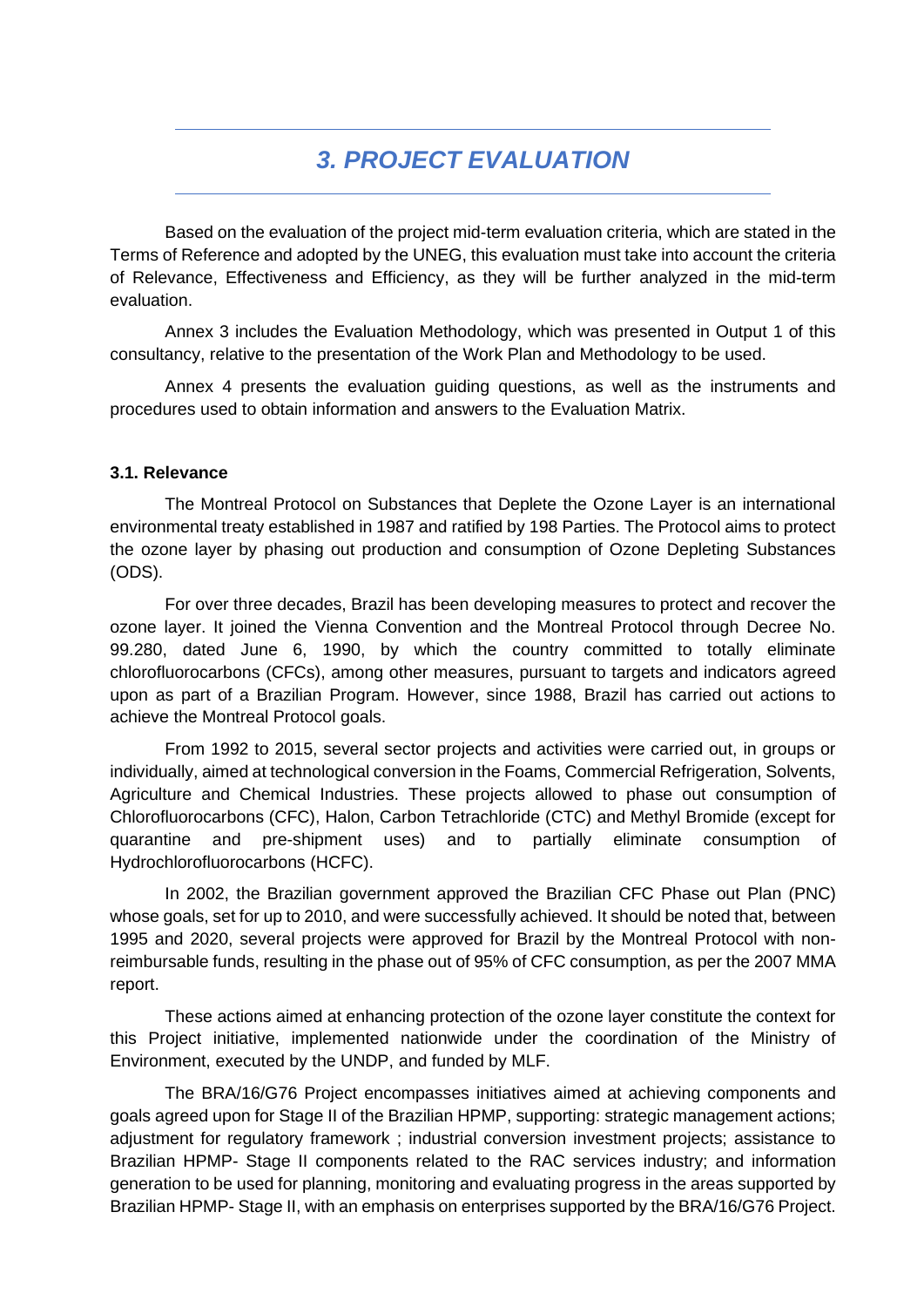# *3. PROJECT EVALUATION*

<span id="page-32-0"></span>Based on the evaluation of the project mid-term evaluation criteria, which are stated in the Terms of Reference and adopted by the UNEG, this evaluation must take into account the criteria of Relevance, Effectiveness and Efficiency, as they will be further analyzed in the mid-term evaluation.

Annex 3 includes the Evaluation Methodology, which was presented in Output 1 of this consultancy, relative to the presentation of the Work Plan and Methodology to be used.

Annex 4 presents the evaluation guiding questions, as well as the instruments and procedures used to obtain information and answers to the Evaluation Matrix.

#### <span id="page-32-1"></span>**3.1. Relevance**

The Montreal Protocol on Substances that Deplete the Ozone Layer is an international environmental treaty established in 1987 and ratified by 198 Parties. The Protocol aims to protect the ozone layer by phasing out production and consumption of Ozone Depleting Substances (ODS).

For over three decades, Brazil has been developing measures to protect and recover the ozone layer. It joined the Vienna Convention and the Montreal Protocol through Decree No. 99.280, dated June 6, 1990, by which the country committed to totally eliminate chlorofluorocarbons (CFCs), among other measures, pursuant to targets and indicators agreed upon as part of a Brazilian Program. However, since 1988, Brazil has carried out actions to achieve the Montreal Protocol goals.

From 1992 to 2015, several sector projects and activities were carried out, in groups or individually, aimed at technological conversion in the Foams, Commercial Refrigeration, Solvents, Agriculture and Chemical Industries. These projects allowed to phase out consumption of Chlorofluorocarbons (CFC), Halon, Carbon Tetrachloride (CTC) and Methyl Bromide (except for quarantine and pre-shipment uses) and to partially eliminate consumption of Hydrochlorofluorocarbons (HCFC).

In 2002, the Brazilian government approved the Brazilian CFC Phase out Plan (PNC) whose goals, set for up to 2010, and were successfully achieved. It should be noted that, between 1995 and 2020, several projects were approved for Brazil by the Montreal Protocol with nonreimbursable funds, resulting in the phase out of 95% of CFC consumption, as per the 2007 MMA report.

These actions aimed at enhancing protection of the ozone layer constitute the context for this Project initiative, implemented nationwide under the coordination of the Ministry of Environment, executed by the UNDP, and funded by MLF.

The BRA/16/G76 Project encompasses initiatives aimed at achieving components and goals agreed upon for Stage II of the Brazilian HPMP, supporting: strategic management actions; adjustment for regulatory framework ; industrial conversion investment projects; assistance to Brazilian HPMP- Stage II components related to the RAC services industry; and information generation to be used for planning, monitoring and evaluating progress in the areas supported by Brazilian HPMP- Stage II, with an emphasis on enterprises supported by the BRA/16/G76 Project.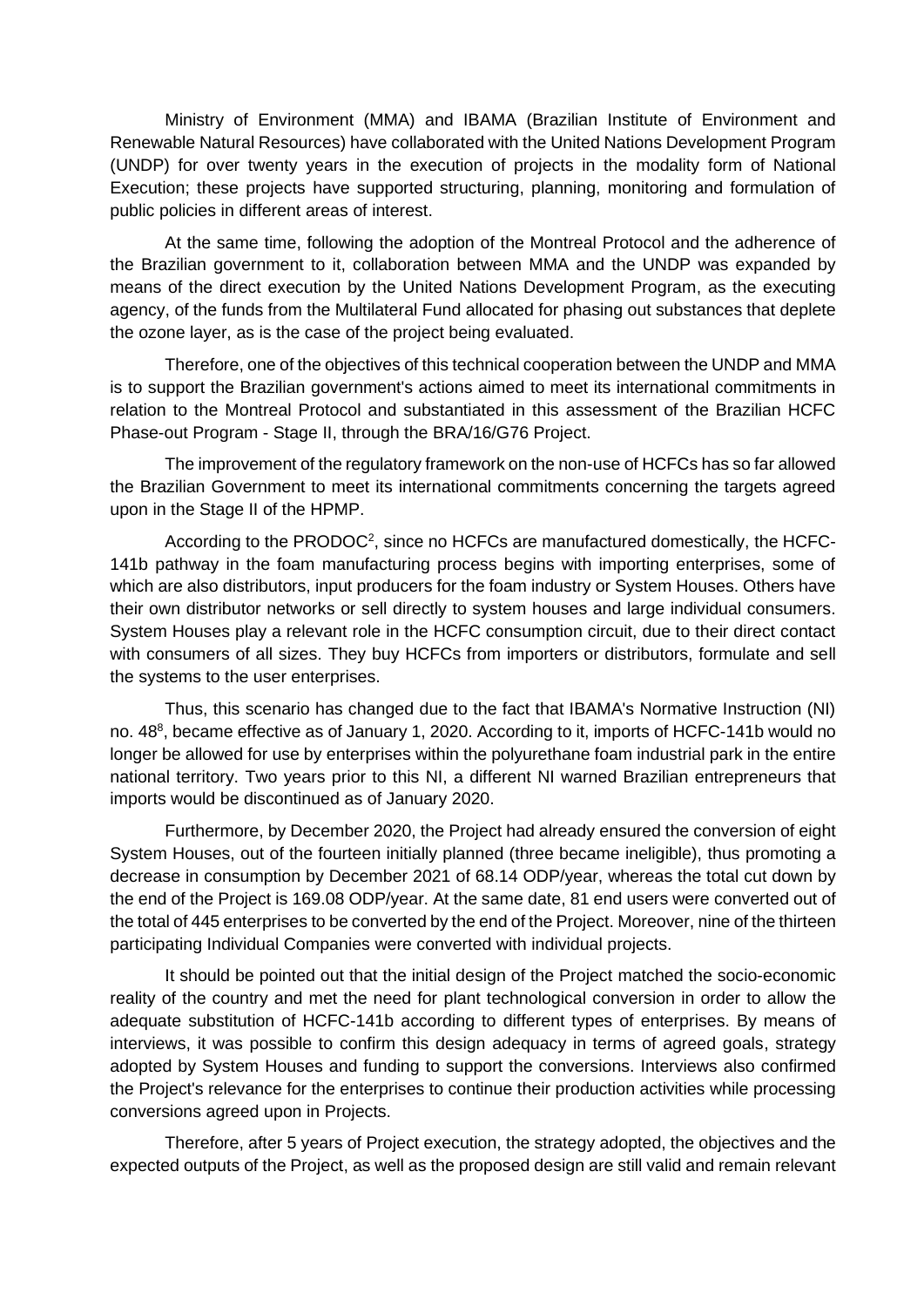Ministry of Environment (MMA) and IBAMA (Brazilian Institute of Environment and Renewable Natural Resources) have collaborated with the United Nations Development Program (UNDP) for over twenty years in the execution of projects in the modality form of National Execution; these projects have supported structuring, planning, monitoring and formulation of public policies in different areas of interest.

At the same time, following the adoption of the Montreal Protocol and the adherence of the Brazilian government to it, collaboration between MMA and the UNDP was expanded by means of the direct execution by the United Nations Development Program, as the executing agency, of the funds from the Multilateral Fund allocated for phasing out substances that deplete the ozone layer, as is the case of the project being evaluated.

Therefore, one of the objectives of this technical cooperation between the UNDP and MMA is to support the Brazilian government's actions aimed to meet its international commitments in relation to the Montreal Protocol and substantiated in this assessment of the Brazilian HCFC Phase-out Program - Stage II, through the BRA/16/G76 Project.

The improvement of the regulatory framework on the non-use of HCFCs has so far allowed the Brazilian Government to meet its international commitments concerning the targets agreed upon in the Stage II of the HPMP.

According to the PRODOC<sup>2</sup>, since no HCFCs are manufactured domestically, the HCFC-141b pathway in the foam manufacturing process begins with importing enterprises, some of which are also distributors, input producers for the foam industry or System Houses. Others have their own distributor networks or sell directly to system houses and large individual consumers. System Houses play a relevant role in the HCFC consumption circuit, due to their direct contact with consumers of all sizes. They buy HCFCs from importers or distributors, formulate and sell the systems to the user enterprises.

Thus, this scenario has changed due to the fact that IBAMA's Normative Instruction (NI) no. 48<sup>8</sup>, became effective as of January 1, 2020. According to it, imports of HCFC-141b would no longer be allowed for use by enterprises within the polyurethane foam industrial park in the entire national territory. Two years prior to this NI, a different NI warned Brazilian entrepreneurs that imports would be discontinued as of January 2020.

Furthermore, by December 2020, the Project had already ensured the conversion of eight System Houses, out of the fourteen initially planned (three became ineligible), thus promoting a decrease in consumption by December 2021 of 68.14 ODP/year, whereas the total cut down by the end of the Project is 169.08 ODP/year. At the same date, 81 end users were converted out of the total of 445 enterprises to be converted by the end of the Project. Moreover, nine of the thirteen participating Individual Companies were converted with individual projects.

It should be pointed out that the initial design of the Project matched the socio-economic reality of the country and met the need for plant technological conversion in order to allow the adequate substitution of HCFC-141b according to different types of enterprises. By means of interviews, it was possible to confirm this design adequacy in terms of agreed goals, strategy adopted by System Houses and funding to support the conversions. Interviews also confirmed the Project's relevance for the enterprises to continue their production activities while processing conversions agreed upon in Projects.

Therefore, after 5 years of Project execution, the strategy adopted, the objectives and the expected outputs of the Project, as well as the proposed design are still valid and remain relevant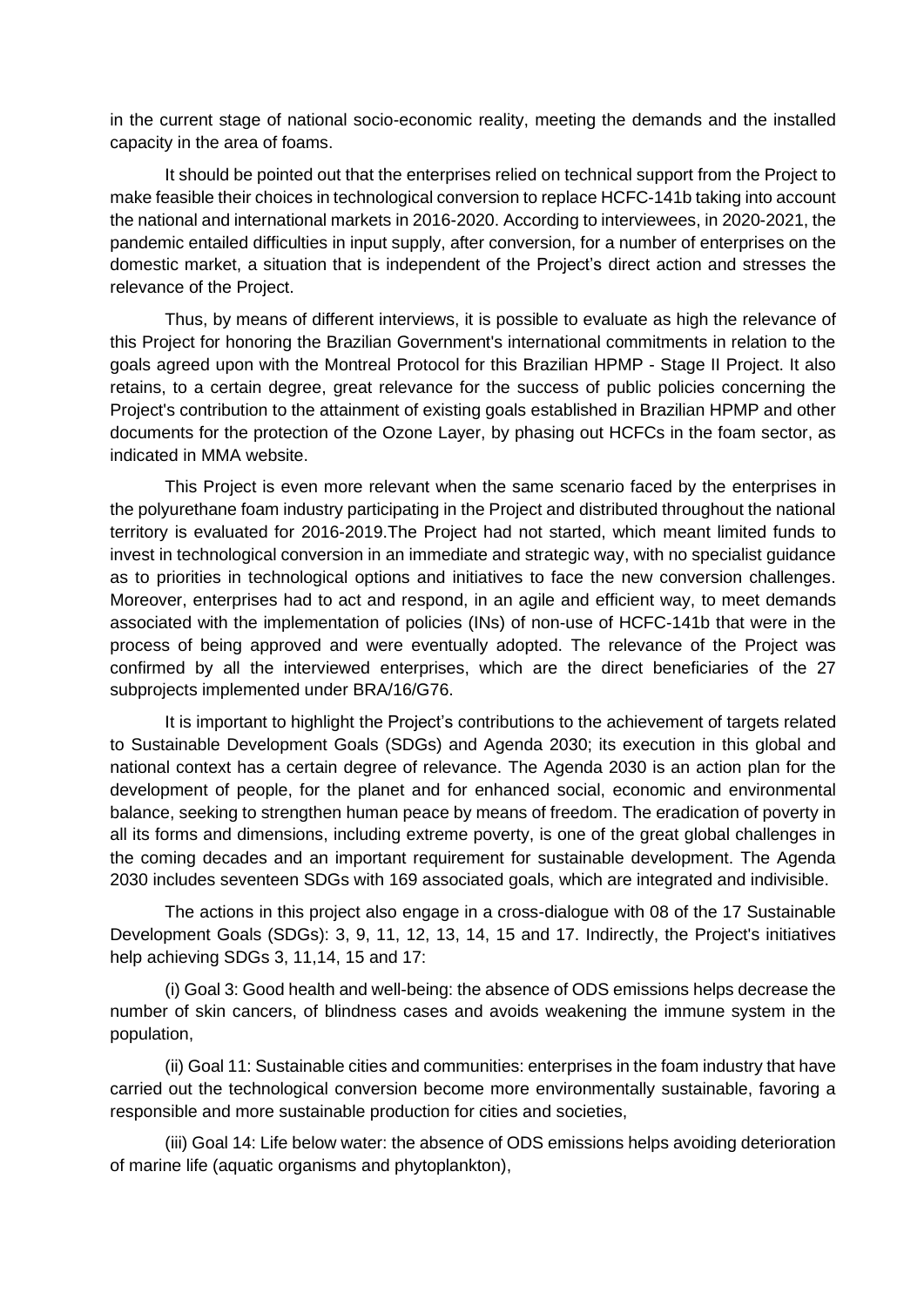in the current stage of national socio-economic reality, meeting the demands and the installed capacity in the area of foams.

It should be pointed out that the enterprises relied on technical support from the Project to make feasible their choices in technological conversion to replace HCFC-141b taking into account the national and international markets in 2016-2020. According to interviewees, in 2020-2021, the pandemic entailed difficulties in input supply, after conversion, for a number of enterprises on the domestic market, a situation that is independent of the Project's direct action and stresses the relevance of the Project.

Thus, by means of different interviews, it is possible to evaluate as high the relevance of this Project for honoring the Brazilian Government's international commitments in relation to the goals agreed upon with the Montreal Protocol for this Brazilian HPMP - Stage II Project. It also retains, to a certain degree, great relevance for the success of public policies concerning the Project's contribution to the attainment of existing goals established in Brazilian HPMP and other documents for the protection of the Ozone Layer, by phasing out HCFCs in the foam sector, as indicated in MMA website.

This Project is even more relevant when the same scenario faced by the enterprises in the polyurethane foam industry participating in the Project and distributed throughout the national territory is evaluated for 2016-2019.The Project had not started, which meant limited funds to invest in technological conversion in an immediate and strategic way, with no specialist guidance as to priorities in technological options and initiatives to face the new conversion challenges. Moreover, enterprises had to act and respond, in an agile and efficient way, to meet demands associated with the implementation of policies (INs) of non-use of HCFC-141b that were in the process of being approved and were eventually adopted. The relevance of the Project was confirmed by all the interviewed enterprises, which are the direct beneficiaries of the 27 subprojects implemented under BRA/16/G76.

It is important to highlight the Project's contributions to the achievement of targets related to Sustainable Development Goals (SDGs) and Agenda 2030; its execution in this global and national context has a certain degree of relevance. The Agenda 2030 is an action plan for the development of people, for the planet and for enhanced social, economic and environmental balance, seeking to strengthen human peace by means of freedom. The eradication of poverty in all its forms and dimensions, including extreme poverty, is one of the great global challenges in the coming decades and an important requirement for sustainable development. The Agenda 2030 includes seventeen SDGs with 169 associated goals, which are integrated and indivisible.

The actions in this project also engage in a cross-dialogue with 08 of the 17 Sustainable Development Goals (SDGs): 3, 9, 11, 12, 13, 14, 15 and 17. Indirectly, the Project's initiatives help achieving SDGs 3, 11,14, 15 and 17:

(i) Goal 3: Good health and well-being: the absence of ODS emissions helps decrease the number of skin cancers, of blindness cases and avoids weakening the immune system in the population,

(ii) Goal 11: Sustainable cities and communities: enterprises in the foam industry that have carried out the technological conversion become more environmentally sustainable, favoring a responsible and more sustainable production for cities and societies,

(iii) Goal 14: Life below water: the absence of ODS emissions helps avoiding deterioration of marine life (aquatic organisms and phytoplankton),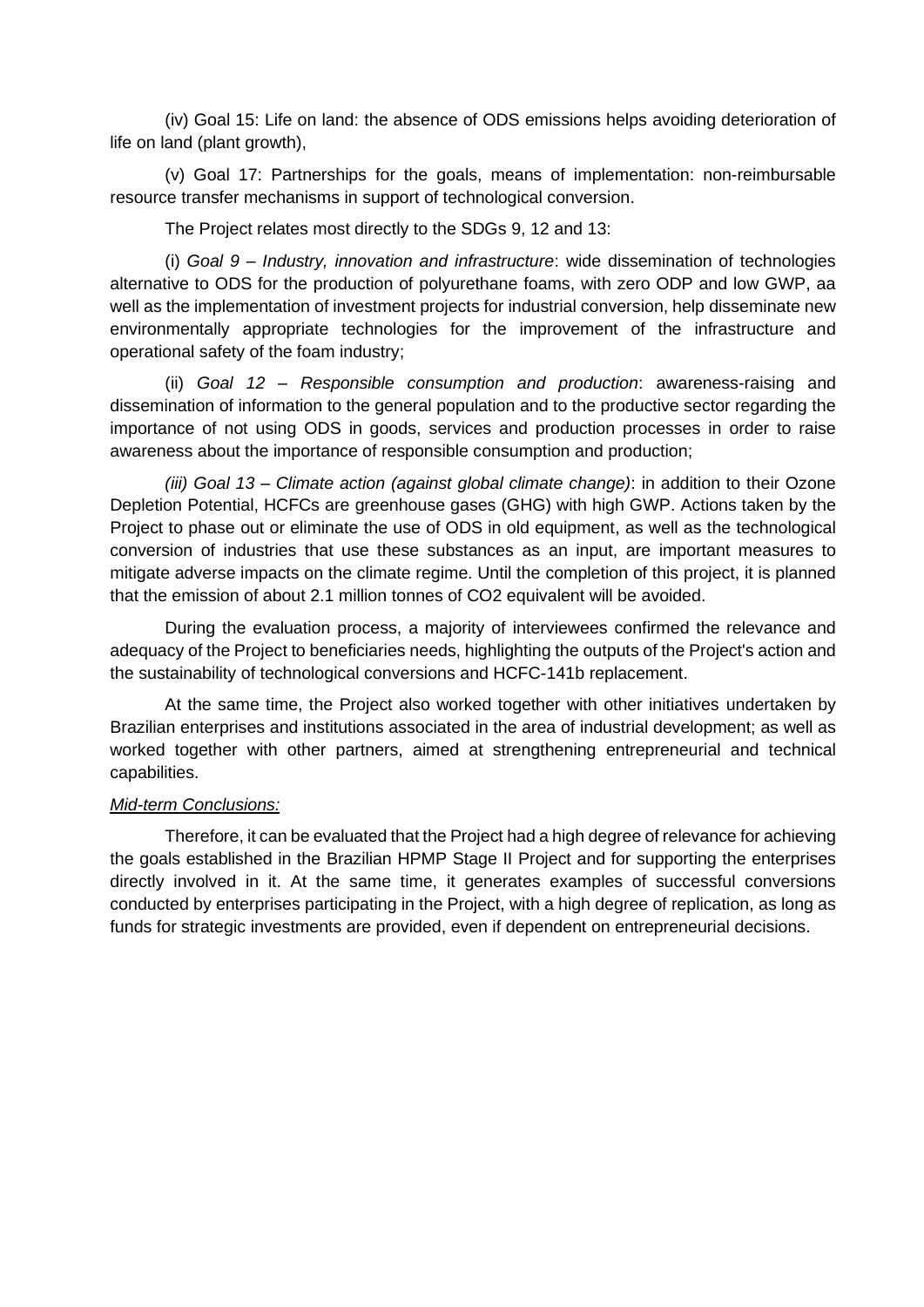(iv) Goal 15: Life on land: the absence of ODS emissions helps avoiding deterioration of life on land (plant growth),

(v) Goal 17: Partnerships for the goals, means of implementation: non-reimbursable resource transfer mechanisms in support of technological conversion.

The Project relates most directly to the SDGs 9, 12 and 13:

(i) *Goal 9 – Industry, innovation and infrastructure*: wide dissemination of technologies alternative to ODS for the production of polyurethane foams, with zero ODP and low GWP, aa well as the implementation of investment projects for industrial conversion, help disseminate new environmentally appropriate technologies for the improvement of the infrastructure and operational safety of the foam industry;

(ii) *Goal 12 – Responsible consumption and production*: awareness-raising and dissemination of information to the general population and to the productive sector regarding the importance of not using ODS in goods, services and production processes in order to raise awareness about the importance of responsible consumption and production;

*(iii) Goal 13 – Climate action (against global climate change)*: in addition to their Ozone Depletion Potential, HCFCs are greenhouse gases (GHG) with high GWP. Actions taken by the Project to phase out or eliminate the use of ODS in old equipment, as well as the technological conversion of industries that use these substances as an input, are important measures to mitigate adverse impacts on the climate regime. Until the completion of this project, it is planned that the emission of about 2.1 million tonnes of CO2 equivalent will be avoided.

During the evaluation process, a majority of interviewees confirmed the relevance and adequacy of the Project to beneficiaries needs, highlighting the outputs of the Project's action and the sustainability of technological conversions and HCFC-141b replacement.

At the same time, the Project also worked together with other initiatives undertaken by Brazilian enterprises and institutions associated in the area of industrial development; as well as worked together with other partners, aimed at strengthening entrepreneurial and technical capabilities.

#### *Mid-term Conclusions:*

Therefore, it can be evaluated that the Project had a high degree of relevance for achieving the goals established in the Brazilian HPMP Stage II Project and for supporting the enterprises directly involved in it. At the same time, it generates examples of successful conversions conducted by enterprises participating in the Project, with a high degree of replication, as long as funds for strategic investments are provided, even if dependent on entrepreneurial decisions.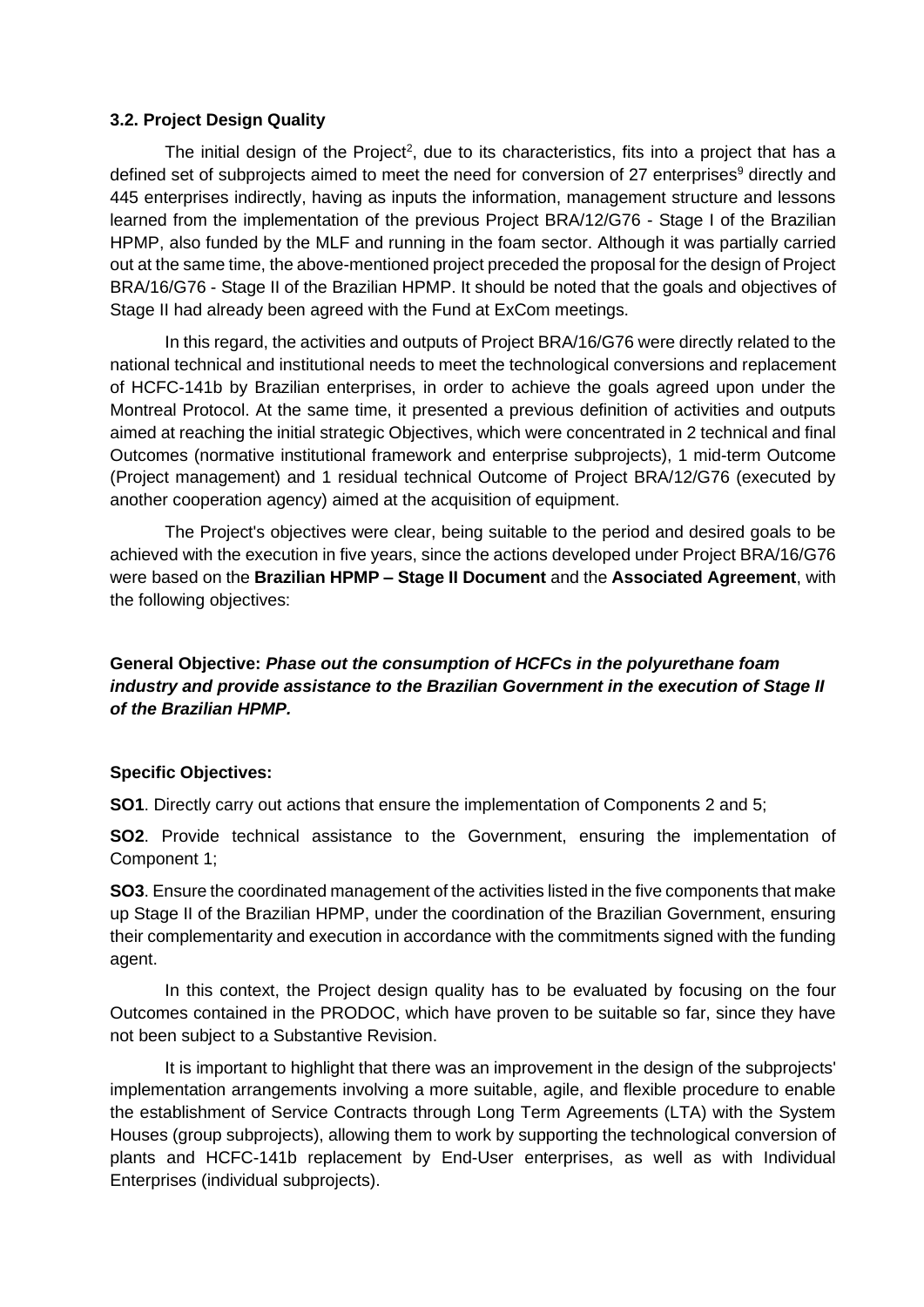### **3.2. Project Design Quality**

The initial design of the Project<sup>2</sup>, due to its characteristics, fits into a project that has a defined set of subprojects aimed to meet the need for conversion of 27 enterprises<sup>9</sup> directly and 445 enterprises indirectly, having as inputs the information, management structure and lessons learned from the implementation of the previous Project BRA/12/G76 - Stage I of the Brazilian HPMP, also funded by the MLF and running in the foam sector. Although it was partially carried out at the same time, the above-mentioned project preceded the proposal for the design of Project BRA/16/G76 - Stage II of the Brazilian HPMP. It should be noted that the goals and objectives of Stage II had already been agreed with the Fund at ExCom meetings.

In this regard, the activities and outputs of Project BRA/16/G76 were directly related to the national technical and institutional needs to meet the technological conversions and replacement of HCFC-141b by Brazilian enterprises, in order to achieve the goals agreed upon under the Montreal Protocol. At the same time, it presented a previous definition of activities and outputs aimed at reaching the initial strategic Objectives, which were concentrated in 2 technical and final Outcomes (normative institutional framework and enterprise subprojects), 1 mid-term Outcome (Project management) and 1 residual technical Outcome of Project BRA/12/G76 (executed by another cooperation agency) aimed at the acquisition of equipment.

The Project's objectives were clear, being suitable to the period and desired goals to be achieved with the execution in five years, since the actions developed under Project BRA/16/G76 were based on the **Brazilian HPMP – Stage II Document** and the **Associated Agreement**, with the following objectives:

**General Objective:** *Phase out the consumption of HCFCs in the polyurethane foam industry and provide assistance to the Brazilian Government in the execution of Stage II of the Brazilian HPMP.*

### **Specific Objectives:**

**SO1**. Directly carry out actions that ensure the implementation of Components 2 and 5;

**SO2**. Provide technical assistance to the Government, ensuring the implementation of Component 1;

**SO3**. Ensure the coordinated management of the activities listed in the five components that make up Stage II of the Brazilian HPMP, under the coordination of the Brazilian Government, ensuring their complementarity and execution in accordance with the commitments signed with the funding agent.

In this context, the Project design quality has to be evaluated by focusing on the four Outcomes contained in the PRODOC, which have proven to be suitable so far, since they have not been subject to a Substantive Revision.

It is important to highlight that there was an improvement in the design of the subprojects' implementation arrangements involving a more suitable, agile, and flexible procedure to enable the establishment of Service Contracts through Long Term Agreements (LTA) with the System Houses (group subprojects), allowing them to work by supporting the technological conversion of plants and HCFC-141b replacement by End-User enterprises, as well as with Individual Enterprises (individual subprojects).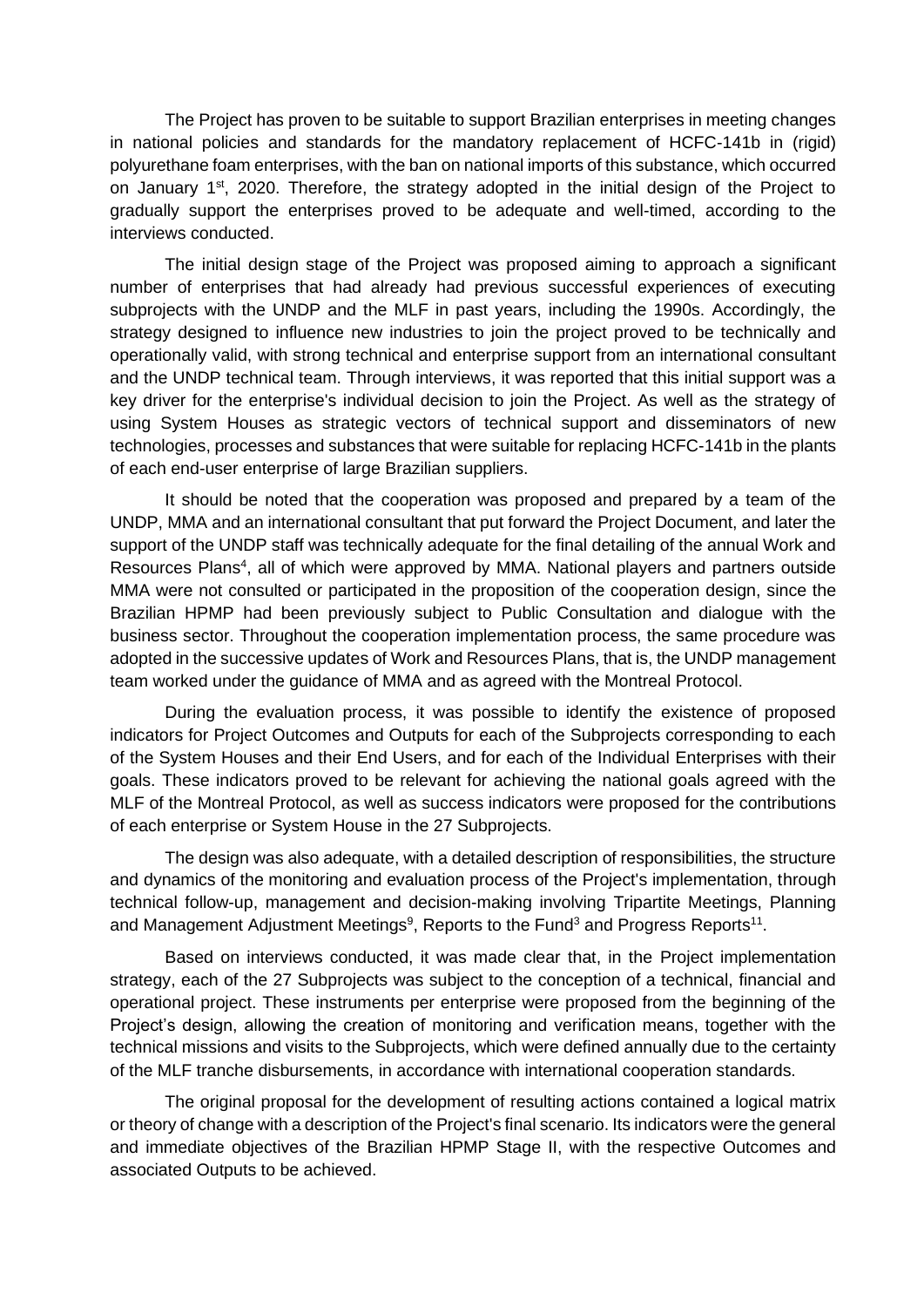The Project has proven to be suitable to support Brazilian enterprises in meeting changes in national policies and standards for the mandatory replacement of HCFC-141b in (rigid) polyurethane foam enterprises, with the ban on national imports of this substance, which occurred on January 1<sup>st</sup>, 2020. Therefore, the strategy adopted in the initial design of the Project to gradually support the enterprises proved to be adequate and well-timed, according to the interviews conducted.

The initial design stage of the Project was proposed aiming to approach a significant number of enterprises that had already had previous successful experiences of executing subprojects with the UNDP and the MLF in past years, including the 1990s. Accordingly, the strategy designed to influence new industries to join the project proved to be technically and operationally valid, with strong technical and enterprise support from an international consultant and the UNDP technical team. Through interviews, it was reported that this initial support was a key driver for the enterprise's individual decision to join the Project. As well as the strategy of using System Houses as strategic vectors of technical support and disseminators of new technologies, processes and substances that were suitable for replacing HCFC-141b in the plants of each end-user enterprise of large Brazilian suppliers.

It should be noted that the cooperation was proposed and prepared by a team of the UNDP, MMA and an international consultant that put forward the Project Document, and later the support of the UNDP staff was technically adequate for the final detailing of the annual Work and Resources Plans<sup>4</sup>, all of which were approved by MMA. National players and partners outside MMA were not consulted or participated in the proposition of the cooperation design, since the Brazilian HPMP had been previously subject to Public Consultation and dialogue with the business sector. Throughout the cooperation implementation process, the same procedure was adopted in the successive updates of Work and Resources Plans, that is, the UNDP management team worked under the guidance of MMA and as agreed with the Montreal Protocol.

During the evaluation process, it was possible to identify the existence of proposed indicators for Project Outcomes and Outputs for each of the Subprojects corresponding to each of the System Houses and their End Users, and for each of the Individual Enterprises with their goals. These indicators proved to be relevant for achieving the national goals agreed with the MLF of the Montreal Protocol, as well as success indicators were proposed for the contributions of each enterprise or System House in the 27 Subprojects.

The design was also adequate, with a detailed description of responsibilities, the structure and dynamics of the monitoring and evaluation process of the Project's implementation, through technical follow-up, management and decision-making involving Tripartite Meetings, Planning and Management Adjustment Meetings<sup>9</sup>, Reports to the Fund<sup>3</sup> and Progress Reports<sup>11</sup>.

Based on interviews conducted, it was made clear that, in the Project implementation strategy, each of the 27 Subprojects was subject to the conception of a technical, financial and operational project. These instruments per enterprise were proposed from the beginning of the Project's design, allowing the creation of monitoring and verification means, together with the technical missions and visits to the Subprojects, which were defined annually due to the certainty of the MLF tranche disbursements, in accordance with international cooperation standards.

The original proposal for the development of resulting actions contained a logical matrix or theory of change with a description of the Project's final scenario. Its indicators were the general and immediate objectives of the Brazilian HPMP Stage II, with the respective Outcomes and associated Outputs to be achieved.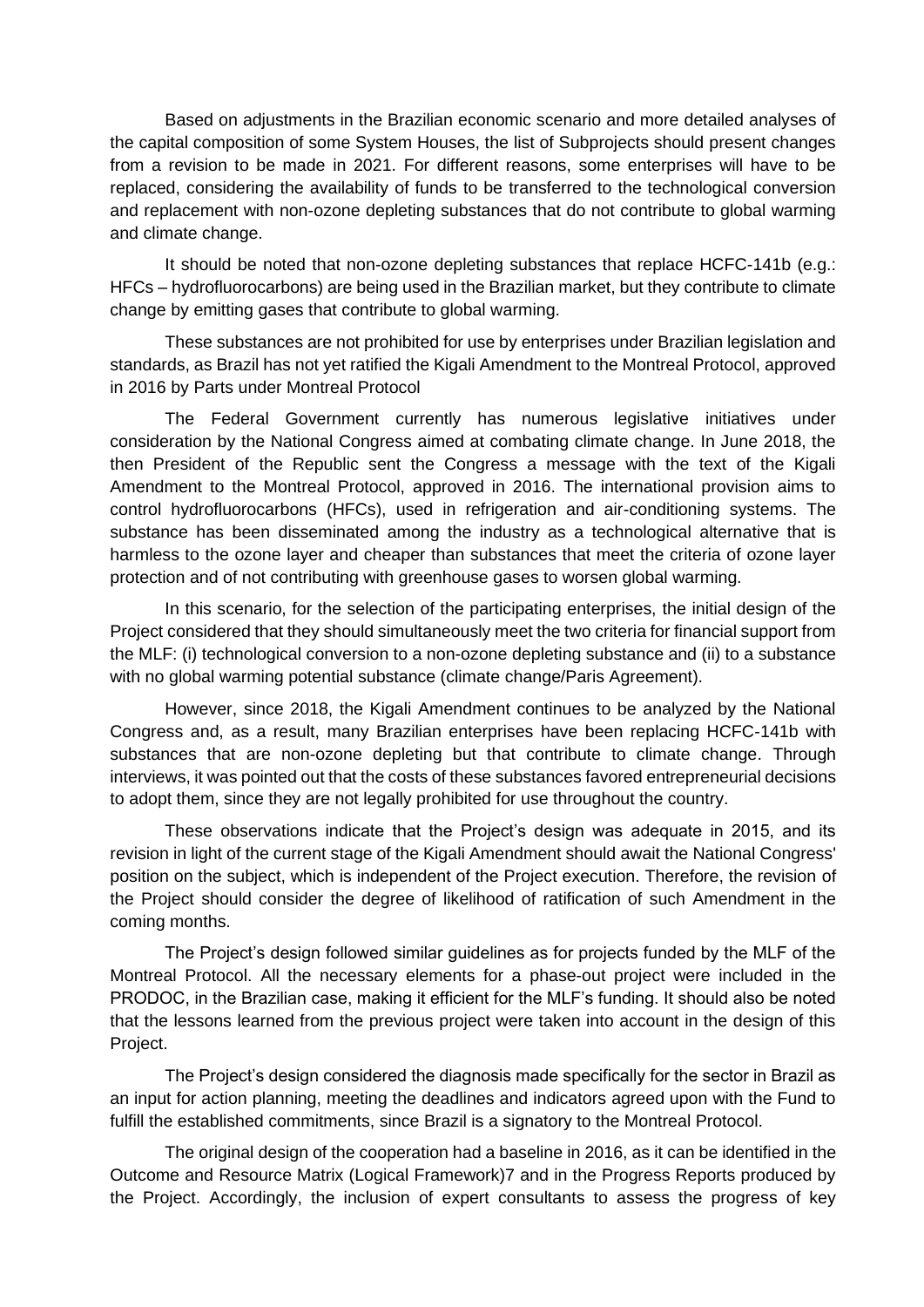Based on adjustments in the Brazilian economic scenario and more detailed analyses of the capital composition of some System Houses, the list of Subprojects should present changes from a revision to be made in 2021. For different reasons, some enterprises will have to be replaced, considering the availability of funds to be transferred to the technological conversion and replacement with non-ozone depleting substances that do not contribute to global warming and climate change.

It should be noted that non-ozone depleting substances that replace HCFC-141b (e.g.: HFCs – hydrofluorocarbons) are being used in the Brazilian market, but they contribute to climate change by emitting gases that contribute to global warming.

These substances are not prohibited for use by enterprises under Brazilian legislation and standards, as Brazil has not yet ratified the Kigali Amendment to the Montreal Protocol, approved in 2016 by Parts under Montreal Protocol

The Federal Government currently has numerous legislative initiatives under consideration by the National Congress aimed at combating climate change. In June 2018, the then President of the Republic sent the Congress a message with the text of the Kigali Amendment to the Montreal Protocol, approved in 2016. The international provision aims to control hydrofluorocarbons (HFCs), used in refrigeration and air-conditioning systems. The substance has been disseminated among the industry as a technological alternative that is harmless to the ozone layer and cheaper than substances that meet the criteria of ozone layer protection and of not contributing with greenhouse gases to worsen global warming.

In this scenario, for the selection of the participating enterprises, the initial design of the Project considered that they should simultaneously meet the two criteria for financial support from the MLF: (i) technological conversion to a non-ozone depleting substance and (ii) to a substance with no global warming potential substance (climate change/Paris Agreement).

However, since 2018, the Kigali Amendment continues to be analyzed by the National Congress and, as a result, many Brazilian enterprises have been replacing HCFC-141b with substances that are non-ozone depleting but that contribute to climate change. Through interviews, it was pointed out that the costs of these substances favored entrepreneurial decisions to adopt them, since they are not legally prohibited for use throughout the country.

These observations indicate that the Project's design was adequate in 2015, and its revision in light of the current stage of the Kigali Amendment should await the National Congress' position on the subject, which is independent of the Project execution. Therefore, the revision of the Project should consider the degree of likelihood of ratification of such Amendment in the coming months.

The Project's design followed similar guidelines as for projects funded by the MLF of the Montreal Protocol. All the necessary elements for a phase-out project were included in the PRODOC, in the Brazilian case, making it efficient for the MLF's funding. It should also be noted that the lessons learned from the previous project were taken into account in the design of this Project.

The Project's design considered the diagnosis made specifically for the sector in Brazil as an input for action planning, meeting the deadlines and indicators agreed upon with the Fund to fulfill the established commitments, since Brazil is a signatory to the Montreal Protocol.

The original design of the cooperation had a baseline in 2016, as it can be identified in the Outcome and Resource Matrix (Logical Framework)7 and in the Progress Reports produced by the Project. Accordingly, the inclusion of expert consultants to assess the progress of key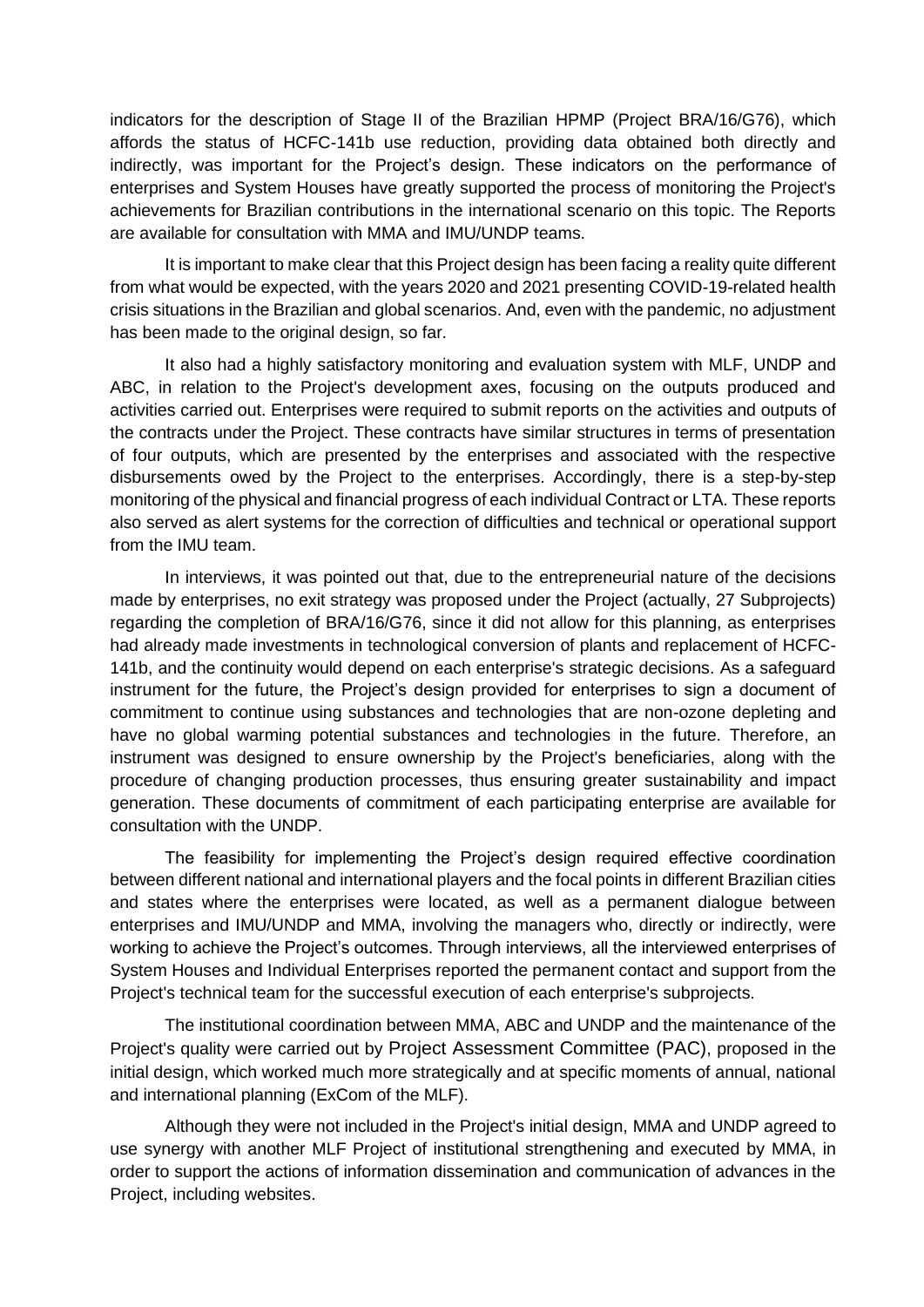indicators for the description of Stage II of the Brazilian HPMP (Project BRA/16/G76), which affords the status of HCFC-141b use reduction, providing data obtained both directly and indirectly, was important for the Project's design. These indicators on the performance of enterprises and System Houses have greatly supported the process of monitoring the Project's achievements for Brazilian contributions in the international scenario on this topic. The Reports are available for consultation with MMA and IMU/UNDP teams.

It is important to make clear that this Project design has been facing a reality quite different from what would be expected, with the years 2020 and 2021 presenting COVID-19-related health crisis situations in the Brazilian and global scenarios. And, even with the pandemic, no adjustment has been made to the original design, so far.

It also had a highly satisfactory monitoring and evaluation system with MLF, UNDP and ABC, in relation to the Project's development axes, focusing on the outputs produced and activities carried out. Enterprises were required to submit reports on the activities and outputs of the contracts under the Project. These contracts have similar structures in terms of presentation of four outputs, which are presented by the enterprises and associated with the respective disbursements owed by the Project to the enterprises. Accordingly, there is a step-by-step monitoring of the physical and financial progress of each individual Contract or LTA. These reports also served as alert systems for the correction of difficulties and technical or operational support from the IMU team.

In interviews, it was pointed out that, due to the entrepreneurial nature of the decisions made by enterprises, no exit strategy was proposed under the Project (actually, 27 Subprojects) regarding the completion of BRA/16/G76, since it did not allow for this planning, as enterprises had already made investments in technological conversion of plants and replacement of HCFC-141b, and the continuity would depend on each enterprise's strategic decisions. As a safeguard instrument for the future, the Project's design provided for enterprises to sign a document of commitment to continue using substances and technologies that are non-ozone depleting and have no global warming potential substances and technologies in the future. Therefore, an instrument was designed to ensure ownership by the Project's beneficiaries, along with the procedure of changing production processes, thus ensuring greater sustainability and impact generation. These documents of commitment of each participating enterprise are available for consultation with the UNDP.

The feasibility for implementing the Project's design required effective coordination between different national and international players and the focal points in different Brazilian cities and states where the enterprises were located, as well as a permanent dialogue between enterprises and IMU/UNDP and MMA, involving the managers who, directly or indirectly, were working to achieve the Project's outcomes. Through interviews, all the interviewed enterprises of System Houses and Individual Enterprises reported the permanent contact and support from the Project's technical team for the successful execution of each enterprise's subprojects.

The institutional coordination between MMA, ABC and UNDP and the maintenance of the Project's quality were carried out by Project Assessment Committee (PAC), proposed in the initial design, which worked much more strategically and at specific moments of annual, national and international planning (ExCom of the MLF).

Although they were not included in the Project's initial design, MMA and UNDP agreed to use synergy with another MLF Project of institutional strengthening and executed by MMA, in order to support the actions of information dissemination and communication of advances in the Project, including websites.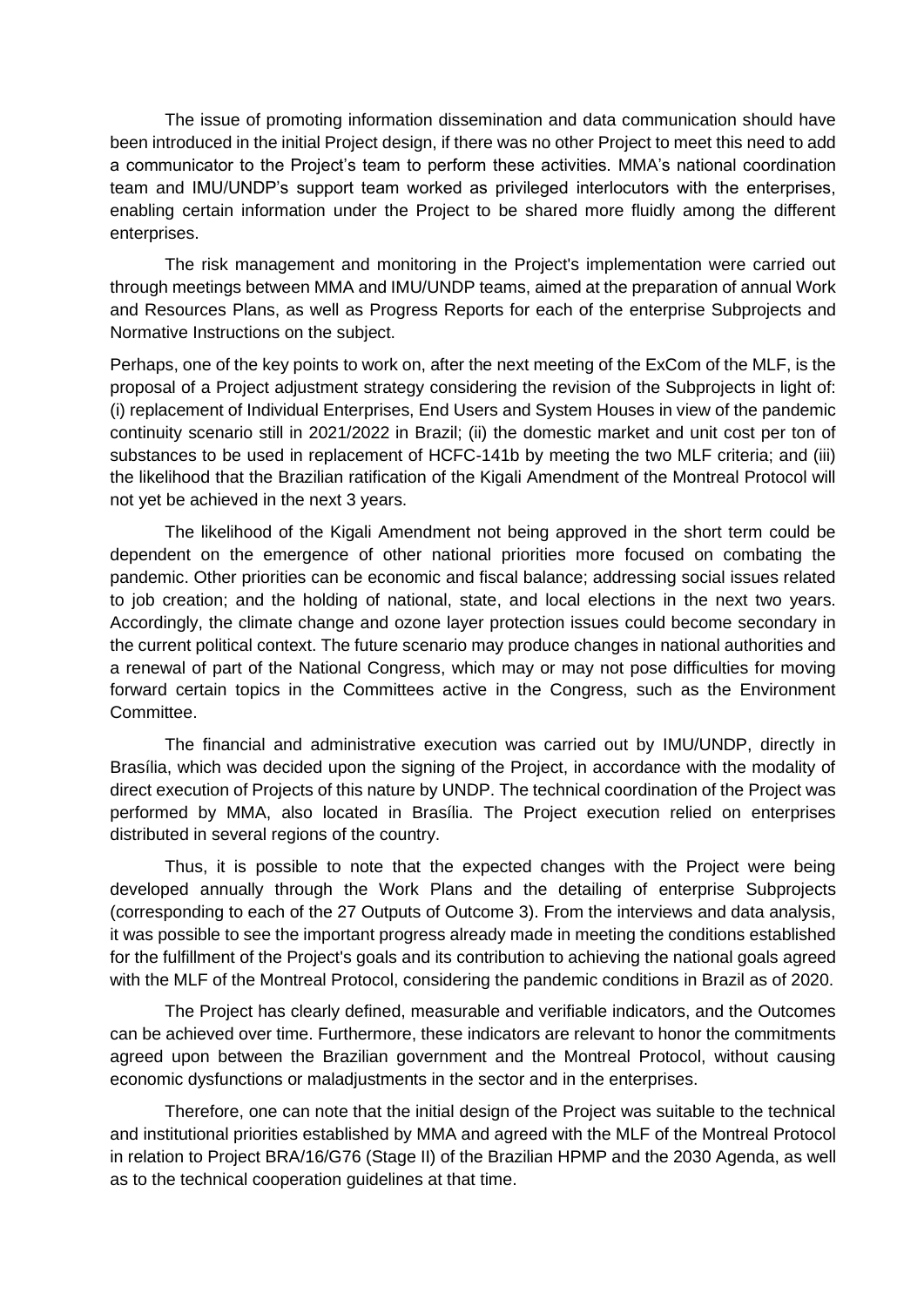The issue of promoting information dissemination and data communication should have been introduced in the initial Project design, if there was no other Project to meet this need to add a communicator to the Project's team to perform these activities. MMA's national coordination team and IMU/UNDP's support team worked as privileged interlocutors with the enterprises, enabling certain information under the Project to be shared more fluidly among the different enterprises.

The risk management and monitoring in the Project's implementation were carried out through meetings between MMA and IMU/UNDP teams, aimed at the preparation of annual Work and Resources Plans, as well as Progress Reports for each of the enterprise Subprojects and Normative Instructions on the subject.

Perhaps, one of the key points to work on, after the next meeting of the ExCom of the MLF, is the proposal of a Project adjustment strategy considering the revision of the Subprojects in light of: (i) replacement of Individual Enterprises, End Users and System Houses in view of the pandemic continuity scenario still in 2021/2022 in Brazil; (ii) the domestic market and unit cost per ton of substances to be used in replacement of HCFC-141b by meeting the two MLF criteria; and (iii) the likelihood that the Brazilian ratification of the Kigali Amendment of the Montreal Protocol will not yet be achieved in the next 3 years.

The likelihood of the Kigali Amendment not being approved in the short term could be dependent on the emergence of other national priorities more focused on combating the pandemic. Other priorities can be economic and fiscal balance; addressing social issues related to job creation; and the holding of national, state, and local elections in the next two years. Accordingly, the climate change and ozone layer protection issues could become secondary in the current political context. The future scenario may produce changes in national authorities and a renewal of part of the National Congress, which may or may not pose difficulties for moving forward certain topics in the Committees active in the Congress, such as the Environment Committee.

The financial and administrative execution was carried out by IMU/UNDP, directly in Brasília, which was decided upon the signing of the Project, in accordance with the modality of direct execution of Projects of this nature by UNDP. The technical coordination of the Project was performed by MMA, also located in Brasília. The Project execution relied on enterprises distributed in several regions of the country.

Thus, it is possible to note that the expected changes with the Project were being developed annually through the Work Plans and the detailing of enterprise Subprojects (corresponding to each of the 27 Outputs of Outcome 3). From the interviews and data analysis, it was possible to see the important progress already made in meeting the conditions established for the fulfillment of the Project's goals and its contribution to achieving the national goals agreed with the MLF of the Montreal Protocol, considering the pandemic conditions in Brazil as of 2020.

The Project has clearly defined, measurable and verifiable indicators, and the Outcomes can be achieved over time. Furthermore, these indicators are relevant to honor the commitments agreed upon between the Brazilian government and the Montreal Protocol, without causing economic dysfunctions or maladjustments in the sector and in the enterprises.

Therefore, one can note that the initial design of the Project was suitable to the technical and institutional priorities established by MMA and agreed with the MLF of the Montreal Protocol in relation to Project BRA/16/G76 (Stage II) of the Brazilian HPMP and the 2030 Agenda, as well as to the technical cooperation guidelines at that time.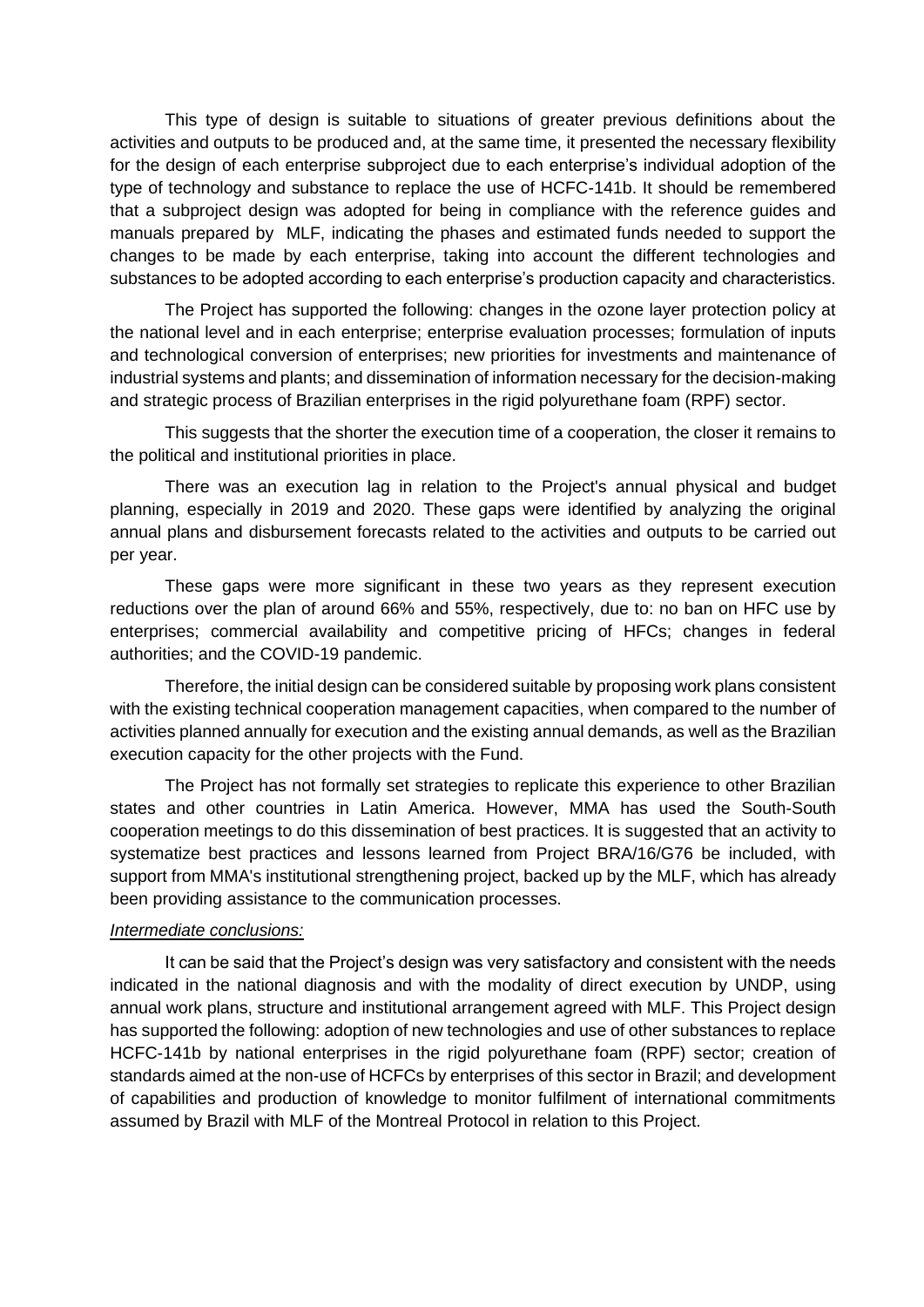This type of design is suitable to situations of greater previous definitions about the activities and outputs to be produced and, at the same time, it presented the necessary flexibility for the design of each enterprise subproject due to each enterprise's individual adoption of the type of technology and substance to replace the use of HCFC-141b. It should be remembered that a subproject design was adopted for being in compliance with the reference guides and manuals prepared by MLF, indicating the phases and estimated funds needed to support the changes to be made by each enterprise, taking into account the different technologies and substances to be adopted according to each enterprise's production capacity and characteristics.

The Project has supported the following: changes in the ozone layer protection policy at the national level and in each enterprise; enterprise evaluation processes; formulation of inputs and technological conversion of enterprises; new priorities for investments and maintenance of industrial systems and plants; and dissemination of information necessary for the decision-making and strategic process of Brazilian enterprises in the rigid polyurethane foam (RPF) sector.

This suggests that the shorter the execution time of a cooperation, the closer it remains to the political and institutional priorities in place.

There was an execution lag in relation to the Project's annual physical and budget planning, especially in 2019 and 2020. These gaps were identified by analyzing the original annual plans and disbursement forecasts related to the activities and outputs to be carried out per year.

These gaps were more significant in these two years as they represent execution reductions over the plan of around 66% and 55%, respectively, due to: no ban on HFC use by enterprises; commercial availability and competitive pricing of HFCs; changes in federal authorities; and the COVID-19 pandemic.

Therefore, the initial design can be considered suitable by proposing work plans consistent with the existing technical cooperation management capacities, when compared to the number of activities planned annually for execution and the existing annual demands, as well as the Brazilian execution capacity for the other projects with the Fund.

The Project has not formally set strategies to replicate this experience to other Brazilian states and other countries in Latin America. However, MMA has used the South-South cooperation meetings to do this dissemination of best practices. It is suggested that an activity to systematize best practices and lessons learned from Project BRA/16/G76 be included, with support from MMA's institutional strengthening project, backed up by the MLF, which has already been providing assistance to the communication processes.

#### *Intermediate conclusions:*

It can be said that the Project's design was very satisfactory and consistent with the needs indicated in the national diagnosis and with the modality of direct execution by UNDP, using annual work plans, structure and institutional arrangement agreed with MLF. This Project design has supported the following: adoption of new technologies and use of other substances to replace HCFC-141b by national enterprises in the rigid polyurethane foam (RPF) sector; creation of standards aimed at the non-use of HCFCs by enterprises of this sector in Brazil; and development of capabilities and production of knowledge to monitor fulfilment of international commitments assumed by Brazil with MLF of the Montreal Protocol in relation to this Project.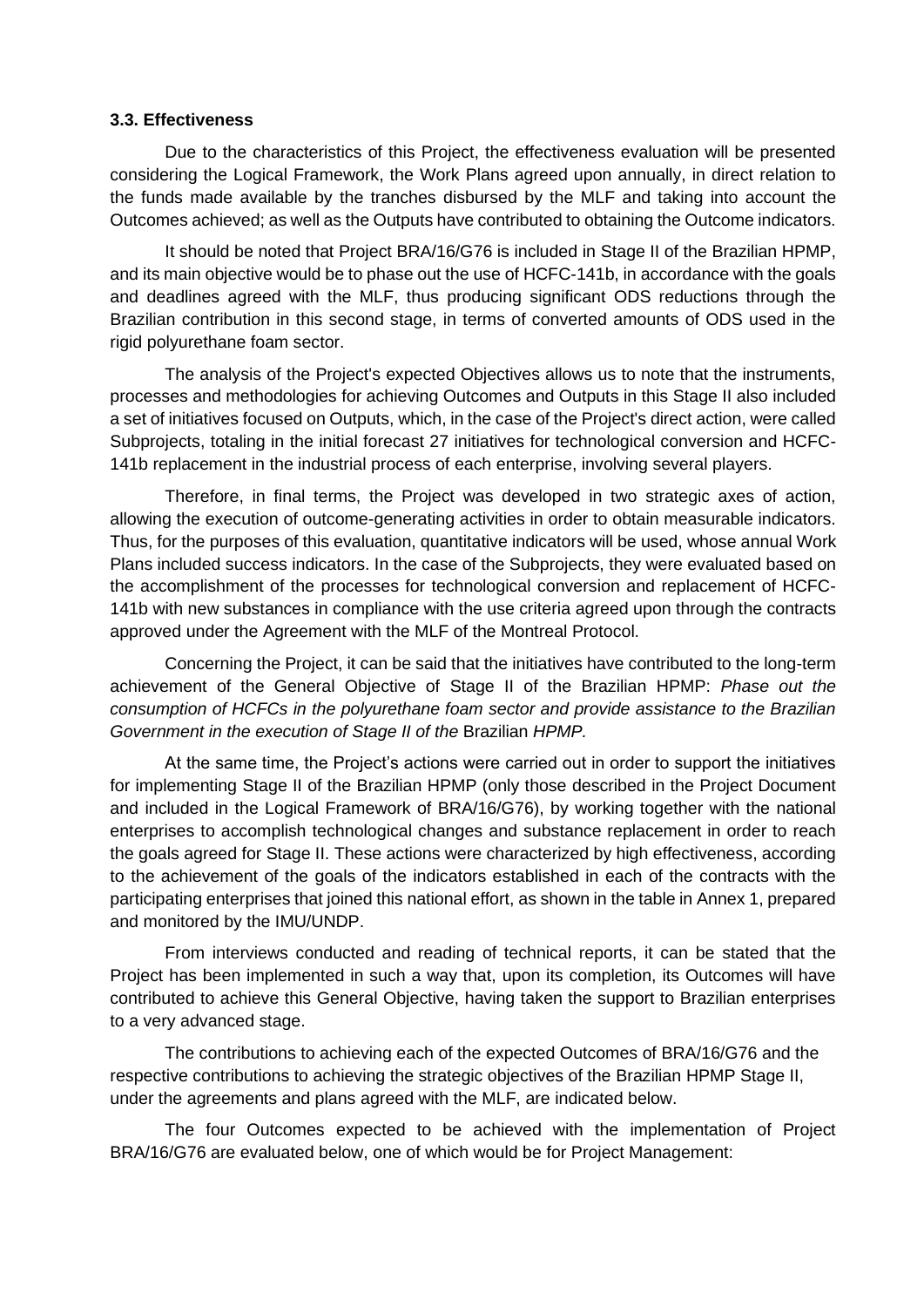#### **3.3. Effectiveness**

Due to the characteristics of this Project, the effectiveness evaluation will be presented considering the Logical Framework, the Work Plans agreed upon annually, in direct relation to the funds made available by the tranches disbursed by the MLF and taking into account the Outcomes achieved; as well as the Outputs have contributed to obtaining the Outcome indicators.

It should be noted that Project BRA/16/G76 is included in Stage II of the Brazilian HPMP, and its main objective would be to phase out the use of HCFC-141b, in accordance with the goals and deadlines agreed with the MLF, thus producing significant ODS reductions through the Brazilian contribution in this second stage, in terms of converted amounts of ODS used in the rigid polyurethane foam sector.

The analysis of the Project's expected Objectives allows us to note that the instruments, processes and methodologies for achieving Outcomes and Outputs in this Stage II also included a set of initiatives focused on Outputs, which, in the case of the Project's direct action, were called Subprojects, totaling in the initial forecast 27 initiatives for technological conversion and HCFC-141b replacement in the industrial process of each enterprise, involving several players.

Therefore, in final terms, the Project was developed in two strategic axes of action, allowing the execution of outcome-generating activities in order to obtain measurable indicators. Thus, for the purposes of this evaluation, quantitative indicators will be used, whose annual Work Plans included success indicators. In the case of the Subprojects, they were evaluated based on the accomplishment of the processes for technological conversion and replacement of HCFC-141b with new substances in compliance with the use criteria agreed upon through the contracts approved under the Agreement with the MLF of the Montreal Protocol.

Concerning the Project, it can be said that the initiatives have contributed to the long-term achievement of the General Objective of Stage II of the Brazilian HPMP: *Phase out the consumption of HCFCs in the polyurethane foam sector and provide assistance to the Brazilian Government in the execution of Stage II of the* Brazilian *HPMP.*

At the same time, the Project's actions were carried out in order to support the initiatives for implementing Stage II of the Brazilian HPMP (only those described in the Project Document and included in the Logical Framework of BRA/16/G76), by working together with the national enterprises to accomplish technological changes and substance replacement in order to reach the goals agreed for Stage II. These actions were characterized by high effectiveness, according to the achievement of the goals of the indicators established in each of the contracts with the participating enterprises that joined this national effort, as shown in the table in Annex 1, prepared and monitored by the IMU/UNDP.

From interviews conducted and reading of technical reports, it can be stated that the Project has been implemented in such a way that, upon its completion, its Outcomes will have contributed to achieve this General Objective, having taken the support to Brazilian enterprises to a very advanced stage.

The contributions to achieving each of the expected Outcomes of BRA/16/G76 and the respective contributions to achieving the strategic objectives of the Brazilian HPMP Stage II, under the agreements and plans agreed with the MLF, are indicated below.

The four Outcomes expected to be achieved with the implementation of Project BRA/16/G76 are evaluated below, one of which would be for Project Management: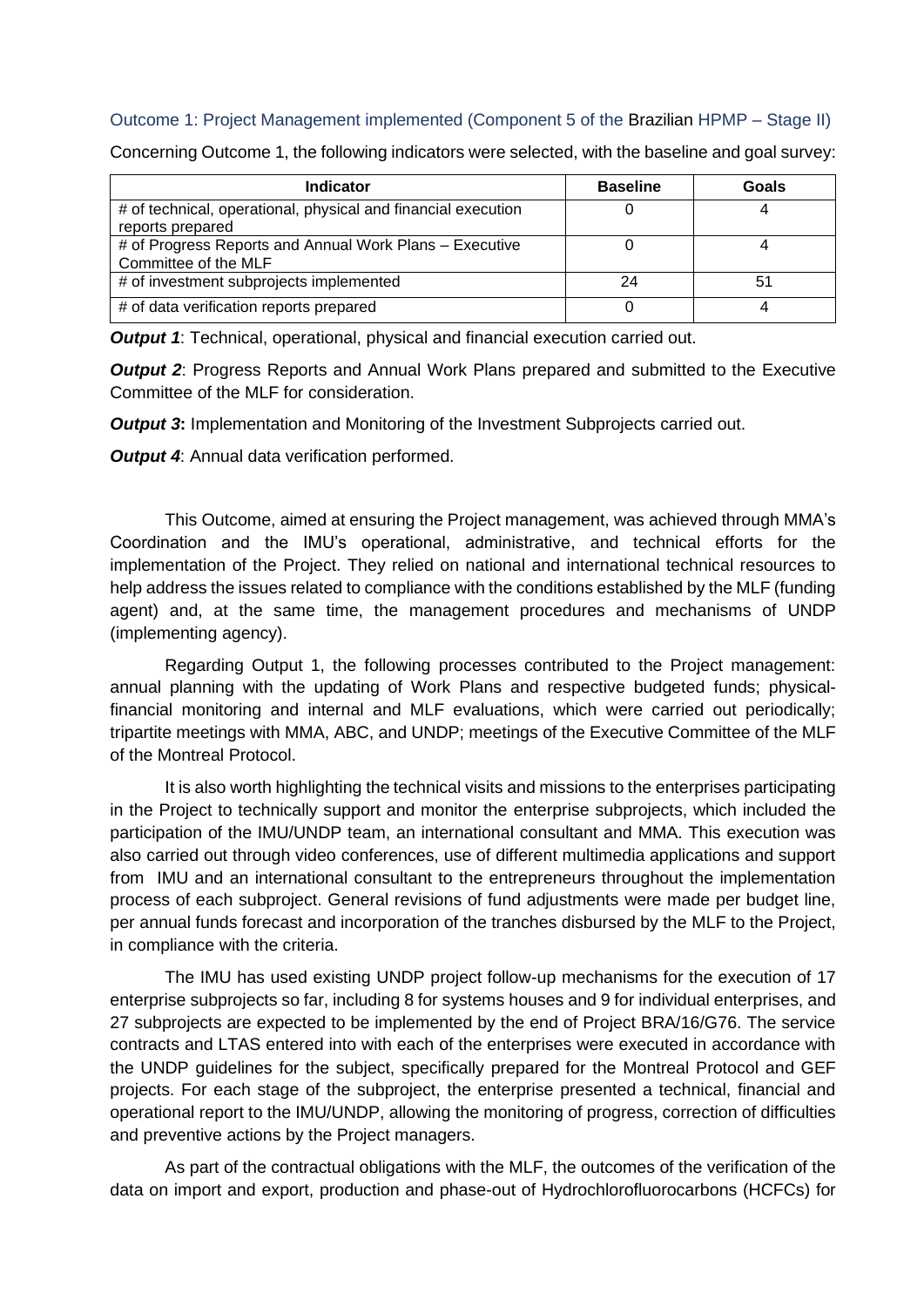### Outcome 1: Project Management implemented (Component 5 of the Brazilian HPMP – Stage II)

| <b>Indicator</b>                                                                  | <b>Baseline</b> | Goals |
|-----------------------------------------------------------------------------------|-----------------|-------|
| # of technical, operational, physical and financial execution<br>reports prepared |                 |       |
| # of Progress Reports and Annual Work Plans - Executive<br>Committee of the MLF   |                 |       |
| # of investment subprojects implemented                                           | 24              |       |
| # of data verification reports prepared                                           |                 |       |

Concerning Outcome 1, the following indicators were selected, with the baseline and goal survey:

*Output 1*: Technical, operational, physical and financial execution carried out.

*Output 2*: Progress Reports and Annual Work Plans prepared and submitted to the Executive Committee of the MLF for consideration.

*Output 3***:** Implementation and Monitoring of the Investment Subprojects carried out.

*Output 4:* Annual data verification performed.

This Outcome, aimed at ensuring the Project management, was achieved through MMA's Coordination and the IMU's operational, administrative, and technical efforts for the implementation of the Project. They relied on national and international technical resources to help address the issues related to compliance with the conditions established by the MLF (funding agent) and, at the same time, the management procedures and mechanisms of UNDP (implementing agency).

Regarding Output 1, the following processes contributed to the Project management: annual planning with the updating of Work Plans and respective budgeted funds; physicalfinancial monitoring and internal and MLF evaluations, which were carried out periodically; tripartite meetings with MMA, ABC, and UNDP; meetings of the Executive Committee of the MLF of the Montreal Protocol.

It is also worth highlighting the technical visits and missions to the enterprises participating in the Project to technically support and monitor the enterprise subprojects, which included the participation of the IMU/UNDP team, an international consultant and MMA. This execution was also carried out through video conferences, use of different multimedia applications and support from IMU and an international consultant to the entrepreneurs throughout the implementation process of each subproject. General revisions of fund adjustments were made per budget line, per annual funds forecast and incorporation of the tranches disbursed by the MLF to the Project, in compliance with the criteria.

The IMU has used existing UNDP project follow-up mechanisms for the execution of 17 enterprise subprojects so far, including 8 for systems houses and 9 for individual enterprises, and 27 subprojects are expected to be implemented by the end of Project BRA/16/G76. The service contracts and LTAS entered into with each of the enterprises were executed in accordance with the UNDP guidelines for the subject, specifically prepared for the Montreal Protocol and GEF projects. For each stage of the subproject, the enterprise presented a technical, financial and operational report to the IMU/UNDP, allowing the monitoring of progress, correction of difficulties and preventive actions by the Project managers.

As part of the contractual obligations with the MLF, the outcomes of the verification of the data on import and export, production and phase-out of Hydrochlorofluorocarbons (HCFCs) for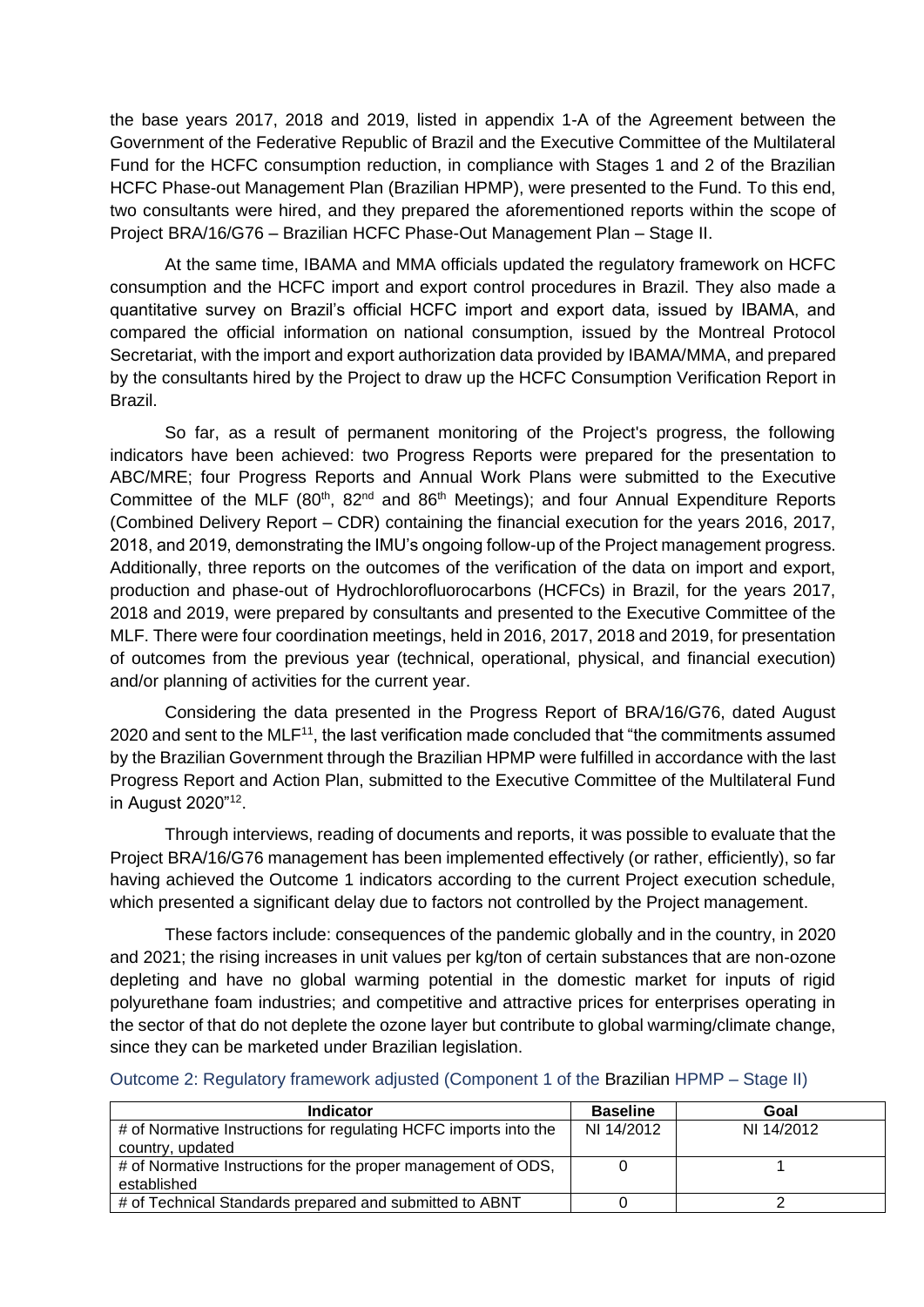the base years 2017, 2018 and 2019, listed in appendix 1-A of the Agreement between the Government of the Federative Republic of Brazil and the Executive Committee of the Multilateral Fund for the HCFC consumption reduction, in compliance with Stages 1 and 2 of the Brazilian HCFC Phase-out Management Plan (Brazilian HPMP), were presented to the Fund. To this end, two consultants were hired, and they prepared the aforementioned reports within the scope of Project BRA/16/G76 – Brazilian HCFC Phase-Out Management Plan – Stage II.

At the same time, IBAMA and MMA officials updated the regulatory framework on HCFC consumption and the HCFC import and export control procedures in Brazil. They also made a quantitative survey on Brazil's official HCFC import and export data, issued by IBAMA, and compared the official information on national consumption, issued by the Montreal Protocol Secretariat, with the import and export authorization data provided by IBAMA/MMA, and prepared by the consultants hired by the Project to draw up the HCFC Consumption Verification Report in Brazil.

So far, as a result of permanent monitoring of the Project's progress, the following indicators have been achieved: two Progress Reports were prepared for the presentation to ABC/MRE; four Progress Reports and Annual Work Plans were submitted to the Executive Committee of the MLF ( $80<sup>th</sup>$ ,  $82<sup>nd</sup>$  and  $86<sup>th</sup>$  Meetings); and four Annual Expenditure Reports (Combined Delivery Report – CDR) containing the financial execution for the years 2016, 2017, 2018, and 2019, demonstrating the IMU's ongoing follow-up of the Project management progress. Additionally, three reports on the outcomes of the verification of the data on import and export, production and phase-out of Hydrochlorofluorocarbons (HCFCs) in Brazil, for the years 2017, 2018 and 2019, were prepared by consultants and presented to the Executive Committee of the MLF. There were four coordination meetings, held in 2016, 2017, 2018 and 2019, for presentation of outcomes from the previous year (technical, operational, physical, and financial execution) and/or planning of activities for the current year.

Considering the data presented in the Progress Report of BRA/16/G76, dated August 2020 and sent to the MLF<sup>11</sup>, the last verification made concluded that "the commitments assumed by the Brazilian Government through the Brazilian HPMP were fulfilled in accordance with the last Progress Report and Action Plan, submitted to the Executive Committee of the Multilateral Fund in August 2020"<sup>12</sup> .

Through interviews, reading of documents and reports, it was possible to evaluate that the Project BRA/16/G76 management has been implemented effectively (or rather, efficiently), so far having achieved the Outcome 1 indicators according to the current Project execution schedule, which presented a significant delay due to factors not controlled by the Project management.

These factors include: consequences of the pandemic globally and in the country, in 2020 and 2021; the rising increases in unit values per kg/ton of certain substances that are non-ozone depleting and have no global warming potential in the domestic market for inputs of rigid polyurethane foam industries; and competitive and attractive prices for enterprises operating in the sector of that do not deplete the ozone layer but contribute to global warming/climate change, since they can be marketed under Brazilian legislation.

| <b>Indicator</b>                                                 | <b>Baseline</b> | Goal       |
|------------------------------------------------------------------|-----------------|------------|
| # of Normative Instructions for regulating HCFC imports into the | NI 14/2012      | NI 14/2012 |
| country, updated                                                 |                 |            |
| # of Normative Instructions for the proper management of ODS,    |                 |            |
| established                                                      |                 |            |
| # of Technical Standards prepared and submitted to ABNT          |                 |            |

Outcome 2: Regulatory framework adjusted (Component 1 of the Brazilian HPMP – Stage II)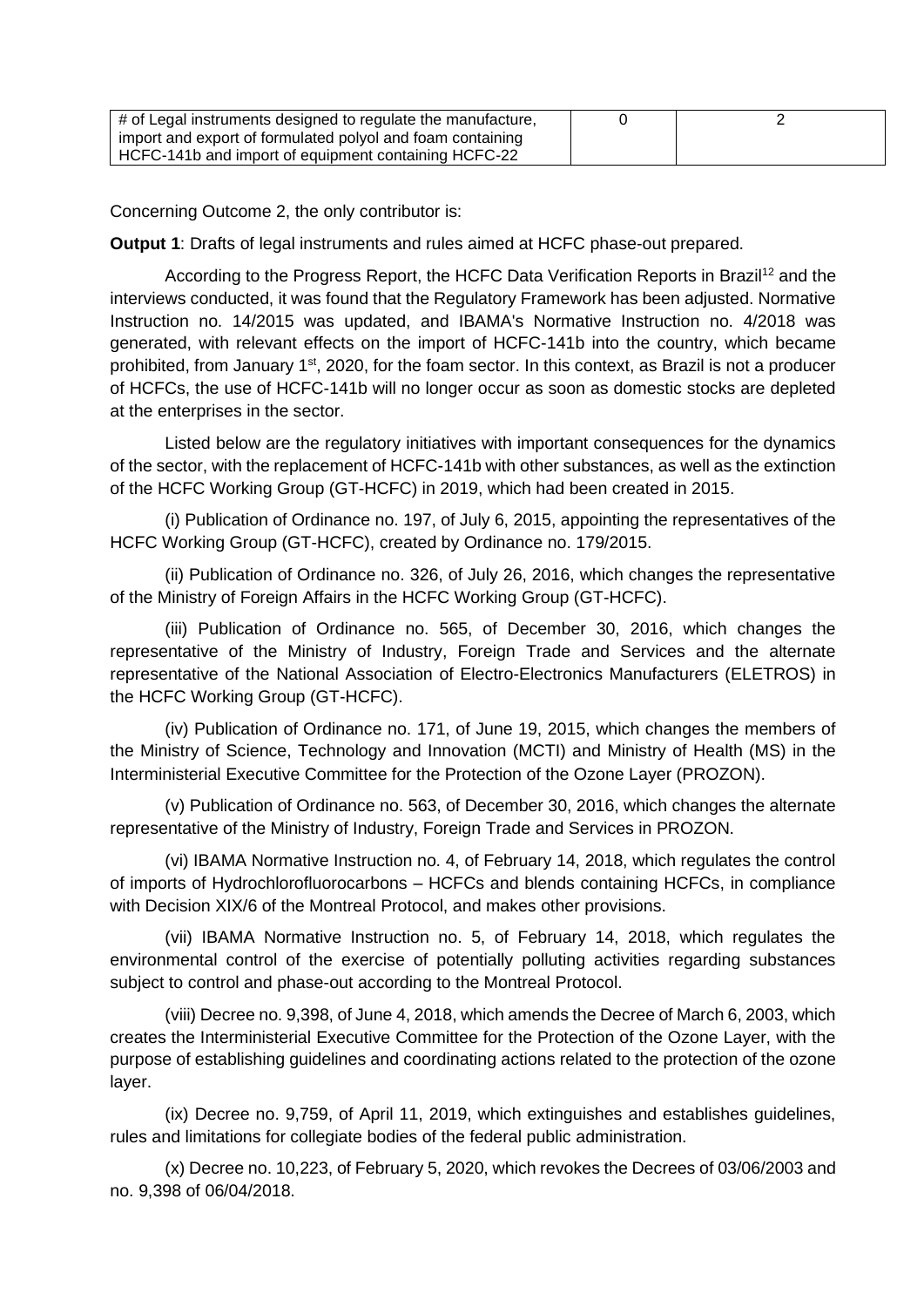| # of Legal instruments designed to regulate the manufacture, |  |
|--------------------------------------------------------------|--|
| import and export of formulated polyol and foam containing   |  |
| HCFC-141b and import of equipment containing HCFC-22         |  |

Concerning Outcome 2, the only contributor is:

**Output 1**: Drafts of legal instruments and rules aimed at HCFC phase-out prepared.

According to the Progress Report, the HCFC Data Verification Reports in Brazil<sup>12</sup> and the interviews conducted, it was found that the Regulatory Framework has been adjusted. Normative Instruction no. 14/2015 was updated, and IBAMA's Normative Instruction no. 4/2018 was generated, with relevant effects on the import of HCFC-141b into the country, which became prohibited, from January 1<sup>st</sup>, 2020, for the foam sector. In this context, as Brazil is not a producer of HCFCs, the use of HCFC-141b will no longer occur as soon as domestic stocks are depleted at the enterprises in the sector.

Listed below are the regulatory initiatives with important consequences for the dynamics of the sector, with the replacement of HCFC-141b with other substances, as well as the extinction of the HCFC Working Group (GT-HCFC) in 2019, which had been created in 2015.

(i) Publication of Ordinance no. 197, of July 6, 2015, appointing the representatives of the HCFC Working Group (GT-HCFC), created by Ordinance no. 179/2015.

(ii) Publication of Ordinance no. 326, of July 26, 2016, which changes the representative of the Ministry of Foreign Affairs in the HCFC Working Group (GT-HCFC).

(iii) Publication of Ordinance no. 565, of December 30, 2016, which changes the representative of the Ministry of Industry, Foreign Trade and Services and the alternate representative of the National Association of Electro-Electronics Manufacturers (ELETROS) in the HCFC Working Group (GT-HCFC).

(iv) Publication of Ordinance no. 171, of June 19, 2015, which changes the members of the Ministry of Science, Technology and Innovation (MCTI) and Ministry of Health (MS) in the Interministerial Executive Committee for the Protection of the Ozone Layer (PROZON).

(v) Publication of Ordinance no. 563, of December 30, 2016, which changes the alternate representative of the Ministry of Industry, Foreign Trade and Services in PROZON.

(vi) IBAMA Normative Instruction no. 4, of February 14, 2018, which regulates the control of imports of Hydrochlorofluorocarbons – HCFCs and blends containing HCFCs, in compliance with Decision XIX/6 of the Montreal Protocol, and makes other provisions.

(vii) IBAMA Normative Instruction no. 5, of February 14, 2018, which regulates the environmental control of the exercise of potentially polluting activities regarding substances subject to control and phase-out according to the Montreal Protocol.

(viii) Decree no. 9,398, of June 4, 2018, which amends the Decree of March 6, 2003, which creates the Interministerial Executive Committee for the Protection of the Ozone Layer, with the purpose of establishing guidelines and coordinating actions related to the protection of the ozone layer.

(ix) Decree no. 9,759, of April 11, 2019, which extinguishes and establishes guidelines, rules and limitations for collegiate bodies of the federal public administration.

(x) Decree no. 10,223, of February 5, 2020, which revokes the Decrees of 03/06/2003 and no. 9,398 of 06/04/2018.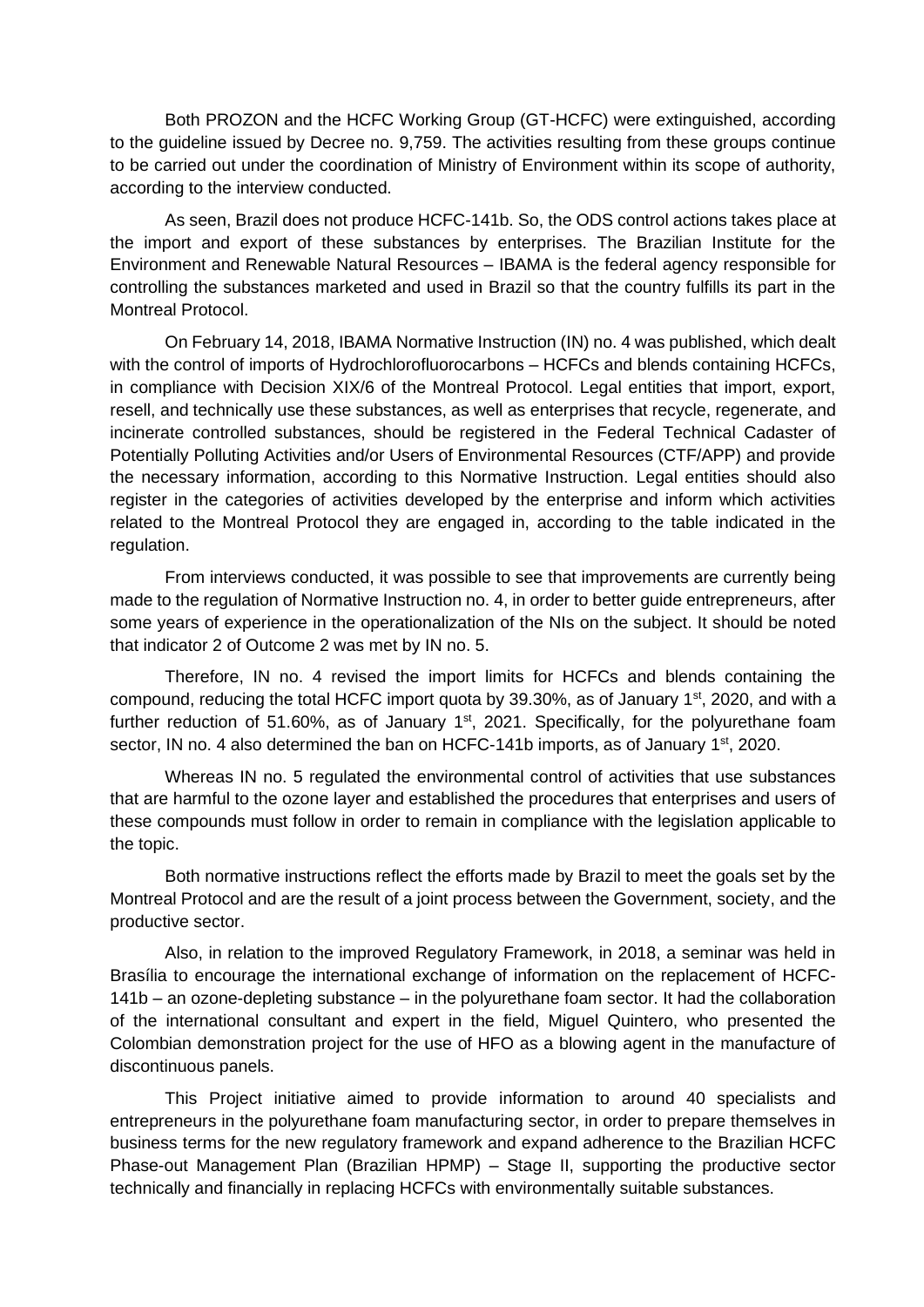Both PROZON and the HCFC Working Group (GT-HCFC) were extinguished, according to the guideline issued by Decree no. 9,759. The activities resulting from these groups continue to be carried out under the coordination of Ministry of Environment within its scope of authority, according to the interview conducted.

As seen, Brazil does not produce HCFC-141b. So, the ODS control actions takes place at the import and export of these substances by enterprises. The Brazilian Institute for the Environment and Renewable Natural Resources – IBAMA is the federal agency responsible for controlling the substances marketed and used in Brazil so that the country fulfills its part in the Montreal Protocol.

On February 14, 2018, IBAMA Normative Instruction (IN) no. 4 was published, which dealt with the control of imports of Hydrochlorofluorocarbons – HCFCs and blends containing HCFCs, in compliance with Decision XIX/6 of the Montreal Protocol. Legal entities that import, export, resell, and technically use these substances, as well as enterprises that recycle, regenerate, and incinerate controlled substances, should be registered in the Federal Technical Cadaster of Potentially Polluting Activities and/or Users of Environmental Resources (CTF/APP) and provide the necessary information, according to this Normative Instruction. Legal entities should also register in the categories of activities developed by the enterprise and inform which activities related to the Montreal Protocol they are engaged in, according to the table indicated in the regulation.

From interviews conducted, it was possible to see that improvements are currently being made to the regulation of Normative Instruction no. 4, in order to better guide entrepreneurs, after some years of experience in the operationalization of the NIs on the subject. It should be noted that indicator 2 of Outcome 2 was met by IN no. 5.

Therefore, IN no. 4 revised the import limits for HCFCs and blends containing the compound, reducing the total HCFC import quota by 39.30%, as of January 1<sup>st</sup>, 2020, and with a further reduction of 51.60%, as of January  $1<sup>st</sup>$ , 2021. Specifically, for the polyurethane foam sector, IN no. 4 also determined the ban on HCFC-141b imports, as of January  $1<sup>st</sup>$ , 2020.

Whereas IN no. 5 regulated the environmental control of activities that use substances that are harmful to the ozone layer and established the procedures that enterprises and users of these compounds must follow in order to remain in compliance with the legislation applicable to the topic.

Both normative instructions reflect the efforts made by Brazil to meet the goals set by the Montreal Protocol and are the result of a joint process between the Government, society, and the productive sector.

Also, in relation to the improved Regulatory Framework, in 2018, a seminar was held in Brasília to encourage the international exchange of information on the replacement of HCFC-141b – an ozone-depleting substance – in the polyurethane foam sector. It had the collaboration of the international consultant and expert in the field, Miguel Quintero, who presented the Colombian demonstration project for the use of HFO as a blowing agent in the manufacture of discontinuous panels.

This Project initiative aimed to provide information to around 40 specialists and entrepreneurs in the polyurethane foam manufacturing sector, in order to prepare themselves in business terms for the new regulatory framework and expand adherence to the Brazilian HCFC Phase-out Management Plan (Brazilian HPMP) – Stage II, supporting the productive sector technically and financially in replacing HCFCs with environmentally suitable substances.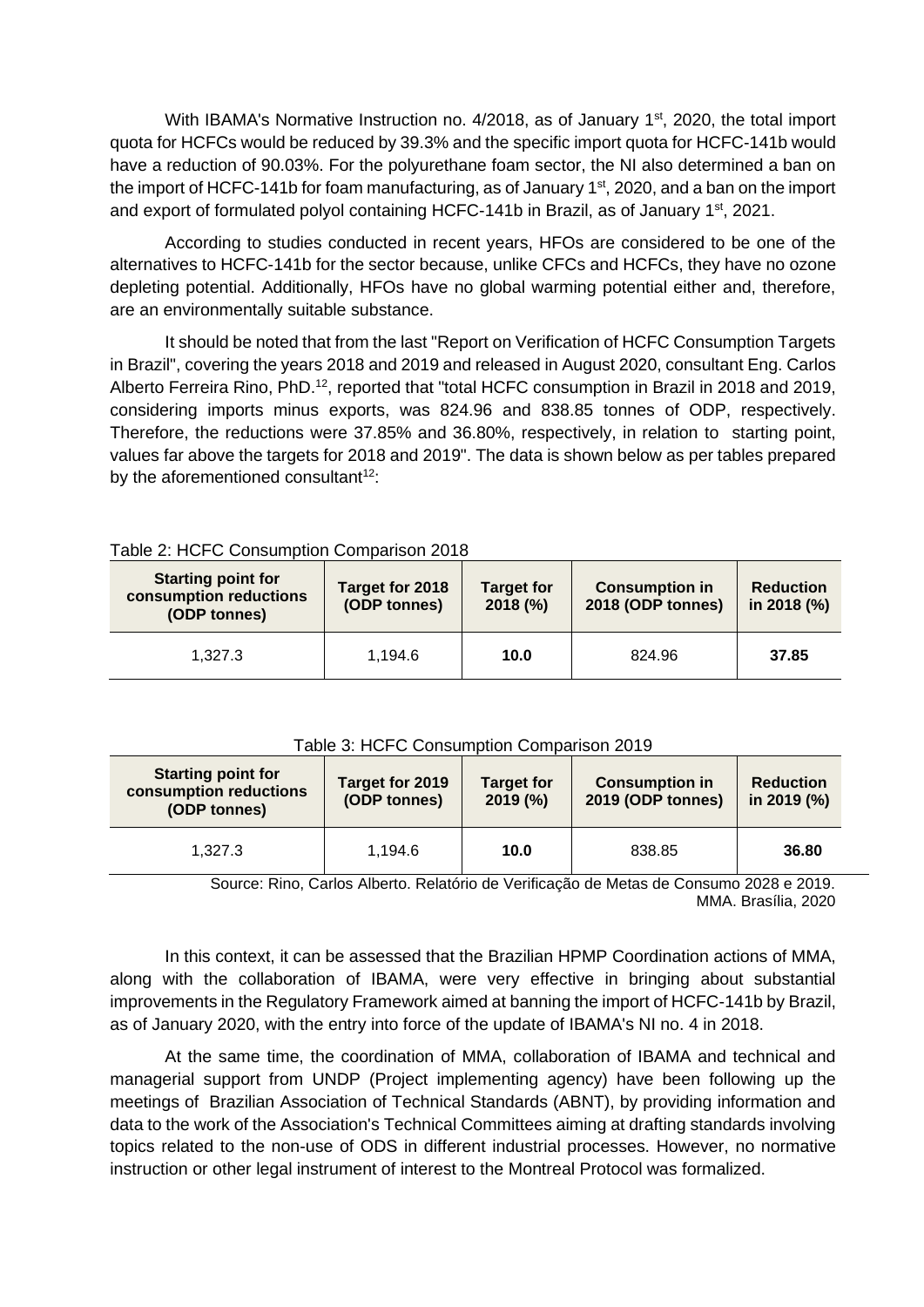With IBAMA's Normative Instruction no. 4/2018, as of January 1<sup>st</sup>, 2020, the total import quota for HCFCs would be reduced by 39.3% and the specific import quota for HCFC-141b would have a reduction of 90.03%. For the polyurethane foam sector, the NI also determined a ban on the import of HCFC-141b for foam manufacturing, as of January 1<sup>st</sup>, 2020, and a ban on the import and export of formulated polyol containing HCFC-141b in Brazil, as of January  $1<sup>st</sup>$ , 2021.

According to studies conducted in recent years, HFOs are considered to be one of the alternatives to HCFC-141b for the sector because, unlike CFCs and HCFCs, they have no ozone depleting potential. Additionally, HFOs have no global warming potential either and, therefore, are an environmentally suitable substance.

It should be noted that from the last "Report on Verification of HCFC Consumption Targets in Brazil", covering the years 2018 and 2019 and released in August 2020, consultant Eng. Carlos Alberto Ferreira Rino, PhD.<sup>12</sup>, reported that "total HCFC consumption in Brazil in 2018 and 2019, considering imports minus exports, was 824.96 and 838.85 tonnes of ODP, respectively. Therefore, the reductions were 37.85% and 36.80%, respectively, in relation to starting point, values far above the targets for 2018 and 2019". The data is shown below as per tables prepared by the aforementioned consultant $12$ :

| <b>Starting point for</b><br>consumption reductions<br>(ODP tonnes) | Target for 2018<br>(ODP tonnes) |      | <b>Consumption in</b><br>2018 (ODP tonnes) | <b>Reduction</b><br>in 2018 (%) |
|---------------------------------------------------------------------|---------------------------------|------|--------------------------------------------|---------------------------------|
| 1.327.3                                                             | 1.194.6                         | 10.0 | 824.96                                     | 37.85                           |

### Table 3: HCFC Consumption Comparison 2019

| <b>Starting point for</b><br>consumption reductions<br>(ODP tonnes) | Target for 2019<br>(ODP tonnes) | <b>Target for</b><br>2019(%) | <b>Consumption in</b><br>2019 (ODP tonnes) | <b>Reduction</b><br>in 2019 (%) |
|---------------------------------------------------------------------|---------------------------------|------------------------------|--------------------------------------------|---------------------------------|
| 1.327.3                                                             | 1.194.6                         | 10.0                         | 838.85                                     | 36.80                           |

Source: Rino, Carlos Alberto. Relatório de Verificação de Metas de Consumo 2028 e 2019. MMA. Brasília, 2020

In this context, it can be assessed that the Brazilian HPMP Coordination actions of MMA, along with the collaboration of IBAMA, were very effective in bringing about substantial improvements in the Regulatory Framework aimed at banning the import of HCFC-141b by Brazil, as of January 2020, with the entry into force of the update of IBAMA's NI no. 4 in 2018.

At the same time, the coordination of MMA, collaboration of IBAMA and technical and managerial support from UNDP (Project implementing agency) have been following up the meetings of Brazilian Association of Technical Standards (ABNT), by providing information and data to the work of the Association's Technical Committees aiming at drafting standards involving topics related to the non-use of ODS in different industrial processes. However, no normative instruction or other legal instrument of interest to the Montreal Protocol was formalized.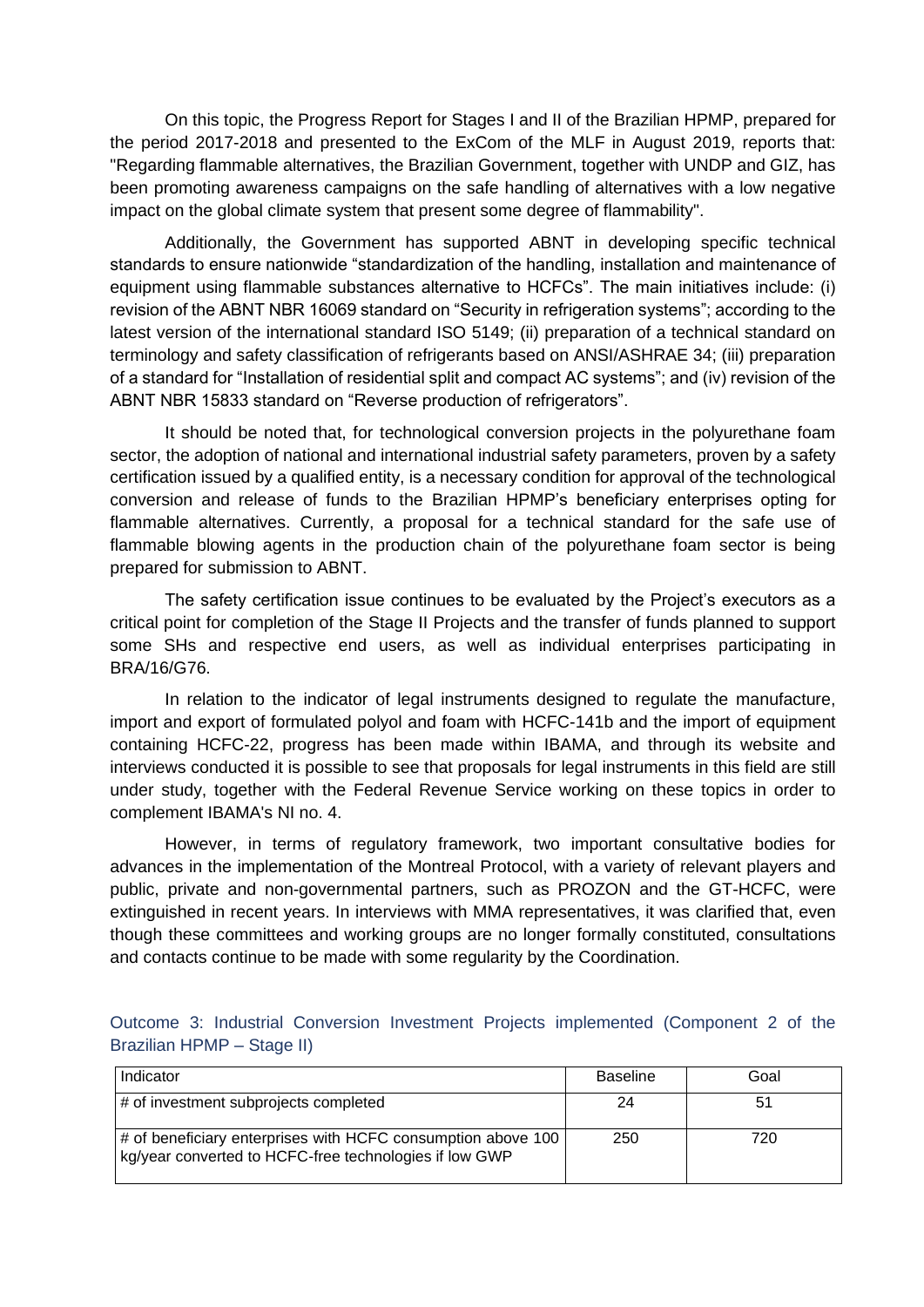On this topic, the Progress Report for Stages I and II of the Brazilian HPMP, prepared for the period 2017-2018 and presented to the ExCom of the MLF in August 2019, reports that: "Regarding flammable alternatives, the Brazilian Government, together with UNDP and GIZ, has been promoting awareness campaigns on the safe handling of alternatives with a low negative impact on the global climate system that present some degree of flammability".

Additionally, the Government has supported ABNT in developing specific technical standards to ensure nationwide "standardization of the handling, installation and maintenance of equipment using flammable substances alternative to HCFCs". The main initiatives include: (i) revision of the ABNT NBR 16069 standard on "Security in refrigeration systems"; according to the latest version of the international standard ISO 5149; (ii) preparation of a technical standard on terminology and safety classification of refrigerants based on ANSI/ASHRAE 34; (iii) preparation of a standard for "Installation of residential split and compact AC systems"; and (iv) revision of the ABNT NBR 15833 standard on "Reverse production of refrigerators".

It should be noted that, for technological conversion projects in the polyurethane foam sector, the adoption of national and international industrial safety parameters, proven by a safety certification issued by a qualified entity, is a necessary condition for approval of the technological conversion and release of funds to the Brazilian HPMP's beneficiary enterprises opting for flammable alternatives. Currently, a proposal for a technical standard for the safe use of flammable blowing agents in the production chain of the polyurethane foam sector is being prepared for submission to ABNT.

The safety certification issue continues to be evaluated by the Project's executors as a critical point for completion of the Stage II Projects and the transfer of funds planned to support some SHs and respective end users, as well as individual enterprises participating in BRA/16/G76.

In relation to the indicator of legal instruments designed to regulate the manufacture, import and export of formulated polyol and foam with HCFC-141b and the import of equipment containing HCFC-22, progress has been made within IBAMA, and through its website and interviews conducted it is possible to see that proposals for legal instruments in this field are still under study, together with the Federal Revenue Service working on these topics in order to complement IBAMA's NI no. 4.

However, in terms of regulatory framework, two important consultative bodies for advances in the implementation of the Montreal Protocol, with a variety of relevant players and public, private and non-governmental partners, such as PROZON and the GT-HCFC, were extinguished in recent years. In interviews with MMA representatives, it was clarified that, even though these committees and working groups are no longer formally constituted, consultations and contacts continue to be made with some regularity by the Coordination.

| Indicator                                                                                                              | <b>Baseline</b> | Goal |
|------------------------------------------------------------------------------------------------------------------------|-----------------|------|
| # of investment subprojects completed                                                                                  | 24              | 51   |
| # of beneficiary enterprises with HCFC consumption above 100<br>kg/year converted to HCFC-free technologies if low GWP | 250             | 720  |

Outcome 3: Industrial Conversion Investment Projects implemented (Component 2 of the Brazilian HPMP – Stage II)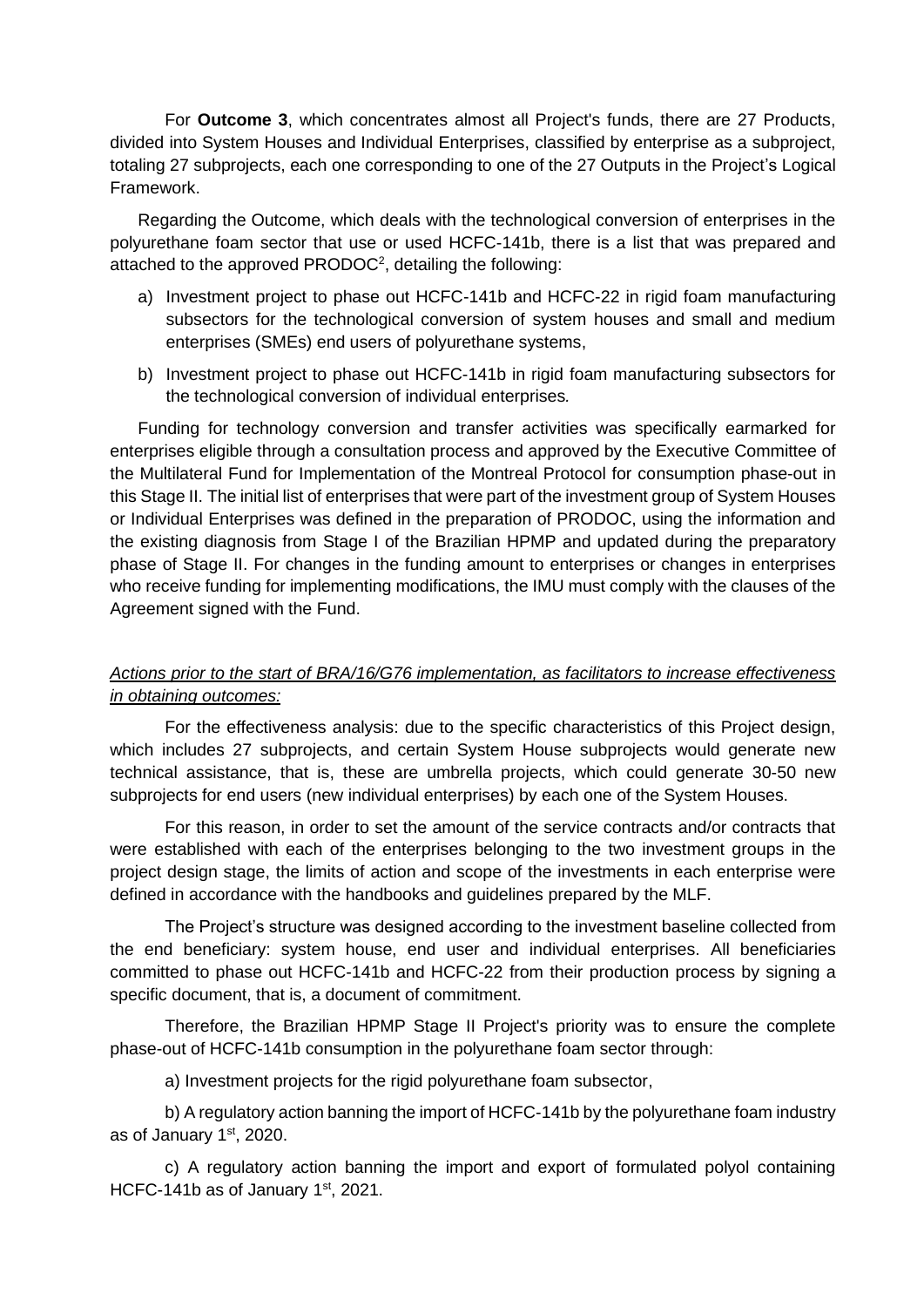For **Outcome 3**, which concentrates almost all Project's funds, there are 27 Products, divided into System Houses and Individual Enterprises, classified by enterprise as a subproject, totaling 27 subprojects, each one corresponding to one of the 27 Outputs in the Project's Logical Framework.

Regarding the Outcome, which deals with the technological conversion of enterprises in the polyurethane foam sector that use or used HCFC-141b, there is a list that was prepared and attached to the approved PRODOC<sup>2</sup>, detailing the following:

- a) Investment project to phase out HCFC-141b and HCFC-22 in rigid foam manufacturing subsectors for the technological conversion of system houses and small and medium enterprises (SMEs) end users of polyurethane systems,
- b) Investment project to phase out HCFC-141b in rigid foam manufacturing subsectors for the technological conversion of individual enterprises*.*

Funding for technology conversion and transfer activities was specifically earmarked for enterprises eligible through a consultation process and approved by the Executive Committee of the Multilateral Fund for Implementation of the Montreal Protocol for consumption phase-out in this Stage II. The initial list of enterprises that were part of the investment group of System Houses or Individual Enterprises was defined in the preparation of PRODOC, using the information and the existing diagnosis from Stage I of the Brazilian HPMP and updated during the preparatory phase of Stage II. For changes in the funding amount to enterprises or changes in enterprises who receive funding for implementing modifications, the IMU must comply with the clauses of the Agreement signed with the Fund.

# *Actions prior to the start of BRA/16/G76 implementation, as facilitators to increase effectiveness in obtaining outcomes:*

For the effectiveness analysis: due to the specific characteristics of this Project design, which includes 27 subprojects, and certain System House subprojects would generate new technical assistance, that is, these are umbrella projects, which could generate 30-50 new subprojects for end users (new individual enterprises) by each one of the System Houses.

For this reason, in order to set the amount of the service contracts and/or contracts that were established with each of the enterprises belonging to the two investment groups in the project design stage, the limits of action and scope of the investments in each enterprise were defined in accordance with the handbooks and guidelines prepared by the MLF.

The Project's structure was designed according to the investment baseline collected from the end beneficiary: system house, end user and individual enterprises. All beneficiaries committed to phase out HCFC-141b and HCFC-22 from their production process by signing a specific document, that is, a document of commitment.

Therefore, the Brazilian HPMP Stage II Project's priority was to ensure the complete phase-out of HCFC-141b consumption in the polyurethane foam sector through:

a) Investment projects for the rigid polyurethane foam subsector,

b) A regulatory action banning the import of HCFC-141b by the polyurethane foam industry as of January 1st, 2020.

c) A regulatory action banning the import and export of formulated polyol containing HCFC-141b as of January 1st, 2021.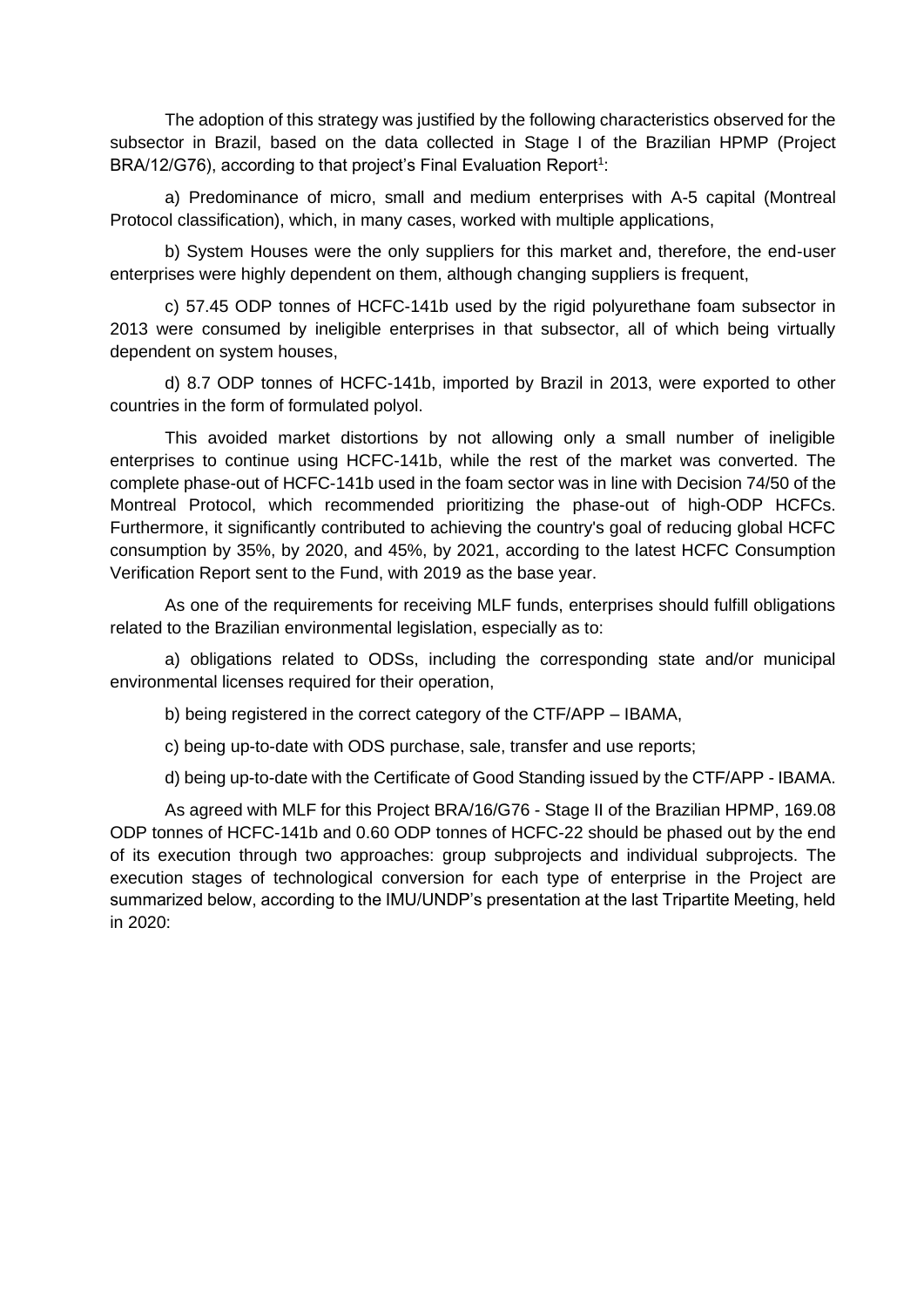The adoption of this strategy was justified by the following characteristics observed for the subsector in Brazil, based on the data collected in Stage I of the Brazilian HPMP (Project BRA/12/G76), according to that project's Final Evaluation Report<sup>1</sup>:

a) Predominance of micro, small and medium enterprises with A-5 capital (Montreal Protocol classification), which, in many cases, worked with multiple applications,

b) System Houses were the only suppliers for this market and, therefore, the end-user enterprises were highly dependent on them, although changing suppliers is frequent,

c) 57.45 ODP tonnes of HCFC-141b used by the rigid polyurethane foam subsector in 2013 were consumed by ineligible enterprises in that subsector, all of which being virtually dependent on system houses,

d) 8.7 ODP tonnes of HCFC-141b, imported by Brazil in 2013, were exported to other countries in the form of formulated polyol.

This avoided market distortions by not allowing only a small number of ineligible enterprises to continue using HCFC-141b, while the rest of the market was converted. The complete phase-out of HCFC-141b used in the foam sector was in line with Decision 74/50 of the Montreal Protocol, which recommended prioritizing the phase-out of high-ODP HCFCs. Furthermore, it significantly contributed to achieving the country's goal of reducing global HCFC consumption by 35%, by 2020, and 45%, by 2021, according to the latest HCFC Consumption Verification Report sent to the Fund, with 2019 as the base year.

As one of the requirements for receiving MLF funds, enterprises should fulfill obligations related to the Brazilian environmental legislation, especially as to:

a) obligations related to ODSs, including the corresponding state and/or municipal environmental licenses required for their operation,

b) being registered in the correct category of the CTF/APP – IBAMA,

c) being up-to-date with ODS purchase, sale, transfer and use reports;

d) being up-to-date with the Certificate of Good Standing issued by the CTF/APP - IBAMA.

As agreed with MLF for this Project BRA/16/G76 - Stage II of the Brazilian HPMP, 169.08 ODP tonnes of HCFC-141b and 0.60 ODP tonnes of HCFC-22 should be phased out by the end of its execution through two approaches: group subprojects and individual subprojects. The execution stages of technological conversion for each type of enterprise in the Project are summarized below, according to the IMU/UNDP's presentation at the last Tripartite Meeting, held in 2020: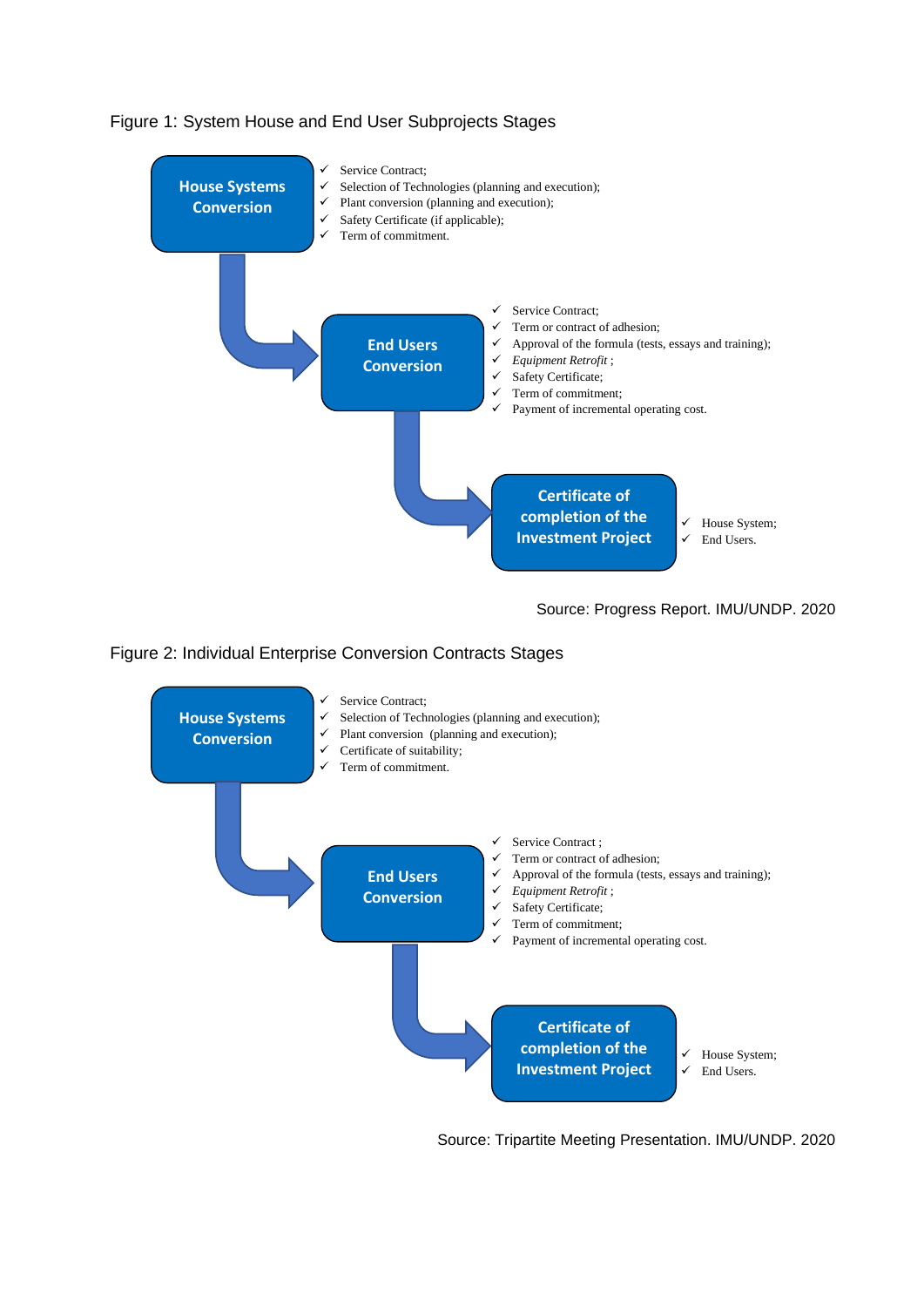

## Figure 1: System House and End User Subprojects Stages

Source: Progress Report. IMU/UNDP. 2020

### Figure 2: Individual Enterprise Conversion Contracts Stages



Source: Tripartite Meeting Presentation. IMU/UNDP. 2020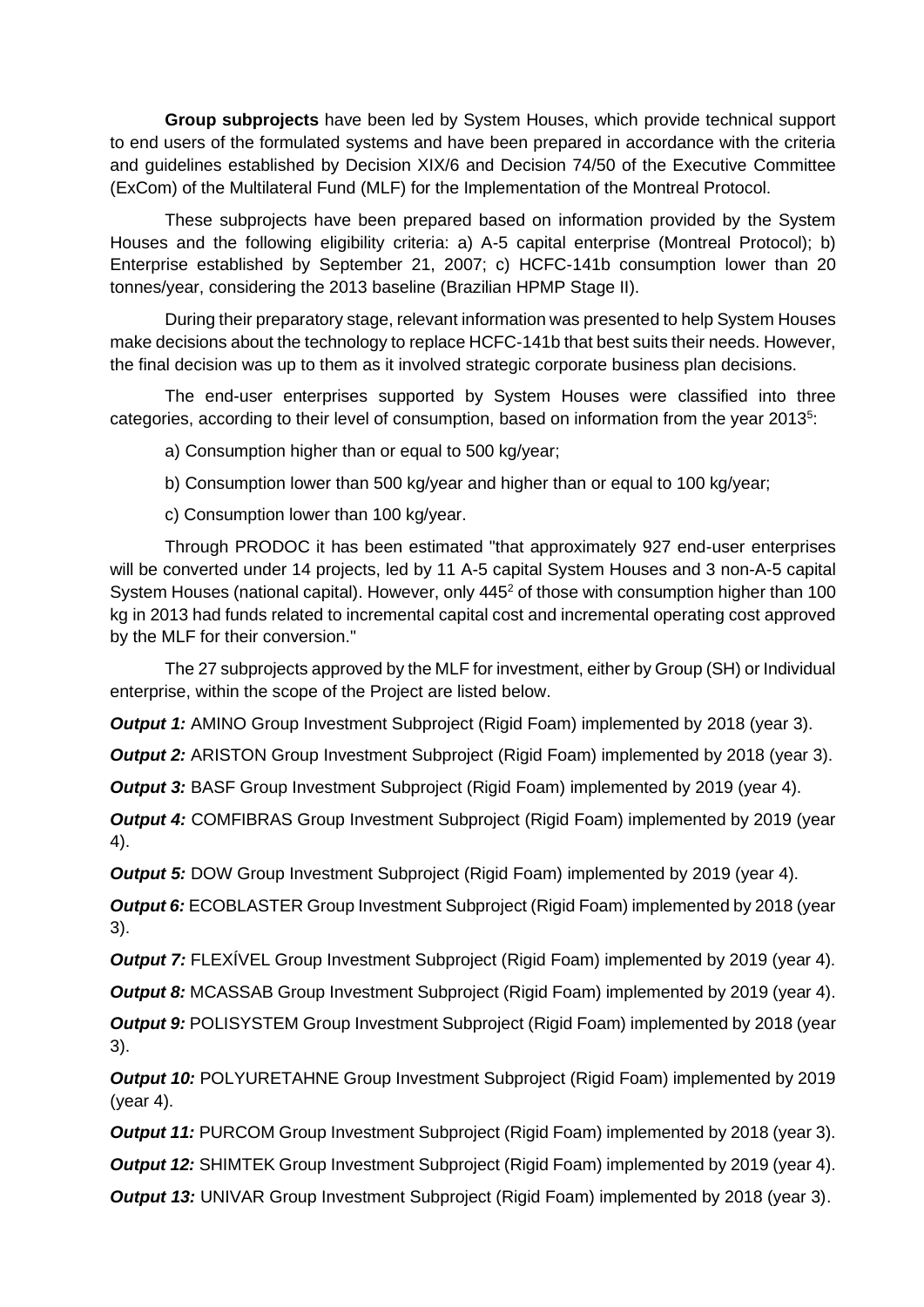**Group subprojects** have been led by System Houses, which provide technical support to end users of the formulated systems and have been prepared in accordance with the criteria and guidelines established by Decision XIX/6 and Decision 74/50 of the Executive Committee (ExCom) of the Multilateral Fund (MLF) for the Implementation of the Montreal Protocol.

These subprojects have been prepared based on information provided by the System Houses and the following eligibility criteria: a) A-5 capital enterprise (Montreal Protocol); b) Enterprise established by September 21, 2007; c) HCFC-141b consumption lower than 20 tonnes/year, considering the 2013 baseline (Brazilian HPMP Stage II).

During their preparatory stage, relevant information was presented to help System Houses make decisions about the technology to replace HCFC-141b that best suits their needs. However, the final decision was up to them as it involved strategic corporate business plan decisions.

The end-user enterprises supported by System Houses were classified into three categories, according to their level of consumption, based on information from the year 2013<sup>5</sup>:

a) Consumption higher than or equal to 500 kg/year;

b) Consumption lower than 500 kg/year and higher than or equal to 100 kg/year;

c) Consumption lower than 100 kg/year.

Through PRODOC it has been estimated "that approximately 927 end-user enterprises will be converted under 14 projects, led by 11 A-5 capital System Houses and 3 non-A-5 capital System Houses (national capital). However, only 445<sup>2</sup> of those with consumption higher than 100 kg in 2013 had funds related to incremental capital cost and incremental operating cost approved by the MLF for their conversion."

The 27 subprojects approved by the MLF for investment, either by Group (SH) or Individual enterprise, within the scope of the Project are listed below.

**Output 1:** AMINO Group Investment Subproject (Rigid Foam) implemented by 2018 (year 3).

**Output 2:** ARISTON Group Investment Subproject (Rigid Foam) implemented by 2018 (year 3).

*Output 3:* BASF Group Investment Subproject (Rigid Foam) implemented by 2019 (year 4).

*Output 4:* COMFIBRAS Group Investment Subproject (Rigid Foam) implemented by 2019 (year 4).

**Output 5:** DOW Group Investment Subproject (Rigid Foam) implemented by 2019 (year 4).

*Output 6:* ECOBLASTER Group Investment Subproject (Rigid Foam) implemented by 2018 (year 3).

*Output 7:* FLEXIVEL Group Investment Subproject (Rigid Foam) implemented by 2019 (year 4).

**Output 8:** MCASSAB Group Investment Subproject (Rigid Foam) implemented by 2019 (year 4).

*Output 9:* POLISYSTEM Group Investment Subproject (Rigid Foam) implemented by 2018 (year 3).

**Output 10:** POLYURETAHNE Group Investment Subproject (Rigid Foam) implemented by 2019 (year 4).

*Output 11:* PURCOM Group Investment Subproject (Rigid Foam) implemented by 2018 (year 3).

*Output 12:* SHIMTEK Group Investment Subproject (Rigid Foam) implemented by 2019 (year 4).

**Output 13: UNIVAR Group Investment Subproject (Rigid Foam) implemented by 2018 (year 3).**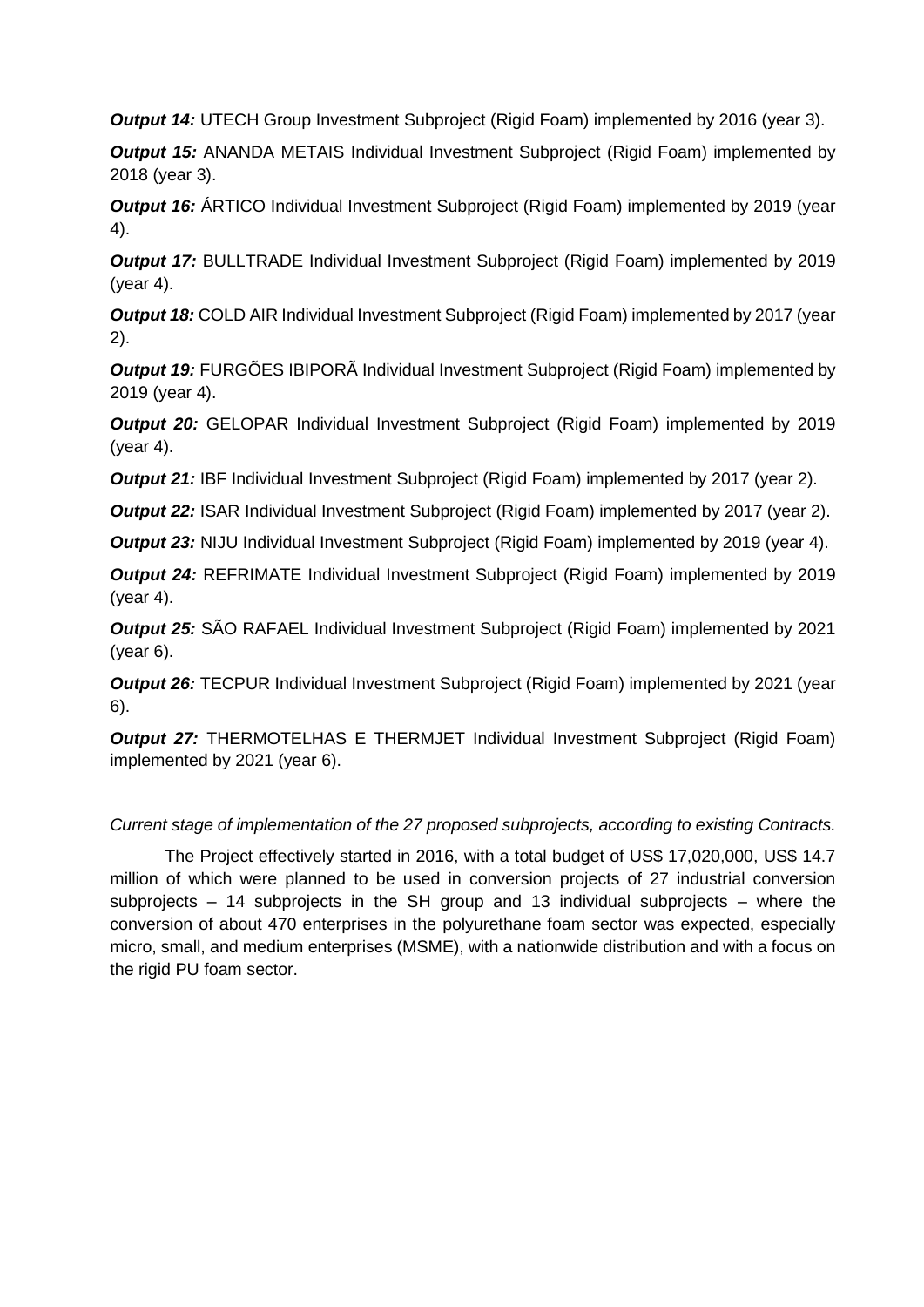**Output 14:** UTECH Group Investment Subproject (Rigid Foam) implemented by 2016 (year 3).

*Output 15:* ANANDA METAIS Individual Investment Subproject (Rigid Foam) implemented by 2018 (year 3).

**Output 16:** ÁRTICO Individual Investment Subproject (Rigid Foam) implemented by 2019 (year 4).

*Output 17:* BULLTRADE Individual Investment Subproject (Rigid Foam) implemented by 2019 (year 4).

**Output 18:** COLD AIR Individual Investment Subproject (Rigid Foam) implemented by 2017 (year 2).

*Output 19:* FURGÕES IBIPORÃ Individual Investment Subproject (Rigid Foam) implemented by 2019 (year 4).

**Output 20:** GELOPAR Individual Investment Subproject (Rigid Foam) implemented by 2019 (year 4).

*Output 21:* IBF Individual Investment Subproject (Rigid Foam) implemented by 2017 (year 2).

**Output 22: ISAR Individual Investment Subproject (Rigid Foam) implemented by 2017 (year 2).** 

**Output 23:** NIJU Individual Investment Subproject (Rigid Foam) implemented by 2019 (year 4).

**Output 24: REFRIMATE Individual Investment Subproject (Rigid Foam) implemented by 2019** (year 4).

*Output 25:* SÃO RAFAEL Individual Investment Subproject (Rigid Foam) implemented by 2021 (year 6).

*Output 26:* TECPUR Individual Investment Subproject (Rigid Foam) implemented by 2021 (year 6).

**Output 27:** THERMOTELHAS E THERMJET Individual Investment Subproject (Rigid Foam) implemented by 2021 (year 6).

# *Current stage of implementation of the 27 proposed subprojects, according to existing Contracts.*

The Project effectively started in 2016, with a total budget of US\$ 17,020,000, US\$ 14.7 million of which were planned to be used in conversion projects of 27 industrial conversion subprojects  $-14$  subprojects in the SH group and 13 individual subprojects  $-$  where the conversion of about 470 enterprises in the polyurethane foam sector was expected, especially micro, small, and medium enterprises (MSME), with a nationwide distribution and with a focus on the rigid PU foam sector.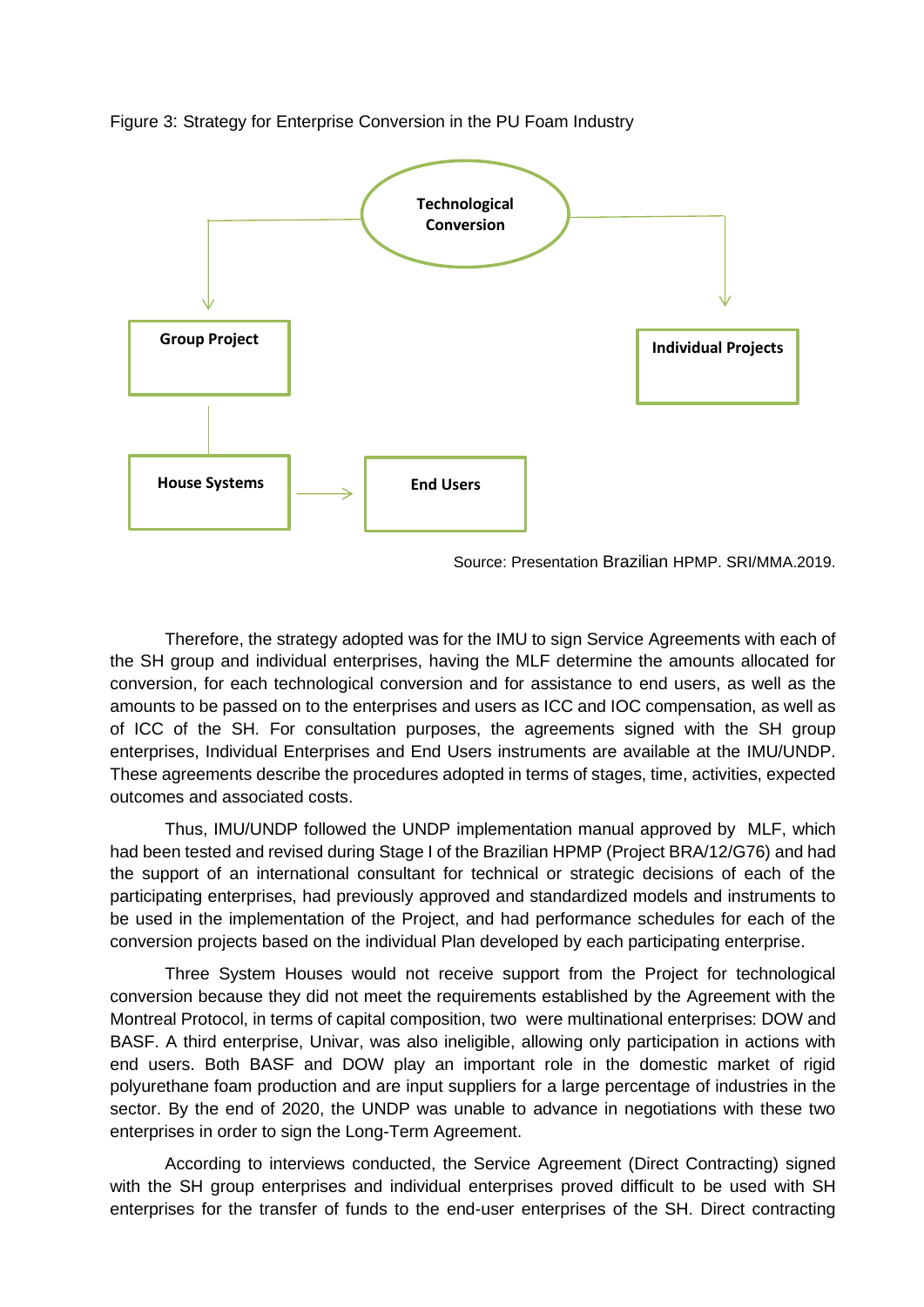



Source: Presentation Brazilian HPMP. SRI/MMA.2019.

Therefore, the strategy adopted was for the IMU to sign Service Agreements with each of the SH group and individual enterprises, having the MLF determine the amounts allocated for conversion, for each technological conversion and for assistance to end users, as well as the amounts to be passed on to the enterprises and users as ICC and IOC compensation, as well as of ICC of the SH. For consultation purposes, the agreements signed with the SH group enterprises, Individual Enterprises and End Users instruments are available at the IMU/UNDP. These agreements describe the procedures adopted in terms of stages, time, activities, expected outcomes and associated costs.

Thus, IMU/UNDP followed the UNDP implementation manual approved by MLF, which had been tested and revised during Stage I of the Brazilian HPMP (Project BRA/12/G76) and had the support of an international consultant for technical or strategic decisions of each of the participating enterprises, had previously approved and standardized models and instruments to be used in the implementation of the Project, and had performance schedules for each of the conversion projects based on the individual Plan developed by each participating enterprise.

Three System Houses would not receive support from the Project for technological conversion because they did not meet the requirements established by the Agreement with the Montreal Protocol, in terms of capital composition, two were multinational enterprises: DOW and BASF. A third enterprise, Univar, was also ineligible, allowing only participation in actions with end users. Both BASF and DOW play an important role in the domestic market of rigid polyurethane foam production and are input suppliers for a large percentage of industries in the sector. By the end of 2020, the UNDP was unable to advance in negotiations with these two enterprises in order to sign the Long-Term Agreement.

According to interviews conducted, the Service Agreement (Direct Contracting) signed with the SH group enterprises and individual enterprises proved difficult to be used with SH enterprises for the transfer of funds to the end-user enterprises of the SH. Direct contracting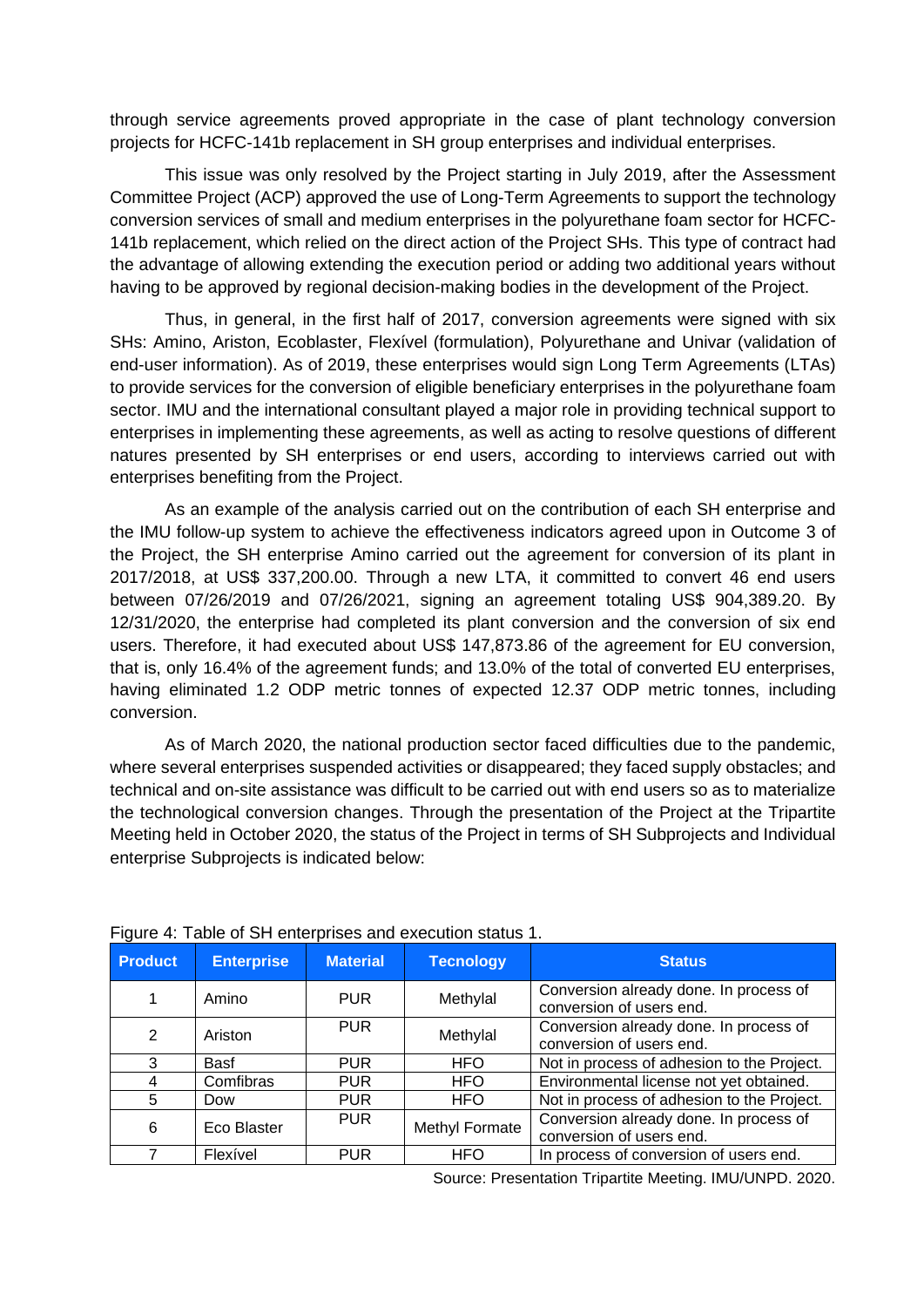through service agreements proved appropriate in the case of plant technology conversion projects for HCFC-141b replacement in SH group enterprises and individual enterprises.

This issue was only resolved by the Project starting in July 2019, after the Assessment Committee Project (ACP) approved the use of Long-Term Agreements to support the technology conversion services of small and medium enterprises in the polyurethane foam sector for HCFC-141b replacement, which relied on the direct action of the Project SHs. This type of contract had the advantage of allowing extending the execution period or adding two additional years without having to be approved by regional decision-making bodies in the development of the Project.

Thus, in general, in the first half of 2017, conversion agreements were signed with six SHs: Amino, Ariston, Ecoblaster, Flexível (formulation), Polyurethane and Univar (validation of end-user information). As of 2019, these enterprises would sign Long Term Agreements (LTAs) to provide services for the conversion of eligible beneficiary enterprises in the polyurethane foam sector. IMU and the international consultant played a major role in providing technical support to enterprises in implementing these agreements, as well as acting to resolve questions of different natures presented by SH enterprises or end users, according to interviews carried out with enterprises benefiting from the Project.

As an example of the analysis carried out on the contribution of each SH enterprise and the IMU follow-up system to achieve the effectiveness indicators agreed upon in Outcome 3 of the Project, the SH enterprise Amino carried out the agreement for conversion of its plant in 2017/2018, at US\$ 337,200.00. Through a new LTA, it committed to convert 46 end users between 07/26/2019 and 07/26/2021, signing an agreement totaling US\$ 904,389.20. By 12/31/2020, the enterprise had completed its plant conversion and the conversion of six end users. Therefore, it had executed about US\$ 147,873.86 of the agreement for EU conversion, that is, only 16.4% of the agreement funds; and 13.0% of the total of converted EU enterprises, having eliminated 1.2 ODP metric tonnes of expected 12.37 ODP metric tonnes, including conversion.

As of March 2020, the national production sector faced difficulties due to the pandemic, where several enterprises suspended activities or disappeared; they faced supply obstacles; and technical and on-site assistance was difficult to be carried out with end users so as to materialize the technological conversion changes. Through the presentation of the Project at the Tripartite Meeting held in October 2020, the status of the Project in terms of SH Subprojects and Individual enterprise Subprojects is indicated below:

| <b>Product</b> | <b>Enterprise</b> | <b>Material</b> | <b>Tecnology</b> | <b>Status</b>                                                      |
|----------------|-------------------|-----------------|------------------|--------------------------------------------------------------------|
|                | Amino             | <b>PUR</b>      | Methylal         | Conversion already done. In process of<br>conversion of users end. |
| $\overline{2}$ | Ariston           | <b>PUR</b>      | Methylal         | Conversion already done. In process of<br>conversion of users end. |
| 3              | Basf              | <b>PUR</b>      | <b>HFO</b>       | Not in process of adhesion to the Project.                         |
| 4              | Comfibras         | <b>PUR</b>      | <b>HFO</b>       | Environmental license not yet obtained.                            |
| 5              | Dow               | <b>PUR</b>      | <b>HFO</b>       | Not in process of adhesion to the Project.                         |
| 6              | Eco Blaster       | <b>PUR</b>      | Methyl Formate   | Conversion already done. In process of<br>conversion of users end. |
|                | Flexível          | <b>PUR</b>      | <b>HFO</b>       | In process of conversion of users end.                             |

Figure 4: Table of SH enterprises and execution status 1.

Source: Presentation Tripartite Meeting. IMU/UNPD. 2020.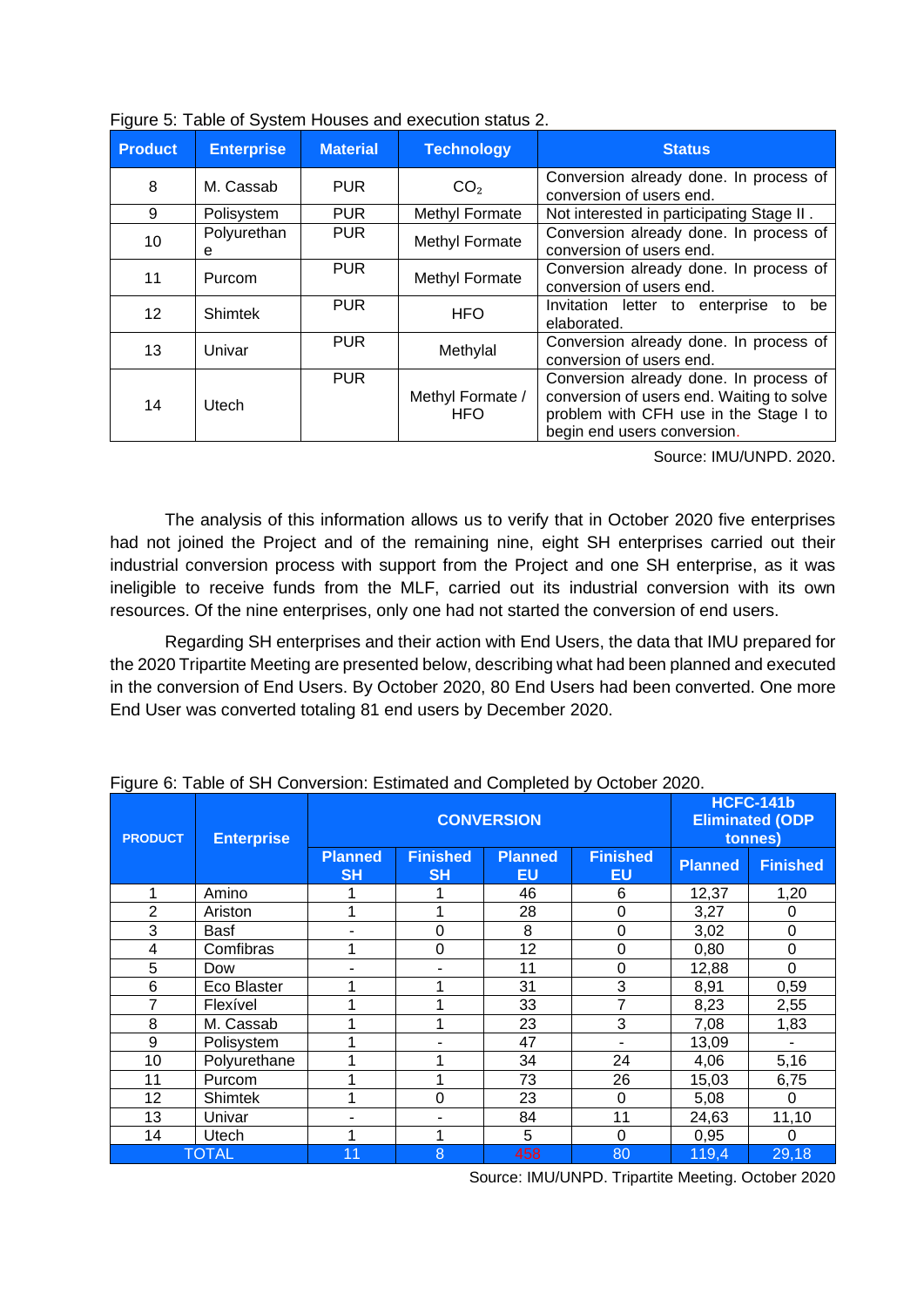| <b>Product</b> | <b>Enterprise</b> | <b>Material</b> | <b>Technology</b>              | <b>Status</b>                                                                                                                                                |
|----------------|-------------------|-----------------|--------------------------------|--------------------------------------------------------------------------------------------------------------------------------------------------------------|
| 8              | M. Cassab         | <b>PUR</b>      | CO <sub>2</sub>                | Conversion already done. In process of<br>conversion of users end.                                                                                           |
| 9              | Polisystem        | <b>PUR</b>      | Methyl Formate                 | Not interested in participating Stage II.                                                                                                                    |
| 10             | Polyurethan<br>е  | <b>PUR</b>      | Methyl Formate                 | Conversion already done. In process of<br>conversion of users end.                                                                                           |
| 11             | Purcom            | <b>PUR</b>      | Methyl Formate                 | Conversion already done. In process of<br>conversion of users end.                                                                                           |
| 12             | <b>Shimtek</b>    | <b>PUR</b>      | <b>HFO</b>                     | Invitation letter to enterprise to<br>be<br>elaborated.                                                                                                      |
| 13             | Univar            | <b>PUR</b>      | Methylal                       | Conversion already done. In process of<br>conversion of users end.                                                                                           |
| 14             | Utech             | <b>PUR</b>      | Methyl Formate /<br><b>HFO</b> | Conversion already done. In process of<br>conversion of users end. Waiting to solve<br>problem with CFH use in the Stage I to<br>begin end users conversion. |

|  |  |  | Figure 5: Table of System Houses and execution status 2. |  |
|--|--|--|----------------------------------------------------------|--|
|  |  |  |                                                          |  |
|  |  |  |                                                          |  |

Source: IMU/UNPD. 2020.

The analysis of this information allows us to verify that in October 2020 five enterprises had not joined the Project and of the remaining nine, eight SH enterprises carried out their industrial conversion process with support from the Project and one SH enterprise, as it was ineligible to receive funds from the MLF, carried out its industrial conversion with its own resources. Of the nine enterprises, only one had not started the conversion of end users.

Regarding SH enterprises and their action with End Users, the data that IMU prepared for the 2020 Tripartite Meeting are presented below, describing what had been planned and executed in the conversion of End Users. By October 2020, 80 End Users had been converted. One more End User was converted totaling 81 end users by December 2020.

| <b>PRODUCT</b> | <b>Enterprise</b> |                             | <b>CONVERSION</b>            | <b>HCFC-141b</b><br><b>Eliminated (ODP</b><br>tonnes) |                              |                |                 |
|----------------|-------------------|-----------------------------|------------------------------|-------------------------------------------------------|------------------------------|----------------|-----------------|
|                |                   | <b>Planned</b><br><b>SH</b> | <b>Finished</b><br><b>SH</b> | <b>Planned</b><br>EU                                  | <b>Finished</b><br><b>EU</b> | <b>Planned</b> | <b>Finished</b> |
| 1              | Amino             |                             |                              | 46                                                    | 6                            | 12,37          | 1,20            |
| $\overline{2}$ | Ariston           |                             |                              | 28                                                    | $\mathbf 0$                  | 3,27           | 0               |
| 3              | Basf              |                             | 0                            | 8                                                     | 0                            | 3,02           | 0               |
| 4              | Comfibras         |                             | 0                            | 12                                                    | 0                            | 0,80           | 0               |
| 5              | Dow               |                             |                              | 11                                                    | $\mathbf 0$                  | 12,88          | 0               |
| $\,6$          | Eco Blaster       |                             |                              | 31                                                    | 3                            | 8,91           | 0,59            |
| 7              | Flexível          |                             |                              | 33                                                    | 7                            | 8,23           | 2,55            |
| 8              | M. Cassab         |                             | 1                            | 23                                                    | 3                            | 7,08           | 1,83            |
| 9              | Polisystem        |                             |                              | 47                                                    |                              | 13,09          |                 |
| 10             | Polyurethane      |                             |                              | 34                                                    | 24                           | 4,06           | 5,16            |
| 11             | Purcom            |                             |                              | 73                                                    | 26                           | 15,03          | 6,75            |
| 12             | <b>Shimtek</b>    |                             | 0                            | 23                                                    | $\Omega$                     | 5,08           | 0               |
| 13             | Univar            |                             |                              | 84                                                    | 11                           | 24,63          | 11,10           |
| 14             | Utech             |                             |                              | 5                                                     | $\mathbf 0$                  | 0,95           | 0               |
|                | <b>TOTAL</b>      | 11                          | 8                            | 458                                                   | 80                           | 119,4          | 29,18           |

Figure 6: Table of SH Conversion: Estimated and Completed by October 2020.

Source: IMU/UNPD. Tripartite Meeting. October 2020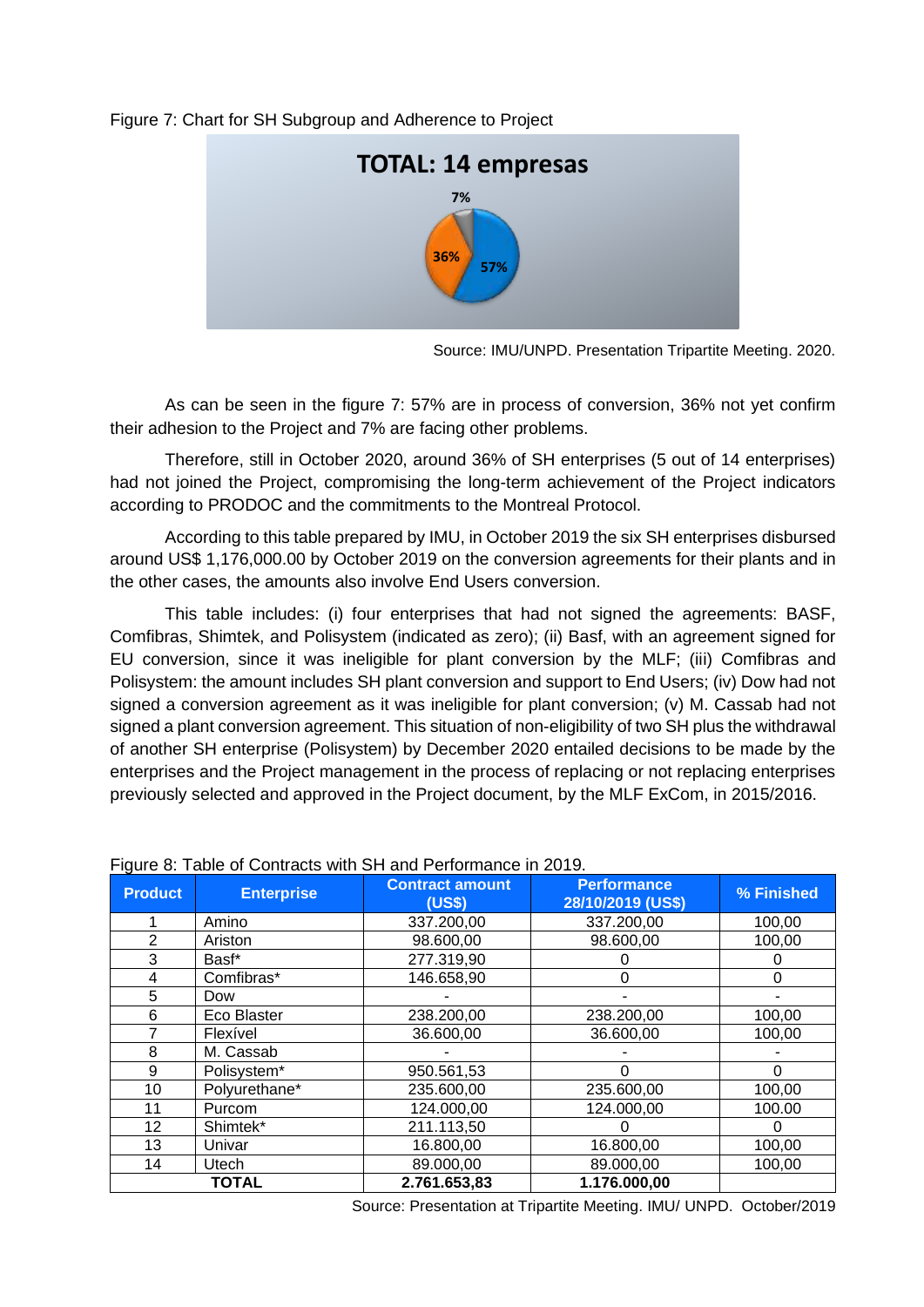### Figure 7: Chart for SH Subgroup and Adherence to Project



Source: IMU/UNPD. Presentation Tripartite Meeting. 2020.

As can be seen in the figure 7: 57% are in process of conversion, 36% not yet confirm their adhesion to the Project and 7% are facing other problems.

Therefore, still in October 2020, around 36% of SH enterprises (5 out of 14 enterprises) had not joined the Project, compromising the long-term achievement of the Project indicators according to PRODOC and the commitments to the Montreal Protocol.

According to this table prepared by IMU, in October 2019 the six SH enterprises disbursed around US\$ 1,176,000.00 by October 2019 on the conversion agreements for their plants and in the other cases, the amounts also involve End Users conversion.

This table includes: (i) four enterprises that had not signed the agreements: BASF, Comfibras, Shimtek, and Polisystem (indicated as zero); (ii) Basf, with an agreement signed for EU conversion, since it was ineligible for plant conversion by the MLF; (iii) Comfibras and Polisystem: the amount includes SH plant conversion and support to End Users; (iv) Dow had not signed a conversion agreement as it was ineligible for plant conversion; (v) M. Cassab had not signed a plant conversion agreement. This situation of non-eligibility of two SH plus the withdrawal of another SH enterprise (Polisystem) by December 2020 entailed decisions to be made by the enterprises and the Project management in the process of replacing or not replacing enterprises previously selected and approved in the Project document, by the MLF ExCom, in 2015/2016.

| <b>Product</b> | <b>Enterprise</b> | <b>Contract amount</b><br>(US\$) | <b>Performance</b><br>28/10/2019 (US\$) | % Finished |
|----------------|-------------------|----------------------------------|-----------------------------------------|------------|
|                | Amino             | 337.200,00                       | 337.200,00                              | 100,00     |
| 2              | Ariston           | 98.600,00                        | 98.600,00                               | 100,00     |
| 3              | Basf*             | 277.319,90                       |                                         |            |
| 4              | Comfibras*        | 146.658,90                       | 0                                       | $\Omega$   |
| 5              | Dow               |                                  |                                         |            |
| 6              | Eco Blaster       | 238.200,00                       | 238.200,00                              | 100,00     |
| 7              | Flexível          | 36.600,00                        | 36.600,00                               | 100,00     |
| 8              | M. Cassab         |                                  |                                         |            |
| 9              | Polisystem*       | 950.561,53                       | ი                                       | $\Omega$   |
| 10             | Polyurethane*     | 235.600,00                       | 235.600,00                              | 100,00     |
| 11             | Purcom            | 124.000,00                       | 124.000,00                              | 100.00     |
| 12             | Shimtek*          | 211.113,50                       |                                         | 0          |
| 13             | Univar            | 16.800,00                        | 16.800,00                               | 100,00     |
| 14             | Utech             | 89.000,00                        | 89.000,00                               | 100,00     |
|                | <b>TOTAL</b>      | 2.761.653.83                     | 1.176.000.00                            |            |

Figure 8: Table of Contracts with SH and Performance in 2019.

Source: Presentation at Tripartite Meeting. IMU/ UNPD. October/2019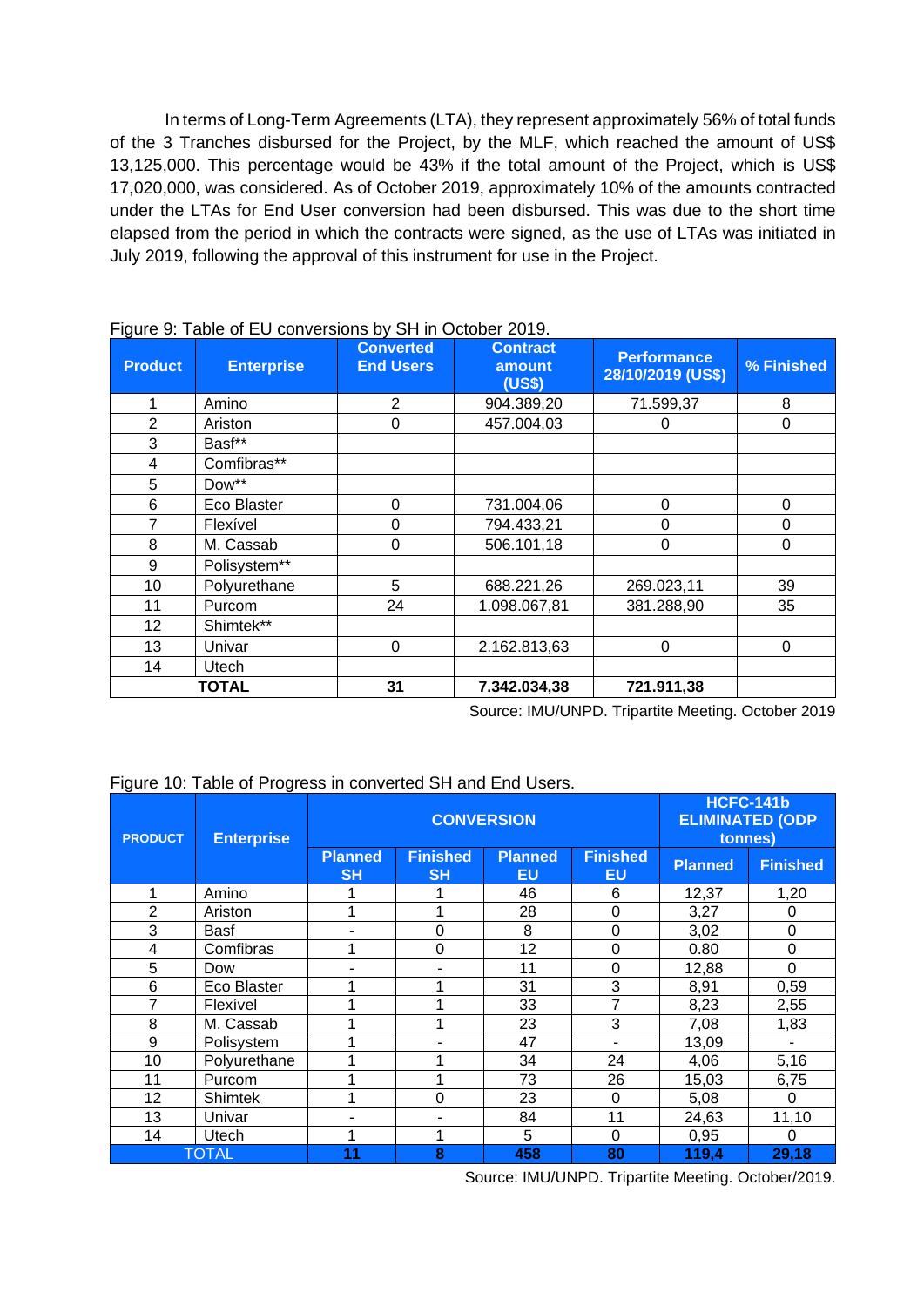In terms of Long-Term Agreements (LTA), they represent approximately 56% of total funds of the 3 Tranches disbursed for the Project, by the MLF, which reached the amount of US\$ 13,125,000. This percentage would be 43% if the total amount of the Project, which is US\$ 17,020,000, was considered. As of October 2019, approximately 10% of the amounts contracted under the LTAs for End User conversion had been disbursed. This was due to the short time elapsed from the period in which the contracts were signed, as the use of LTAs was initiated in July 2019, following the approval of this instrument for use in the Project.

| <b>Product</b> | $\frac{1}{2}$<br><b>Enterprise</b> | $\frac{1}{2}$<br><b>Converted</b><br><b>End Users</b> | <b>Contract</b><br>amount<br>(US\$) | <b>Performance</b><br>28/10/2019 (US\$) | % Finished |
|----------------|------------------------------------|-------------------------------------------------------|-------------------------------------|-----------------------------------------|------------|
| 1              | Amino                              | 2                                                     | 904.389,20                          | 71.599,37                               | 8          |
| $\overline{2}$ | Ariston                            | $\Omega$                                              | 457.004,03                          | 0                                       | 0          |
| 3              | Basf**                             |                                                       |                                     |                                         |            |
| 4              | Comfibras**                        |                                                       |                                     |                                         |            |
| 5              | Dow**                              |                                                       |                                     |                                         |            |
| 6              | Eco Blaster                        | $\Omega$                                              | 731.004,06                          | $\Omega$                                | 0          |
| 7              | Flexível                           | 0                                                     | 794.433,21                          | 0                                       | 0          |
| 8              | M. Cassab                          | $\Omega$                                              | 506.101,18                          | 0                                       | 0          |
| 9              | Polisystem**                       |                                                       |                                     |                                         |            |
| 10             | Polyurethane                       | 5                                                     | 688.221,26                          | 269.023,11                              | 39         |
| 11             | Purcom                             | 24                                                    | 1.098.067,81                        | 381.288,90                              | 35         |
| 12             | Shimtek**                          |                                                       |                                     |                                         |            |
| 13             | Univar                             | $\Omega$                                              | 2.162.813,63                        | 0                                       | 0          |
| 14             | Utech                              |                                                       |                                     |                                         |            |
|                | <b>TOTAL</b>                       | 31                                                    | 7.342.034,38                        | 721.911,38                              |            |

#### Figure 9: Table of EU conversions by SH in October 2019.

Source: IMU/UNPD. Tripartite Meeting. October 2019

### Figure 10: Table of Progress in converted SH and End Users.

| <b>PRODUCT</b> | <b>Enterprise</b> |                             | <b>CONVERSION</b>            | <b>HCFC-141b</b><br><b>ELIMINATED (ODP</b><br>tonnes) |                       |                |                  |
|----------------|-------------------|-----------------------------|------------------------------|-------------------------------------------------------|-----------------------|----------------|------------------|
|                |                   | <b>Planned</b><br><b>SH</b> | <b>Finished</b><br><b>SH</b> | <b>Planned</b><br><b>EU</b>                           | <b>Finished</b><br>EU | <b>Planned</b> | <b>Finished</b>  |
|                | Amino             |                             |                              | 46                                                    | 6                     | 12,37          | 1,20             |
| $\overline{2}$ | Ariston           |                             |                              | 28                                                    | 0                     | 3,27           | 0                |
| 3              | Basf              |                             | $\overline{0}$               | 8                                                     | $\mathbf 0$           | 3,02           | $\boldsymbol{0}$ |
| 4              | Comfibras         |                             | 0                            | 12                                                    | 0                     | 0.80           | 0                |
| 5              | Dow               |                             |                              | 11                                                    | $\Omega$              | 12,88          | $\Omega$         |
| 6              | Eco Blaster       |                             |                              | 31                                                    | 3                     | 8,91           | 0,59             |
| 7              | Flexível          |                             |                              | 33                                                    | 7                     | 8,23           | 2,55             |
| 8              | M. Cassab         |                             |                              | 23                                                    | 3                     | 7,08           | 1,83             |
| 9              | Polisystem        |                             |                              | 47                                                    |                       | 13,09          |                  |
| 10             | Polyurethane      |                             |                              | 34                                                    | 24                    | 4,06           | 5,16             |
| 11             | Purcom            |                             |                              | 73                                                    | 26                    | 15,03          | 6,75             |
| 12             | <b>Shimtek</b>    |                             | $\Omega$                     | 23                                                    | $\Omega$              | 5,08           | 0                |
| 13             | Univar            |                             |                              | 84                                                    | 11                    | 24,63          | 11,10            |
| 14             | Utech             |                             |                              | 5                                                     | $\Omega$              | 0,95           | $\Omega$         |
|                | <b>TOTAL</b>      | 11                          | 8                            | 458                                                   | 80                    | 119,4          | 29,18            |

Source: IMU/UNPD. Tripartite Meeting. October/2019.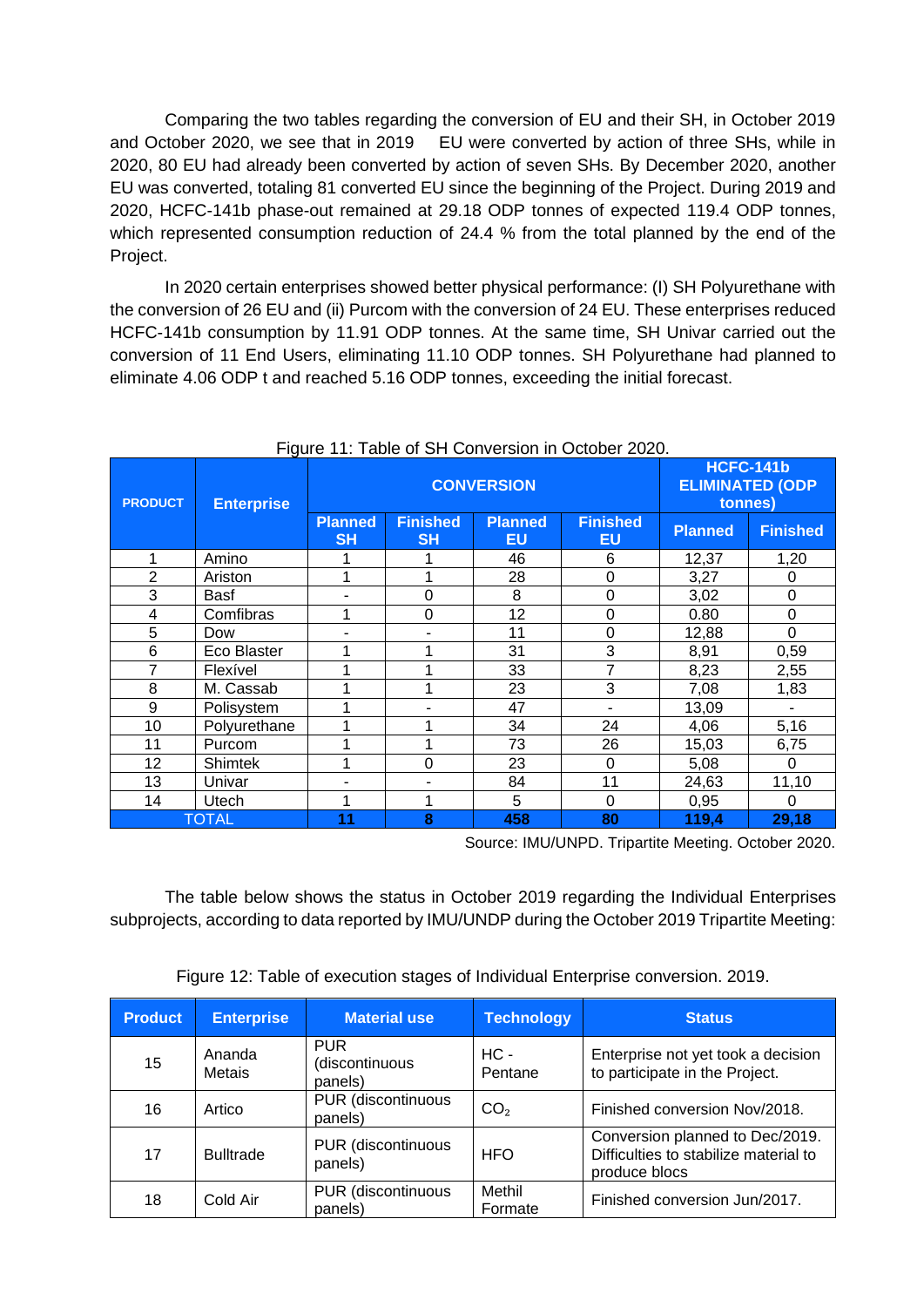Comparing the two tables regarding the conversion of EU and their SH, in October 2019 and October 2020, we see that in 2019 EU were converted by action of three SHs, while in 2020, 80 EU had already been converted by action of seven SHs. By December 2020, another EU was converted, totaling 81 converted EU since the beginning of the Project. During 2019 and 2020, HCFC-141b phase-out remained at 29.18 ODP tonnes of expected 119.4 ODP tonnes, which represented consumption reduction of 24.4 % from the total planned by the end of the Project.

In 2020 certain enterprises showed better physical performance: (I) SH Polyurethane with the conversion of 26 EU and (ii) Purcom with the conversion of 24 EU. These enterprises reduced HCFC-141b consumption by 11.91 ODP tonnes. At the same time, SH Univar carried out the conversion of 11 End Users, eliminating 11.10 ODP tonnes. SH Polyurethane had planned to eliminate 4.06 ODP t and reached 5.16 ODP tonnes, exceeding the initial forecast.

| <b>PRODUCT</b> | <b>Enterprise</b> | <b>CONVERSION</b>           |                              |                      |                       | <b>HCFC-141b</b><br><b>ELIMINATED (ODP</b><br>tonnes) |                 |
|----------------|-------------------|-----------------------------|------------------------------|----------------------|-----------------------|-------------------------------------------------------|-----------------|
|                |                   | <b>Planned</b><br><b>SH</b> | <b>Finished</b><br><b>SH</b> | <b>Planned</b><br>EU | <b>Finished</b><br>EU | <b>Planned</b>                                        | <b>Finished</b> |
| 1              | Amino             |                             |                              | 46                   | 6                     | 12,37                                                 | 1,20            |
| $\overline{2}$ | Ariston           | 1                           |                              | 28                   | 0                     | 3,27                                                  | 0               |
| 3              | Basf              |                             | $\overline{0}$               | 8                    | $\overline{0}$        | 3,02                                                  | 0               |
| 4              | Comfibras         | 1                           | $\Omega$                     | 12                   | 0                     | 0.80                                                  | 0               |
| 5              | Dow               |                             |                              | 11                   | 0                     | 12,88                                                 | 0               |
| 6              | Eco Blaster       |                             |                              | 31                   | 3                     | 8,91                                                  | 0,59            |
| $\overline{7}$ | Flexível          |                             |                              | 33                   | 7                     | 8,23                                                  | 2,55            |
| 8              | M. Cassab         |                             | ◢                            | 23                   | 3                     | 7,08                                                  | 1,83            |
| 9              | Polisystem        |                             |                              | 47                   |                       | 13,09                                                 |                 |
| 10             | Polyurethane      |                             |                              | 34                   | 24                    | 4,06                                                  | 5,16            |
| 11             | Purcom            |                             |                              | 73                   | 26                    | 15,03                                                 | 6,75            |
| 12             | <b>Shimtek</b>    | 1                           | $\Omega$                     | 23                   | 0                     | 5,08                                                  | 0               |
| 13             | Univar            |                             |                              | 84                   | 11                    | 24,63                                                 | 11,10           |
| 14             | Utech             |                             |                              | 5                    | 0                     | 0,95                                                  | 0               |
|                | <b>TOTAL</b>      | 11                          | 8                            | 458                  | 80                    | 119,4                                                 | 29,18           |

Figure 11: Table of SH Conversion in October 2020.

Source: IMU/UNPD. Tripartite Meeting. October 2020.

The table below shows the status in October 2019 regarding the Individual Enterprises subprojects, according to data reported by IMU/UNDP during the October 2019 Tripartite Meeting:

|  |  |  | Figure 12: Table of execution stages of Individual Enterprise conversion. 2019. |  |
|--|--|--|---------------------------------------------------------------------------------|--|
|  |  |  |                                                                                 |  |
|  |  |  |                                                                                 |  |
|  |  |  |                                                                                 |  |

| <b>Product</b> | <b>Enterprise</b> | <b>Material use</b>                     | <b>Technology</b> | <b>Status</b>                                                                             |
|----------------|-------------------|-----------------------------------------|-------------------|-------------------------------------------------------------------------------------------|
| 15             | Ananda<br>Metais  | <b>PUR</b><br>(discontinuous<br>panels) | HC -<br>Pentane   | Enterprise not yet took a decision<br>to participate in the Project.                      |
| 16             | Artico            | PUR (discontinuous<br>panels)           | CO <sub>2</sub>   | Finished conversion Nov/2018.                                                             |
| 17             | <b>Bulltrade</b>  | PUR (discontinuous<br>panels)           | <b>HFO</b>        | Conversion planned to Dec/2019.<br>Difficulties to stabilize material to<br>produce blocs |
| 18             | Cold Air          | <b>PUR</b> (discontinuous<br>panels)    | Methil<br>Formate | Finished conversion Jun/2017.                                                             |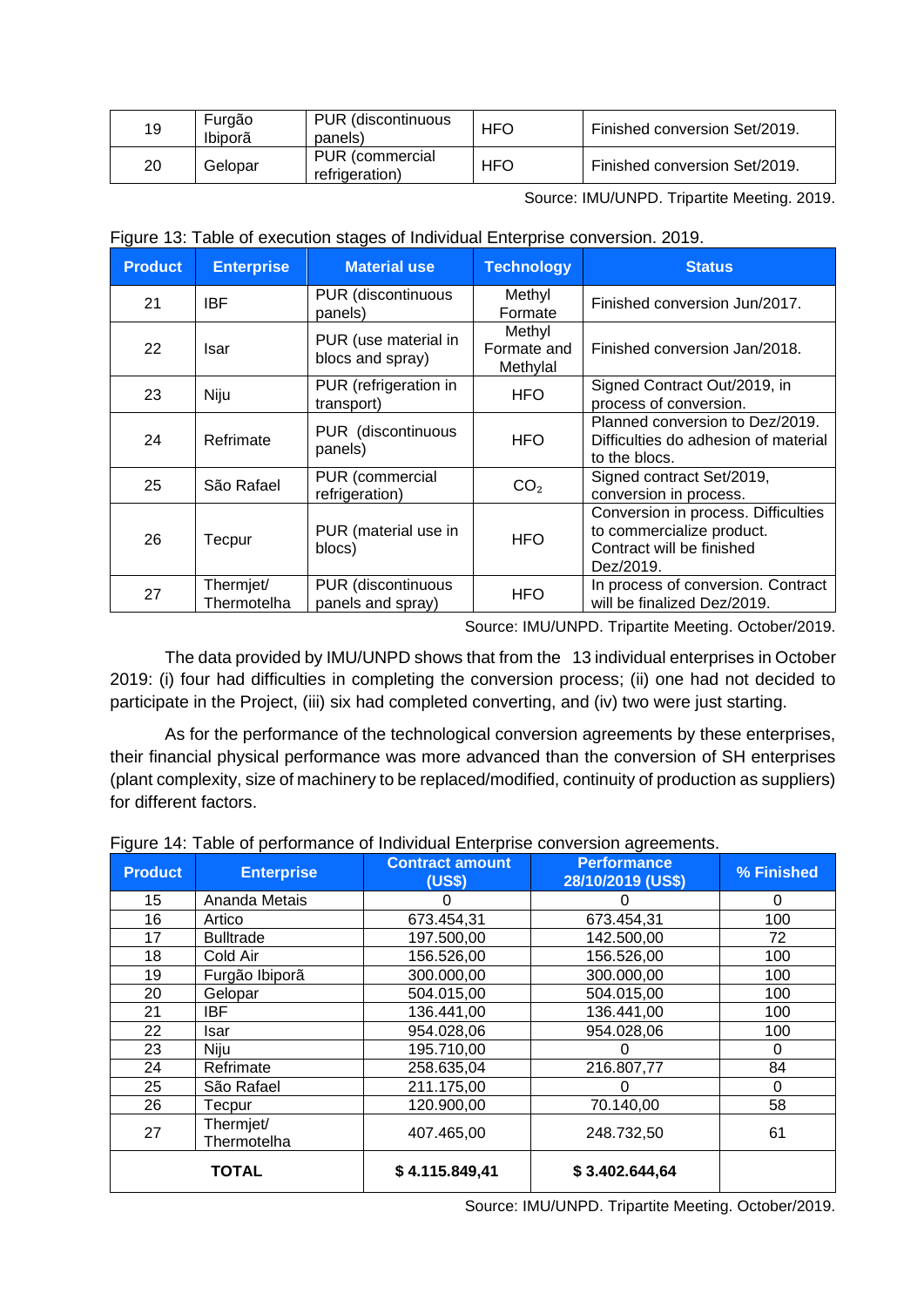| 19 | Furgão<br>Ibiporã | PUR (discontinuous<br>panels)     | <b>HFO</b> | Finished conversion Set/2019. |
|----|-------------------|-----------------------------------|------------|-------------------------------|
| 20 | Gelopar           | PUR (commercial<br>refrigeration) | <b>HFO</b> | Finished conversion Set/2019. |

Source: IMU/UNPD. Tripartite Meeting. 2019.

|  |  |  | Figure 13: Table of execution stages of Individual Enterprise conversion. 2019. |  |
|--|--|--|---------------------------------------------------------------------------------|--|
|  |  |  |                                                                                 |  |

| <b>Product</b> | <b>Enterprise</b>        | <b>Material use</b>                      | <b>Technology</b>                 | <b>Status</b>                                                                                              |
|----------------|--------------------------|------------------------------------------|-----------------------------------|------------------------------------------------------------------------------------------------------------|
| 21             | <b>IBF</b>               | PUR (discontinuous<br>panels)            | Methyl<br>Formate                 | Finished conversion Jun/2017.                                                                              |
| 22             | Isar                     | PUR (use material in<br>blocs and spray) | Methyl<br>Formate and<br>Methylal | Finished conversion Jan/2018.                                                                              |
| 23             | Niju                     | PUR (refrigeration in<br>transport)      | <b>HFO</b>                        | Signed Contract Out/2019, in<br>process of conversion.                                                     |
| 24             | Refrimate                | PUR (discontinuous<br>panels)            | <b>HFO</b>                        | Planned conversion to Dez/2019.<br>Difficulties do adhesion of material<br>to the blocs.                   |
| 25             | São Rafael               | PUR (commercial<br>refrigeration)        | CO <sub>2</sub>                   | Signed contract Set/2019,<br>conversion in process.                                                        |
| 26             | Tecpur                   | PUR (material use in<br>blocs)           | <b>HFO</b>                        | Conversion in process. Difficulties<br>to commercialize product.<br>Contract will be finished<br>Dez/2019. |
| 27             | Thermjet/<br>Thermotelha | PUR (discontinuous<br>panels and spray)  | <b>HFO</b>                        | In process of conversion. Contract<br>will be finalized Dez/2019.                                          |

Source: IMU/UNPD. Tripartite Meeting. October/2019.

The data provided by IMU/UNPD shows that from the 13 individual enterprises in October 2019: (i) four had difficulties in completing the conversion process; (ii) one had not decided to participate in the Project, (iii) six had completed converting, and (iv) two were just starting.

As for the performance of the technological conversion agreements by these enterprises, their financial physical performance was more advanced than the conversion of SH enterprises (plant complexity, size of machinery to be replaced/modified, continuity of production as suppliers) for different factors.

| <b>Product</b> | <b>Enterprise</b>        | <b>Contract amount</b><br>(US\$) | <b>Performance</b><br>28/10/2019 (US\$) | % Finished |
|----------------|--------------------------|----------------------------------|-----------------------------------------|------------|
| 15             | Ananda Metais            | O                                |                                         | 0          |
| 16             | Artico                   | 673.454,31                       | 673.454,31                              | 100        |
| 17             | <b>Bulltrade</b>         | 197.500,00                       | 142.500,00                              | 72         |
| 18             | Cold Air                 | 156.526,00                       | 156.526,00                              | 100        |
| 19             | Furgão Ibiporã           | 300.000,00                       | 300.000,00                              | 100        |
| 20             | Gelopar                  | 504.015,00                       | 504.015,00                              | 100        |
| 21             | IBF.                     | 136.441,00                       | 136.441,00                              | 100        |
| 22             | Isar                     | 954.028,06                       | 954.028,06                              | 100        |
| 23             | Niju                     | 195.710,00                       |                                         | 0          |
| 24             | Refrimate                | 258.635,04                       | 216.807,77                              | 84         |
| 25             | São Rafael               | 211.175,00                       | 0                                       | 0          |
| 26             | Tecpur                   | 120.900,00                       | 70.140,00                               | 58         |
| 27             | Thermjet/<br>Thermotelha | 407.465,00                       | 248.732,50                              | 61         |
|                | <b>TOTAL</b>             | \$4.115.849,41                   | \$3.402.644,64                          |            |

Figure 14: Table of performance of Individual Enterprise conversion agreements.

Source: IMU/UNPD. Tripartite Meeting. October/2019.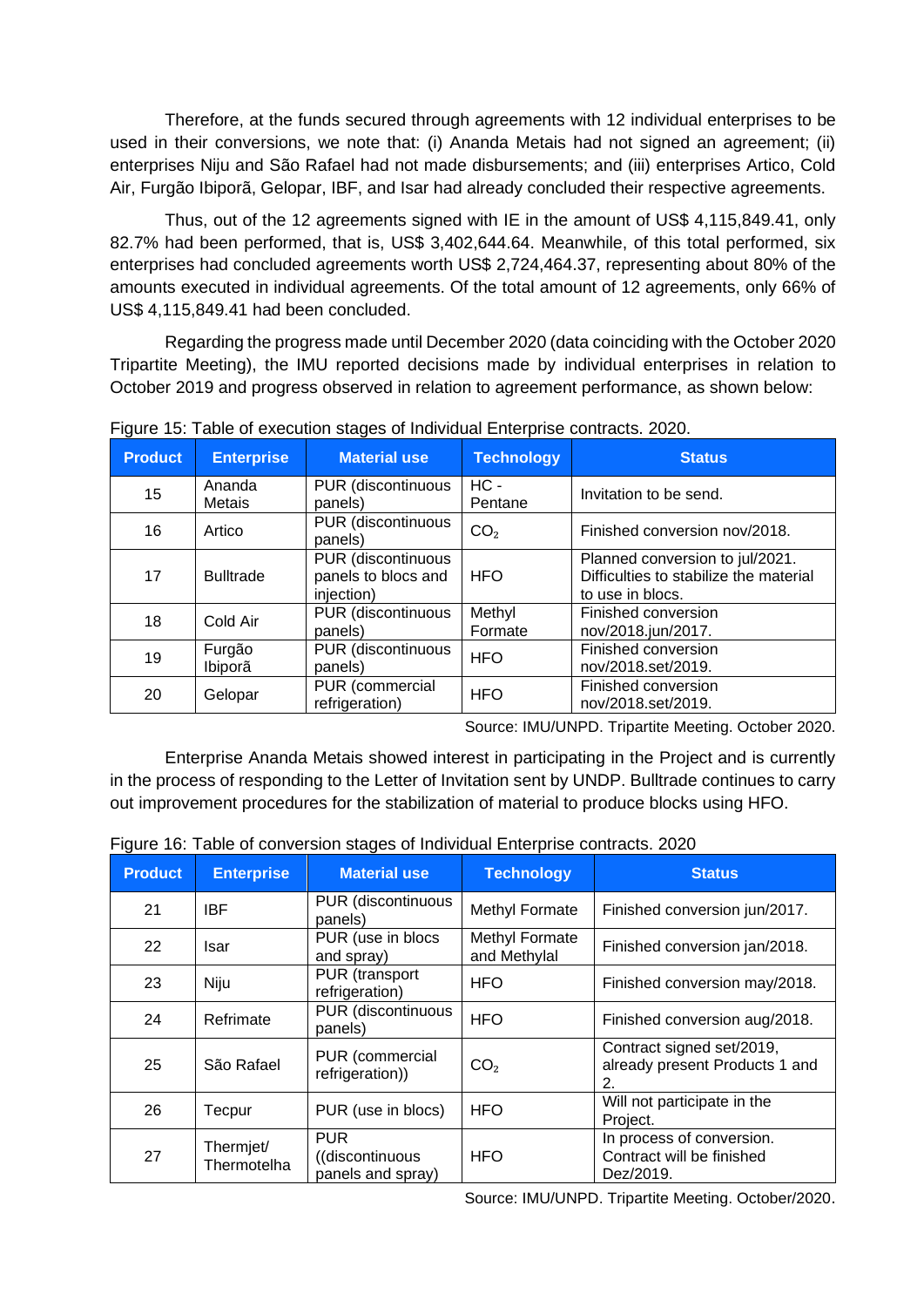Therefore, at the funds secured through agreements with 12 individual enterprises to be used in their conversions, we note that: (i) Ananda Metais had not signed an agreement; (ii) enterprises Niju and São Rafael had not made disbursements; and (iii) enterprises Artico, Cold Air, Furgão Ibiporã, Gelopar, IBF, and Isar had already concluded their respective agreements.

Thus, out of the 12 agreements signed with IE in the amount of US\$ 4,115,849.41, only 82.7% had been performed, that is, US\$ 3,402,644.64. Meanwhile, of this total performed, six enterprises had concluded agreements worth US\$ 2,724,464.37, representing about 80% of the amounts executed in individual agreements. Of the total amount of 12 agreements, only 66% of US\$ 4,115,849.41 had been concluded.

Regarding the progress made until December 2020 (data coinciding with the October 2020 Tripartite Meeting), the IMU reported decisions made by individual enterprises in relation to October 2019 and progress observed in relation to agreement performance, as shown below:

| <b>Product</b> | <b>Enterprise</b>       | <b>Material use</b>                                     | <b>Technology</b> | <b>Status</b>                                                                                 |
|----------------|-------------------------|---------------------------------------------------------|-------------------|-----------------------------------------------------------------------------------------------|
| 15             | Ananda<br><b>Metais</b> | PUR (discontinuous<br>panels)                           | $HC -$<br>Pentane | Invitation to be send.                                                                        |
| 16             | Artico                  | PUR (discontinuous<br>panels)                           | CO <sub>2</sub>   | Finished conversion nov/2018.                                                                 |
| 17             | <b>Bulltrade</b>        | PUR (discontinuous<br>panels to blocs and<br>injection) | <b>HFO</b>        | Planned conversion to jul/2021.<br>Difficulties to stabilize the material<br>to use in blocs. |
| 18             | Cold Air                | PUR (discontinuous<br>panels)                           | Methyl<br>Formate | Finished conversion<br>nov/2018.jun/2017.                                                     |
| 19             | Furgão<br>Ibiporã       | PUR (discontinuous<br>panels)                           | <b>HFO</b>        | Finished conversion<br>nov/2018.set/2019.                                                     |
| 20             | Gelopar                 | PUR (commercial<br>refrigeration)                       | <b>HFO</b>        | Finished conversion<br>nov/2018.set/2019.                                                     |

Figure 15: Table of execution stages of Individual Enterprise contracts. 2020.

Source: IMU/UNPD. Tripartite Meeting. October 2020.

Enterprise Ananda Metais showed interest in participating in the Project and is currently in the process of responding to the Letter of Invitation sent by UNDP. Bulltrade continues to carry out improvement procedures for the stabilization of material to produce blocks using HFO.

| <b>Product</b> | <b>Enterprise</b>        | <b>Material use</b>                                 | <b>Technology</b>              | <b>Status</b>                                                       |
|----------------|--------------------------|-----------------------------------------------------|--------------------------------|---------------------------------------------------------------------|
| 21             | <b>IBF</b>               | PUR (discontinuous<br>panels)                       | Methyl Formate                 | Finished conversion jun/2017.                                       |
| 22             | Isar                     | PUR (use in blocs<br>and spray)                     | Methyl Formate<br>and Methylal | Finished conversion jan/2018.                                       |
| 23             | Niju                     | PUR (transport<br>refrigeration)                    | <b>HFO</b>                     | Finished conversion may/2018.                                       |
| 24             | Refrimate                | PUR (discontinuous<br>panels)                       | <b>HFO</b>                     | Finished conversion aug/2018.                                       |
| 25             | São Rafael               | PUR (commercial<br>refrigeration))                  | CO <sub>2</sub>                | Contract signed set/2019,<br>already present Products 1 and<br>2.   |
| 26             | Tecpur                   | PUR (use in blocs)                                  | <b>HFO</b>                     | Will not participate in the<br>Project.                             |
| 27             | Thermjet/<br>Thermotelha | <b>PUR</b><br>((discontinuous)<br>panels and spray) | <b>HFO</b>                     | In process of conversion.<br>Contract will be finished<br>Dez/2019. |

Figure 16: Table of conversion stages of Individual Enterprise contracts. 2020

Source: IMU/UNPD. Tripartite Meeting. October/2020.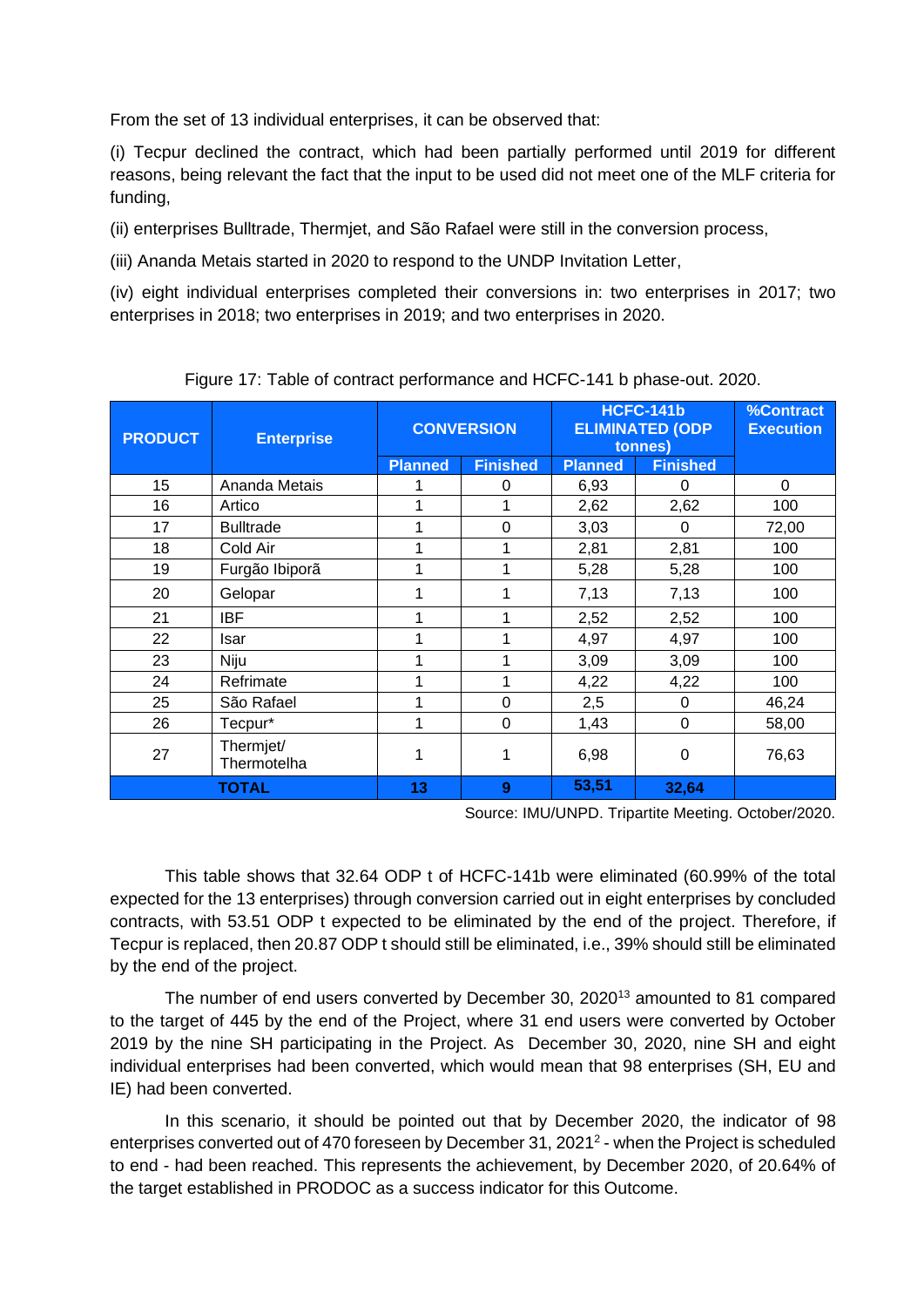From the set of 13 individual enterprises, it can be observed that:

(i) Tecpur declined the contract, which had been partially performed until 2019 for different reasons, being relevant the fact that the input to be used did not meet one of the MLF criteria for funding,

(ii) enterprises Bulltrade, Thermjet, and São Rafael were still in the conversion process,

(iii) Ananda Metais started in 2020 to respond to the UNDP Invitation Letter,

(iv) eight individual enterprises completed their conversions in: two enterprises in 2017; two enterprises in 2018; two enterprises in 2019; and two enterprises in 2020.

| <b>PRODUCT</b> | <b>Enterprise</b>        |                | <b>CONVERSION</b> |                | <b>HCFC-141b</b><br><b>ELIMINATED (ODP</b><br>tonnes) | <b>%Contract</b><br><b>Execution</b> |
|----------------|--------------------------|----------------|-------------------|----------------|-------------------------------------------------------|--------------------------------------|
|                |                          | <b>Planned</b> | <b>Finished</b>   | <b>Planned</b> | <b>Finished</b>                                       |                                      |
| 15             | Ananda Metais            |                | 0                 | 6,93           | 0                                                     | 0                                    |
| 16             | Artico                   |                | 1                 | 2,62           | 2,62                                                  | 100                                  |
| 17             | <b>Bulltrade</b>         | 1              | $\Omega$          | 3,03           | 0                                                     | 72,00                                |
| 18             | Cold Air                 |                | 1                 | 2,81           | 2,81                                                  | 100                                  |
| 19             | Furgão Ibiporã           | 1              | 1                 | 5,28           | 5,28                                                  | 100                                  |
| 20             | Gelopar                  |                | 1                 | 7,13           | 7,13                                                  | 100                                  |
| 21             | <b>IBF</b>               | 1              | 1                 | 2,52           | 2,52                                                  | 100                                  |
| 22             | Isar                     | 1              | 1                 | 4,97           | 4,97                                                  | 100                                  |
| 23             | Niju                     |                | 1                 | 3,09           | 3,09                                                  | 100                                  |
| 24             | Refrimate                | 1              | 1                 | 4,22           | 4,22                                                  | 100                                  |
| 25             | São Rafael               |                | $\Omega$          | 2,5            | 0                                                     | 46,24                                |
| 26             | Tecpur*                  | 1              | $\overline{0}$    | 1,43           | 0                                                     | 58,00                                |
| 27             | Thermjet/<br>Thermotelha | 1              | 1                 | 6,98           | 0                                                     | 76,63                                |
|                | <b>TOTAL</b>             | 13             | 9                 | 53,51          | 32,64                                                 |                                      |

Figure 17: Table of contract performance and HCFC-141 b phase-out. 2020.

Source: IMU/UNPD. Tripartite Meeting. October/2020.

This table shows that 32.64 ODP t of HCFC-141b were eliminated (60.99% of the total expected for the 13 enterprises) through conversion carried out in eight enterprises by concluded contracts, with 53.51 ODP t expected to be eliminated by the end of the project. Therefore, if Tecpur is replaced, then 20.87 ODP t should still be eliminated, i.e., 39% should still be eliminated by the end of the project.

The number of end users converted by December 30, 2020<sup>13</sup> amounted to 81 compared to the target of 445 by the end of the Project, where 31 end users were converted by October 2019 by the nine SH participating in the Project. As December 30, 2020, nine SH and eight individual enterprises had been converted, which would mean that 98 enterprises (SH, EU and IE) had been converted.

In this scenario, it should be pointed out that by December 2020, the indicator of 98 enterprises converted out of 470 foreseen by December 31, 2021<sup>2</sup> - when the Project is scheduled to end - had been reached. This represents the achievement, by December 2020, of 20.64% of the target established in PRODOC as a success indicator for this Outcome.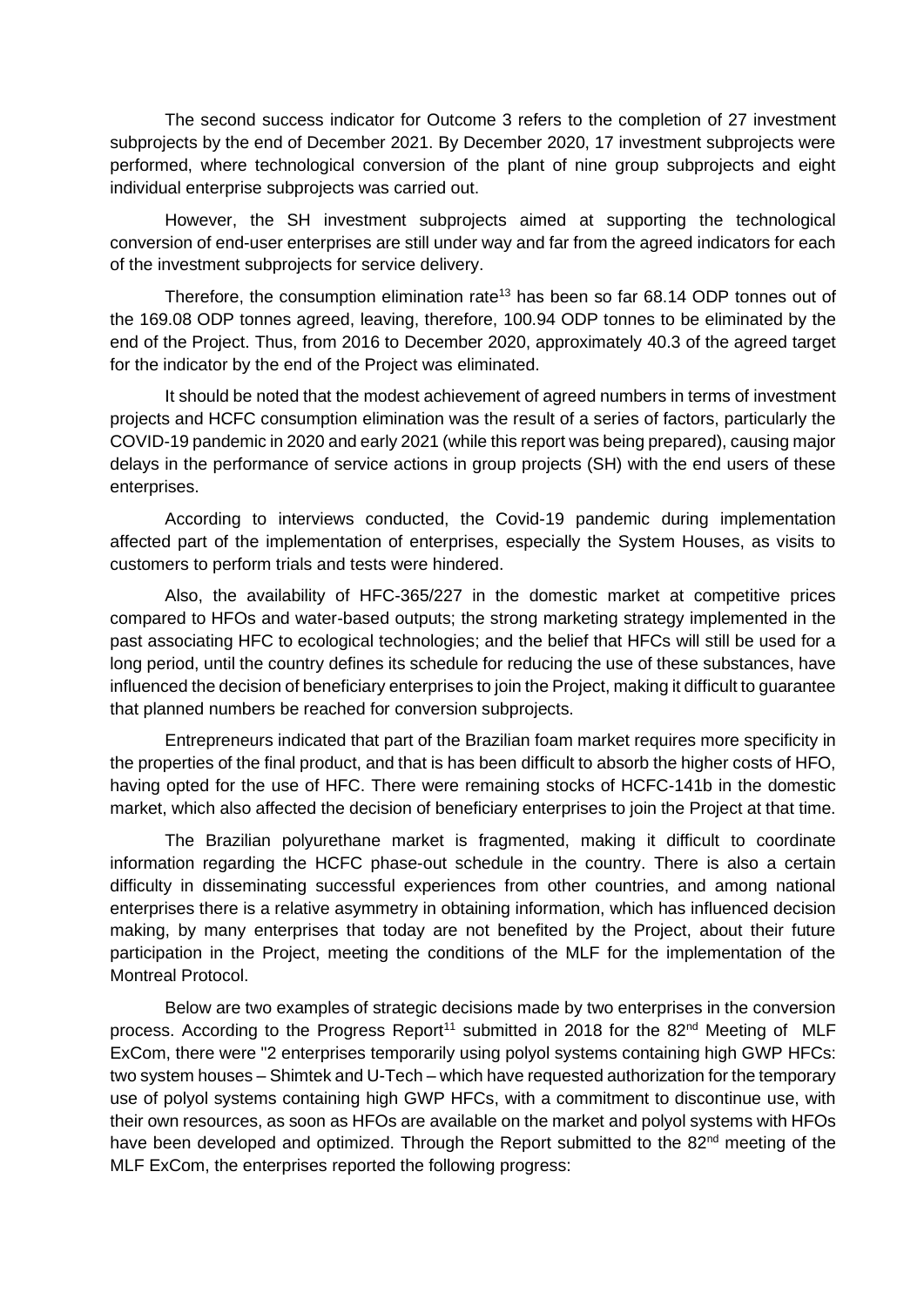The second success indicator for Outcome 3 refers to the completion of 27 investment subprojects by the end of December 2021. By December 2020, 17 investment subprojects were performed, where technological conversion of the plant of nine group subprojects and eight individual enterprise subprojects was carried out.

However, the SH investment subprojects aimed at supporting the technological conversion of end-user enterprises are still under way and far from the agreed indicators for each of the investment subprojects for service delivery.

Therefore, the consumption elimination rate<sup>13</sup> has been so far 68.14 ODP tonnes out of the 169.08 ODP tonnes agreed, leaving, therefore, 100.94 ODP tonnes to be eliminated by the end of the Project. Thus, from 2016 to December 2020, approximately 40.3 of the agreed target for the indicator by the end of the Project was eliminated.

It should be noted that the modest achievement of agreed numbers in terms of investment projects and HCFC consumption elimination was the result of a series of factors, particularly the COVID-19 pandemic in 2020 and early 2021 (while this report was being prepared), causing major delays in the performance of service actions in group projects (SH) with the end users of these enterprises.

According to interviews conducted, the Covid-19 pandemic during implementation affected part of the implementation of enterprises, especially the System Houses, as visits to customers to perform trials and tests were hindered.

Also, the availability of HFC-365/227 in the domestic market at competitive prices compared to HFOs and water-based outputs; the strong marketing strategy implemented in the past associating HFC to ecological technologies; and the belief that HFCs will still be used for a long period, until the country defines its schedule for reducing the use of these substances, have influenced the decision of beneficiary enterprises to join the Project, making it difficult to guarantee that planned numbers be reached for conversion subprojects.

Entrepreneurs indicated that part of the Brazilian foam market requires more specificity in the properties of the final product, and that is has been difficult to absorb the higher costs of HFO, having opted for the use of HFC. There were remaining stocks of HCFC-141b in the domestic market, which also affected the decision of beneficiary enterprises to join the Project at that time.

The Brazilian polyurethane market is fragmented, making it difficult to coordinate information regarding the HCFC phase-out schedule in the country. There is also a certain difficulty in disseminating successful experiences from other countries, and among national enterprises there is a relative asymmetry in obtaining information, which has influenced decision making, by many enterprises that today are not benefited by the Project, about their future participation in the Project, meeting the conditions of the MLF for the implementation of the Montreal Protocol.

Below are two examples of strategic decisions made by two enterprises in the conversion process. According to the Progress Report<sup>11</sup> submitted in 2018 for the  $82<sup>nd</sup>$  Meeting of MLF ExCom, there were "2 enterprises temporarily using polyol systems containing high GWP HFCs: two system houses – Shimtek and U-Tech – which have requested authorization for the temporary use of polyol systems containing high GWP HFCs, with a commitment to discontinue use, with their own resources, as soon as HFOs are available on the market and polyol systems with HFOs have been developed and optimized. Through the Report submitted to the 82<sup>nd</sup> meeting of the MLF ExCom, the enterprises reported the following progress: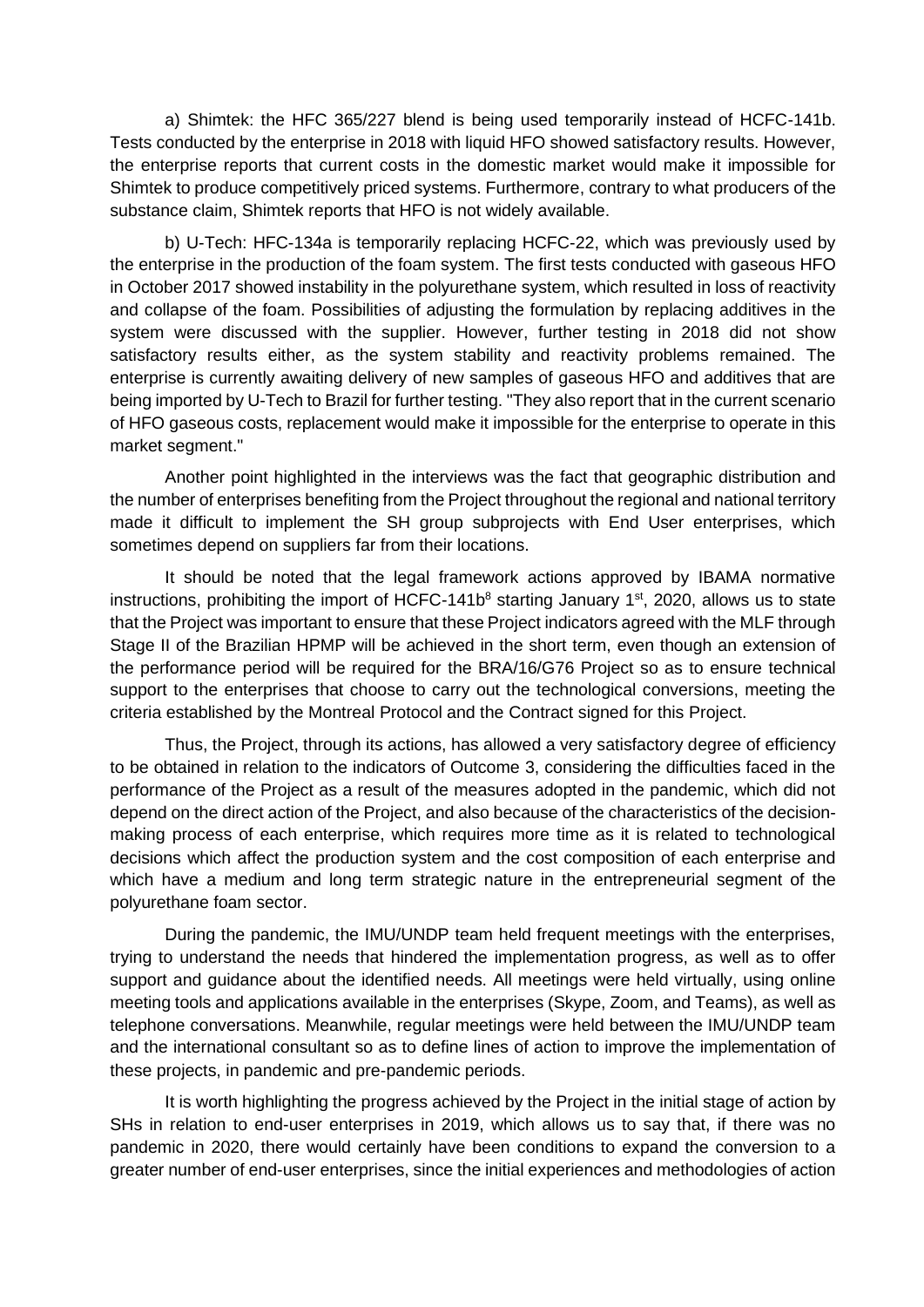a) Shimtek: the HFC 365/227 blend is being used temporarily instead of HCFC-141b. Tests conducted by the enterprise in 2018 with liquid HFO showed satisfactory results. However, the enterprise reports that current costs in the domestic market would make it impossible for Shimtek to produce competitively priced systems. Furthermore, contrary to what producers of the substance claim, Shimtek reports that HFO is not widely available.

b) U-Tech: HFC-134a is temporarily replacing HCFC-22, which was previously used by the enterprise in the production of the foam system. The first tests conducted with gaseous HFO in October 2017 showed instability in the polyurethane system, which resulted in loss of reactivity and collapse of the foam. Possibilities of adjusting the formulation by replacing additives in the system were discussed with the supplier. However, further testing in 2018 did not show satisfactory results either, as the system stability and reactivity problems remained. The enterprise is currently awaiting delivery of new samples of gaseous HFO and additives that are being imported by U-Tech to Brazil for further testing. "They also report that in the current scenario of HFO gaseous costs, replacement would make it impossible for the enterprise to operate in this market segment."

Another point highlighted in the interviews was the fact that geographic distribution and the number of enterprises benefiting from the Project throughout the regional and national territory made it difficult to implement the SH group subprojects with End User enterprises, which sometimes depend on suppliers far from their locations.

It should be noted that the legal framework actions approved by IBAMA normative instructions, prohibiting the import of HCFC-141b<sup>8</sup> starting January 1<sup>st</sup>, 2020, allows us to state that the Project was important to ensure that these Project indicators agreed with the MLF through Stage II of the Brazilian HPMP will be achieved in the short term, even though an extension of the performance period will be required for the BRA/16/G76 Project so as to ensure technical support to the enterprises that choose to carry out the technological conversions, meeting the criteria established by the Montreal Protocol and the Contract signed for this Project.

Thus, the Project, through its actions, has allowed a very satisfactory degree of efficiency to be obtained in relation to the indicators of Outcome 3, considering the difficulties faced in the performance of the Project as a result of the measures adopted in the pandemic, which did not depend on the direct action of the Project, and also because of the characteristics of the decisionmaking process of each enterprise, which requires more time as it is related to technological decisions which affect the production system and the cost composition of each enterprise and which have a medium and long term strategic nature in the entrepreneurial segment of the polyurethane foam sector.

During the pandemic, the IMU/UNDP team held frequent meetings with the enterprises, trying to understand the needs that hindered the implementation progress, as well as to offer support and guidance about the identified needs. All meetings were held virtually, using online meeting tools and applications available in the enterprises (Skype, Zoom, and Teams), as well as telephone conversations. Meanwhile, regular meetings were held between the IMU/UNDP team and the international consultant so as to define lines of action to improve the implementation of these projects, in pandemic and pre-pandemic periods.

It is worth highlighting the progress achieved by the Project in the initial stage of action by SHs in relation to end-user enterprises in 2019, which allows us to say that, if there was no pandemic in 2020, there would certainly have been conditions to expand the conversion to a greater number of end-user enterprises, since the initial experiences and methodologies of action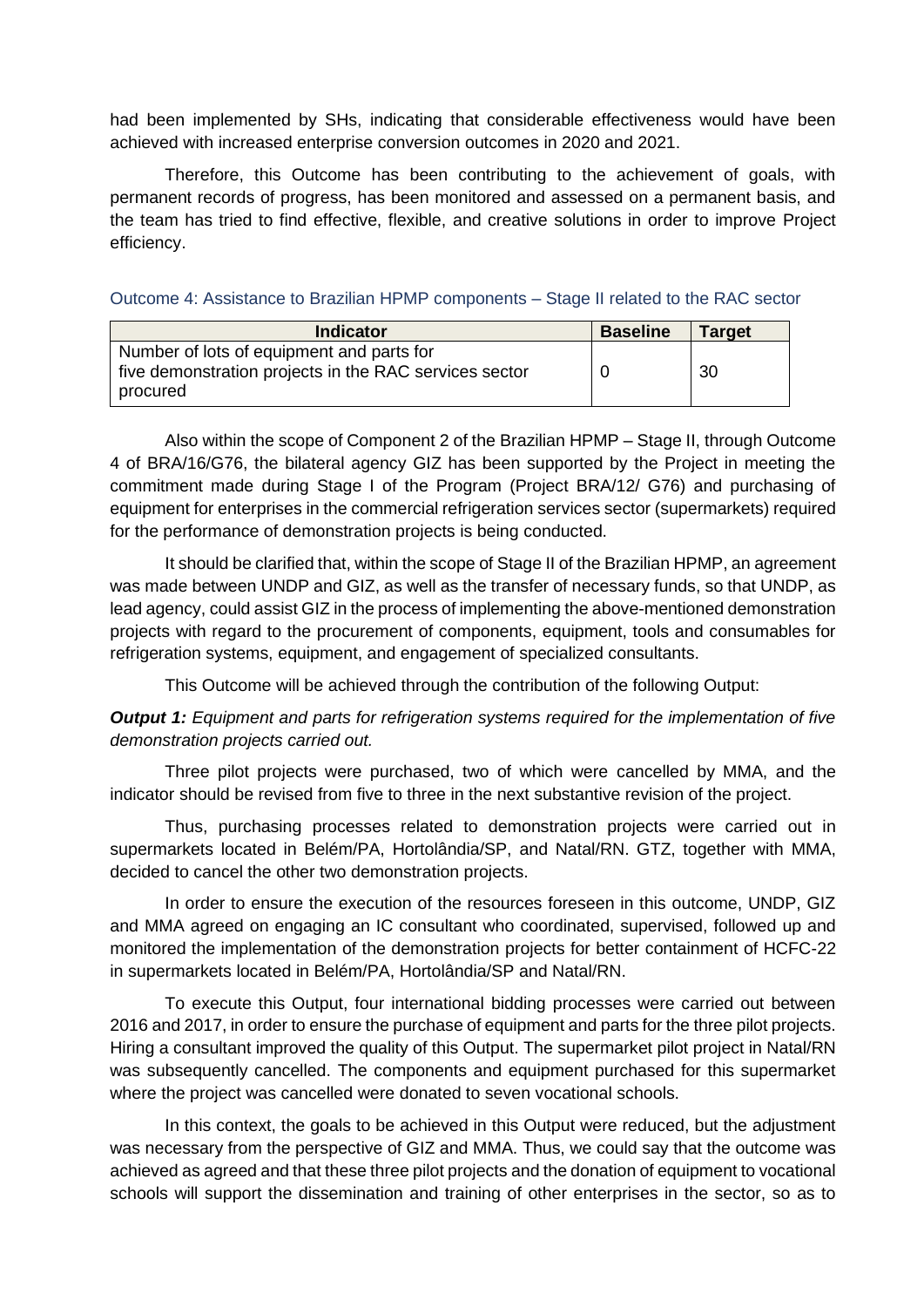had been implemented by SHs, indicating that considerable effectiveness would have been achieved with increased enterprise conversion outcomes in 2020 and 2021.

Therefore, this Outcome has been contributing to the achievement of goals, with permanent records of progress, has been monitored and assessed on a permanent basis, and the team has tried to find effective, flexible, and creative solutions in order to improve Project efficiency.

Outcome 4: Assistance to Brazilian HPMP components – Stage II related to the RAC sector

| <b>Indicator</b>                                                                                                | <b>Baseline</b> | <b>Target</b> |
|-----------------------------------------------------------------------------------------------------------------|-----------------|---------------|
| Number of lots of equipment and parts for<br>five demonstration projects in the RAC services sector<br>procured |                 | 30            |

Also within the scope of Component 2 of the Brazilian HPMP – Stage II, through Outcome 4 of BRA/16/G76, the bilateral agency GIZ has been supported by the Project in meeting the commitment made during Stage I of the Program (Project BRA/12/ G76) and purchasing of equipment for enterprises in the commercial refrigeration services sector (supermarkets) required for the performance of demonstration projects is being conducted.

It should be clarified that, within the scope of Stage II of the Brazilian HPMP, an agreement was made between UNDP and GIZ, as well as the transfer of necessary funds, so that UNDP, as lead agency, could assist GIZ in the process of implementing the above-mentioned demonstration projects with regard to the procurement of components, equipment, tools and consumables for refrigeration systems, equipment, and engagement of specialized consultants.

This Outcome will be achieved through the contribution of the following Output:

*Output 1: Equipment and parts for refrigeration systems required for the implementation of five demonstration projects carried out.*

Three pilot projects were purchased, two of which were cancelled by MMA, and the indicator should be revised from five to three in the next substantive revision of the project.

Thus, purchasing processes related to demonstration projects were carried out in supermarkets located in Belém/PA, Hortolândia/SP, and Natal/RN. GTZ, together with MMA, decided to cancel the other two demonstration projects.

In order to ensure the execution of the resources foreseen in this outcome, UNDP, GIZ and MMA agreed on engaging an IC consultant who coordinated, supervised, followed up and monitored the implementation of the demonstration projects for better containment of HCFC-22 in supermarkets located in Belém/PA, Hortolândia/SP and Natal/RN.

To execute this Output, four international bidding processes were carried out between 2016 and 2017, in order to ensure the purchase of equipment and parts for the three pilot projects. Hiring a consultant improved the quality of this Output. The supermarket pilot project in Natal/RN was subsequently cancelled. The components and equipment purchased for this supermarket where the project was cancelled were donated to seven vocational schools.

In this context, the goals to be achieved in this Output were reduced, but the adjustment was necessary from the perspective of GIZ and MMA. Thus, we could say that the outcome was achieved as agreed and that these three pilot projects and the donation of equipment to vocational schools will support the dissemination and training of other enterprises in the sector, so as to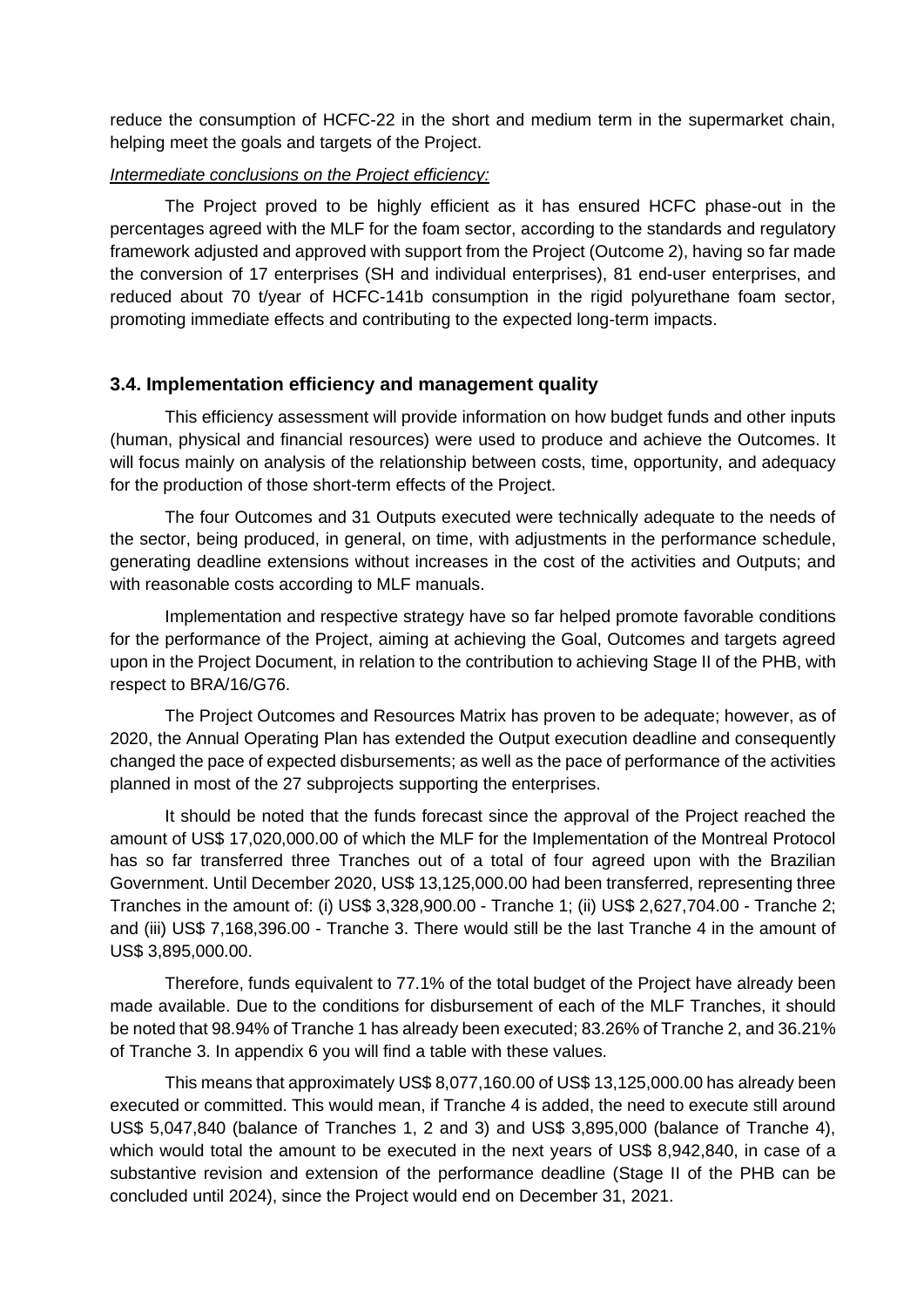reduce the consumption of HCFC-22 in the short and medium term in the supermarket chain, helping meet the goals and targets of the Project.

### *Intermediate conclusions on the Project efficiency:*

The Project proved to be highly efficient as it has ensured HCFC phase-out in the percentages agreed with the MLF for the foam sector, according to the standards and regulatory framework adjusted and approved with support from the Project (Outcome 2), having so far made the conversion of 17 enterprises (SH and individual enterprises), 81 end-user enterprises, and reduced about 70 t/year of HCFC-141b consumption in the rigid polyurethane foam sector, promoting immediate effects and contributing to the expected long-term impacts.

# **3.4. Implementation efficiency and management quality**

This efficiency assessment will provide information on how budget funds and other inputs (human, physical and financial resources) were used to produce and achieve the Outcomes. It will focus mainly on analysis of the relationship between costs, time, opportunity, and adequacy for the production of those short-term effects of the Project.

The four Outcomes and 31 Outputs executed were technically adequate to the needs of the sector, being produced, in general, on time, with adjustments in the performance schedule, generating deadline extensions without increases in the cost of the activities and Outputs; and with reasonable costs according to MLF manuals.

Implementation and respective strategy have so far helped promote favorable conditions for the performance of the Project, aiming at achieving the Goal, Outcomes and targets agreed upon in the Project Document, in relation to the contribution to achieving Stage II of the PHB, with respect to BRA/16/G76.

The Project Outcomes and Resources Matrix has proven to be adequate; however, as of 2020, the Annual Operating Plan has extended the Output execution deadline and consequently changed the pace of expected disbursements; as well as the pace of performance of the activities planned in most of the 27 subprojects supporting the enterprises.

It should be noted that the funds forecast since the approval of the Project reached the amount of US\$ 17,020,000.00 of which the MLF for the Implementation of the Montreal Protocol has so far transferred three Tranches out of a total of four agreed upon with the Brazilian Government. Until December 2020, US\$ 13,125,000.00 had been transferred, representing three Tranches in the amount of: (i) US\$ 3,328,900.00 - Tranche 1; (ii) US\$ 2,627,704.00 - Tranche 2; and (iii) US\$ 7,168,396.00 - Tranche 3. There would still be the last Tranche 4 in the amount of US\$ 3,895,000.00.

Therefore, funds equivalent to 77.1% of the total budget of the Project have already been made available. Due to the conditions for disbursement of each of the MLF Tranches, it should be noted that 98.94% of Tranche 1 has already been executed; 83.26% of Tranche 2, and 36.21% of Tranche 3. In appendix 6 you will find a table with these values.

This means that approximately US\$ 8,077,160.00 of US\$ 13,125,000.00 has already been executed or committed. This would mean, if Tranche 4 is added, the need to execute still around US\$ 5,047,840 (balance of Tranches 1, 2 and 3) and US\$ 3,895,000 (balance of Tranche 4), which would total the amount to be executed in the next years of US\$ 8,942,840, in case of a substantive revision and extension of the performance deadline (Stage II of the PHB can be concluded until 2024), since the Project would end on December 31, 2021.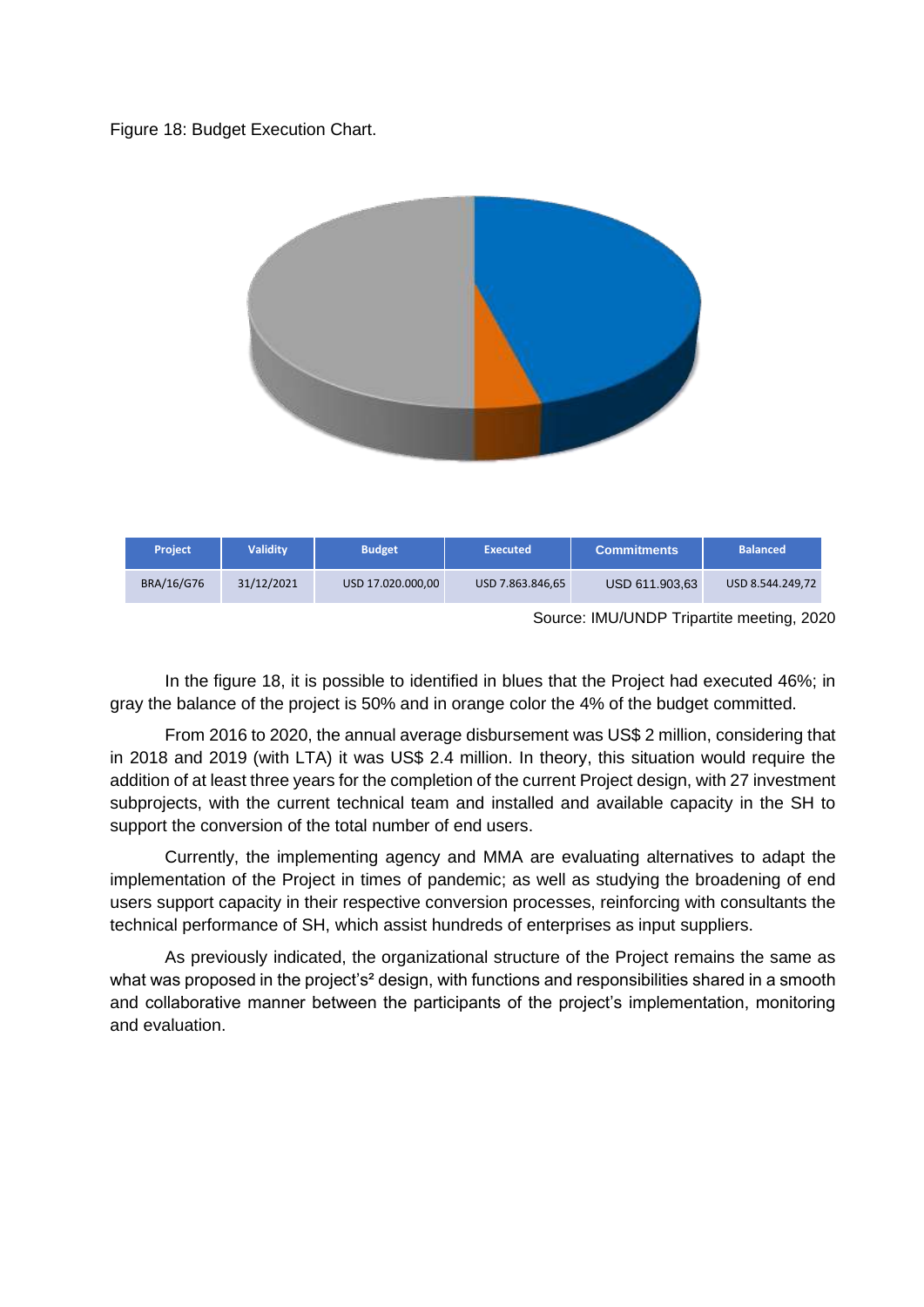Figure 18: Budget Execution Chart.



In the figure 18, it is possible to identified in blues that the Project had executed 46%; in gray the balance of the project is 50% and in orange color the 4% of the budget committed.

From 2016 to 2020, the annual average disbursement was US\$ 2 million, considering that in 2018 and 2019 (with LTA) it was US\$ 2.4 million. In theory, this situation would require the addition of at least three years for the completion of the current Project design, with 27 investment subprojects, with the current technical team and installed and available capacity in the SH to support the conversion of the total number of end users.

Currently, the implementing agency and MMA are evaluating alternatives to adapt the implementation of the Project in times of pandemic; as well as studying the broadening of end users support capacity in their respective conversion processes, reinforcing with consultants the technical performance of SH, which assist hundreds of enterprises as input suppliers.

As previously indicated, the organizational structure of the Project remains the same as what was proposed in the project's<sup>2</sup> design, with functions and responsibilities shared in a smooth and collaborative manner between the participants of the project's implementation, monitoring and evaluation.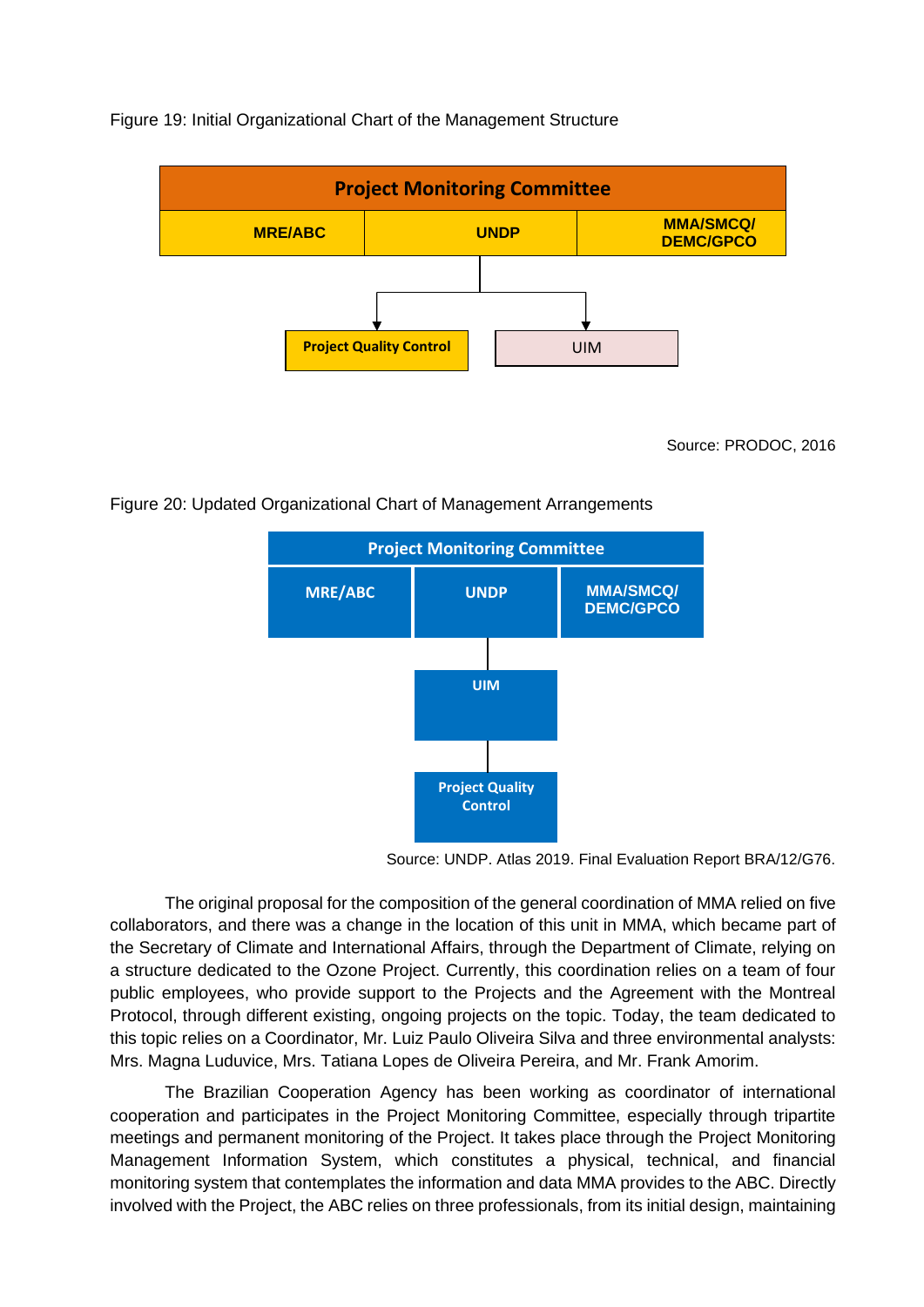### Figure 19: Initial Organizational Chart of the Management Structure



Source: PRODOC, 2016

#### Figure 20: Updated Organizational Chart of Management Arrangements



Source: UNDP. Atlas 2019. Final Evaluation Report BRA/12/G76.

The original proposal for the composition of the general coordination of MMA relied on five collaborators, and there was a change in the location of this unit in MMA, which became part of the Secretary of Climate and International Affairs, through the Department of Climate, relying on a structure dedicated to the Ozone Project. Currently, this coordination relies on a team of four public employees, who provide support to the Projects and the Agreement with the Montreal Protocol, through different existing, ongoing projects on the topic. Today, the team dedicated to this topic relies on a Coordinator, Mr. Luiz Paulo Oliveira Silva and three environmental analysts: Mrs. Magna Luduvice, Mrs. Tatiana Lopes de Oliveira Pereira, and Mr. Frank Amorim.

The Brazilian Cooperation Agency has been working as coordinator of international cooperation and participates in the Project Monitoring Committee, especially through tripartite meetings and permanent monitoring of the Project. It takes place through the Project Monitoring Management Information System, which constitutes a physical, technical, and financial monitoring system that contemplates the information and data MMA provides to the ABC. Directly involved with the Project, the ABC relies on three professionals, from its initial design, maintaining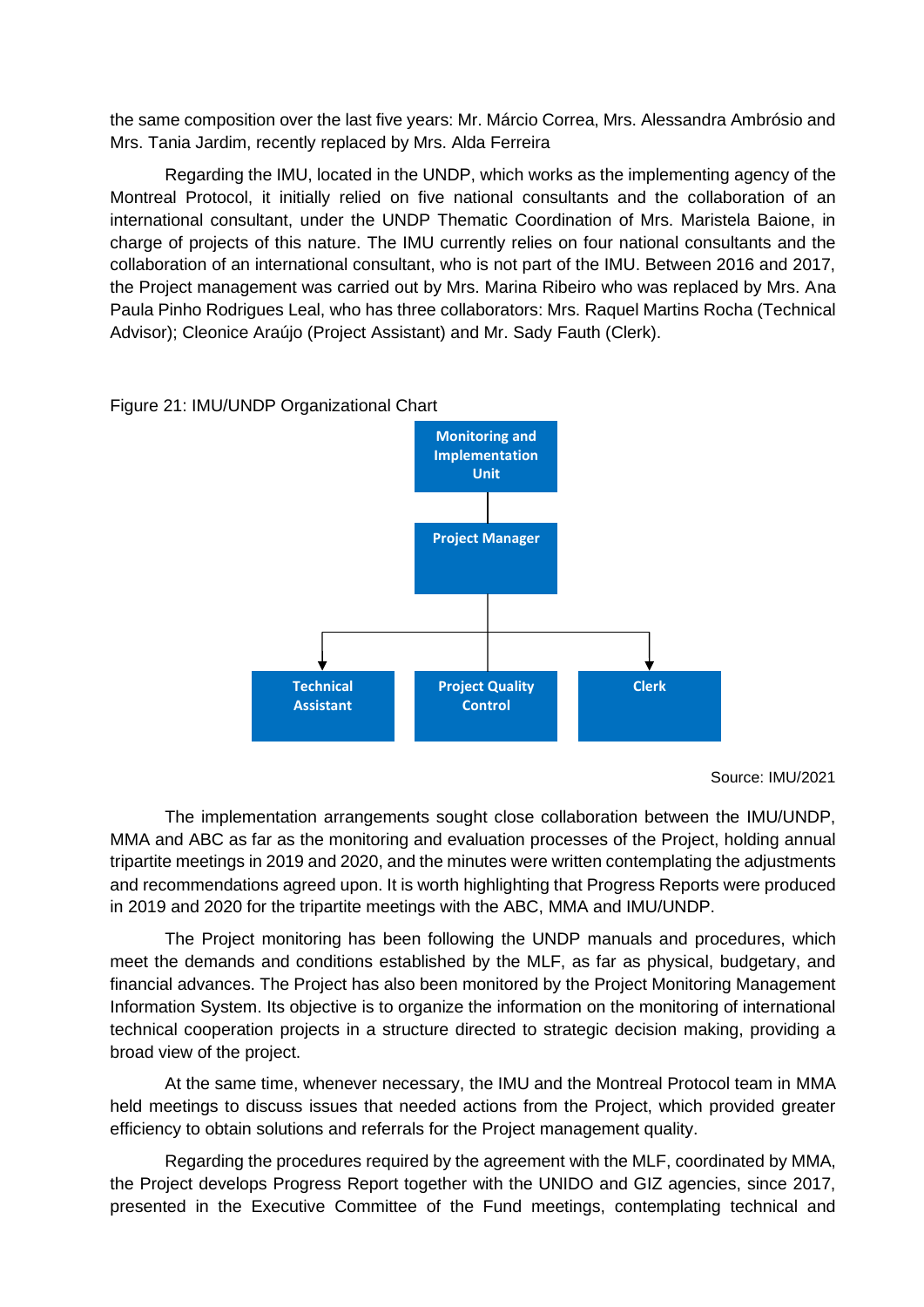the same composition over the last five years: Mr. Márcio Correa, Mrs. Alessandra Ambrósio and Mrs. Tania Jardim, recently replaced by Mrs. Alda Ferreira

Regarding the IMU, located in the UNDP, which works as the implementing agency of the Montreal Protocol, it initially relied on five national consultants and the collaboration of an international consultant, under the UNDP Thematic Coordination of Mrs. Maristela Baione, in charge of projects of this nature. The IMU currently relies on four national consultants and the collaboration of an international consultant, who is not part of the IMU. Between 2016 and 2017, the Project management was carried out by Mrs. Marina Ribeiro who was replaced by Mrs. Ana Paula Pinho Rodrigues Leal, who has three collaborators: Mrs. Raquel Martins Rocha (Technical Advisor); Cleonice Araújo (Project Assistant) and Mr. Sady Fauth (Clerk).



Figure 21: IMU/UNDP Organizational Chart

The implementation arrangements sought close collaboration between the IMU/UNDP, MMA and ABC as far as the monitoring and evaluation processes of the Project, holding annual tripartite meetings in 2019 and 2020, and the minutes were written contemplating the adjustments and recommendations agreed upon. It is worth highlighting that Progress Reports were produced in 2019 and 2020 for the tripartite meetings with the ABC, MMA and IMU/UNDP.

The Project monitoring has been following the UNDP manuals and procedures, which meet the demands and conditions established by the MLF, as far as physical, budgetary, and financial advances. The Project has also been monitored by the Project Monitoring Management Information System. Its objective is to organize the information on the monitoring of international technical cooperation projects in a structure directed to strategic decision making, providing a broad view of the project.

At the same time, whenever necessary, the IMU and the Montreal Protocol team in MMA held meetings to discuss issues that needed actions from the Project, which provided greater efficiency to obtain solutions and referrals for the Project management quality.

Regarding the procedures required by the agreement with the MLF, coordinated by MMA, the Project develops Progress Report together with the UNIDO and GIZ agencies, since 2017, presented in the Executive Committee of the Fund meetings, contemplating technical and

Source: IMU/2021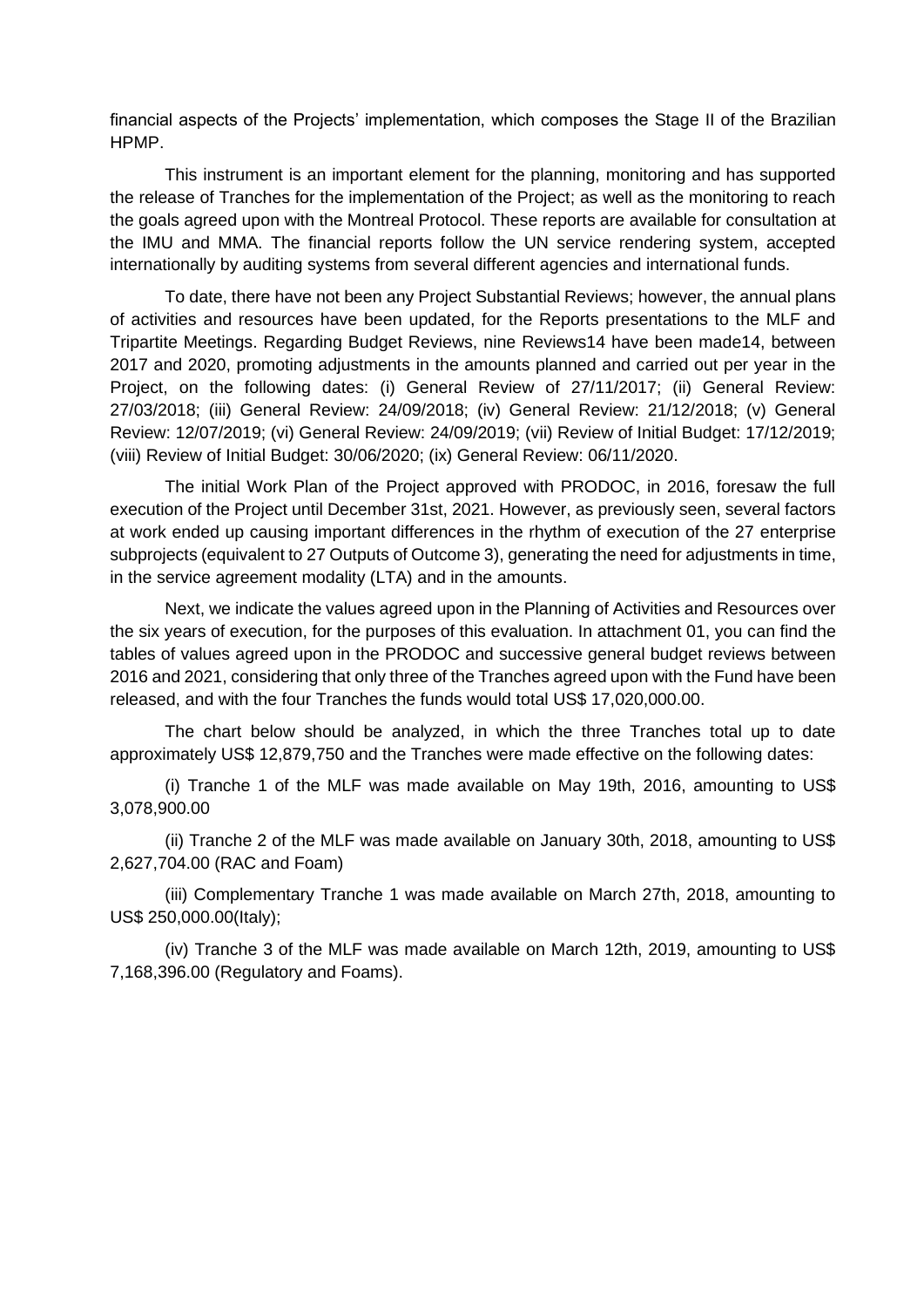financial aspects of the Projects' implementation, which composes the Stage II of the Brazilian HPMP.

This instrument is an important element for the planning, monitoring and has supported the release of Tranches for the implementation of the Project; as well as the monitoring to reach the goals agreed upon with the Montreal Protocol. These reports are available for consultation at the IMU and MMA. The financial reports follow the UN service rendering system, accepted internationally by auditing systems from several different agencies and international funds.

To date, there have not been any Project Substantial Reviews; however, the annual plans of activities and resources have been updated, for the Reports presentations to the MLF and Tripartite Meetings. Regarding Budget Reviews, nine Reviews14 have been made14, between 2017 and 2020, promoting adjustments in the amounts planned and carried out per year in the Project, on the following dates: (i) General Review of 27/11/2017; (ii) General Review: 27/03/2018; (iii) General Review: 24/09/2018; (iv) General Review: 21/12/2018; (v) General Review: 12/07/2019; (vi) General Review: 24/09/2019; (vii) Review of Initial Budget: 17/12/2019; (viii) Review of Initial Budget: 30/06/2020; (ix) General Review: 06/11/2020.

The initial Work Plan of the Project approved with PRODOC, in 2016, foresaw the full execution of the Project until December 31st, 2021. However, as previously seen, several factors at work ended up causing important differences in the rhythm of execution of the 27 enterprise subprojects (equivalent to 27 Outputs of Outcome 3), generating the need for adjustments in time, in the service agreement modality (LTA) and in the amounts.

Next, we indicate the values agreed upon in the Planning of Activities and Resources over the six years of execution, for the purposes of this evaluation. In attachment 01, you can find the tables of values agreed upon in the PRODOC and successive general budget reviews between 2016 and 2021, considering that only three of the Tranches agreed upon with the Fund have been released, and with the four Tranches the funds would total US\$ 17,020,000.00.

The chart below should be analyzed, in which the three Tranches total up to date approximately US\$ 12,879,750 and the Tranches were made effective on the following dates:

(i) Tranche 1 of the MLF was made available on May 19th, 2016, amounting to US\$ 3,078,900.00

(ii) Tranche 2 of the MLF was made available on January 30th, 2018, amounting to US\$ 2,627,704.00 (RAC and Foam)

(iii) Complementary Tranche 1 was made available on March 27th, 2018, amounting to US\$ 250,000.00(Italy);

(iv) Tranche 3 of the MLF was made available on March 12th, 2019, amounting to US\$ 7,168,396.00 (Regulatory and Foams).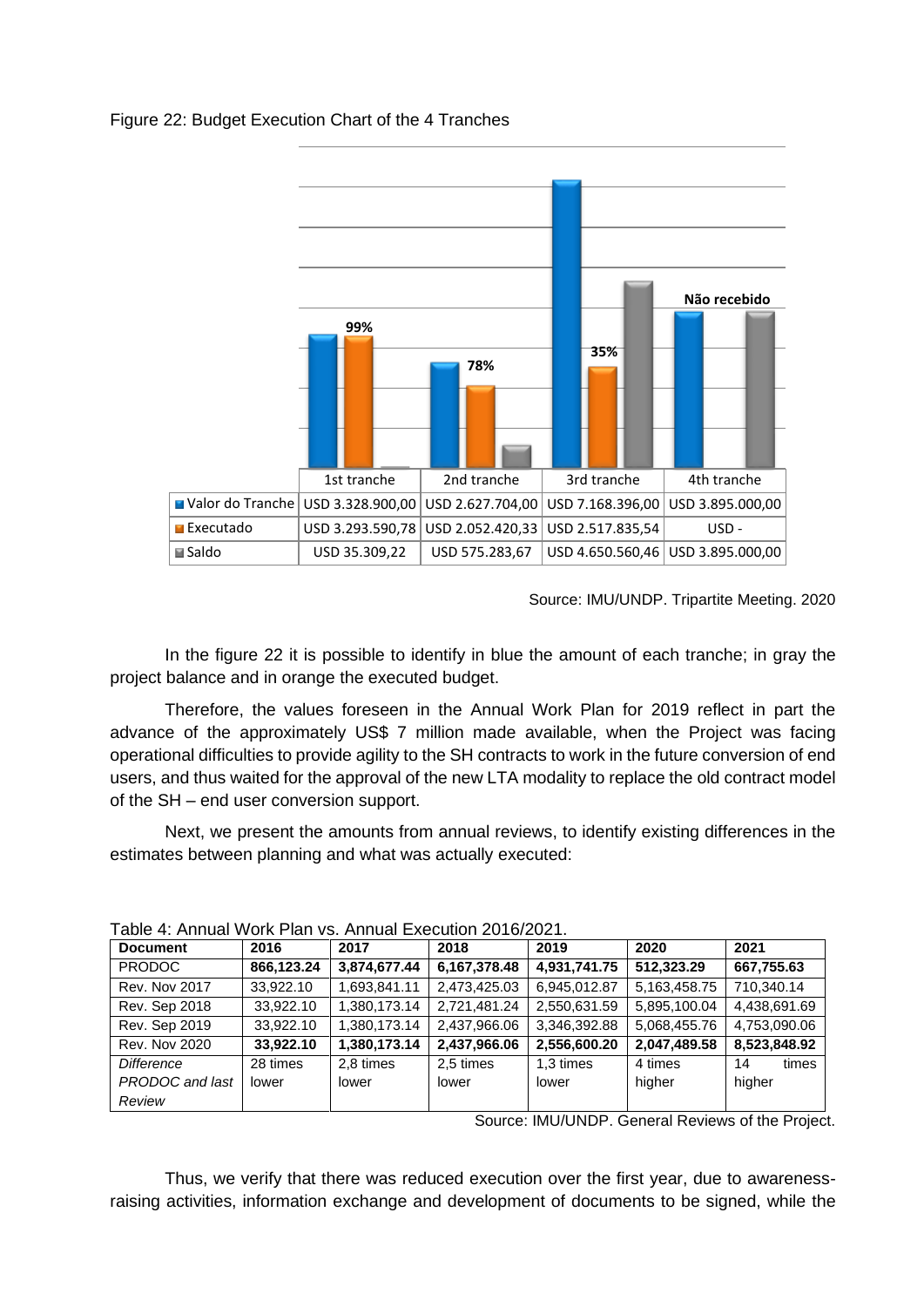

## Figure 22: Budget Execution Chart of the 4 Tranches

Source: IMU/UNDP. Tripartite Meeting. 2020

In the figure 22 it is possible to identify in blue the amount of each tranche; in gray the project balance and in orange the executed budget.

Therefore, the values foreseen in the Annual Work Plan for 2019 reflect in part the advance of the approximately US\$ 7 million made available, when the Project was facing operational difficulties to provide agility to the SH contracts to work in the future conversion of end users, and thus waited for the approval of the new LTA modality to replace the old contract model of the SH – end user conversion support.

Next, we present the amounts from annual reviews, to identify existing differences in the estimates between planning and what was actually executed:

| $\overline{a}$ Die 4. Allinger Wulf Fight vs. Allinger Execution zu in/zuz i. |            |              |              |              |              |              |  |  |
|-------------------------------------------------------------------------------|------------|--------------|--------------|--------------|--------------|--------------|--|--|
| <b>Document</b>                                                               | 2016       | 2017         | 2018         | 2019         | 2020         | 2021         |  |  |
| <b>PRODOC</b>                                                                 | 866,123.24 | 3,874,677.44 | 6,167,378.48 | 4,931,741.75 | 512.323.29   | 667,755.63   |  |  |
| <b>Rev. Nov 2017</b>                                                          | 33,922.10  | 1,693,841.11 | 2,473,425.03 | 6,945,012.87 | 5,163,458.75 | 710,340.14   |  |  |
| <b>Rev. Sep 2018</b>                                                          | 33,922.10  | 1,380,173.14 | 2,721,481.24 | 2,550,631.59 | 5,895,100.04 | 4,438,691.69 |  |  |
| Rev. Sep 2019                                                                 | 33,922.10  | 1,380,173.14 | 2,437,966.06 | 3,346,392.88 | 5,068,455.76 | 4,753,090.06 |  |  |
| <b>Rev. Nov 2020</b>                                                          | 33,922.10  | 1,380,173.14 | 2,437,966.06 | 2,556,600.20 | 2,047,489.58 | 8,523,848.92 |  |  |
| Difference                                                                    | 28 times   | 2.8 times    | 2.5 times    | 1.3 times    | 4 times      | times<br>14  |  |  |
| PRODOC and last                                                               | lower      | lower        | lower        | lower        | higher       | higher       |  |  |
| Review                                                                        |            |              |              |              |              |              |  |  |

| Table 4: Annual Work Plan vs. Annual Execution 2016/2021. |  |  |  |  |  |  |
|-----------------------------------------------------------|--|--|--|--|--|--|
|-----------------------------------------------------------|--|--|--|--|--|--|

Source: IMU/UNDP. General Reviews of the Project.

Thus, we verify that there was reduced execution over the first year, due to awarenessraising activities, information exchange and development of documents to be signed, while the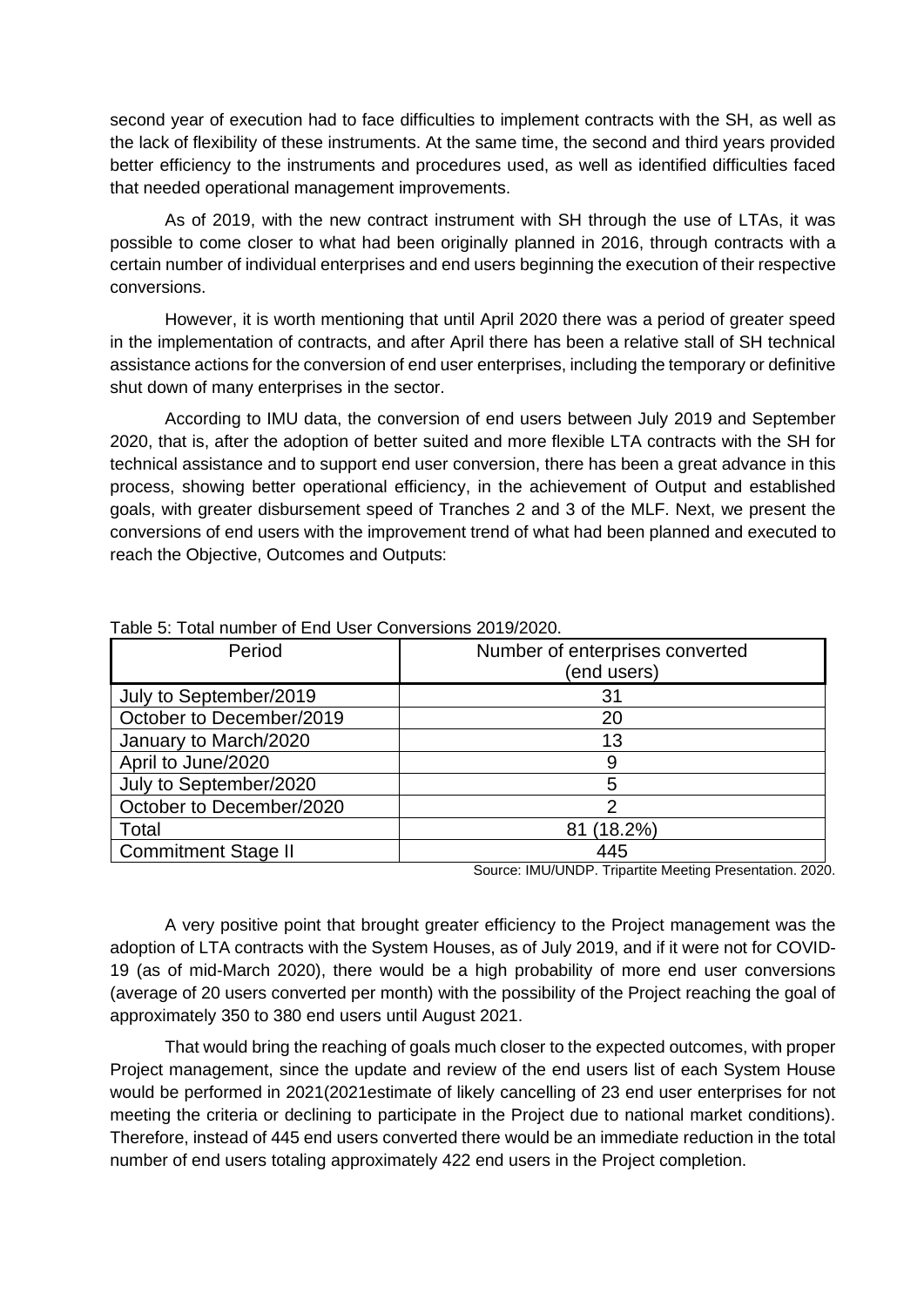second year of execution had to face difficulties to implement contracts with the SH, as well as the lack of flexibility of these instruments. At the same time, the second and third years provided better efficiency to the instruments and procedures used, as well as identified difficulties faced that needed operational management improvements.

As of 2019, with the new contract instrument with SH through the use of LTAs, it was possible to come closer to what had been originally planned in 2016, through contracts with a certain number of individual enterprises and end users beginning the execution of their respective conversions.

However, it is worth mentioning that until April 2020 there was a period of greater speed in the implementation of contracts, and after April there has been a relative stall of SH technical assistance actions for the conversion of end user enterprises, including the temporary or definitive shut down of many enterprises in the sector.

According to IMU data, the conversion of end users between July 2019 and September 2020, that is, after the adoption of better suited and more flexible LTA contracts with the SH for technical assistance and to support end user conversion, there has been a great advance in this process, showing better operational efficiency, in the achievement of Output and established goals, with greater disbursement speed of Tranches 2 and 3 of the MLF. Next, we present the conversions of end users with the improvement trend of what had been planned and executed to reach the Objective, Outcomes and Outputs:

| Period                     | Number of enterprises converted<br>(end users)                                                                                       |
|----------------------------|--------------------------------------------------------------------------------------------------------------------------------------|
| July to September/2019     | 31                                                                                                                                   |
| October to December/2019   | 20                                                                                                                                   |
| January to March/2020      | 13                                                                                                                                   |
| April to June/2020         | 9                                                                                                                                    |
| July to September/2020     | 5                                                                                                                                    |
| October to December/2020   | 2                                                                                                                                    |
| Total                      | $(18.2\%)$<br>81                                                                                                                     |
| <b>Commitment Stage II</b> | 445<br>$\mathbf{a}$ and $\mathbf{a}$ and $\mathbf{a}$ and $\mathbf{a}$ and $\mathbf{a}$<br>$\sim$<br>$\sim$ $\sim$<br>1.111111111777 |

Table 5: Total number of End User Conversions 2019/2020.

Source: IMU/UNDP. Tripartite Meeting Presentation. 2020.

A very positive point that brought greater efficiency to the Project management was the adoption of LTA contracts with the System Houses, as of July 2019, and if it were not for COVID-19 (as of mid-March 2020), there would be a high probability of more end user conversions (average of 20 users converted per month) with the possibility of the Project reaching the goal of approximately 350 to 380 end users until August 2021.

That would bring the reaching of goals much closer to the expected outcomes, with proper Project management, since the update and review of the end users list of each System House would be performed in 2021(2021estimate of likely cancelling of 23 end user enterprises for not meeting the criteria or declining to participate in the Project due to national market conditions). Therefore, instead of 445 end users converted there would be an immediate reduction in the total number of end users totaling approximately 422 end users in the Project completion.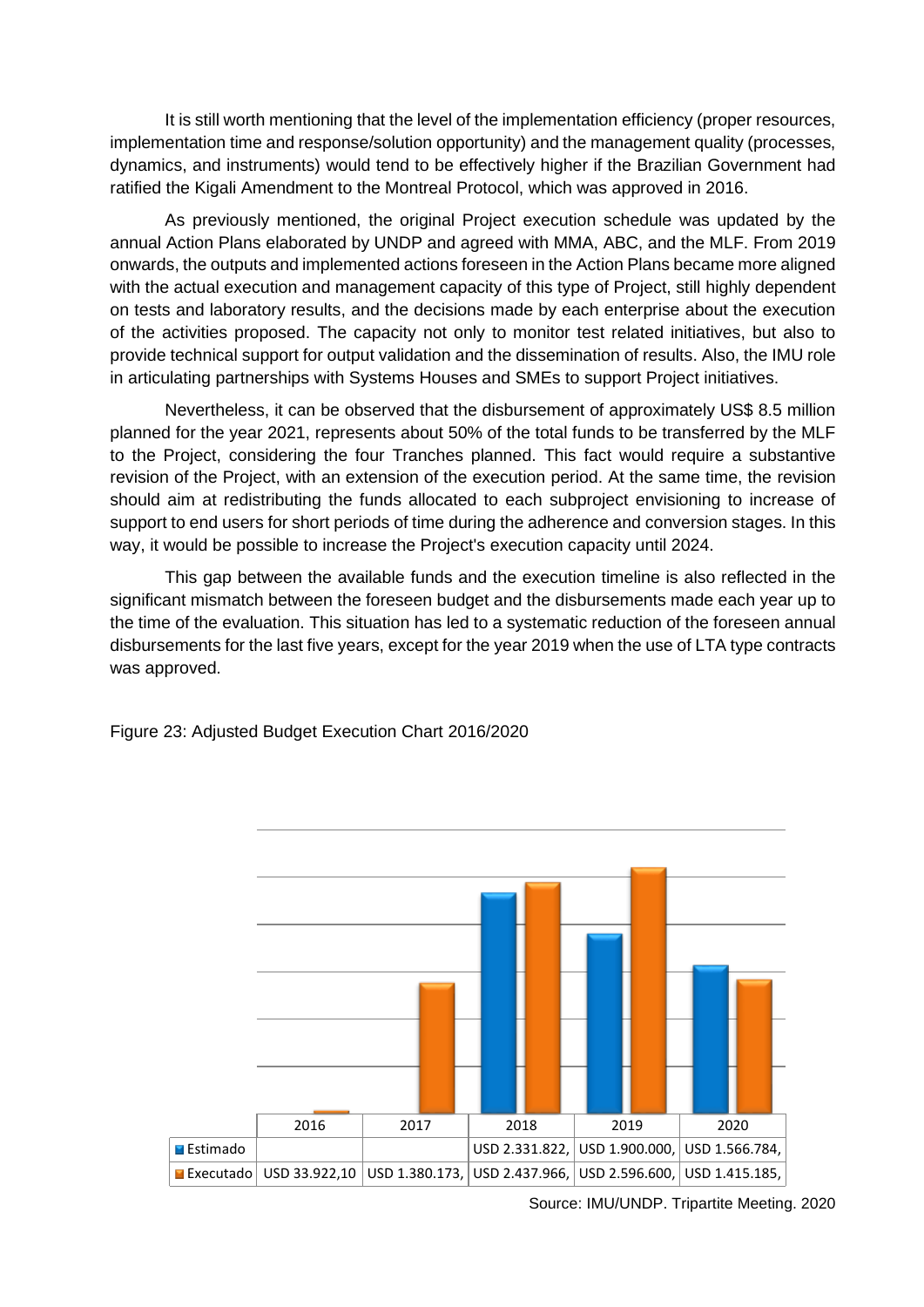It is still worth mentioning that the level of the implementation efficiency (proper resources, implementation time and response/solution opportunity) and the management quality (processes, dynamics, and instruments) would tend to be effectively higher if the Brazilian Government had ratified the Kigali Amendment to the Montreal Protocol, which was approved in 2016.

As previously mentioned, the original Project execution schedule was updated by the annual Action Plans elaborated by UNDP and agreed with MMA, ABC, and the MLF. From 2019 onwards, the outputs and implemented actions foreseen in the Action Plans became more aligned with the actual execution and management capacity of this type of Project, still highly dependent on tests and laboratory results, and the decisions made by each enterprise about the execution of the activities proposed. The capacity not only to monitor test related initiatives, but also to provide technical support for output validation and the dissemination of results. Also, the IMU role in articulating partnerships with Systems Houses and SMEs to support Project initiatives.

Nevertheless, it can be observed that the disbursement of approximately US\$ 8.5 million planned for the year 2021, represents about 50% of the total funds to be transferred by the MLF to the Project, considering the four Tranches planned. This fact would require a substantive revision of the Project, with an extension of the execution period. At the same time, the revision should aim at redistributing the funds allocated to each subproject envisioning to increase of support to end users for short periods of time during the adherence and conversion stages. In this way, it would be possible to increase the Project's execution capacity until 2024.

This gap between the available funds and the execution timeline is also reflected in the significant mismatch between the foreseen budget and the disbursements made each year up to the time of the evaluation. This situation has led to a systematic reduction of the foreseen annual disbursements for the last five years, except for the year 2019 when the use of LTA type contracts was approved.



Figure 23: Adjusted Budget Execution Chart 2016/2020

Source: IMU/UNDP. Tripartite Meeting. 2020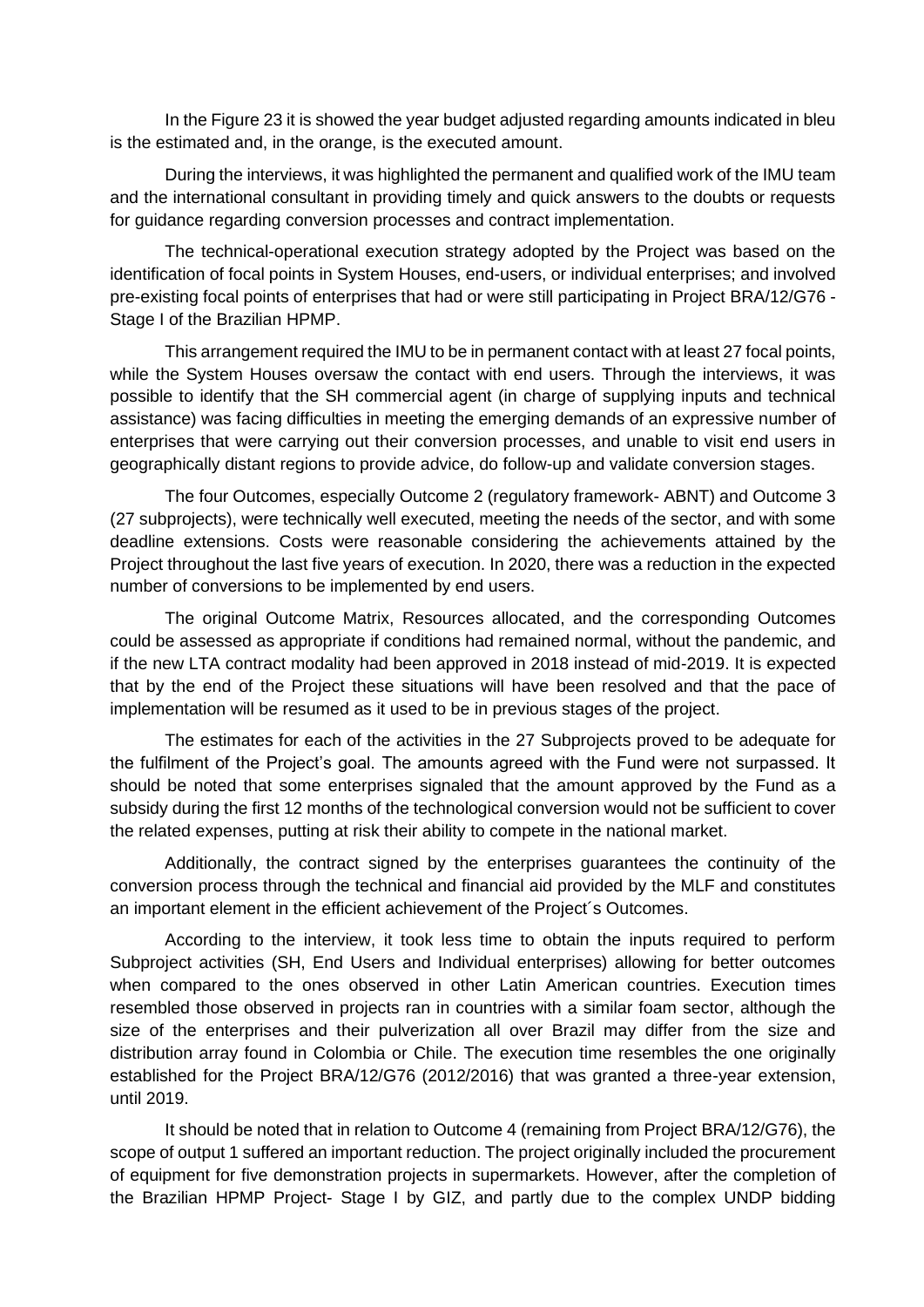In the Figure 23 it is showed the year budget adjusted regarding amounts indicated in bleu is the estimated and, in the orange, is the executed amount.

During the interviews, it was highlighted the permanent and qualified work of the IMU team and the international consultant in providing timely and quick answers to the doubts or requests for guidance regarding conversion processes and contract implementation.

The technical-operational execution strategy adopted by the Project was based on the identification of focal points in System Houses, end-users, or individual enterprises; and involved pre-existing focal points of enterprises that had or were still participating in Project BRA/12/G76 - Stage I of the Brazilian HPMP.

This arrangement required the IMU to be in permanent contact with at least 27 focal points, while the System Houses oversaw the contact with end users. Through the interviews, it was possible to identify that the SH commercial agent (in charge of supplying inputs and technical assistance) was facing difficulties in meeting the emerging demands of an expressive number of enterprises that were carrying out their conversion processes, and unable to visit end users in geographically distant regions to provide advice, do follow-up and validate conversion stages.

The four Outcomes, especially Outcome 2 (regulatory framework- ABNT) and Outcome 3 (27 subprojects), were technically well executed, meeting the needs of the sector, and with some deadline extensions. Costs were reasonable considering the achievements attained by the Project throughout the last five years of execution. In 2020, there was a reduction in the expected number of conversions to be implemented by end users.

The original Outcome Matrix, Resources allocated, and the corresponding Outcomes could be assessed as appropriate if conditions had remained normal, without the pandemic, and if the new LTA contract modality had been approved in 2018 instead of mid-2019. It is expected that by the end of the Project these situations will have been resolved and that the pace of implementation will be resumed as it used to be in previous stages of the project.

The estimates for each of the activities in the 27 Subprojects proved to be adequate for the fulfilment of the Project's goal. The amounts agreed with the Fund were not surpassed. It should be noted that some enterprises signaled that the amount approved by the Fund as a subsidy during the first 12 months of the technological conversion would not be sufficient to cover the related expenses, putting at risk their ability to compete in the national market.

Additionally, the contract signed by the enterprises guarantees the continuity of the conversion process through the technical and financial aid provided by the MLF and constitutes an important element in the efficient achievement of the Project´s Outcomes.

According to the interview, it took less time to obtain the inputs required to perform Subproject activities (SH, End Users and Individual enterprises) allowing for better outcomes when compared to the ones observed in other Latin American countries. Execution times resembled those observed in projects ran in countries with a similar foam sector, although the size of the enterprises and their pulverization all over Brazil may differ from the size and distribution array found in Colombia or Chile. The execution time resembles the one originally established for the Project BRA/12/G76 (2012/2016) that was granted a three-year extension, until 2019.

It should be noted that in relation to Outcome 4 (remaining from Project BRA/12/G76), the scope of output 1 suffered an important reduction. The project originally included the procurement of equipment for five demonstration projects in supermarkets. However, after the completion of the Brazilian HPMP Project- Stage I by GIZ, and partly due to the complex UNDP bidding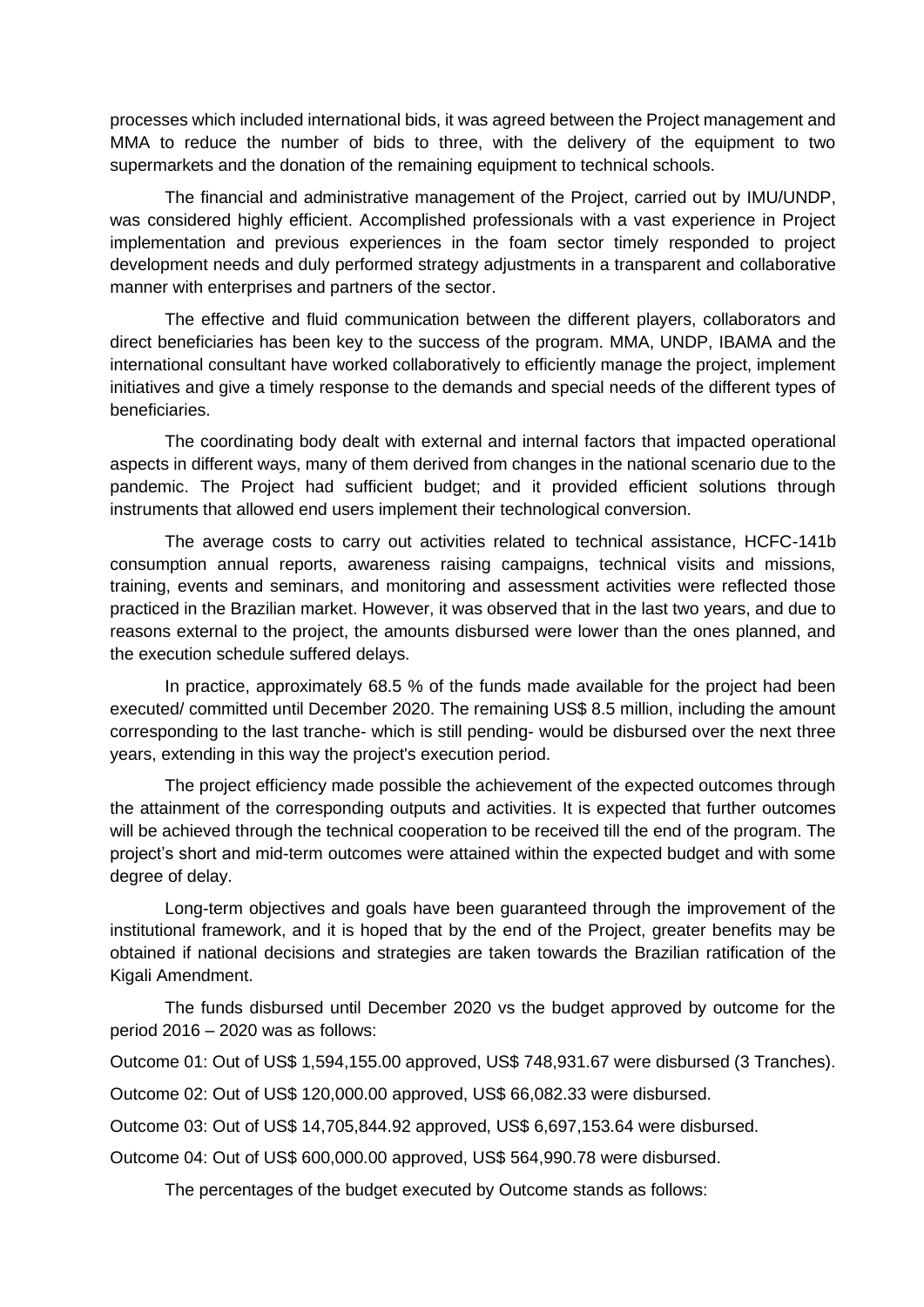processes which included international bids, it was agreed between the Project management and MMA to reduce the number of bids to three, with the delivery of the equipment to two supermarkets and the donation of the remaining equipment to technical schools.

The financial and administrative management of the Project, carried out by IMU/UNDP, was considered highly efficient. Accomplished professionals with a vast experience in Project implementation and previous experiences in the foam sector timely responded to project development needs and duly performed strategy adjustments in a transparent and collaborative manner with enterprises and partners of the sector.

The effective and fluid communication between the different players, collaborators and direct beneficiaries has been key to the success of the program. MMA, UNDP, IBAMA and the international consultant have worked collaboratively to efficiently manage the project, implement initiatives and give a timely response to the demands and special needs of the different types of beneficiaries.

The coordinating body dealt with external and internal factors that impacted operational aspects in different ways, many of them derived from changes in the national scenario due to the pandemic. The Project had sufficient budget; and it provided efficient solutions through instruments that allowed end users implement their technological conversion.

The average costs to carry out activities related to technical assistance, HCFC-141b consumption annual reports, awareness raising campaigns, technical visits and missions, training, events and seminars, and monitoring and assessment activities were reflected those practiced in the Brazilian market. However, it was observed that in the last two years, and due to reasons external to the project, the amounts disbursed were lower than the ones planned, and the execution schedule suffered delays.

In practice, approximately 68.5 % of the funds made available for the project had been executed/ committed until December 2020. The remaining US\$ 8.5 million, including the amount corresponding to the last tranche- which is still pending- would be disbursed over the next three years, extending in this way the project's execution period.

The project efficiency made possible the achievement of the expected outcomes through the attainment of the corresponding outputs and activities. It is expected that further outcomes will be achieved through the technical cooperation to be received till the end of the program. The project's short and mid-term outcomes were attained within the expected budget and with some degree of delay.

Long-term objectives and goals have been guaranteed through the improvement of the institutional framework, and it is hoped that by the end of the Project, greater benefits may be obtained if national decisions and strategies are taken towards the Brazilian ratification of the Kigali Amendment.

The funds disbursed until December 2020 vs the budget approved by outcome for the period 2016 – 2020 was as follows:

Outcome 01: Out of US\$ 1,594,155.00 approved, US\$ 748,931.67 were disbursed (3 Tranches).

Outcome 02: Out of US\$ 120,000.00 approved, US\$ 66,082.33 were disbursed.

Outcome 03: Out of US\$ 14,705,844.92 approved, US\$ 6,697,153.64 were disbursed.

Outcome 04: Out of US\$ 600,000.00 approved, US\$ 564,990.78 were disbursed.

The percentages of the budget executed by Outcome stands as follows: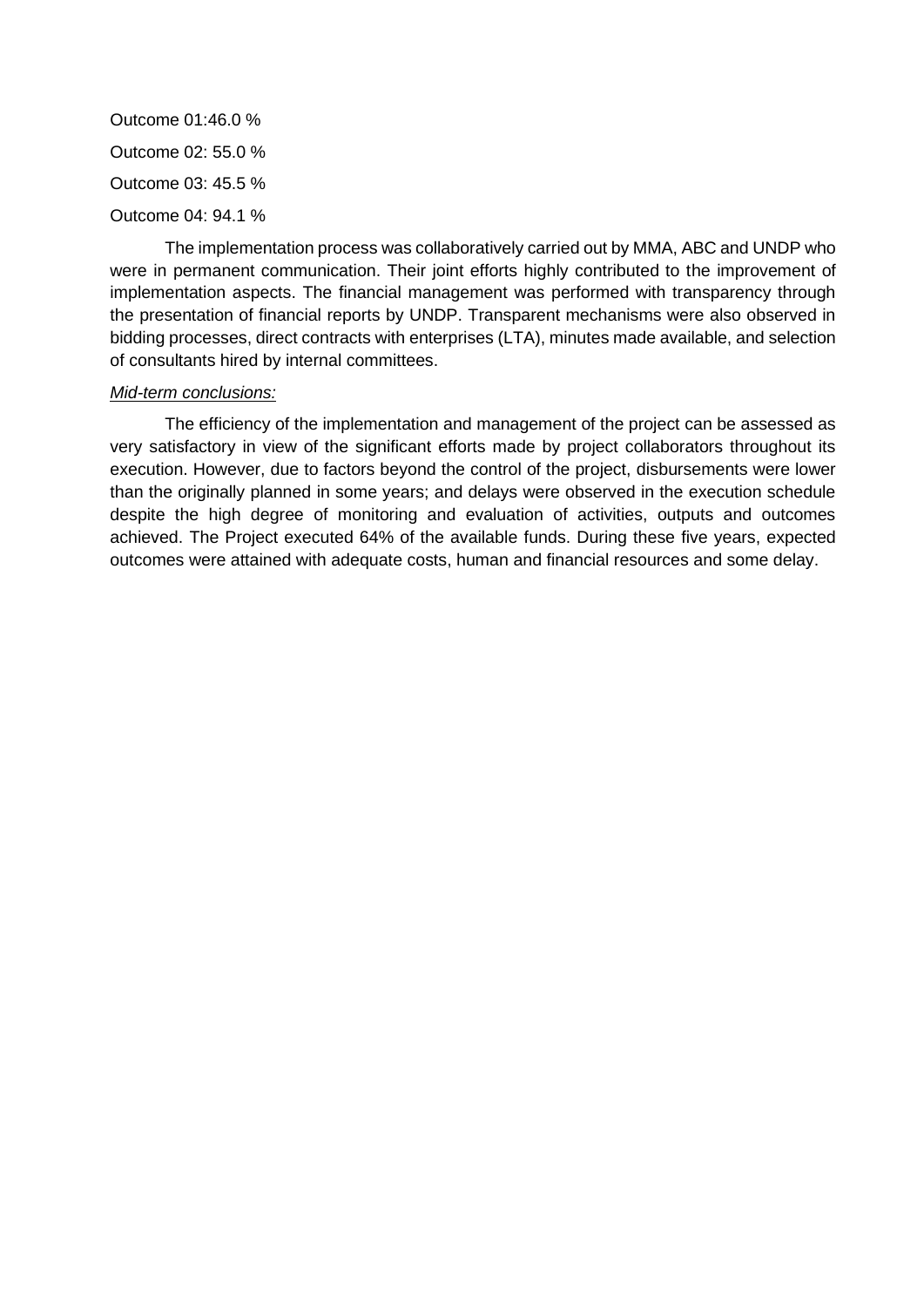Outcome 01:46.0 % Outcome 02: 55.0 % Outcome 03: 45.5 % Outcome 04: 94.1 %

The implementation process was collaboratively carried out by MMA, ABC and UNDP who were in permanent communication. Their joint efforts highly contributed to the improvement of implementation aspects. The financial management was performed with transparency through the presentation of financial reports by UNDP. Transparent mechanisms were also observed in bidding processes, direct contracts with enterprises (LTA), minutes made available, and selection of consultants hired by internal committees.

#### *Mid-term conclusions:*

The efficiency of the implementation and management of the project can be assessed as very satisfactory in view of the significant efforts made by project collaborators throughout its execution. However, due to factors beyond the control of the project, disbursements were lower than the originally planned in some years; and delays were observed in the execution schedule despite the high degree of monitoring and evaluation of activities, outputs and outcomes achieved. The Project executed 64% of the available funds. During these five years, expected outcomes were attained with adequate costs, human and financial resources and some delay.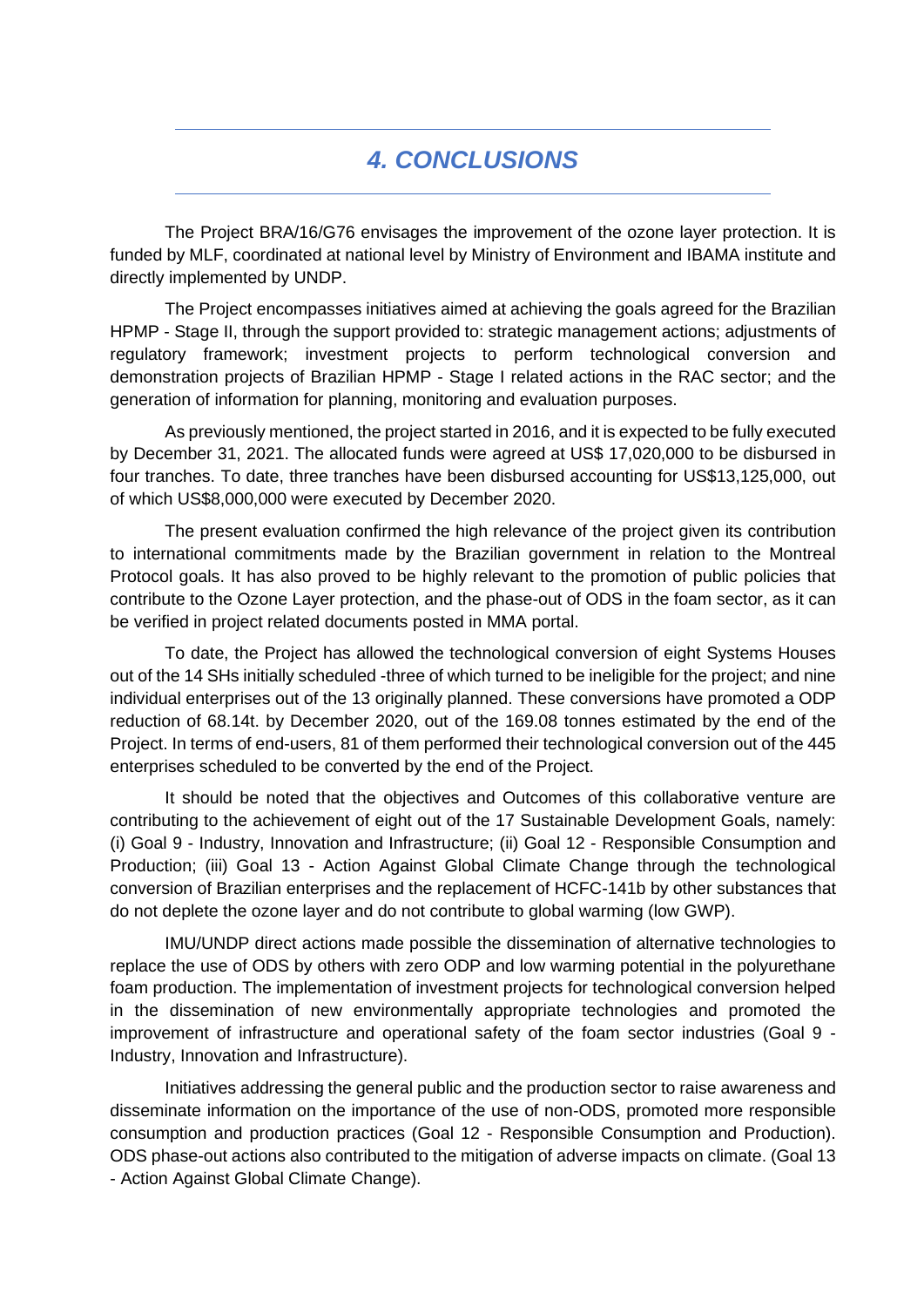## *4. CONCLUSIONS*

The Project BRA/16/G76 envisages the improvement of the ozone layer protection. It is funded by MLF, coordinated at national level by Ministry of Environment and IBAMA institute and directly implemented by UNDP.

The Project encompasses initiatives aimed at achieving the goals agreed for the Brazilian HPMP - Stage II, through the support provided to: strategic management actions; adjustments of regulatory framework; investment projects to perform technological conversion and demonstration projects of Brazilian HPMP - Stage I related actions in the RAC sector; and the generation of information for planning, monitoring and evaluation purposes.

As previously mentioned, the project started in 2016, and it is expected to be fully executed by December 31, 2021. The allocated funds were agreed at US\$ 17,020,000 to be disbursed in four tranches. To date, three tranches have been disbursed accounting for US\$13,125,000, out of which US\$8,000,000 were executed by December 2020.

The present evaluation confirmed the high relevance of the project given its contribution to international commitments made by the Brazilian government in relation to the Montreal Protocol goals. It has also proved to be highly relevant to the promotion of public policies that contribute to the Ozone Layer protection, and the phase-out of ODS in the foam sector, as it can be verified in project related documents posted in MMA portal.

To date, the Project has allowed the technological conversion of eight Systems Houses out of the 14 SHs initially scheduled -three of which turned to be ineligible for the project; and nine individual enterprises out of the 13 originally planned. These conversions have promoted a ODP reduction of 68.14t. by December 2020, out of the 169.08 tonnes estimated by the end of the Project. In terms of end-users, 81 of them performed their technological conversion out of the 445 enterprises scheduled to be converted by the end of the Project.

It should be noted that the objectives and Outcomes of this collaborative venture are contributing to the achievement of eight out of the 17 Sustainable Development Goals, namely: (i) Goal 9 - Industry, Innovation and Infrastructure; (ii) Goal 12 - Responsible Consumption and Production; (iii) Goal 13 - Action Against Global Climate Change through the technological conversion of Brazilian enterprises and the replacement of HCFC-141b by other substances that do not deplete the ozone layer and do not contribute to global warming (low GWP).

IMU/UNDP direct actions made possible the dissemination of alternative technologies to replace the use of ODS by others with zero ODP and low warming potential in the polyurethane foam production. The implementation of investment projects for technological conversion helped in the dissemination of new environmentally appropriate technologies and promoted the improvement of infrastructure and operational safety of the foam sector industries (Goal 9 - Industry, Innovation and Infrastructure).

Initiatives addressing the general public and the production sector to raise awareness and disseminate information on the importance of the use of non-ODS, promoted more responsible consumption and production practices (Goal 12 - Responsible Consumption and Production). ODS phase-out actions also contributed to the mitigation of adverse impacts on climate. (Goal 13 - Action Against Global Climate Change).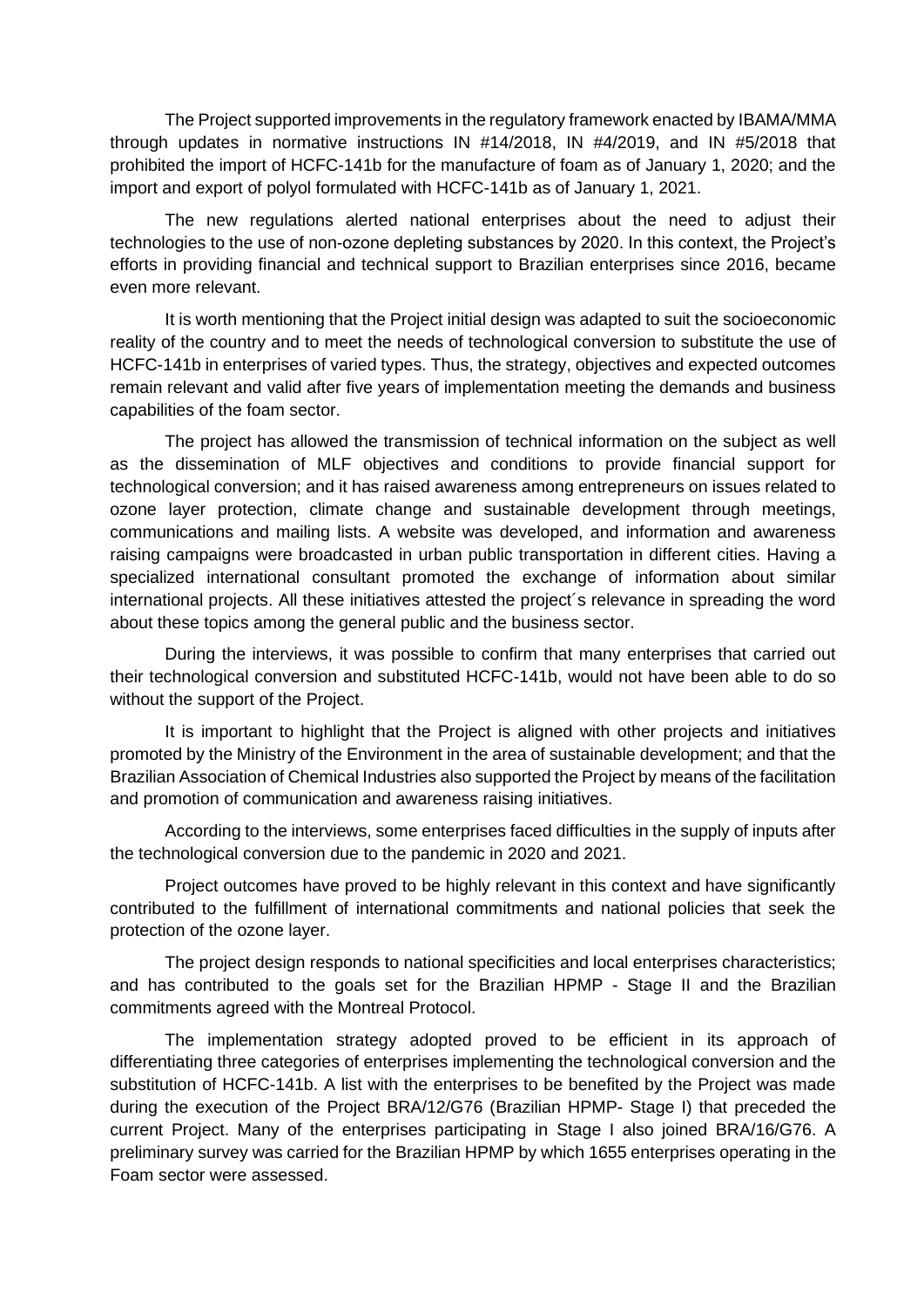The Project supported improvements in the regulatory framework enacted by IBAMA/MMA through updates in normative instructions IN #14/2018, IN #4/2019, and IN #5/2018 that prohibited the import of HCFC-141b for the manufacture of foam as of January 1, 2020; and the import and export of polyol formulated with HCFC-141b as of January 1, 2021.

The new regulations alerted national enterprises about the need to adjust their technologies to the use of non-ozone depleting substances by 2020. In this context, the Project's efforts in providing financial and technical support to Brazilian enterprises since 2016, became even more relevant.

It is worth mentioning that the Project initial design was adapted to suit the socioeconomic reality of the country and to meet the needs of technological conversion to substitute the use of HCFC-141b in enterprises of varied types. Thus, the strategy, objectives and expected outcomes remain relevant and valid after five years of implementation meeting the demands and business capabilities of the foam sector.

The project has allowed the transmission of technical information on the subject as well as the dissemination of MLF objectives and conditions to provide financial support for technological conversion; and it has raised awareness among entrepreneurs on issues related to ozone layer protection, climate change and sustainable development through meetings, communications and mailing lists. A website was developed, and information and awareness raising campaigns were broadcasted in urban public transportation in different cities. Having a specialized international consultant promoted the exchange of information about similar international projects. All these initiatives attested the project´s relevance in spreading the word about these topics among the general public and the business sector.

During the interviews, it was possible to confirm that many enterprises that carried out their technological conversion and substituted HCFC-141b, would not have been able to do so without the support of the Project.

It is important to highlight that the Project is aligned with other projects and initiatives promoted by the Ministry of the Environment in the area of sustainable development; and that the Brazilian Association of Chemical Industries also supported the Project by means of the facilitation and promotion of communication and awareness raising initiatives.

According to the interviews, some enterprises faced difficulties in the supply of inputs after the technological conversion due to the pandemic in 2020 and 2021.

Project outcomes have proved to be highly relevant in this context and have significantly contributed to the fulfillment of international commitments and national policies that seek the protection of the ozone layer.

The project design responds to national specificities and local enterprises characteristics; and has contributed to the goals set for the Brazilian HPMP - Stage II and the Brazilian commitments agreed with the Montreal Protocol.

The implementation strategy adopted proved to be efficient in its approach of differentiating three categories of enterprises implementing the technological conversion and the substitution of HCFC-141b. A list with the enterprises to be benefited by the Project was made during the execution of the Project BRA/12/G76 (Brazilian HPMP- Stage I) that preceded the current Project. Many of the enterprises participating in Stage I also joined BRA/16/G76. A preliminary survey was carried for the Brazilian HPMP by which 1655 enterprises operating in the Foam sector were assessed.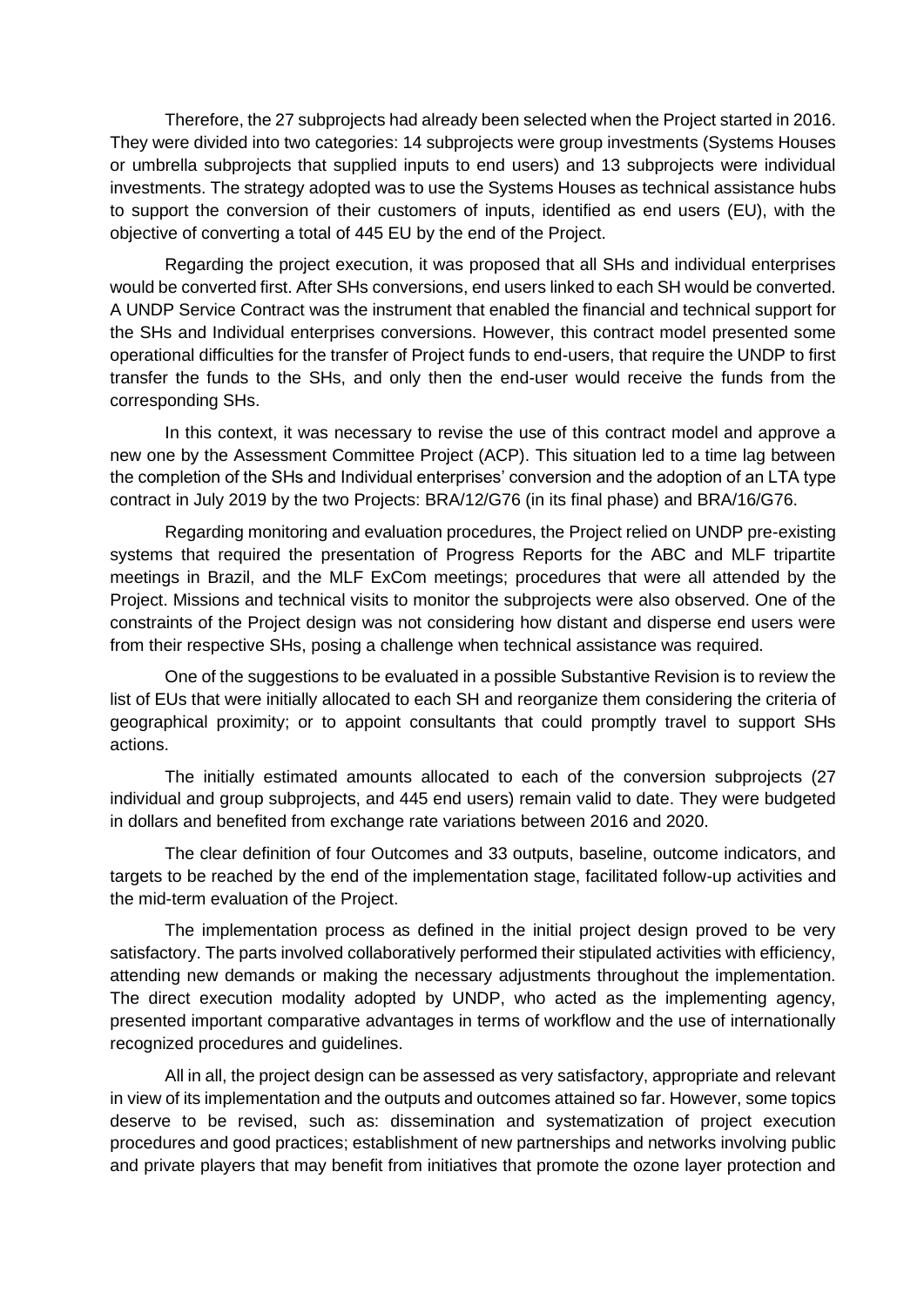Therefore, the 27 subprojects had already been selected when the Project started in 2016. They were divided into two categories: 14 subprojects were group investments (Systems Houses or umbrella subprojects that supplied inputs to end users) and 13 subprojects were individual investments. The strategy adopted was to use the Systems Houses as technical assistance hubs to support the conversion of their customers of inputs, identified as end users (EU), with the objective of converting a total of 445 EU by the end of the Project.

Regarding the project execution, it was proposed that all SHs and individual enterprises would be converted first. After SHs conversions, end users linked to each SH would be converted. A UNDP Service Contract was the instrument that enabled the financial and technical support for the SHs and Individual enterprises conversions. However, this contract model presented some operational difficulties for the transfer of Project funds to end-users, that require the UNDP to first transfer the funds to the SHs, and only then the end-user would receive the funds from the corresponding SHs.

In this context, it was necessary to revise the use of this contract model and approve a new one by the Assessment Committee Project (ACP). This situation led to a time lag between the completion of the SHs and Individual enterprises' conversion and the adoption of an LTA type contract in July 2019 by the two Projects: BRA/12/G76 (in its final phase) and BRA/16/G76.

Regarding monitoring and evaluation procedures, the Project relied on UNDP pre-existing systems that required the presentation of Progress Reports for the ABC and MLF tripartite meetings in Brazil, and the MLF ExCom meetings; procedures that were all attended by the Project. Missions and technical visits to monitor the subprojects were also observed. One of the constraints of the Project design was not considering how distant and disperse end users were from their respective SHs, posing a challenge when technical assistance was required.

One of the suggestions to be evaluated in a possible Substantive Revision is to review the list of EUs that were initially allocated to each SH and reorganize them considering the criteria of geographical proximity; or to appoint consultants that could promptly travel to support SHs actions.

The initially estimated amounts allocated to each of the conversion subprojects (27 individual and group subprojects, and 445 end users) remain valid to date. They were budgeted in dollars and benefited from exchange rate variations between 2016 and 2020.

The clear definition of four Outcomes and 33 outputs, baseline, outcome indicators, and targets to be reached by the end of the implementation stage, facilitated follow-up activities and the mid-term evaluation of the Project.

The implementation process as defined in the initial project design proved to be very satisfactory. The parts involved collaboratively performed their stipulated activities with efficiency, attending new demands or making the necessary adjustments throughout the implementation. The direct execution modality adopted by UNDP, who acted as the implementing agency, presented important comparative advantages in terms of workflow and the use of internationally recognized procedures and guidelines.

All in all, the project design can be assessed as very satisfactory, appropriate and relevant in view of its implementation and the outputs and outcomes attained so far. However, some topics deserve to be revised, such as: dissemination and systematization of project execution procedures and good practices; establishment of new partnerships and networks involving public and private players that may benefit from initiatives that promote the ozone layer protection and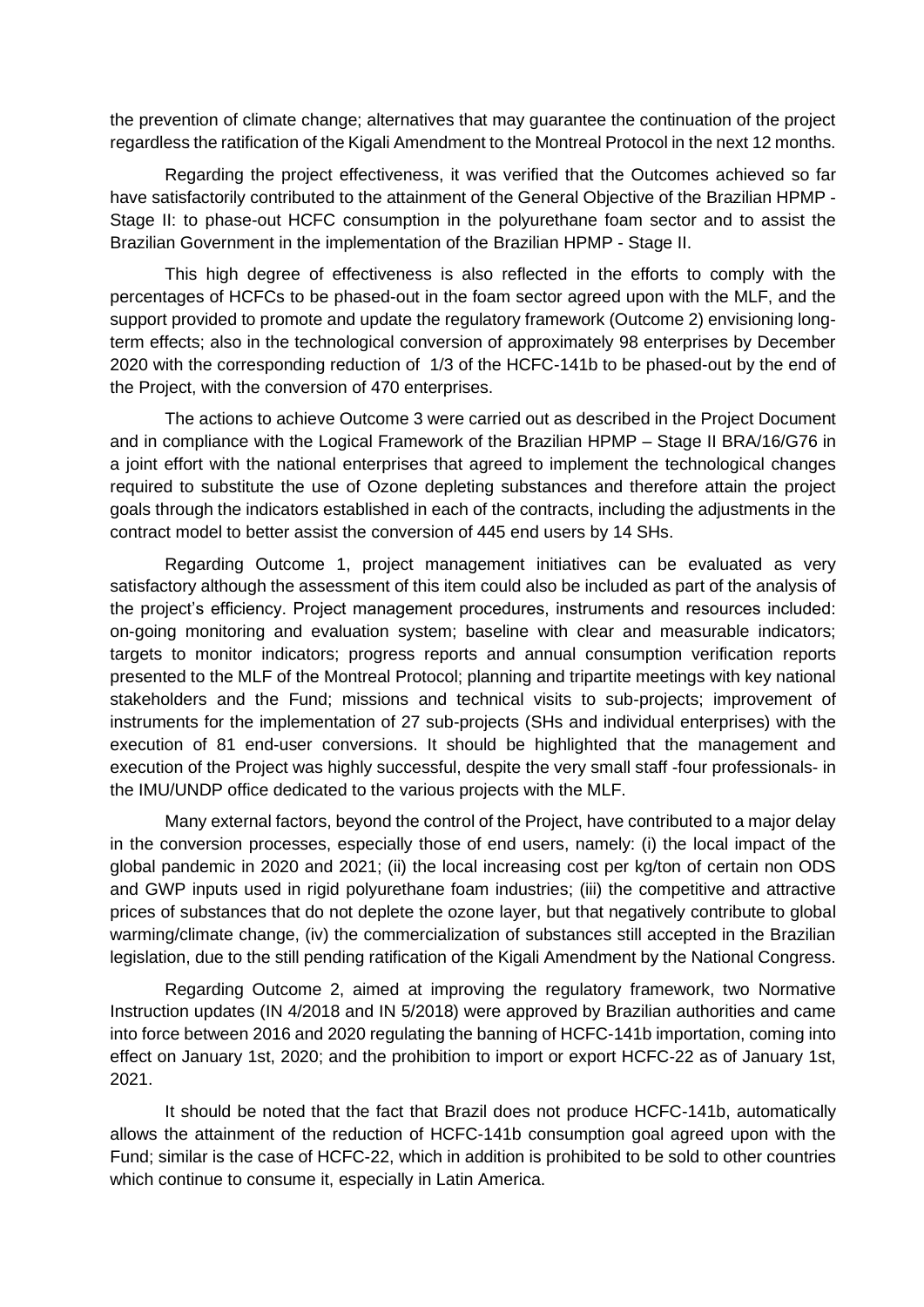the prevention of climate change; alternatives that may guarantee the continuation of the project regardless the ratification of the Kigali Amendment to the Montreal Protocol in the next 12 months.

Regarding the project effectiveness, it was verified that the Outcomes achieved so far have satisfactorily contributed to the attainment of the General Objective of the Brazilian HPMP -Stage II: to phase-out HCFC consumption in the polyurethane foam sector and to assist the Brazilian Government in the implementation of the Brazilian HPMP - Stage II.

This high degree of effectiveness is also reflected in the efforts to comply with the percentages of HCFCs to be phased-out in the foam sector agreed upon with the MLF, and the support provided to promote and update the regulatory framework (Outcome 2) envisioning longterm effects; also in the technological conversion of approximately 98 enterprises by December 2020 with the corresponding reduction of 1/3 of the HCFC-141b to be phased-out by the end of the Project, with the conversion of 470 enterprises.

The actions to achieve Outcome 3 were carried out as described in the Project Document and in compliance with the Logical Framework of the Brazilian HPMP – Stage II BRA/16/G76 in a joint effort with the national enterprises that agreed to implement the technological changes required to substitute the use of Ozone depleting substances and therefore attain the project goals through the indicators established in each of the contracts, including the adjustments in the contract model to better assist the conversion of 445 end users by 14 SHs.

Regarding Outcome 1, project management initiatives can be evaluated as very satisfactory although the assessment of this item could also be included as part of the analysis of the project's efficiency. Project management procedures, instruments and resources included: on-going monitoring and evaluation system; baseline with clear and measurable indicators; targets to monitor indicators; progress reports and annual consumption verification reports presented to the MLF of the Montreal Protocol; planning and tripartite meetings with key national stakeholders and the Fund; missions and technical visits to sub-projects; improvement of instruments for the implementation of 27 sub-projects (SHs and individual enterprises) with the execution of 81 end-user conversions. It should be highlighted that the management and execution of the Project was highly successful, despite the very small staff -four professionals- in the IMU/UNDP office dedicated to the various projects with the MLF.

Many external factors, beyond the control of the Project, have contributed to a major delay in the conversion processes, especially those of end users, namely: (i) the local impact of the global pandemic in 2020 and 2021; (ii) the local increasing cost per kg/ton of certain non ODS and GWP inputs used in rigid polyurethane foam industries; (iii) the competitive and attractive prices of substances that do not deplete the ozone layer, but that negatively contribute to global warming/climate change, (iv) the commercialization of substances still accepted in the Brazilian legislation, due to the still pending ratification of the Kigali Amendment by the National Congress.

Regarding Outcome 2, aimed at improving the regulatory framework, two Normative Instruction updates (IN 4/2018 and IN 5/2018) were approved by Brazilian authorities and came into force between 2016 and 2020 regulating the banning of HCFC-141b importation, coming into effect on January 1st, 2020; and the prohibition to import or export HCFC-22 as of January 1st, 2021.

It should be noted that the fact that Brazil does not produce HCFC-141b, automatically allows the attainment of the reduction of HCFC-141b consumption goal agreed upon with the Fund; similar is the case of HCFC-22, which in addition is prohibited to be sold to other countries which continue to consume it, especially in Latin America.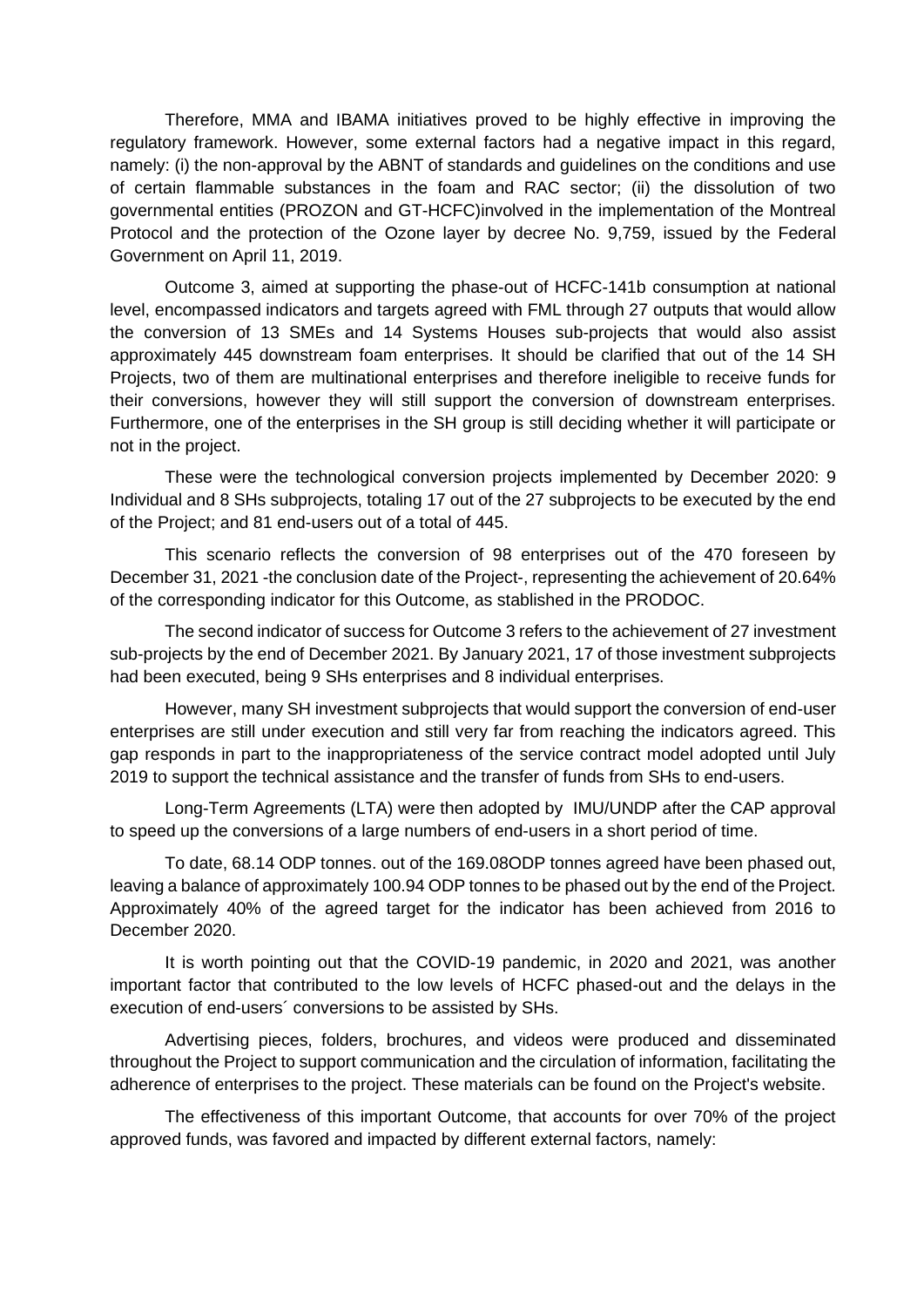Therefore, MMA and IBAMA initiatives proved to be highly effective in improving the regulatory framework. However, some external factors had a negative impact in this regard, namely: (i) the non-approval by the ABNT of standards and guidelines on the conditions and use of certain flammable substances in the foam and RAC sector; (ii) the dissolution of two governmental entities (PROZON and GT-HCFC)involved in the implementation of the Montreal Protocol and the protection of the Ozone layer by decree No. 9,759, issued by the Federal Government on April 11, 2019.

Outcome 3, aimed at supporting the phase-out of HCFC-141b consumption at national level, encompassed indicators and targets agreed with FML through 27 outputs that would allow the conversion of 13 SMEs and 14 Systems Houses sub-projects that would also assist approximately 445 downstream foam enterprises. It should be clarified that out of the 14 SH Projects, two of them are multinational enterprises and therefore ineligible to receive funds for their conversions, however they will still support the conversion of downstream enterprises. Furthermore, one of the enterprises in the SH group is still deciding whether it will participate or not in the project.

These were the technological conversion projects implemented by December 2020: 9 Individual and 8 SHs subprojects, totaling 17 out of the 27 subprojects to be executed by the end of the Project; and 81 end-users out of a total of 445.

This scenario reflects the conversion of 98 enterprises out of the 470 foreseen by December 31, 2021 -the conclusion date of the Project-, representing the achievement of 20.64% of the corresponding indicator for this Outcome, as stablished in the PRODOC.

The second indicator of success for Outcome 3 refers to the achievement of 27 investment sub-projects by the end of December 2021. By January 2021, 17 of those investment subprojects had been executed, being 9 SHs enterprises and 8 individual enterprises.

However, many SH investment subprojects that would support the conversion of end-user enterprises are still under execution and still very far from reaching the indicators agreed. This gap responds in part to the inappropriateness of the service contract model adopted until July 2019 to support the technical assistance and the transfer of funds from SHs to end-users.

Long-Term Agreements (LTA) were then adopted by IMU/UNDP after the CAP approval to speed up the conversions of a large numbers of end-users in a short period of time.

To date, 68.14 ODP tonnes. out of the 169.08ODP tonnes agreed have been phased out, leaving a balance of approximately 100.94 ODP tonnes to be phased out by the end of the Project. Approximately 40% of the agreed target for the indicator has been achieved from 2016 to December 2020.

It is worth pointing out that the COVID-19 pandemic, in 2020 and 2021, was another important factor that contributed to the low levels of HCFC phased-out and the delays in the execution of end-users´ conversions to be assisted by SHs.

Advertising pieces, folders, brochures, and videos were produced and disseminated throughout the Project to support communication and the circulation of information, facilitating the adherence of enterprises to the project. These materials can be found on the Project's website.

The effectiveness of this important Outcome, that accounts for over 70% of the project approved funds, was favored and impacted by different external factors, namely: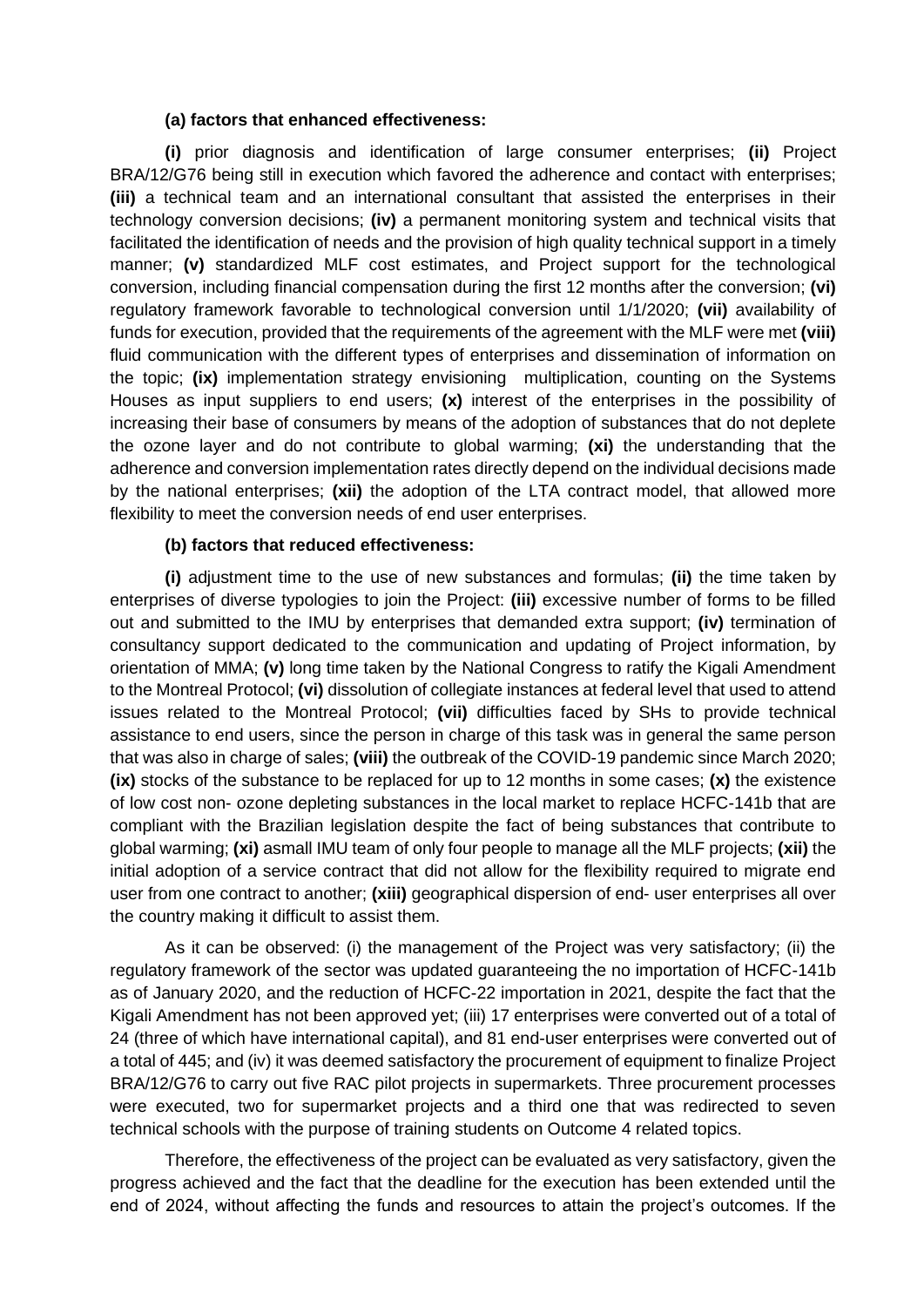#### **(a) factors that enhanced effectiveness:**

**(i)** prior diagnosis and identification of large consumer enterprises; **(ii)** Project BRA/12/G76 being still in execution which favored the adherence and contact with enterprises; **(iii)** a technical team and an international consultant that assisted the enterprises in their technology conversion decisions; **(iv)** a permanent monitoring system and technical visits that facilitated the identification of needs and the provision of high quality technical support in a timely manner; **(v)** standardized MLF cost estimates, and Project support for the technological conversion, including financial compensation during the first 12 months after the conversion; **(vi)** regulatory framework favorable to technological conversion until 1/1/2020; **(vii)** availability of funds for execution, provided that the requirements of the agreement with the MLF were met **(viii)** fluid communication with the different types of enterprises and dissemination of information on the topic; **(ix)** implementation strategy envisioning multiplication, counting on the Systems Houses as input suppliers to end users; **(x)** interest of the enterprises in the possibility of increasing their base of consumers by means of the adoption of substances that do not deplete the ozone layer and do not contribute to global warming; **(xi)** the understanding that the adherence and conversion implementation rates directly depend on the individual decisions made by the national enterprises; **(xii)** the adoption of the LTA contract model, that allowed more flexibility to meet the conversion needs of end user enterprises.

#### **(b) factors that reduced effectiveness:**

**(i)** adjustment time to the use of new substances and formulas; **(ii)** the time taken by enterprises of diverse typologies to join the Project: **(iii)** excessive number of forms to be filled out and submitted to the IMU by enterprises that demanded extra support; **(iv)** termination of consultancy support dedicated to the communication and updating of Project information, by orientation of MMA; **(v)** long time taken by the National Congress to ratify the Kigali Amendment to the Montreal Protocol; **(vi)** dissolution of collegiate instances at federal level that used to attend issues related to the Montreal Protocol; **(vii)** difficulties faced by SHs to provide technical assistance to end users, since the person in charge of this task was in general the same person that was also in charge of sales; **(viii)** the outbreak of the COVID-19 pandemic since March 2020; **(ix)** stocks of the substance to be replaced for up to 12 months in some cases; **(x)** the existence of low cost non- ozone depleting substances in the local market to replace HCFC-141b that are compliant with the Brazilian legislation despite the fact of being substances that contribute to global warming; **(xi)** asmall IMU team of only four people to manage all the MLF projects; **(xii)** the initial adoption of a service contract that did not allow for the flexibility required to migrate end user from one contract to another; **(xiii)** geographical dispersion of end- user enterprises all over the country making it difficult to assist them.

As it can be observed: (i) the management of the Project was very satisfactory; (ii) the regulatory framework of the sector was updated guaranteeing the no importation of HCFC-141b as of January 2020, and the reduction of HCFC-22 importation in 2021, despite the fact that the Kigali Amendment has not been approved yet; (iii) 17 enterprises were converted out of a total of 24 (three of which have international capital), and 81 end-user enterprises were converted out of a total of 445; and (iv) it was deemed satisfactory the procurement of equipment to finalize Project BRA/12/G76 to carry out five RAC pilot projects in supermarkets. Three procurement processes were executed, two for supermarket projects and a third one that was redirected to seven technical schools with the purpose of training students on Outcome 4 related topics.

Therefore, the effectiveness of the project can be evaluated as very satisfactory, given the progress achieved and the fact that the deadline for the execution has been extended until the end of 2024, without affecting the funds and resources to attain the project's outcomes. If the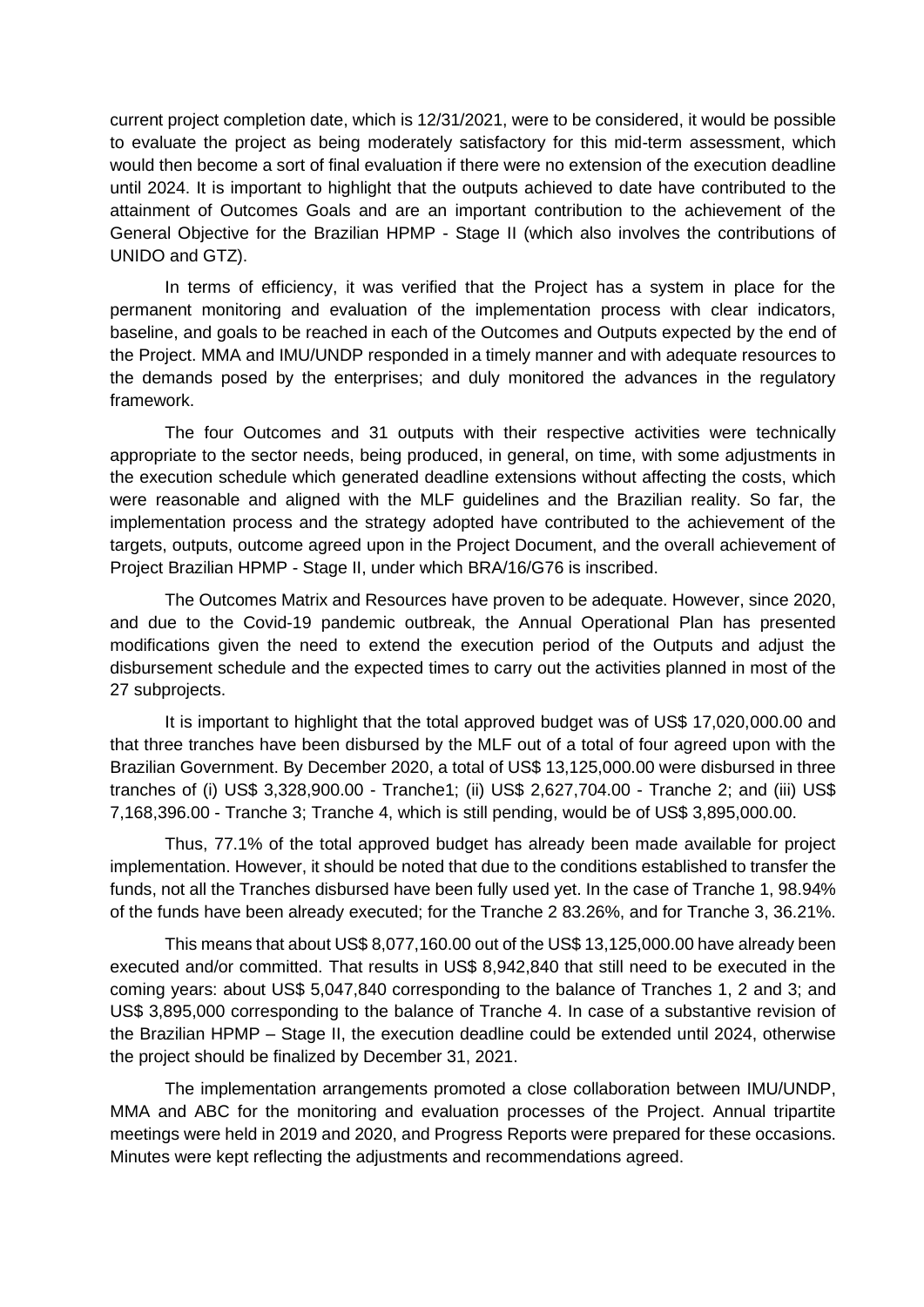current project completion date, which is 12/31/2021, were to be considered, it would be possible to evaluate the project as being moderately satisfactory for this mid-term assessment, which would then become a sort of final evaluation if there were no extension of the execution deadline until 2024. It is important to highlight that the outputs achieved to date have contributed to the attainment of Outcomes Goals and are an important contribution to the achievement of the General Objective for the Brazilian HPMP - Stage II (which also involves the contributions of UNIDO and GTZ).

In terms of efficiency, it was verified that the Project has a system in place for the permanent monitoring and evaluation of the implementation process with clear indicators, baseline, and goals to be reached in each of the Outcomes and Outputs expected by the end of the Project. MMA and IMU/UNDP responded in a timely manner and with adequate resources to the demands posed by the enterprises; and duly monitored the advances in the regulatory framework.

The four Outcomes and 31 outputs with their respective activities were technically appropriate to the sector needs, being produced, in general, on time, with some adjustments in the execution schedule which generated deadline extensions without affecting the costs, which were reasonable and aligned with the MLF guidelines and the Brazilian reality. So far, the implementation process and the strategy adopted have contributed to the achievement of the targets, outputs, outcome agreed upon in the Project Document, and the overall achievement of Project Brazilian HPMP - Stage II, under which BRA/16/G76 is inscribed.

The Outcomes Matrix and Resources have proven to be adequate. However, since 2020, and due to the Covid-19 pandemic outbreak, the Annual Operational Plan has presented modifications given the need to extend the execution period of the Outputs and adjust the disbursement schedule and the expected times to carry out the activities planned in most of the 27 subprojects.

It is important to highlight that the total approved budget was of US\$ 17,020,000.00 and that three tranches have been disbursed by the MLF out of a total of four agreed upon with the Brazilian Government. By December 2020, a total of US\$ 13,125,000.00 were disbursed in three tranches of (i) US\$ 3,328,900.00 - Tranche1; (ii) US\$ 2,627,704.00 - Tranche 2; and (iii) US\$ 7,168,396.00 - Tranche 3; Tranche 4, which is still pending, would be of US\$ 3,895,000.00.

Thus, 77.1% of the total approved budget has already been made available for project implementation. However, it should be noted that due to the conditions established to transfer the funds, not all the Tranches disbursed have been fully used yet. In the case of Tranche 1, 98.94% of the funds have been already executed; for the Tranche 2 83.26%, and for Tranche 3, 36.21%.

This means that about US\$ 8,077,160.00 out of the US\$ 13,125,000.00 have already been executed and/or committed. That results in US\$ 8,942,840 that still need to be executed in the coming years: about US\$ 5,047,840 corresponding to the balance of Tranches 1, 2 and 3; and US\$ 3,895,000 corresponding to the balance of Tranche 4. In case of a substantive revision of the Brazilian HPMP – Stage II, the execution deadline could be extended until 2024, otherwise the project should be finalized by December 31, 2021.

The implementation arrangements promoted a close collaboration between IMU/UNDP, MMA and ABC for the monitoring and evaluation processes of the Project. Annual tripartite meetings were held in 2019 and 2020, and Progress Reports were prepared for these occasions. Minutes were kept reflecting the adjustments and recommendations agreed.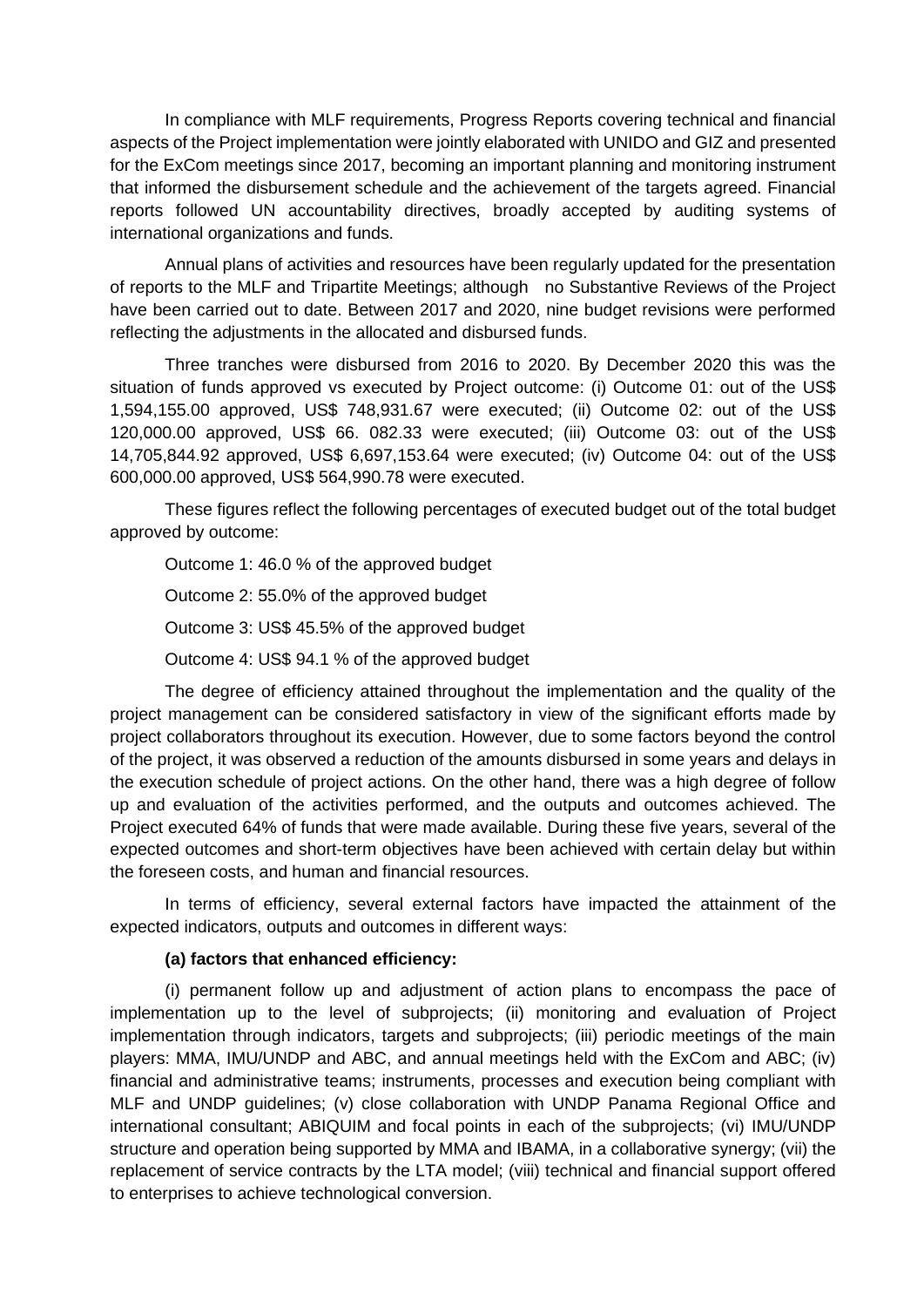In compliance with MLF requirements, Progress Reports covering technical and financial aspects of the Project implementation were jointly elaborated with UNIDO and GIZ and presented for the ExCom meetings since 2017, becoming an important planning and monitoring instrument that informed the disbursement schedule and the achievement of the targets agreed. Financial reports followed UN accountability directives, broadly accepted by auditing systems of international organizations and funds.

Annual plans of activities and resources have been regularly updated for the presentation of reports to the MLF and Tripartite Meetings; although no Substantive Reviews of the Project have been carried out to date. Between 2017 and 2020, nine budget revisions were performed reflecting the adjustments in the allocated and disbursed funds.

Three tranches were disbursed from 2016 to 2020. By December 2020 this was the situation of funds approved vs executed by Project outcome: (i) Outcome 01: out of the US\$ 1,594,155.00 approved, US\$ 748,931.67 were executed; (ii) Outcome 02: out of the US\$ 120,000.00 approved, US\$ 66. 082.33 were executed; (iii) Outcome 03: out of the US\$ 14,705,844.92 approved, US\$ 6,697,153.64 were executed; (iv) Outcome 04: out of the US\$ 600,000.00 approved, US\$ 564,990.78 were executed.

These figures reflect the following percentages of executed budget out of the total budget approved by outcome:

Outcome 1: 46.0 % of the approved budget Outcome 2: 55.0% of the approved budget Outcome 3: US\$ 45.5% of the approved budget Outcome 4: US\$ 94.1 % of the approved budget

The degree of efficiency attained throughout the implementation and the quality of the project management can be considered satisfactory in view of the significant efforts made by project collaborators throughout its execution. However, due to some factors beyond the control of the project, it was observed a reduction of the amounts disbursed in some years and delays in the execution schedule of project actions. On the other hand, there was a high degree of follow up and evaluation of the activities performed, and the outputs and outcomes achieved. The Project executed 64% of funds that were made available. During these five years, several of the expected outcomes and short-term objectives have been achieved with certain delay but within the foreseen costs, and human and financial resources.

In terms of efficiency, several external factors have impacted the attainment of the expected indicators, outputs and outcomes in different ways:

### **(a) factors that enhanced efficiency:**

(i) permanent follow up and adjustment of action plans to encompass the pace of implementation up to the level of subprojects; (ii) monitoring and evaluation of Project implementation through indicators, targets and subprojects; (iii) periodic meetings of the main players: MMA, IMU/UNDP and ABC, and annual meetings held with the ExCom and ABC; (iv) financial and administrative teams; instruments, processes and execution being compliant with MLF and UNDP guidelines; (v) close collaboration with UNDP Panama Regional Office and international consultant; ABIQUIM and focal points in each of the subprojects; (vi) IMU/UNDP structure and operation being supported by MMA and IBAMA, in a collaborative synergy; (vii) the replacement of service contracts by the LTA model; (viii) technical and financial support offered to enterprises to achieve technological conversion.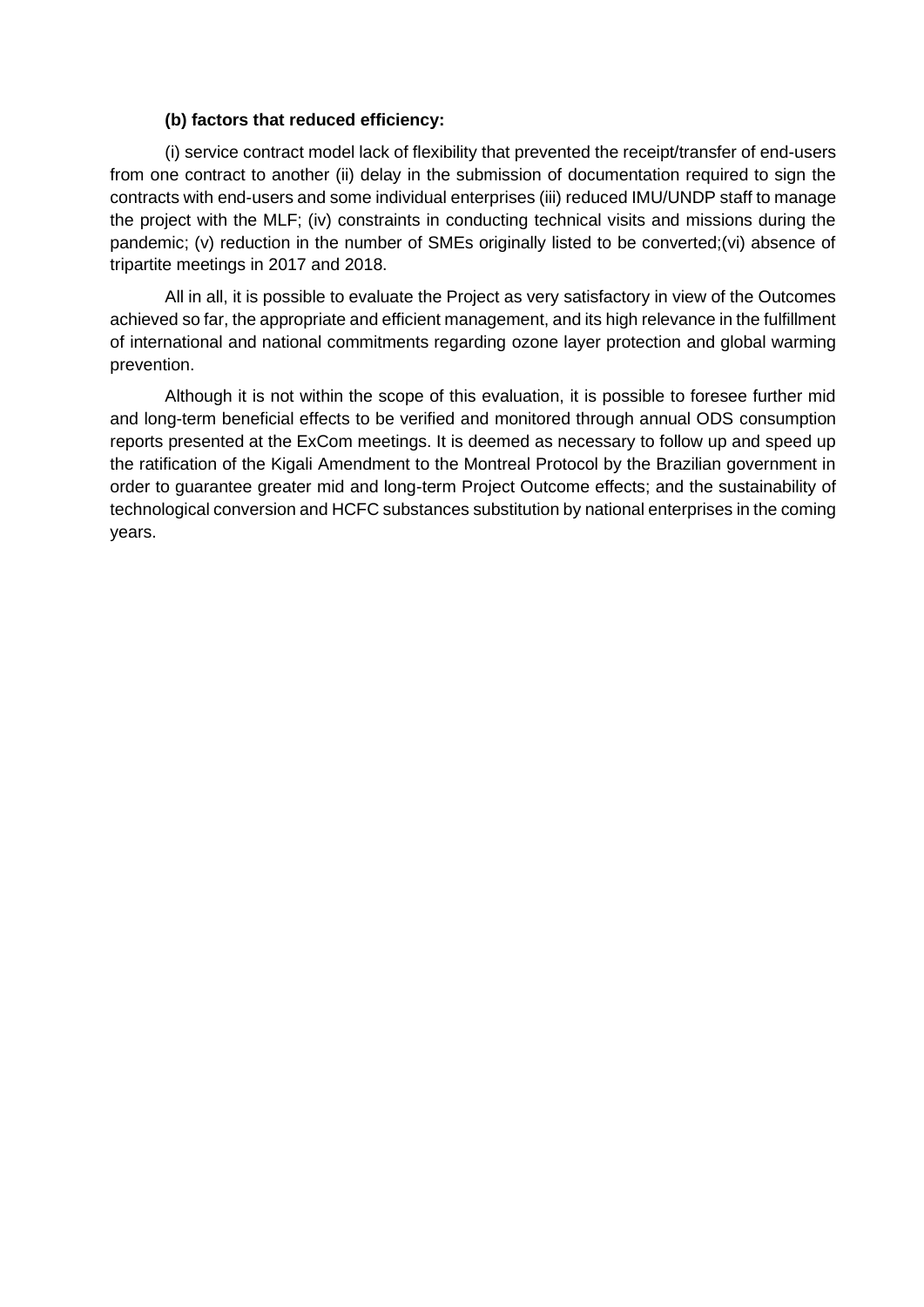#### **(b) factors that reduced efficiency:**

(i) service contract model lack of flexibility that prevented the receipt/transfer of end-users from one contract to another (ii) delay in the submission of documentation required to sign the contracts with end-users and some individual enterprises (iii) reduced IMU/UNDP staff to manage the project with the MLF; (iv) constraints in conducting technical visits and missions during the pandemic; (v) reduction in the number of SMEs originally listed to be converted;(vi) absence of tripartite meetings in 2017 and 2018.

All in all, it is possible to evaluate the Project as very satisfactory in view of the Outcomes achieved so far, the appropriate and efficient management, and its high relevance in the fulfillment of international and national commitments regarding ozone layer protection and global warming prevention.

Although it is not within the scope of this evaluation, it is possible to foresee further mid and long-term beneficial effects to be verified and monitored through annual ODS consumption reports presented at the ExCom meetings. It is deemed as necessary to follow up and speed up the ratification of the Kigali Amendment to the Montreal Protocol by the Brazilian government in order to guarantee greater mid and long-term Project Outcome effects; and the sustainability of technological conversion and HCFC substances substitution by national enterprises in the coming years.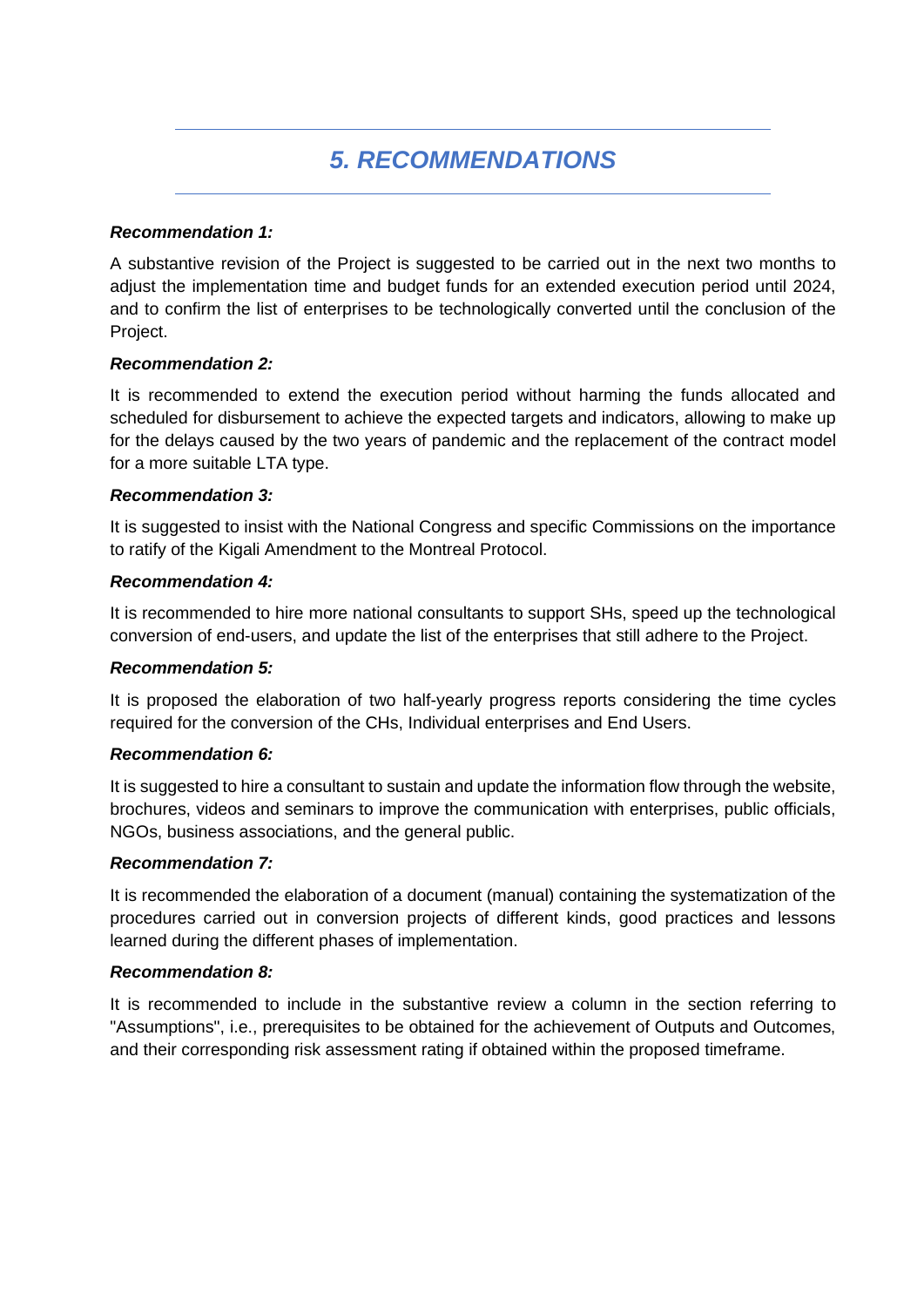# *5. RECOMMENDATIONS*

#### *Recommendation 1:*

A substantive revision of the Project is suggested to be carried out in the next two months to adjust the implementation time and budget funds for an extended execution period until 2024, and to confirm the list of enterprises to be technologically converted until the conclusion of the Project.

#### *Recommendation 2:*

It is recommended to extend the execution period without harming the funds allocated and scheduled for disbursement to achieve the expected targets and indicators, allowing to make up for the delays caused by the two years of pandemic and the replacement of the contract model for a more suitable LTA type.

#### *Recommendation 3:*

It is suggested to insist with the National Congress and specific Commissions on the importance to ratify of the Kigali Amendment to the Montreal Protocol.

#### *Recommendation 4:*

It is recommended to hire more national consultants to support SHs, speed up the technological conversion of end-users, and update the list of the enterprises that still adhere to the Project.

#### *Recommendation 5:*

It is proposed the elaboration of two half-yearly progress reports considering the time cycles required for the conversion of the CHs, Individual enterprises and End Users.

#### *Recommendation 6:*

It is suggested to hire a consultant to sustain and update the information flow through the website, brochures, videos and seminars to improve the communication with enterprises, public officials, NGOs, business associations, and the general public.

#### *Recommendation 7:*

It is recommended the elaboration of a document (manual) containing the systematization of the procedures carried out in conversion projects of different kinds, good practices and lessons learned during the different phases of implementation.

#### *Recommendation 8:*

It is recommended to include in the substantive review a column in the section referring to "Assumptions", i.e., prerequisites to be obtained for the achievement of Outputs and Outcomes, and their corresponding risk assessment rating if obtained within the proposed timeframe.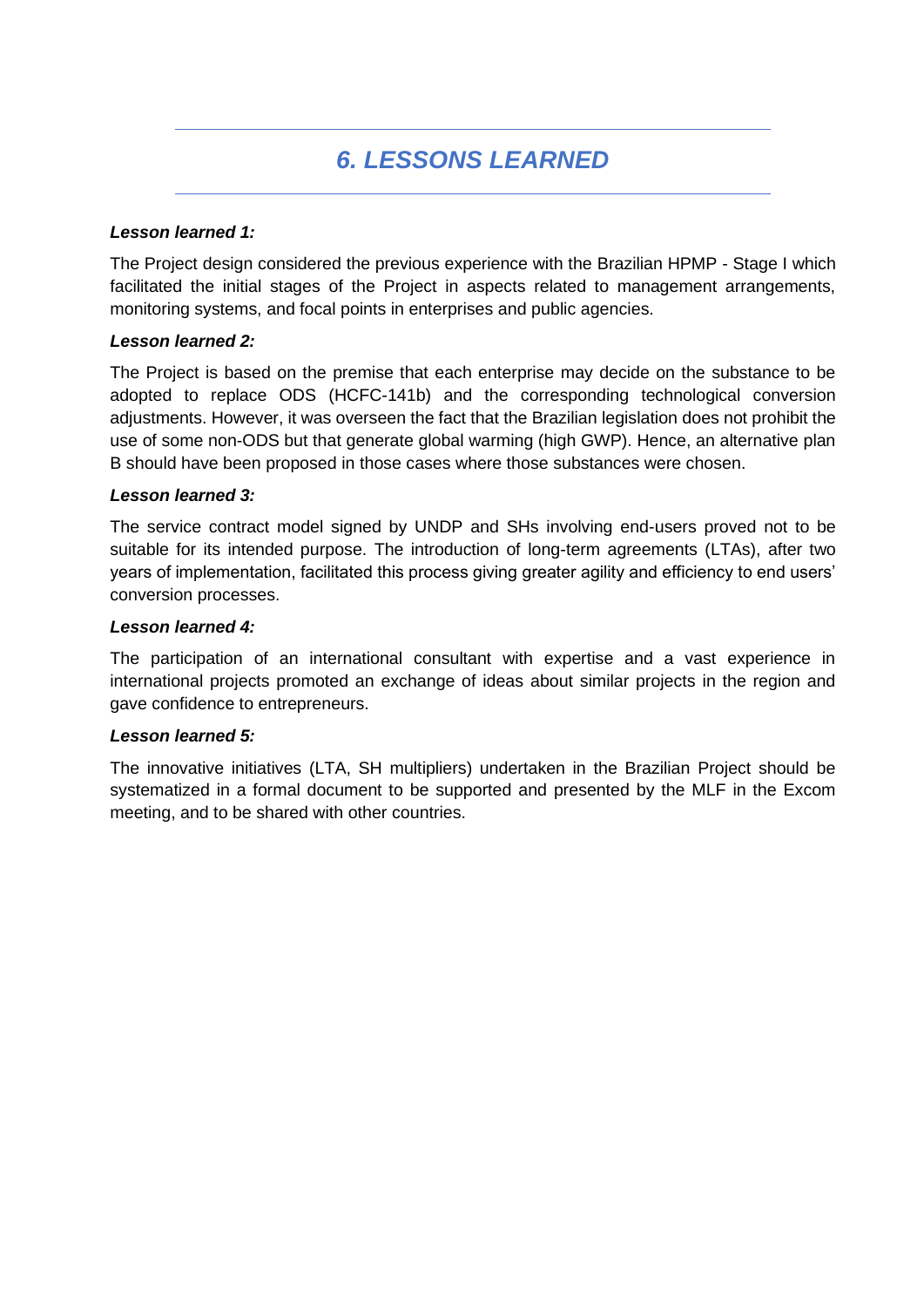# *6. LESSONS LEARNED*

### *Lesson learned 1:*

The Project design considered the previous experience with the Brazilian HPMP - Stage I which facilitated the initial stages of the Project in aspects related to management arrangements, monitoring systems, and focal points in enterprises and public agencies.

#### *Lesson learned 2:*

The Project is based on the premise that each enterprise may decide on the substance to be adopted to replace ODS (HCFC-141b) and the corresponding technological conversion adjustments. However, it was overseen the fact that the Brazilian legislation does not prohibit the use of some non-ODS but that generate global warming (high GWP). Hence, an alternative plan B should have been proposed in those cases where those substances were chosen.

#### *Lesson learned 3:*

The service contract model signed by UNDP and SHs involving end-users proved not to be suitable for its intended purpose. The introduction of long-term agreements (LTAs), after two years of implementation, facilitated this process giving greater agility and efficiency to end users' conversion processes.

#### *Lesson learned 4:*

The participation of an international consultant with expertise and a vast experience in international projects promoted an exchange of ideas about similar projects in the region and gave confidence to entrepreneurs.

#### *Lesson learned 5:*

The innovative initiatives (LTA, SH multipliers) undertaken in the Brazilian Project should be systematized in a formal document to be supported and presented by the MLF in the Excom meeting, and to be shared with other countries.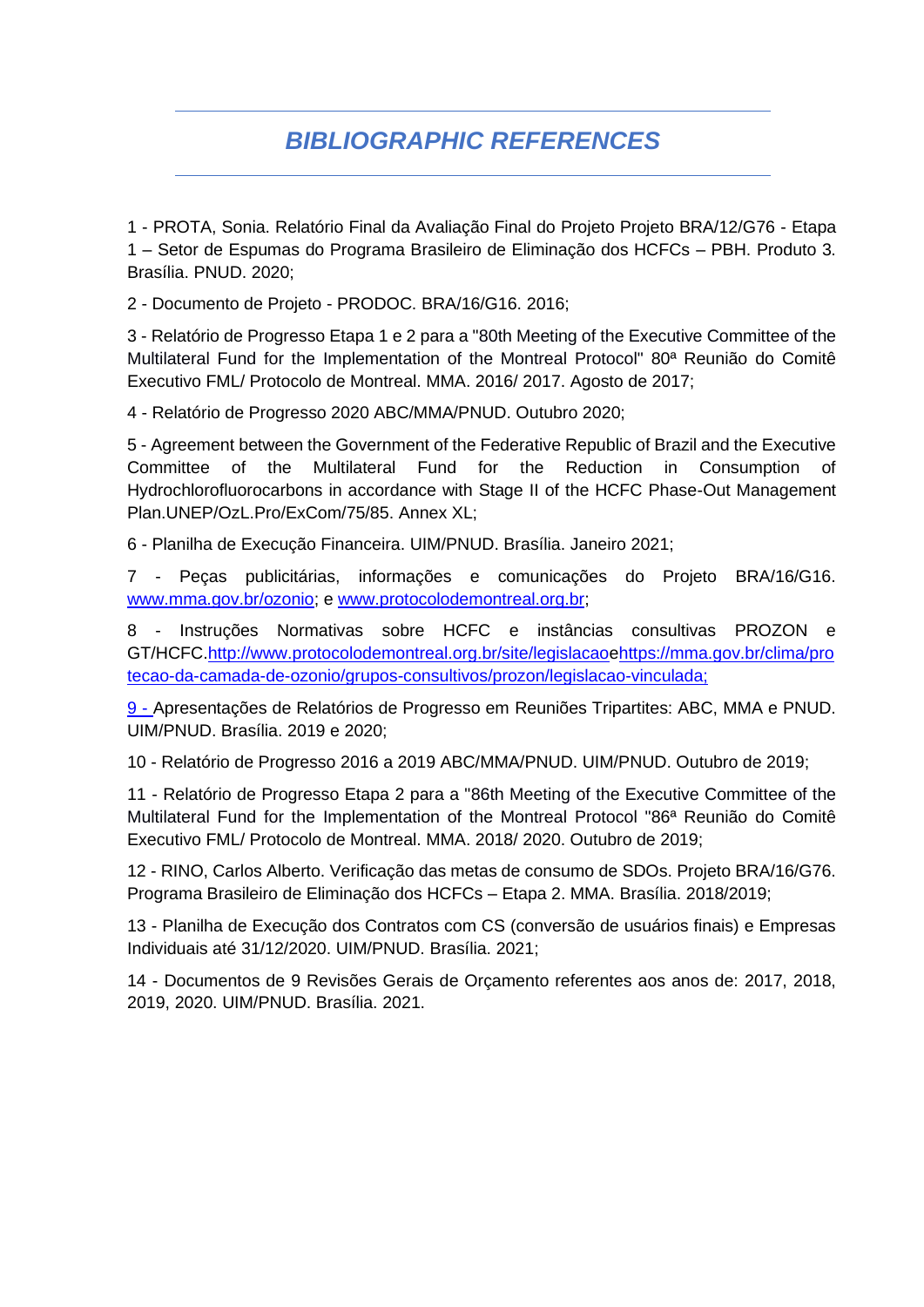## *BIBLIOGRAPHIC REFERENCES*

1 - PROTA, Sonia. Relatório Final da Avaliação Final do Projeto Projeto BRA/12/G76 - Etapa 1 – Setor de Espumas do Programa Brasileiro de Eliminação dos HCFCs – PBH. Produto 3. Brasília. PNUD. 2020;

2 - Documento de Projeto - PRODOC. BRA/16/G16. 2016;

3 - Relatório de Progresso Etapa 1 e 2 para a "80th Meeting of the Executive Committee of the Multilateral Fund for the Implementation of the Montreal Protocol" 80ª Reunião do Comitê Executivo FML/ Protocolo de Montreal. MMA. 2016/ 2017. Agosto de 2017;

4 - Relatório de Progresso 2020 ABC/MMA/PNUD. Outubro 2020;

5 - Agreement between the Government of the Federative Republic of Brazil and the Executive Committee of the Multilateral Fund for the Reduction in Consumption of Hydrochlorofluorocarbons in accordance with Stage II of the HCFC Phase-Out Management Plan.UNEP/OzL.Pro/ExCom/75/85. Annex XL;

6 - Planilha de Execução Financeira. UIM/PNUD. Brasília. Janeiro 2021;

7 - Peças publicitárias, informações e comunicações do Projeto BRA/16/G16. [www.mma.gov.br/ozonio;](http://www.mma.gov.br/ozonio) e [www.protocolodemontreal.org.br;](http://www.protocolodemontreal.org.br/)

8 - Instruções Normativas sobre HCFC e instâncias consultivas PROZON e GT/HCFC[.http://www.protocolodemontreal.org.br/site/legislacao](http://www.protocolodemontreal.org.br/site/legislacao)[ehttps://mma.gov.br/clima/pro](https://mma.gov.br/clima/protecao-da-camada-de-ozonio/grupos-consultivos/prozon/legislacao-vinculada) [tecao-da-camada-de-ozonio/grupos-consultivos/prozon/legislacao-vinculada;](https://mma.gov.br/clima/protecao-da-camada-de-ozonio/grupos-consultivos/prozon/legislacao-vinculada)

9 - Apresentações de Relatórios de Progresso em Reuniões Tripartites: ABC, MMA e PNUD. UIM/PNUD. Brasília. 2019 e 2020;

10 - Relatório de Progresso 2016 a 2019 ABC/MMA/PNUD. UIM/PNUD. Outubro de 2019;

11 - Relatório de Progresso Etapa 2 para a "86th Meeting of the Executive Committee of the Multilateral Fund for the Implementation of the Montreal Protocol "86ª Reunião do Comitê Executivo FML/ Protocolo de Montreal. MMA. 2018/ 2020. Outubro de 2019;

12 - RINO, Carlos Alberto. Verificação das metas de consumo de SDOs. Projeto BRA/16/G76. Programa Brasileiro de Eliminação dos HCFCs – Etapa 2. MMA. Brasília. 2018/2019;

13 - Planilha de Execução dos Contratos com CS (conversão de usuários finais) e Empresas Individuais até 31/12/2020. UIM/PNUD. Brasília. 2021;

14 - Documentos de 9 Revisões Gerais de Orçamento referentes aos anos de: 2017, 2018, 2019, 2020. UIM/PNUD. Brasília. 2021.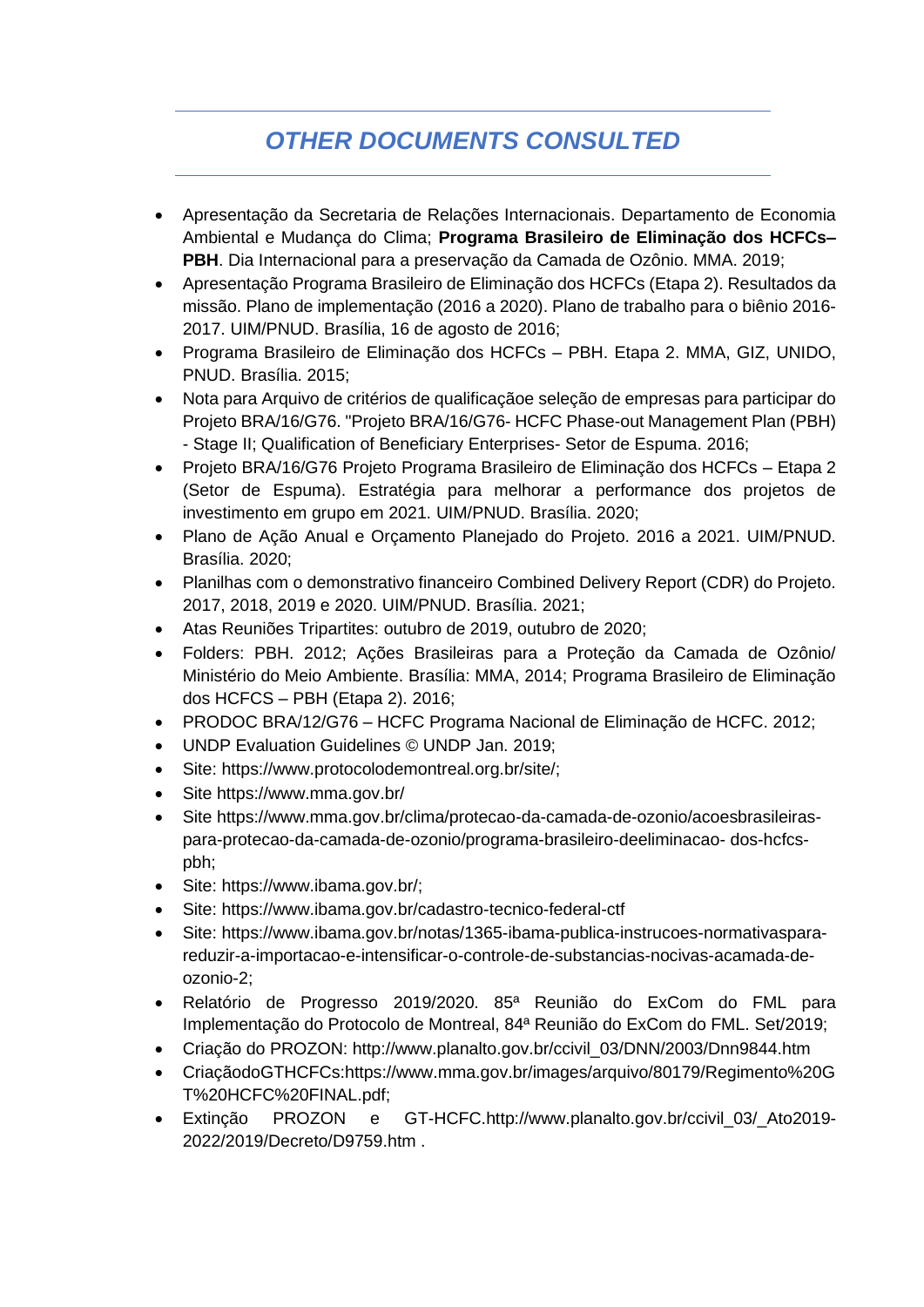# *OTHER DOCUMENTS CONSULTED*

- Apresentação da Secretaria de Relações Internacionais. Departamento de Economia Ambiental e Mudança do Clima; **Programa Brasileiro de Eliminação dos HCFCs– PBH**. Dia Internacional para a preservação da Camada de Ozônio. MMA. 2019;
- Apresentação Programa Brasileiro de Eliminação dos HCFCs (Etapa 2). Resultados da missão. Plano de implementação (2016 a 2020). Plano de trabalho para o biênio 2016- 2017. UIM/PNUD. Brasília, 16 de agosto de 2016;
- Programa Brasileiro de Eliminação dos HCFCs PBH. Etapa 2. MMA, GIZ, UNIDO, PNUD. Brasília. 2015;
- Nota para Arquivo de critérios de qualificaçãoe seleção de empresas para participar do Projeto BRA/16/G76. "Projeto BRA/16/G76- HCFC Phase-out Management Plan (PBH) - Stage II; Qualification of Beneficiary Enterprises- Setor de Espuma. 2016;
- Projeto BRA/16/G76 Projeto Programa Brasileiro de Eliminação dos HCFCs Etapa 2 (Setor de Espuma). Estratégia para melhorar a performance dos projetos de investimento em grupo em 2021. UIM/PNUD. Brasília. 2020;
- Plano de Ação Anual e Orçamento Planejado do Projeto. 2016 a 2021. UIM/PNUD. Brasília. 2020;
- Planilhas com o demonstrativo financeiro Combined Delivery Report (CDR) do Projeto. 2017, 2018, 2019 e 2020. UIM/PNUD. Brasília. 2021;
- Atas Reuniões Tripartites: outubro de 2019, outubro de 2020;
- Folders: PBH. 2012; Ações Brasileiras para a Proteção da Camada de Ozônio/ Ministério do Meio Ambiente. Brasília: MMA, 2014; Programa Brasileiro de Eliminação dos HCFCS – PBH (Etapa 2). 2016;
- PRODOC BRA/12/G76 HCFC Programa Nacional de Eliminação de HCFC. 2012;
- UNDP Evaluation Guidelines © UNDP Jan. 2019;
- Site: https://www.protocolodemontreal.org.br/site/;
- Site https://www.mma.gov.br/
- Site https://www.mma.gov.br/clima/protecao-da-camada-de-ozonio/acoesbrasileiraspara-protecao-da-camada-de-ozonio/programa-brasileiro-deeliminacao- dos-hcfcspbh;
- Site: https://www.ibama.gov.br/;
- Site: https://www.ibama.gov.br/cadastro-tecnico-federal-ctf
- Site: https://www.ibama.gov.br/notas/1365-ibama-publica-instrucoes-normativasparareduzir-a-importacao-e-intensificar-o-controle-de-substancias-nocivas-acamada-deozonio-2;
- Relatório de Progresso 2019/2020. 85ª Reunião do ExCom do FML para Implementação do Protocolo de Montreal, 84ª Reunião do ExCom do FML. Set/2019;
- Criação do PROZON: http://www.planalto.gov.br/ccivil\_03/DNN/2003/Dnn9844.htm
- CriaçãodoGTHCFCs:https://www.mma.gov.br/images/arquivo/80179/Regimento%20G T%20HCFC%20FINAL.pdf;
- Extinção PROZON e GT-HCFC.http://www.planalto.gov.br/ccivil\_03/\_Ato2019- 2022/2019/Decreto/D9759.htm .